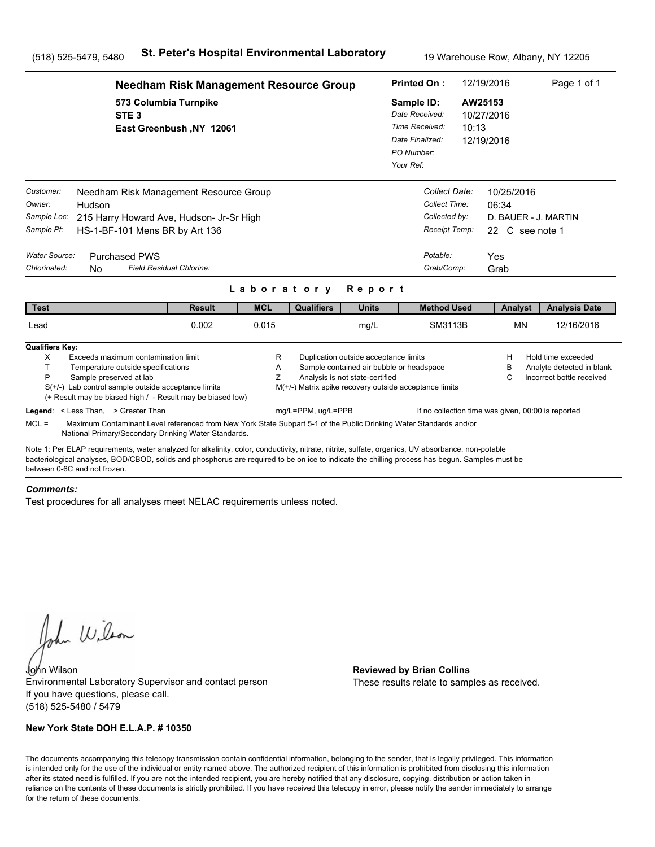|                                                                   |                                                                                                                                                                                                                                                                                                       | <b>Needham Risk Management Resource Group</b> |             |                                                        |                                                                                                                      | <b>Printed On:</b>                                                                           |                                                                              | 12/19/2016                                   |                                                                | Page 1 of 1                                                                  |
|-------------------------------------------------------------------|-------------------------------------------------------------------------------------------------------------------------------------------------------------------------------------------------------------------------------------------------------------------------------------------------------|-----------------------------------------------|-------------|--------------------------------------------------------|----------------------------------------------------------------------------------------------------------------------|----------------------------------------------------------------------------------------------|------------------------------------------------------------------------------|----------------------------------------------|----------------------------------------------------------------|------------------------------------------------------------------------------|
|                                                                   | 573 Columbia Turnpike<br>STE <sub>3</sub>                                                                                                                                                                                                                                                             | East Greenbush, NY 12061                      |             |                                                        |                                                                                                                      | Sample ID:<br>Date Received:<br>Time Received:<br>Date Finalized:<br>PO Number:<br>Your Ref: |                                                                              | AW25153<br>10/27/2016<br>10:13<br>12/19/2016 |                                                                |                                                                              |
| Customer:<br>Owner:<br>Sample Loc:<br>Sample Pt:<br>Water Source: | Needham Risk Management Resource Group<br>Hudson<br>215 Harry Howard Ave, Hudson- Jr-Sr High<br>HS-1-BF-101 Mens BR by Art 136<br><b>Purchased PWS</b>                                                                                                                                                |                                               |             |                                                        |                                                                                                                      |                                                                                              | Collect Date:<br>Collect Time:<br>Collected by:<br>Receipt Temp:<br>Potable: | Yes                                          | 10/25/2016<br>06:34<br>D. BAUER - J. MARTIN<br>22 C see note 1 |                                                                              |
| Chlorinated:                                                      | Field Residual Chlorine:<br><b>No</b>                                                                                                                                                                                                                                                                 |                                               | Laboratory  |                                                        | Report                                                                                                               |                                                                                              | Grab/Comp:                                                                   | Grab                                         |                                                                |                                                                              |
| <b>Test</b>                                                       |                                                                                                                                                                                                                                                                                                       | <b>Result</b>                                 | <b>MCL</b>  | <b>Qualifiers</b>                                      | <b>Units</b>                                                                                                         |                                                                                              | <b>Method Used</b>                                                           |                                              | Analyst                                                        | <b>Analysis Date</b>                                                         |
| Lead                                                              |                                                                                                                                                                                                                                                                                                       | 0.002                                         | 0.015       |                                                        | mg/L                                                                                                                 |                                                                                              | SM3113B                                                                      |                                              | <b>MN</b>                                                      | 12/16/2016                                                                   |
| <b>Qualifiers Key:</b><br>X<br>T.<br>P                            | Exceeds maximum contamination limit<br>Temperature outside specifications<br>Sample preserved at lab<br>$S(+/-)$ Lab control sample outside acceptance limits<br>(+ Result may be biased high / - Result may be biased low)                                                                           |                                               | R<br>Α<br>Z | M(+/-) Matrix spike recovery outside acceptance limits | Duplication outside acceptance limits<br>Sample contained air bubble or headspace<br>Analysis is not state-certified |                                                                                              |                                                                              |                                              | н<br>в<br>С                                                    | Hold time exceeded<br>Analyte detected in blank<br>Incorrect bottle received |
| $MCL =$                                                           | Legend: < Less Than, > Greater Than<br>Maximum Contaminant Level referenced from New York State Subpart 5-1 of the Public Drinking Water Standards and/or<br>National Primary/Secondary Drinking Water Standards.                                                                                     |                                               |             | mg/L=PPM, ug/L=PPB                                     |                                                                                                                      |                                                                                              | If no collection time was given, 00:00 is reported                           |                                              |                                                                |                                                                              |
| between 0-6C and not frozen.                                      | Note 1: Per ELAP requirements, water analyzed for alkalinity, color, conductivity, nitrate, nitrite, sulfate, organics, UV absorbance, non-potable<br>bacteriological analyses, BOD/CBOD, solids and phosphorus are required to be on ice to indicate the chilling process has begun. Samples must be |                                               |             |                                                        |                                                                                                                      |                                                                                              |                                                                              |                                              |                                                                |                                                                              |

#### *Comments:*

Test procedures for all analyses meet NELAC requirements unless noted.

John Wilson

John Wilson **Reviewed by Brian Collins** Environmental Laboratory Supervisor and contact person If you have questions, please call. (518) 525-5480 / 5479

### **New York State DOH E.L.A.P. # 10350**

These results relate to samples as received.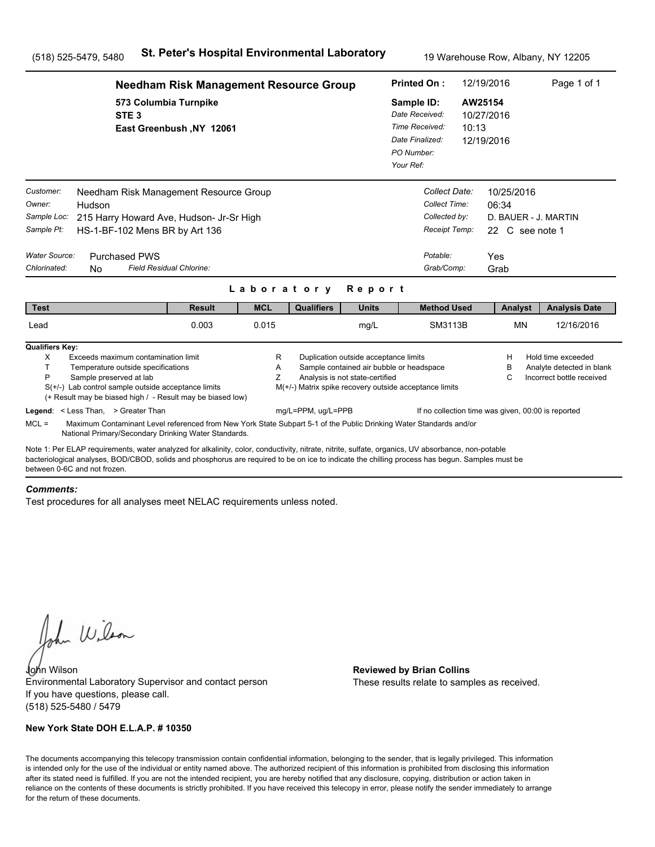|                                                                                   |                                                                                                                                                                                                                                                                                                                                                                                               | <b>Needham Risk Management Resource Group</b> |             |                                                                              |                                                                                                                      | <b>Printed On:</b>                                                                           |                                                                                            | 12/19/2016                          | Page 1 of 1                                                                                                                        |
|-----------------------------------------------------------------------------------|-----------------------------------------------------------------------------------------------------------------------------------------------------------------------------------------------------------------------------------------------------------------------------------------------------------------------------------------------------------------------------------------------|-----------------------------------------------|-------------|------------------------------------------------------------------------------|----------------------------------------------------------------------------------------------------------------------|----------------------------------------------------------------------------------------------|--------------------------------------------------------------------------------------------|-------------------------------------|------------------------------------------------------------------------------------------------------------------------------------|
|                                                                                   | 573 Columbia Turnpike<br>STE <sub>3</sub>                                                                                                                                                                                                                                                                                                                                                     | East Greenbush, NY 12061                      |             |                                                                              |                                                                                                                      | Sample ID:<br>Date Received:<br>Time Received:<br>Date Finalized:<br>PO Number:<br>Your Ref: | 10:13                                                                                      | AW25154<br>10/27/2016<br>12/19/2016 |                                                                                                                                    |
| Customer:<br>Owner:<br>Sample Loc:<br>Sample Pt:<br>Water Source:<br>Chlorinated: | Needham Risk Management Resource Group<br>Hudson<br>215 Harry Howard Ave, Hudson- Jr-Sr High<br>HS-1-BF-102 Mens BR by Art 136<br><b>Purchased PWS</b><br>Field Residual Chlorine:<br><b>No</b>                                                                                                                                                                                               |                                               |             | Laboratory                                                                   | Report                                                                                                               |                                                                                              | Collect Date:<br>Collect Time:<br>Collected by:<br>Receipt Temp:<br>Potable:<br>Grab/Comp: | 10/25/2016<br>06:34<br>Yes<br>Grab  | D. BAUER - J. MARTIN<br>22 C see note 1                                                                                            |
| <b>Test</b>                                                                       |                                                                                                                                                                                                                                                                                                                                                                                               | <b>Result</b>                                 | <b>MCL</b>  | <b>Qualifiers</b>                                                            | <b>Units</b>                                                                                                         |                                                                                              | <b>Method Used</b>                                                                         | Analyst                             | <b>Analysis Date</b>                                                                                                               |
| Lead                                                                              |                                                                                                                                                                                                                                                                                                                                                                                               | 0.003                                         | 0.015       |                                                                              | mg/L                                                                                                                 |                                                                                              | SM3113B                                                                                    | <b>MN</b>                           | 12/16/2016                                                                                                                         |
| <b>Qualifiers Key:</b><br>X<br>T<br>P<br>$MCL =$                                  | Exceeds maximum contamination limit<br>Temperature outside specifications<br>Sample preserved at lab<br>$S(+/-)$ Lab control sample outside acceptance limits<br>(+ Result may be biased high / - Result may be biased low)<br>Legend: < Less Than, > Greater Than<br>Maximum Contaminant Level referenced from New York State Subpart 5-1 of the Public Drinking Water Standards and/or      |                                               | R<br>Α<br>Ζ | M(+/-) Matrix spike recovery outside acceptance limits<br>mg/L=PPM, ug/L=PPB | Duplication outside acceptance limits<br>Sample contained air bubble or headspace<br>Analysis is not state-certified |                                                                                              |                                                                                            | Н<br>в<br>C                         | Hold time exceeded<br>Analyte detected in blank<br>Incorrect bottle received<br>If no collection time was given, 00:00 is reported |
|                                                                                   | National Primary/Secondary Drinking Water Standards.<br>Note 1: Per ELAP requirements, water analyzed for alkalinity, color, conductivity, nitrate, nitrite, sulfate, organics, UV absorbance, non-potable<br>bacteriological analyses, BOD/CBOD, solids and phosphorus are required to be on ice to indicate the chilling process has begun. Samples must be<br>between 0-6C and not frozen. |                                               |             |                                                                              |                                                                                                                      |                                                                                              |                                                                                            |                                     |                                                                                                                                    |

#### *Comments:*

Test procedures for all analyses meet NELAC requirements unless noted.

John Wilson

John Wilson **Reviewed by Brian Collins** Environmental Laboratory Supervisor and contact person If you have questions, please call. (518) 525-5480 / 5479

### **New York State DOH E.L.A.P. # 10350**

These results relate to samples as received.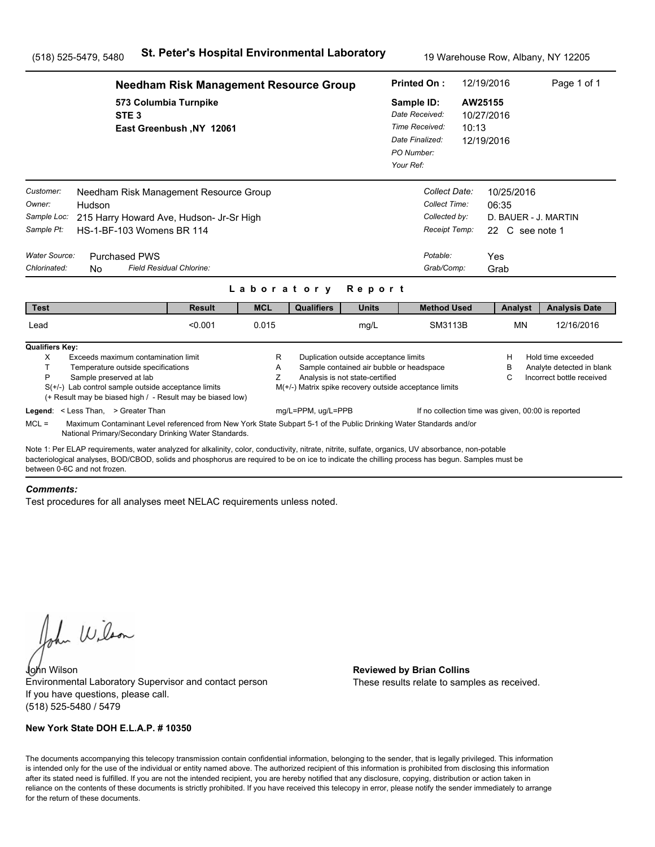|                                                                                   |                                                                                                                                                                                                                                                                                                                                      | <b>Needham Risk Management Resource Group</b> |                          |                                                                              |                                                                                                                      | <b>Printed On:</b>                                                                           |                                                                                            | 12/19/2016                                            | Page 1 of 1                                                                  |
|-----------------------------------------------------------------------------------|--------------------------------------------------------------------------------------------------------------------------------------------------------------------------------------------------------------------------------------------------------------------------------------------------------------------------------------|-----------------------------------------------|--------------------------|------------------------------------------------------------------------------|----------------------------------------------------------------------------------------------------------------------|----------------------------------------------------------------------------------------------|--------------------------------------------------------------------------------------------|-------------------------------------------------------|------------------------------------------------------------------------------|
|                                                                                   | 573 Columbia Turnpike<br>STE <sub>3</sub>                                                                                                                                                                                                                                                                                            | East Greenbush, NY 12061                      |                          |                                                                              |                                                                                                                      | Sample ID:<br>Date Received:<br>Time Received:<br>Date Finalized:<br>PO Number:<br>Your Ref: | 10:13                                                                                      | AW25155<br>10/27/2016<br>12/19/2016                   |                                                                              |
| Customer:<br>Owner:<br>Sample Loc:<br>Sample Pt:<br>Water Source:<br>Chlorinated: | Needham Risk Management Resource Group<br>Hudson<br>215 Harry Howard Ave, Hudson- Jr-Sr High<br>HS-1-BF-103 Womens BR 114<br><b>Purchased PWS</b><br>Field Residual Chlorine:<br>N <sub>0</sub>                                                                                                                                      |                                               |                          |                                                                              |                                                                                                                      |                                                                                              | Collect Date:<br>Collect Time:<br>Collected by:<br>Receipt Temp:<br>Potable:<br>Grab/Comp: | 10/25/2016<br>06:35<br>22 C see note 1<br>Yes<br>Grab | D. BAUER - J. MARTIN                                                         |
| <b>Test</b>                                                                       |                                                                                                                                                                                                                                                                                                                                      | <b>Result</b>                                 | Laboratory<br><b>MCL</b> | <b>Qualifiers</b>                                                            | Report<br><b>Units</b>                                                                                               |                                                                                              | <b>Method Used</b>                                                                         | Analyst                                               | <b>Analysis Date</b>                                                         |
| Lead                                                                              |                                                                                                                                                                                                                                                                                                                                      | < 0.001                                       | 0.015                    |                                                                              | mg/L                                                                                                                 |                                                                                              | SM3113B                                                                                    | <b>MN</b>                                             | 12/16/2016                                                                   |
| <b>Qualifiers Key:</b><br>X<br>T.<br>P                                            | Exceeds maximum contamination limit<br>Temperature outside specifications<br>Sample preserved at lab<br>$S(+/-)$ Lab control sample outside acceptance limits<br>(+ Result may be biased high / - Result may be biased low)<br>Legend: < Less Than, > Greater Than                                                                   |                                               | R<br>A<br>Z              | M(+/-) Matrix spike recovery outside acceptance limits<br>mg/L=PPM, ug/L=PPB | Duplication outside acceptance limits<br>Sample contained air bubble or headspace<br>Analysis is not state-certified |                                                                                              | If no collection time was given, 00:00 is reported                                         | н<br>в<br>С                                           | Hold time exceeded<br>Analyte detected in blank<br>Incorrect bottle received |
| $MCL =$                                                                           | Maximum Contaminant Level referenced from New York State Subpart 5-1 of the Public Drinking Water Standards and/or<br>National Primary/Secondary Drinking Water Standards.                                                                                                                                                           |                                               |                          |                                                                              |                                                                                                                      |                                                                                              |                                                                                            |                                                       |                                                                              |
|                                                                                   | Note 1: Per ELAP requirements, water analyzed for alkalinity, color, conductivity, nitrate, nitrite, sulfate, organics, UV absorbance, non-potable<br>bacteriological analyses, BOD/CBOD, solids and phosphorus are required to be on ice to indicate the chilling process has begun. Samples must be<br>between 0-6C and not frozen |                                               |                          |                                                                              |                                                                                                                      |                                                                                              |                                                                                            |                                                       |                                                                              |

#### *Comments:*

Test procedures for all analyses meet NELAC requirements unless noted.

John Wilson

John Wilson **Reviewed by Brian Collins** Environmental Laboratory Supervisor and contact person If you have questions, please call. (518) 525-5480 / 5479

### **New York State DOH E.L.A.P. # 10350**

These results relate to samples as received.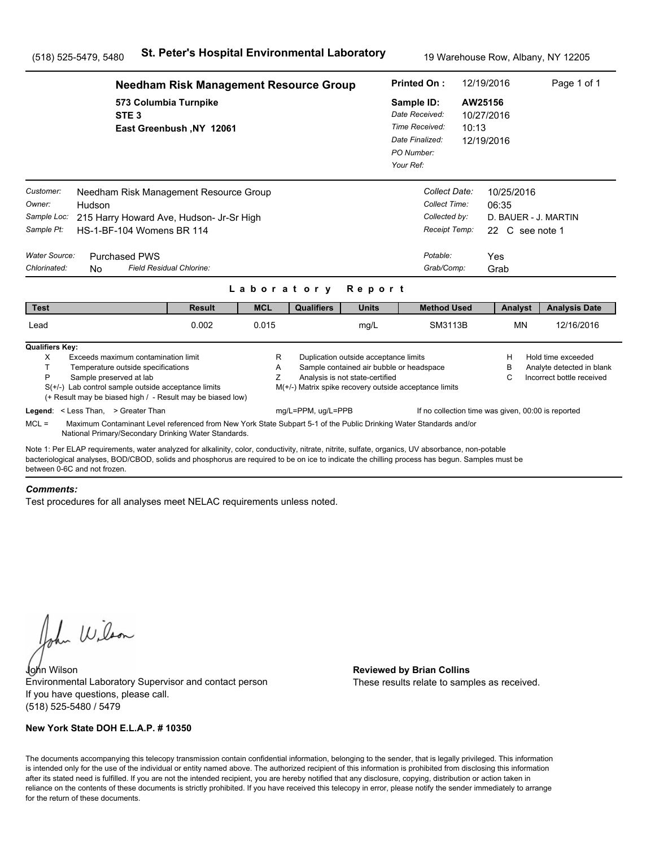|                                                                                   |                                                                                                                                                                                                                                                                                                       | <b>Needham Risk Management Resource Group</b> |             |                                                        |                                                                                                                      | <b>Printed On:</b>                                                                           |                                                                                            | 12/19/2016                                   |                                                                        | Page 1 of 1                                                                  |
|-----------------------------------------------------------------------------------|-------------------------------------------------------------------------------------------------------------------------------------------------------------------------------------------------------------------------------------------------------------------------------------------------------|-----------------------------------------------|-------------|--------------------------------------------------------|----------------------------------------------------------------------------------------------------------------------|----------------------------------------------------------------------------------------------|--------------------------------------------------------------------------------------------|----------------------------------------------|------------------------------------------------------------------------|------------------------------------------------------------------------------|
|                                                                                   | 573 Columbia Turnpike<br>STE <sub>3</sub>                                                                                                                                                                                                                                                             | East Greenbush, NY 12061                      |             |                                                        |                                                                                                                      | Sample ID:<br>Date Received:<br>Time Received:<br>Date Finalized:<br>PO Number:<br>Your Ref: |                                                                                            | AW25156<br>10/27/2016<br>10:13<br>12/19/2016 |                                                                        |                                                                              |
| Customer:<br>Owner:<br>Sample Loc:<br>Sample Pt:<br>Water Source:<br>Chlorinated: | Needham Risk Management Resource Group<br>Hudson<br>215 Harry Howard Ave, Hudson- Jr-Sr High<br><b>HS-1-BF-104 Womens BR 114</b><br><b>Purchased PWS</b><br>N <sub>0</sub>                                                                                                                            | Field Residual Chlorine:                      |             |                                                        |                                                                                                                      |                                                                                              | Collect Date:<br>Collect Time:<br>Collected by:<br>Receipt Temp:<br>Potable:<br>Grab/Comp: | Yes                                          | 10/25/2016<br>06:35<br>D. BAUER - J. MARTIN<br>22 C see note 1<br>Grab |                                                                              |
|                                                                                   |                                                                                                                                                                                                                                                                                                       |                                               | Laboratory  |                                                        | Report                                                                                                               |                                                                                              |                                                                                            |                                              |                                                                        |                                                                              |
| <b>Test</b>                                                                       |                                                                                                                                                                                                                                                                                                       | <b>Result</b>                                 | <b>MCL</b>  | <b>Qualifiers</b>                                      | <b>Units</b>                                                                                                         |                                                                                              | <b>Method Used</b>                                                                         |                                              | Analyst                                                                | <b>Analysis Date</b>                                                         |
| Lead                                                                              |                                                                                                                                                                                                                                                                                                       | 0.002                                         | 0.015       |                                                        | mg/L                                                                                                                 |                                                                                              | SM3113B                                                                                    |                                              | <b>MN</b>                                                              | 12/16/2016                                                                   |
| <b>Qualifiers Key:</b><br>X<br>T.<br>P                                            | Exceeds maximum contamination limit<br>Temperature outside specifications<br>Sample preserved at lab<br>$S(+/-)$ Lab control sample outside acceptance limits<br>(+ Result may be biased high / - Result may be biased low)                                                                           |                                               | R<br>A<br>Z | M(+/-) Matrix spike recovery outside acceptance limits | Duplication outside acceptance limits<br>Sample contained air bubble or headspace<br>Analysis is not state-certified |                                                                                              |                                                                                            |                                              | н<br>в<br>С                                                            | Hold time exceeded<br>Analyte detected in blank<br>Incorrect bottle received |
|                                                                                   | Legend: < Less Than, > Greater Than                                                                                                                                                                                                                                                                   |                                               |             | mg/L=PPM, ug/L=PPB                                     |                                                                                                                      |                                                                                              | If no collection time was given, 00:00 is reported                                         |                                              |                                                                        |                                                                              |
| $MCL =$                                                                           | Maximum Contaminant Level referenced from New York State Subpart 5-1 of the Public Drinking Water Standards and/or<br>National Primary/Secondary Drinking Water Standards.                                                                                                                            |                                               |             |                                                        |                                                                                                                      |                                                                                              |                                                                                            |                                              |                                                                        |                                                                              |
| between 0-6C and not frozen                                                       | Note 1: Per ELAP requirements, water analyzed for alkalinity, color, conductivity, nitrate, nitrite, sulfate, organics, UV absorbance, non-potable<br>bacteriological analyses, BOD/CBOD, solids and phosphorus are required to be on ice to indicate the chilling process has begun. Samples must be |                                               |             |                                                        |                                                                                                                      |                                                                                              |                                                                                            |                                              |                                                                        |                                                                              |

#### *Comments:*

Test procedures for all analyses meet NELAC requirements unless noted.

John Wilson

John Wilson **Reviewed by Brian Collins** Environmental Laboratory Supervisor and contact person If you have questions, please call. (518) 525-5480 / 5479

### **New York State DOH E.L.A.P. # 10350**

These results relate to samples as received.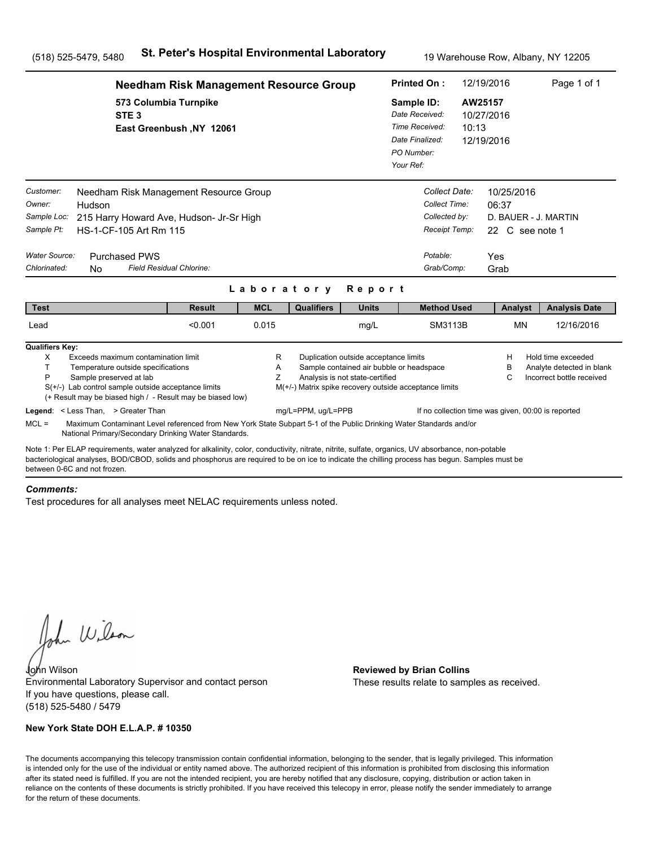|                                                                                                                                                                                                                                                                                                                                      | <b>Needham Risk Management Resource Group</b>                                      |             |                                                        |                                                                                                                      | <b>Printed On:</b>                                                                           |                                                                  | 12/19/2016                          |                               | Page 1 of 1                                                                  |
|--------------------------------------------------------------------------------------------------------------------------------------------------------------------------------------------------------------------------------------------------------------------------------------------------------------------------------------|------------------------------------------------------------------------------------|-------------|--------------------------------------------------------|----------------------------------------------------------------------------------------------------------------------|----------------------------------------------------------------------------------------------|------------------------------------------------------------------|-------------------------------------|-------------------------------|------------------------------------------------------------------------------|
| STE <sub>3</sub>                                                                                                                                                                                                                                                                                                                     | 573 Columbia Turnpike<br>East Greenbush, NY 12061                                  |             |                                                        |                                                                                                                      | Sample ID:<br>Date Received:<br>Time Received:<br>Date Finalized:<br>PO Number:<br>Your Ref: | 10:13                                                            | AW25157<br>10/27/2016<br>12/19/2016 |                               |                                                                              |
| Customer:<br>Owner:<br>Hudson<br>Sample Loc:<br>Sample Pt:<br>HS-1-CF-105 Art Rm 115                                                                                                                                                                                                                                                 | Needham Risk Management Resource Group<br>215 Harry Howard Ave, Hudson- Jr-Sr High |             |                                                        |                                                                                                                      |                                                                                              | Collect Date:<br>Collect Time:<br>Collected by:<br>Receipt Temp: | 06:37                               | 10/25/2016<br>22 C see note 1 | D. BAUER - J. MARTIN                                                         |
| Water Source:<br><b>Purchased PWS</b><br>Chlorinated:<br>N <sub>0</sub>                                                                                                                                                                                                                                                              | Field Residual Chlorine:                                                           | Laboratory  |                                                        | Report                                                                                                               |                                                                                              | Potable:<br>Grab/Comp:                                           | Yes<br>Grab                         |                               |                                                                              |
| <b>Test</b>                                                                                                                                                                                                                                                                                                                          | <b>Result</b>                                                                      | <b>MCL</b>  | <b>Qualifiers</b>                                      | <b>Units</b>                                                                                                         |                                                                                              | <b>Method Used</b>                                               |                                     | Analyst                       | <b>Analysis Date</b>                                                         |
| Lead                                                                                                                                                                                                                                                                                                                                 | < 0.001                                                                            | 0.015       |                                                        | mg/L                                                                                                                 |                                                                                              | SM3113B                                                          |                                     | MN                            | 12/16/2016                                                                   |
| <b>Qualifiers Key:</b><br>X<br>Exceeds maximum contamination limit<br>T.<br>Temperature outside specifications<br>P<br>Sample preserved at lab<br>$S(+/-)$ Lab control sample outside acceptance limits<br>(+ Result may be biased high / - Result may be biased low)                                                                |                                                                                    | R<br>Α<br>Ζ | M(+/-) Matrix spike recovery outside acceptance limits | Duplication outside acceptance limits<br>Sample contained air bubble or headspace<br>Analysis is not state-certified |                                                                                              |                                                                  | н<br>B<br>C                         |                               | Hold time exceeded<br>Analyte detected in blank<br>Incorrect bottle received |
| Legend: < Less Than, > Greater Than<br>$MCL =$<br>Maximum Contaminant Level referenced from New York State Subpart 5-1 of the Public Drinking Water Standards and/or<br>National Primary/Secondary Drinking Water Standards.                                                                                                         |                                                                                    |             | mg/L=PPM, ug/L=PPB                                     |                                                                                                                      |                                                                                              | If no collection time was given, 00:00 is reported               |                                     |                               |                                                                              |
| Note 1: Per ELAP requirements, water analyzed for alkalinity, color, conductivity, nitrate, nitrite, sulfate, organics, UV absorbance, non-potable<br>bacteriological analyses, BOD/CBOD, solids and phosphorus are required to be on ice to indicate the chilling process has begun. Samples must be<br>between 0-6C and not frozen |                                                                                    |             |                                                        |                                                                                                                      |                                                                                              |                                                                  |                                     |                               |                                                                              |

#### *Comments:*

Test procedures for all analyses meet NELAC requirements unless noted.

John Wilson

John Wilson **Reviewed by Brian Collins** Environmental Laboratory Supervisor and contact person If you have questions, please call. (518) 525-5480 / 5479

### **New York State DOH E.L.A.P. # 10350**

These results relate to samples as received.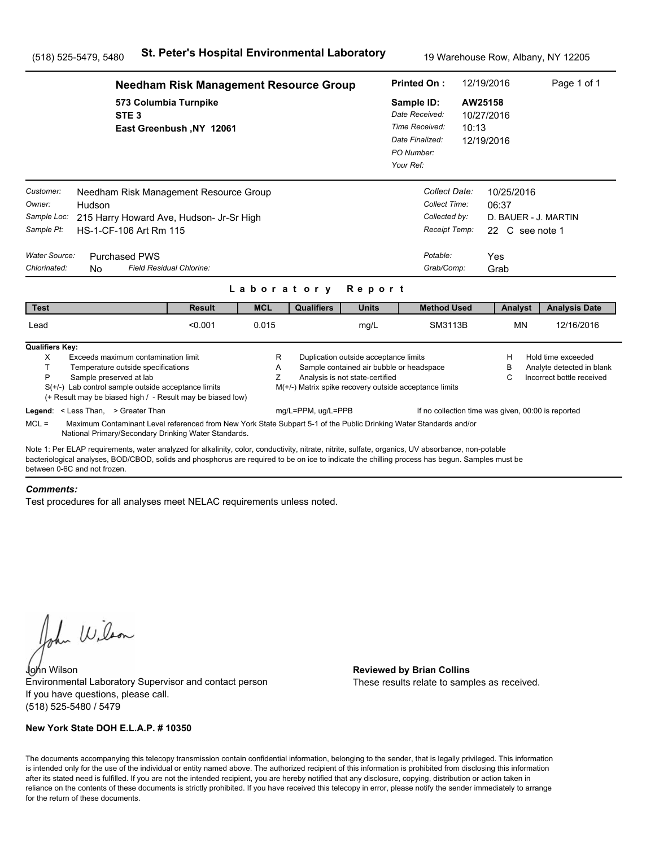|                                                                                                                                                                                                                                                                                                                                      | <b>Needham Risk Management Resource Group</b>                                                                      |             |                                                        |                                                                                                                      | <b>Printed On:</b>                                                                           |                                                                  | 12/19/2016                             | Page 1 of 1                                                                  |
|--------------------------------------------------------------------------------------------------------------------------------------------------------------------------------------------------------------------------------------------------------------------------------------------------------------------------------------|--------------------------------------------------------------------------------------------------------------------|-------------|--------------------------------------------------------|----------------------------------------------------------------------------------------------------------------------|----------------------------------------------------------------------------------------------|------------------------------------------------------------------|----------------------------------------|------------------------------------------------------------------------------|
| STE <sub>3</sub>                                                                                                                                                                                                                                                                                                                     | 573 Columbia Turnpike<br>East Greenbush, NY 12061                                                                  |             |                                                        |                                                                                                                      | Sample ID:<br>Date Received:<br>Time Received:<br>Date Finalized:<br>PO Number:<br>Your Ref: | 10:13                                                            | AW25158<br>10/27/2016<br>12/19/2016    |                                                                              |
| Customer:<br>Owner:<br>Hudson<br>Sample Loc:<br>Sample Pt:<br>HS-1-CF-106 Art Rm 115                                                                                                                                                                                                                                                 | Needham Risk Management Resource Group<br>215 Harry Howard Ave, Hudson- Jr-Sr High                                 |             |                                                        |                                                                                                                      |                                                                                              | Collect Date:<br>Collect Time:<br>Collected by:<br>Receipt Temp: | 10/25/2016<br>06:37<br>22 C see note 1 | D. BAUER - J. MARTIN                                                         |
| Water Source:<br><b>Purchased PWS</b><br>Chlorinated:<br>N <sub>0</sub>                                                                                                                                                                                                                                                              | Field Residual Chlorine:                                                                                           | Laboratory  |                                                        | Report                                                                                                               |                                                                                              | Potable:<br>Grab/Comp:                                           | Yes<br>Grab                            |                                                                              |
| <b>Test</b>                                                                                                                                                                                                                                                                                                                          | <b>Result</b>                                                                                                      | <b>MCL</b>  | <b>Qualifiers</b>                                      | <b>Units</b>                                                                                                         |                                                                                              | <b>Method Used</b>                                               | Analyst                                | <b>Analysis Date</b>                                                         |
| Lead                                                                                                                                                                                                                                                                                                                                 | < 0.001                                                                                                            | 0.015       |                                                        | mg/L                                                                                                                 |                                                                                              | SM3113B                                                          | MN                                     | 12/16/2016                                                                   |
| <b>Qualifiers Key:</b><br>X<br>Exceeds maximum contamination limit<br>T.<br>Temperature outside specifications<br>P<br>Sample preserved at lab<br>$S(+/-)$ Lab control sample outside acceptance limits<br>(+ Result may be biased high / - Result may be biased low)                                                                |                                                                                                                    | R<br>Α<br>Ζ | M(+/-) Matrix spike recovery outside acceptance limits | Duplication outside acceptance limits<br>Sample contained air bubble or headspace<br>Analysis is not state-certified |                                                                                              |                                                                  | н<br>B<br>C                            | Hold time exceeded<br>Analyte detected in blank<br>Incorrect bottle received |
| Legend: < Less Than, > Greater Than<br>$MCL =$<br>National Primary/Secondary Drinking Water Standards.                                                                                                                                                                                                                               | Maximum Contaminant Level referenced from New York State Subpart 5-1 of the Public Drinking Water Standards and/or |             | mg/L=PPM, ug/L=PPB                                     |                                                                                                                      |                                                                                              | If no collection time was given, 00:00 is reported               |                                        |                                                                              |
| Note 1: Per ELAP requirements, water analyzed for alkalinity, color, conductivity, nitrate, nitrite, sulfate, organics, UV absorbance, non-potable<br>bacteriological analyses, BOD/CBOD, solids and phosphorus are required to be on ice to indicate the chilling process has begun. Samples must be<br>between 0-6C and not frozen |                                                                                                                    |             |                                                        |                                                                                                                      |                                                                                              |                                                                  |                                        |                                                                              |

#### *Comments:*

Test procedures for all analyses meet NELAC requirements unless noted.

John Wilson

John Wilson **Reviewed by Brian Collins** Environmental Laboratory Supervisor and contact person If you have questions, please call. (518) 525-5480 / 5479

### **New York State DOH E.L.A.P. # 10350**

These results relate to samples as received.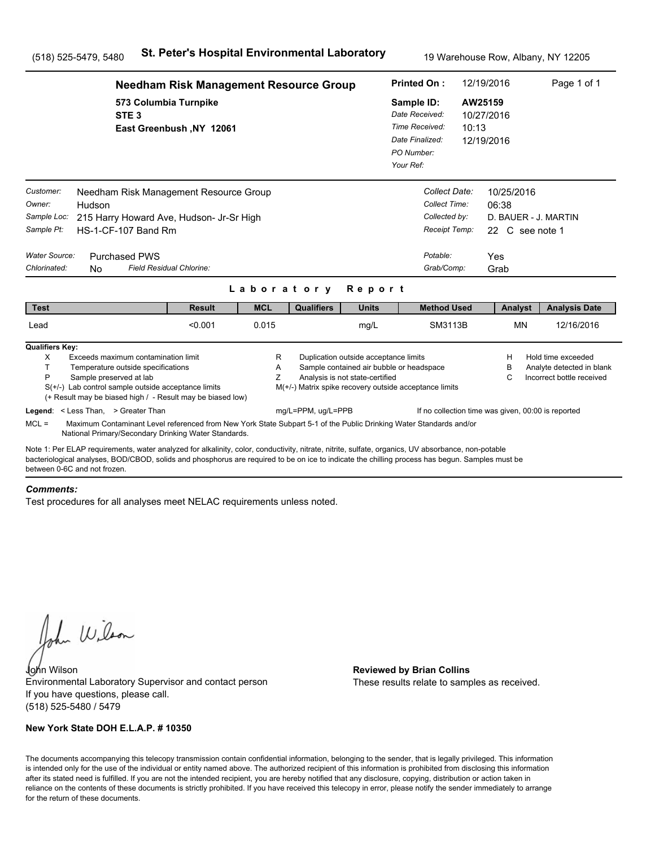|                                                                                   |                                                                                                                                                                                                                                                                                                       | <b>Needham Risk Management Resource Group</b> |             |                                                        |                                                                                                                      | <b>Printed On:</b>                                                                           |                                                                                            | 12/19/2016                                   |                                                                | Page 1 of 1                                                                  |
|-----------------------------------------------------------------------------------|-------------------------------------------------------------------------------------------------------------------------------------------------------------------------------------------------------------------------------------------------------------------------------------------------------|-----------------------------------------------|-------------|--------------------------------------------------------|----------------------------------------------------------------------------------------------------------------------|----------------------------------------------------------------------------------------------|--------------------------------------------------------------------------------------------|----------------------------------------------|----------------------------------------------------------------|------------------------------------------------------------------------------|
|                                                                                   | 573 Columbia Turnpike<br>STE <sub>3</sub>                                                                                                                                                                                                                                                             | East Greenbush, NY 12061                      |             |                                                        |                                                                                                                      | Sample ID:<br>Date Received:<br>Time Received:<br>Date Finalized:<br>PO Number:<br>Your Ref: |                                                                                            | AW25159<br>10/27/2016<br>10:13<br>12/19/2016 |                                                                |                                                                              |
| Customer:<br>Owner:<br>Sample Loc:<br>Sample Pt:<br>Water Source:<br>Chlorinated: | Needham Risk Management Resource Group<br>Hudson<br>215 Harry Howard Ave, Hudson- Jr-Sr High<br>HS-1-CF-107 Band Rm<br><b>Purchased PWS</b><br>Field Residual Chlorine:<br>N <sub>0</sub>                                                                                                             |                                               |             |                                                        |                                                                                                                      |                                                                                              | Collect Date:<br>Collect Time:<br>Collected by:<br>Receipt Temp:<br>Potable:<br>Grab/Comp: | Yes<br>Grab                                  | 10/25/2016<br>06:38<br>D. BAUER - J. MARTIN<br>22 C see note 1 |                                                                              |
|                                                                                   |                                                                                                                                                                                                                                                                                                       |                                               | Laboratory  |                                                        | Report                                                                                                               |                                                                                              |                                                                                            |                                              |                                                                |                                                                              |
| <b>Test</b>                                                                       |                                                                                                                                                                                                                                                                                                       | <b>Result</b>                                 | <b>MCL</b>  | <b>Qualifiers</b>                                      | <b>Units</b>                                                                                                         |                                                                                              | <b>Method Used</b>                                                                         |                                              | Analyst                                                        | <b>Analysis Date</b>                                                         |
| Lead                                                                              |                                                                                                                                                                                                                                                                                                       | < 0.001                                       | 0.015       |                                                        | mg/L                                                                                                                 |                                                                                              | SM3113B                                                                                    |                                              | <b>MN</b>                                                      | 12/16/2016                                                                   |
| <b>Qualifiers Key:</b><br>X<br>T.<br>P                                            | Exceeds maximum contamination limit<br>Temperature outside specifications<br>Sample preserved at lab<br>$S(+/-)$ Lab control sample outside acceptance limits<br>(+ Result may be biased high / - Result may be biased low)                                                                           |                                               | R<br>A<br>Z | M(+/-) Matrix spike recovery outside acceptance limits | Duplication outside acceptance limits<br>Sample contained air bubble or headspace<br>Analysis is not state-certified |                                                                                              |                                                                                            |                                              | н<br>в<br>С                                                    | Hold time exceeded<br>Analyte detected in blank<br>Incorrect bottle received |
| $MCL =$                                                                           | Legend: < Less Than, > Greater Than<br>Maximum Contaminant Level referenced from New York State Subpart 5-1 of the Public Drinking Water Standards and/or<br>National Primary/Secondary Drinking Water Standards.                                                                                     |                                               |             | mg/L=PPM, ug/L=PPB                                     |                                                                                                                      |                                                                                              | If no collection time was given, 00:00 is reported                                         |                                              |                                                                |                                                                              |
| between 0-6C and not frozen                                                       | Note 1: Per ELAP requirements, water analyzed for alkalinity, color, conductivity, nitrate, nitrite, sulfate, organics, UV absorbance, non-potable<br>bacteriological analyses, BOD/CBOD, solids and phosphorus are required to be on ice to indicate the chilling process has begun. Samples must be |                                               |             |                                                        |                                                                                                                      |                                                                                              |                                                                                            |                                              |                                                                |                                                                              |

#### *Comments:*

Test procedures for all analyses meet NELAC requirements unless noted.

John Wilson

John Wilson **Reviewed by Brian Collins** Environmental Laboratory Supervisor and contact person If you have questions, please call. (518) 525-5480 / 5479

### **New York State DOH E.L.A.P. # 10350**

These results relate to samples as received.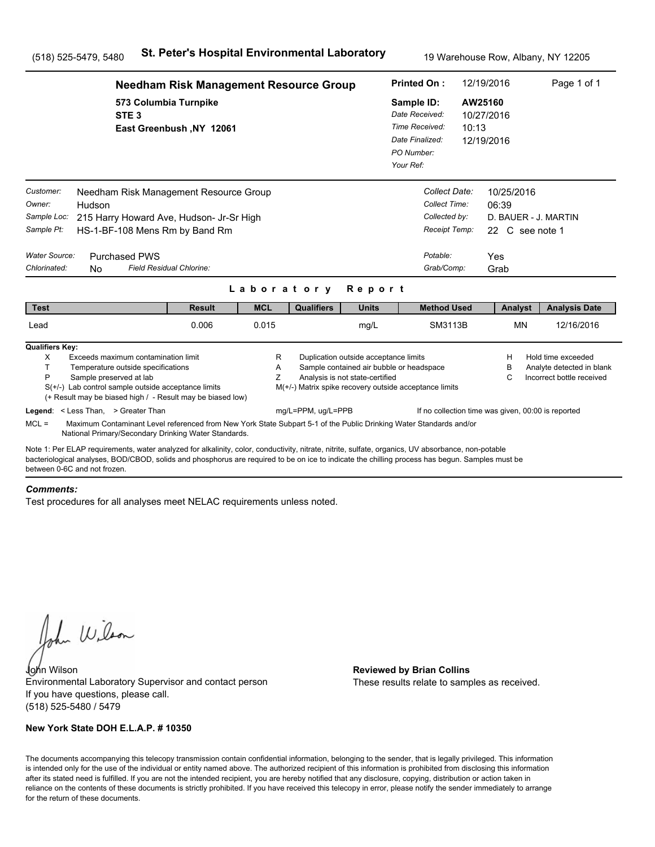|                                                                                   |                                                                                                                                                                                                                                                                                                                                      | <b>Needham Risk Management Resource Group</b> |             |                                                                              |                                                                                                                      | <b>Printed On:</b>                                                                           |                                                                                            | 12/19/2016                                   |                                                                        | Page 1 of 1                                                                  |
|-----------------------------------------------------------------------------------|--------------------------------------------------------------------------------------------------------------------------------------------------------------------------------------------------------------------------------------------------------------------------------------------------------------------------------------|-----------------------------------------------|-------------|------------------------------------------------------------------------------|----------------------------------------------------------------------------------------------------------------------|----------------------------------------------------------------------------------------------|--------------------------------------------------------------------------------------------|----------------------------------------------|------------------------------------------------------------------------|------------------------------------------------------------------------------|
|                                                                                   | 573 Columbia Turnpike<br>STE <sub>3</sub>                                                                                                                                                                                                                                                                                            | East Greenbush, NY 12061                      |             |                                                                              |                                                                                                                      | Sample ID:<br>Date Received:<br>Time Received:<br>Date Finalized:<br>PO Number:<br>Your Ref: |                                                                                            | AW25160<br>10/27/2016<br>10:13<br>12/19/2016 |                                                                        |                                                                              |
| Customer:<br>Owner:<br>Sample Loc:<br>Sample Pt:<br>Water Source:<br>Chlorinated: | Needham Risk Management Resource Group<br>Hudson<br>215 Harry Howard Ave, Hudson- Jr-Sr High<br>HS-1-BF-108 Mens Rm by Band Rm<br><b>Purchased PWS</b><br>Field Residual Chlorine:<br>N <sub>0</sub>                                                                                                                                 |                                               | Laboratory  |                                                                              | Report                                                                                                               |                                                                                              | Collect Date:<br>Collect Time:<br>Collected by:<br>Receipt Temp:<br>Potable:<br>Grab/Comp: | Yes                                          | 10/25/2016<br>06:39<br>D. BAUER - J. MARTIN<br>22 C see note 1<br>Grab |                                                                              |
| <b>Test</b>                                                                       |                                                                                                                                                                                                                                                                                                                                      | <b>Result</b>                                 | <b>MCL</b>  | <b>Qualifiers</b>                                                            | <b>Units</b>                                                                                                         |                                                                                              | <b>Method Used</b>                                                                         |                                              | Analyst                                                                | <b>Analysis Date</b>                                                         |
| Lead                                                                              |                                                                                                                                                                                                                                                                                                                                      | 0.006                                         | 0.015       |                                                                              | mg/L                                                                                                                 |                                                                                              | SM3113B                                                                                    |                                              | <b>MN</b>                                                              | 12/16/2016                                                                   |
| <b>Qualifiers Key:</b><br>X<br>T.<br>P                                            | Exceeds maximum contamination limit<br>Temperature outside specifications<br>Sample preserved at lab<br>$S(+/-)$ Lab control sample outside acceptance limits<br>(+ Result may be biased high / - Result may be biased low)<br>Legend: < Less Than, > Greater Than                                                                   |                                               | R<br>Α<br>Ζ | M(+/-) Matrix spike recovery outside acceptance limits<br>mg/L=PPM, ug/L=PPB | Duplication outside acceptance limits<br>Sample contained air bubble or headspace<br>Analysis is not state-certified |                                                                                              | If no collection time was given, 00:00 is reported                                         |                                              | н<br>в<br>C                                                            | Hold time exceeded<br>Analyte detected in blank<br>Incorrect bottle received |
| $MCL =$                                                                           | Maximum Contaminant Level referenced from New York State Subpart 5-1 of the Public Drinking Water Standards and/or<br>National Primary/Secondary Drinking Water Standards.                                                                                                                                                           |                                               |             |                                                                              |                                                                                                                      |                                                                                              |                                                                                            |                                              |                                                                        |                                                                              |
|                                                                                   | Note 1: Per ELAP requirements, water analyzed for alkalinity, color, conductivity, nitrate, nitrite, sulfate, organics, UV absorbance, non-potable<br>bacteriological analyses, BOD/CBOD, solids and phosphorus are required to be on ice to indicate the chilling process has begun. Samples must be<br>between 0-6C and not frozen |                                               |             |                                                                              |                                                                                                                      |                                                                                              |                                                                                            |                                              |                                                                        |                                                                              |

#### *Comments:*

Test procedures for all analyses meet NELAC requirements unless noted.

John Wilson

John Wilson **Reviewed by Brian Collins** Environmental Laboratory Supervisor and contact person If you have questions, please call. (518) 525-5480 / 5479

### **New York State DOH E.L.A.P. # 10350**

These results relate to samples as received.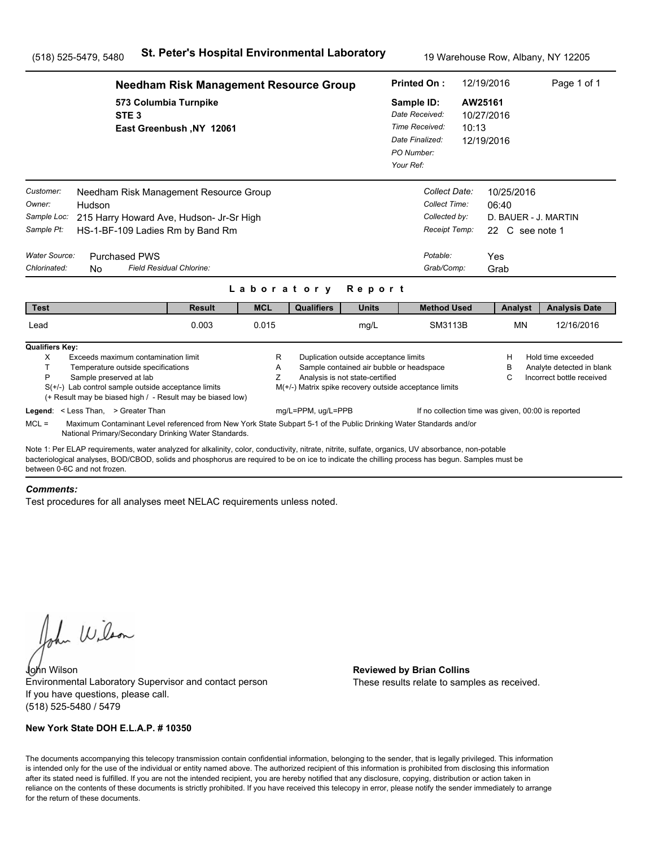|                                                                                   |                                                                                                                                                                                                                                                                                                       | <b>Needham Risk Management Resource Group</b> |             |                                                        |                                                                                                                      |                                                          | <b>Printed On:</b>                                                                         | 12/19/2016                                   |                                                                        | Page 1 of 1                                                                  |
|-----------------------------------------------------------------------------------|-------------------------------------------------------------------------------------------------------------------------------------------------------------------------------------------------------------------------------------------------------------------------------------------------------|-----------------------------------------------|-------------|--------------------------------------------------------|----------------------------------------------------------------------------------------------------------------------|----------------------------------------------------------|--------------------------------------------------------------------------------------------|----------------------------------------------|------------------------------------------------------------------------|------------------------------------------------------------------------------|
|                                                                                   | 573 Columbia Turnpike<br>STE <sub>3</sub>                                                                                                                                                                                                                                                             | East Greenbush, NY 12061                      |             |                                                        |                                                                                                                      | Sample ID:<br>Date Finalized:<br>PO Number:<br>Your Ref: | Date Received:<br>Time Received:                                                           | AW25161<br>10/27/2016<br>10:13<br>12/19/2016 |                                                                        |                                                                              |
| Customer:<br>Owner:<br>Sample Loc:<br>Sample Pt:<br>Water Source:<br>Chlorinated: | Needham Risk Management Resource Group<br>Hudson<br>215 Harry Howard Ave, Hudson- Jr-Sr High<br>HS-1-BF-109 Ladies Rm by Band Rm<br><b>Purchased PWS</b><br>Field Residual Chlorine:<br>N <sub>0</sub>                                                                                                |                                               |             |                                                        |                                                                                                                      |                                                          | Collect Date:<br>Collect Time:<br>Collected by:<br>Receipt Temp:<br>Potable:<br>Grab/Comp: | Yes                                          | 10/25/2016<br>06:40<br>D. BAUER - J. MARTIN<br>22 C see note 1<br>Grab |                                                                              |
|                                                                                   |                                                                                                                                                                                                                                                                                                       |                                               | Laboratory  |                                                        | Report                                                                                                               |                                                          |                                                                                            |                                              |                                                                        |                                                                              |
| <b>Test</b>                                                                       |                                                                                                                                                                                                                                                                                                       | <b>Result</b>                                 | <b>MCL</b>  | <b>Qualifiers</b>                                      | <b>Units</b>                                                                                                         |                                                          | <b>Method Used</b>                                                                         |                                              | Analyst                                                                | <b>Analysis Date</b>                                                         |
| Lead                                                                              |                                                                                                                                                                                                                                                                                                       | 0.003                                         | 0.015       |                                                        | mg/L                                                                                                                 |                                                          | SM3113B                                                                                    |                                              | <b>MN</b>                                                              | 12/16/2016                                                                   |
| <b>Qualifiers Key:</b><br>X<br>T.<br>P                                            | Exceeds maximum contamination limit<br>Temperature outside specifications<br>Sample preserved at lab<br>$S(+/-)$ Lab control sample outside acceptance limits<br>(+ Result may be biased high / - Result may be biased low)                                                                           |                                               | R<br>Α<br>Ζ | M(+/-) Matrix spike recovery outside acceptance limits | Duplication outside acceptance limits<br>Sample contained air bubble or headspace<br>Analysis is not state-certified |                                                          |                                                                                            |                                              | н<br>в<br>C                                                            | Hold time exceeded<br>Analyte detected in blank<br>Incorrect bottle received |
| $MCL =$                                                                           | Legend: < Less Than, > Greater Than<br>Maximum Contaminant Level referenced from New York State Subpart 5-1 of the Public Drinking Water Standards and/or<br>National Primary/Secondary Drinking Water Standards.                                                                                     |                                               |             | mg/L=PPM, ug/L=PPB                                     |                                                                                                                      |                                                          | If no collection time was given, 00:00 is reported                                         |                                              |                                                                        |                                                                              |
| between 0-6C and not frozen                                                       | Note 1: Per ELAP requirements, water analyzed for alkalinity, color, conductivity, nitrate, nitrite, sulfate, organics, UV absorbance, non-potable<br>bacteriological analyses, BOD/CBOD, solids and phosphorus are required to be on ice to indicate the chilling process has begun. Samples must be |                                               |             |                                                        |                                                                                                                      |                                                          |                                                                                            |                                              |                                                                        |                                                                              |

#### *Comments:*

Test procedures for all analyses meet NELAC requirements unless noted.

John Wilson

John Wilson **Reviewed by Brian Collins** Environmental Laboratory Supervisor and contact person If you have questions, please call. (518) 525-5480 / 5479

### **New York State DOH E.L.A.P. # 10350**

These results relate to samples as received.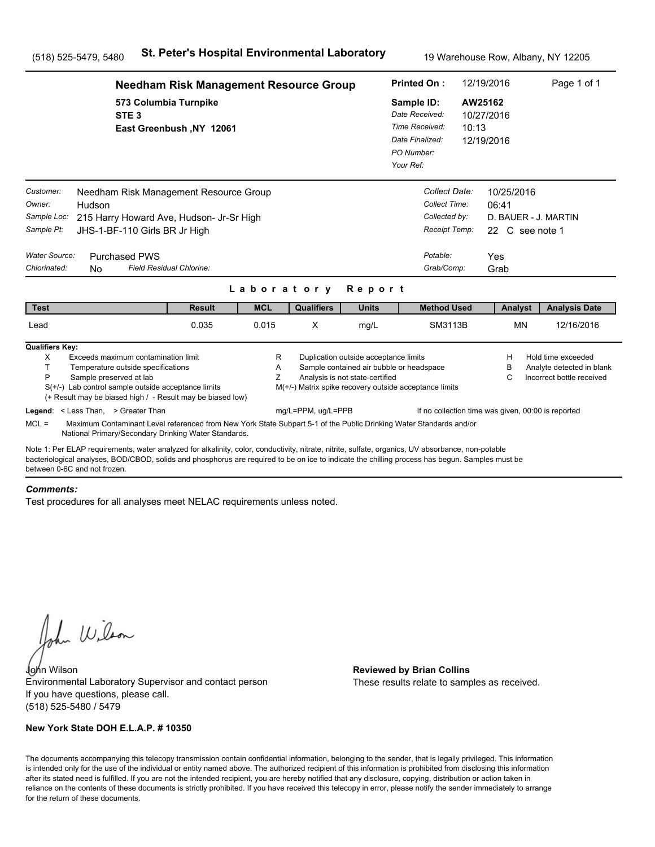|                                                                                   |                                                                                                                                                                                                                                                                                                                                       | <b>Needham Risk Management Resource Group</b> |             |                    |                                                                          | <b>Printed On:</b>                                                                                 |                  | 12/19/2016                                                                    | Page 1 of 1                                                                  |
|-----------------------------------------------------------------------------------|---------------------------------------------------------------------------------------------------------------------------------------------------------------------------------------------------------------------------------------------------------------------------------------------------------------------------------------|-----------------------------------------------|-------------|--------------------|--------------------------------------------------------------------------|----------------------------------------------------------------------------------------------------|------------------|-------------------------------------------------------------------------------|------------------------------------------------------------------------------|
|                                                                                   | 573 Columbia Turnpike<br>STE <sub>3</sub>                                                                                                                                                                                                                                                                                             | East Greenbush, NY 12061                      |             |                    |                                                                          | Sample ID:<br>Date Received:<br>Time Received:<br>Date Finalized:<br>PO Number:<br>Your Ref:       | AW25162<br>10:13 | 10/27/2016<br>12/19/2016                                                      |                                                                              |
| Customer:<br>Owner:<br>Sample Loc:<br>Sample Pt:<br>Water Source:<br>Chlorinated: | Needham Risk Management Resource Group<br>Hudson<br>215 Harry Howard Ave, Hudson- Jr-Sr High<br>JHS-1-BF-110 Girls BR Jr High<br><b>Purchased PWS</b><br>Field Residual Chlorine:<br>No.                                                                                                                                              |                                               |             | Laboratory         | Report                                                                   | Collect Date:<br>Collect Time:<br>Collected by:<br>Receipt Temp:<br>Potable:<br>Grab/Comp:         |                  | 10/25/2016<br>06:41<br>D. BAUER - J. MARTIN<br>22 C see note 1<br>Yes<br>Grab |                                                                              |
| <b>Test</b>                                                                       |                                                                                                                                                                                                                                                                                                                                       | <b>Result</b>                                 | <b>MCL</b>  | <b>Qualifiers</b>  | <b>Units</b>                                                             | <b>Method Used</b>                                                                                 |                  | Analyst                                                                       | <b>Analysis Date</b>                                                         |
| Lead                                                                              |                                                                                                                                                                                                                                                                                                                                       | 0.035                                         | 0.015       | X                  | mg/L                                                                     | SM3113B                                                                                            |                  | <b>MN</b>                                                                     | 12/16/2016                                                                   |
| <b>Qualifiers Key:</b><br>X<br>T<br>P                                             | Exceeds maximum contamination limit<br>Temperature outside specifications<br>Sample preserved at lab<br>$S(+/-)$ Lab control sample outside acceptance limits<br>(+ Result may be biased high / - Result may be biased low)<br>Legend: < Less Than, > Greater Than                                                                    |                                               | R<br>Α<br>Z | mg/L=PPM, ug/L=PPB | Duplication outside acceptance limits<br>Analysis is not state-certified | Sample contained air bubble or headspace<br>M(+/-) Matrix spike recovery outside acceptance limits |                  | H<br>в<br>C<br>If no collection time was given, 00:00 is reported             | Hold time exceeded<br>Analyte detected in blank<br>Incorrect bottle received |
| $MCL =$                                                                           | Maximum Contaminant Level referenced from New York State Subpart 5-1 of the Public Drinking Water Standards and/or<br>National Primary/Secondary Drinking Water Standards.                                                                                                                                                            |                                               |             |                    |                                                                          |                                                                                                    |                  |                                                                               |                                                                              |
|                                                                                   | Note 1: Per ELAP requirements, water analyzed for alkalinity, color, conductivity, nitrate, nitrite, sulfate, organics, UV absorbance, non-potable<br>bacteriological analyses, BOD/CBOD, solids and phosphorus are required to be on ice to indicate the chilling process has begun. Samples must be<br>between 0-6C and not frozen. |                                               |             |                    |                                                                          |                                                                                                    |                  |                                                                               |                                                                              |

#### *Comments:*

Test procedures for all analyses meet NELAC requirements unless noted.

John Wilson

John Wilson **Reviewed by Brian Collins** Environmental Laboratory Supervisor and contact person If you have questions, please call. (518) 525-5480 / 5479

### **New York State DOH E.L.A.P. # 10350**

These results relate to samples as received.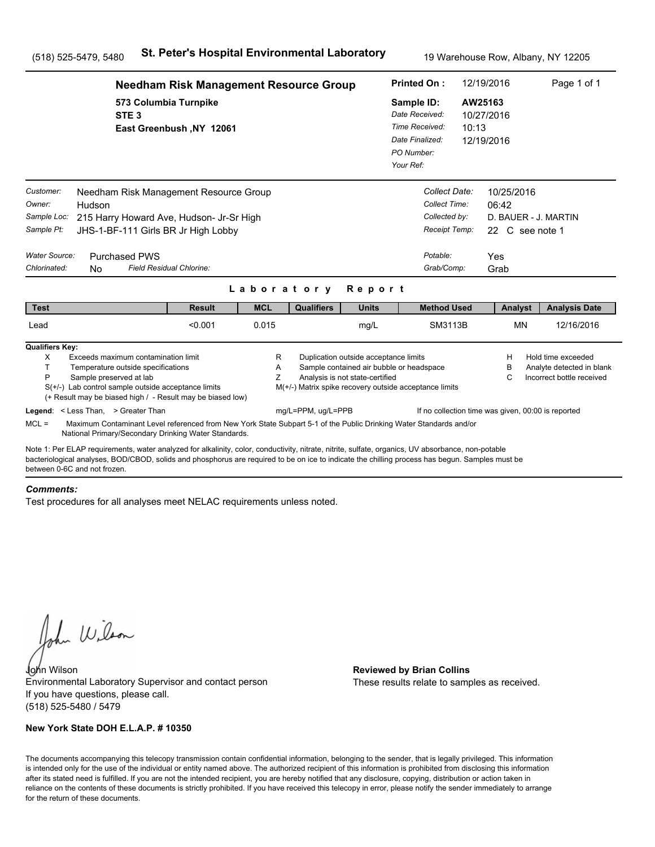|                                                                                          |                                                                                                                                                                                                                                                                                                                                                                                               | <b>Needham Risk Management Resource Group</b> |             |                                                                              |                                                                                                                      | <b>Printed On:</b>                                                                           |                                                                                            | 12/19/2016                                   |                                        | Page 1 of 1                                                                  |
|------------------------------------------------------------------------------------------|-----------------------------------------------------------------------------------------------------------------------------------------------------------------------------------------------------------------------------------------------------------------------------------------------------------------------------------------------------------------------------------------------|-----------------------------------------------|-------------|------------------------------------------------------------------------------|----------------------------------------------------------------------------------------------------------------------|----------------------------------------------------------------------------------------------|--------------------------------------------------------------------------------------------|----------------------------------------------|----------------------------------------|------------------------------------------------------------------------------|
|                                                                                          | 573 Columbia Turnpike<br>STE <sub>3</sub>                                                                                                                                                                                                                                                                                                                                                     | East Greenbush, NY 12061                      |             |                                                                              |                                                                                                                      | Sample ID:<br>Date Received:<br>Time Received:<br>Date Finalized:<br>PO Number:<br>Your Ref: |                                                                                            | AW25163<br>10/27/2016<br>10:13<br>12/19/2016 |                                        |                                                                              |
| Customer:<br>Owner:<br>Sample Loc:<br>Sample Pt:<br><b>Water Source:</b><br>Chlorinated: | Needham Risk Management Resource Group<br>Hudson<br>215 Harry Howard Ave, Hudson- Jr-Sr High<br>JHS-1-BF-111 Girls BR Jr High Lobby<br><b>Purchased PWS</b><br>Field Residual Chlorine:<br><b>No</b>                                                                                                                                                                                          |                                               |             | Laboratory                                                                   | Report                                                                                                               |                                                                                              | Collect Date:<br>Collect Time:<br>Collected by:<br>Receipt Temp:<br>Potable:<br>Grab/Comp: | Yes<br>Grab                                  | 10/25/2016<br>06:42<br>22 C see note 1 | D. BAUER - J. MARTIN                                                         |
| <b>Test</b>                                                                              |                                                                                                                                                                                                                                                                                                                                                                                               | <b>Result</b>                                 | <b>MCL</b>  | <b>Qualifiers</b>                                                            | <b>Units</b>                                                                                                         |                                                                                              | <b>Method Used</b>                                                                         |                                              | Analyst                                | <b>Analysis Date</b>                                                         |
| Lead                                                                                     |                                                                                                                                                                                                                                                                                                                                                                                               | < 0.001                                       | 0.015       |                                                                              | mg/L                                                                                                                 |                                                                                              | SM3113B                                                                                    |                                              | <b>MN</b>                              | 12/16/2016                                                                   |
| <b>Qualifiers Key:</b><br>X<br>T<br>P<br>$MCL =$                                         | Exceeds maximum contamination limit<br>Temperature outside specifications<br>Sample preserved at lab<br>$S(+/-)$ Lab control sample outside acceptance limits<br>(+ Result may be biased high / - Result may be biased low)<br>Legend: < Less Than, > Greater Than<br>Maximum Contaminant Level referenced from New York State Subpart 5-1 of the Public Drinking Water Standards and/or      |                                               | R<br>A<br>Ζ | M(+/-) Matrix spike recovery outside acceptance limits<br>mg/L=PPM, ug/L=PPB | Duplication outside acceptance limits<br>Sample contained air bubble or headspace<br>Analysis is not state-certified |                                                                                              | If no collection time was given, 00:00 is reported                                         |                                              | Н<br>в<br>C                            | Hold time exceeded<br>Analyte detected in blank<br>Incorrect bottle received |
|                                                                                          | National Primary/Secondary Drinking Water Standards.<br>Note 1: Per ELAP requirements, water analyzed for alkalinity, color, conductivity, nitrate, nitrite, sulfate, organics, UV absorbance, non-potable<br>bacteriological analyses, BOD/CBOD, solids and phosphorus are required to be on ice to indicate the chilling process has begun. Samples must be<br>between 0-6C and not frozen. |                                               |             |                                                                              |                                                                                                                      |                                                                                              |                                                                                            |                                              |                                        |                                                                              |

#### *Comments:*

Test procedures for all analyses meet NELAC requirements unless noted.

John Wilson

John Wilson **Reviewed by Brian Collins** Environmental Laboratory Supervisor and contact person If you have questions, please call. (518) 525-5480 / 5479

### **New York State DOH E.L.A.P. # 10350**

These results relate to samples as received.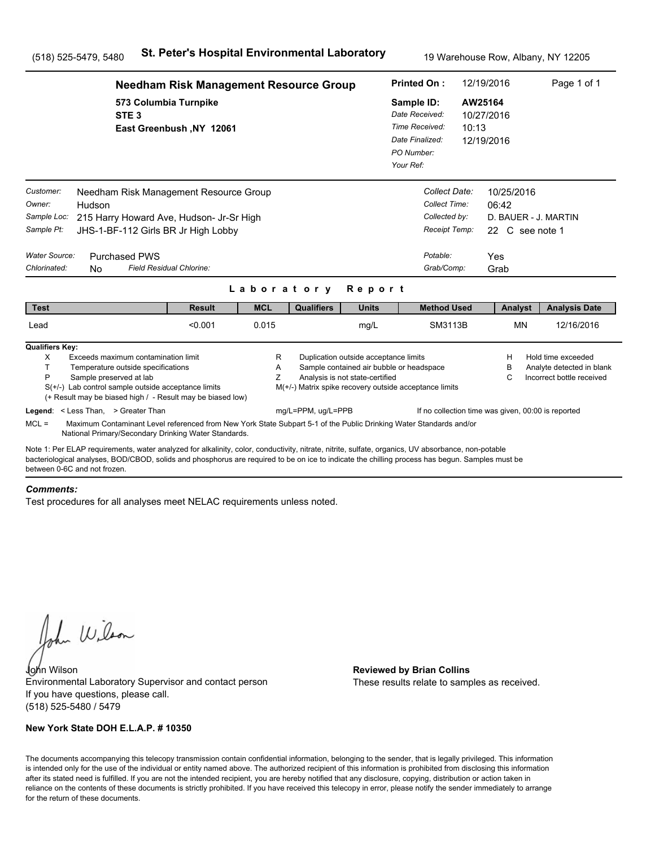|                                                                                          |                                                                                                                                                                                                                                                                                                                                                                                               | <b>Needham Risk Management Resource Group</b> |             |                                                                              |                                                                                                                      | <b>Printed On:</b>                                                                           |                                                                                            | 12/19/2016                                            |           | Page 1 of 1                                                                  |
|------------------------------------------------------------------------------------------|-----------------------------------------------------------------------------------------------------------------------------------------------------------------------------------------------------------------------------------------------------------------------------------------------------------------------------------------------------------------------------------------------|-----------------------------------------------|-------------|------------------------------------------------------------------------------|----------------------------------------------------------------------------------------------------------------------|----------------------------------------------------------------------------------------------|--------------------------------------------------------------------------------------------|-------------------------------------------------------|-----------|------------------------------------------------------------------------------|
|                                                                                          | 573 Columbia Turnpike<br>STE <sub>3</sub>                                                                                                                                                                                                                                                                                                                                                     | East Greenbush, NY 12061                      |             |                                                                              |                                                                                                                      | Sample ID:<br>Date Received:<br>Time Received:<br>Date Finalized:<br>PO Number:<br>Your Ref: | 10:13                                                                                      | AW25164<br>10/27/2016<br>12/19/2016                   |           |                                                                              |
| Customer:<br>Owner:<br>Sample Loc:<br>Sample Pt:<br><b>Water Source:</b><br>Chlorinated: | Needham Risk Management Resource Group<br>Hudson<br>215 Harry Howard Ave, Hudson- Jr-Sr High<br>JHS-1-BF-112 Girls BR Jr High Lobby<br><b>Purchased PWS</b><br>Field Residual Chlorine:<br><b>No</b>                                                                                                                                                                                          |                                               |             | Laboratory                                                                   | Report                                                                                                               |                                                                                              | Collect Date:<br>Collect Time:<br>Collected by:<br>Receipt Temp:<br>Potable:<br>Grab/Comp: | 10/25/2016<br>06:42<br>22 C see note 1<br>Yes<br>Grab |           | D. BAUER - J. MARTIN                                                         |
| <b>Test</b>                                                                              |                                                                                                                                                                                                                                                                                                                                                                                               | <b>Result</b>                                 | <b>MCL</b>  | <b>Qualifiers</b>                                                            | <b>Units</b>                                                                                                         |                                                                                              | <b>Method Used</b>                                                                         |                                                       | Analyst   | <b>Analysis Date</b>                                                         |
| Lead                                                                                     |                                                                                                                                                                                                                                                                                                                                                                                               | < 0.001                                       | 0.015       |                                                                              | mg/L                                                                                                                 |                                                                                              | SM3113B                                                                                    |                                                       | <b>MN</b> | 12/16/2016                                                                   |
| <b>Qualifiers Key:</b><br>X<br>T<br>P<br>$MCL =$                                         | Exceeds maximum contamination limit<br>Temperature outside specifications<br>Sample preserved at lab<br>$S(+/-)$ Lab control sample outside acceptance limits<br>(+ Result may be biased high / - Result may be biased low)<br>Legend: < Less Than, > Greater Than<br>Maximum Contaminant Level referenced from New York State Subpart 5-1 of the Public Drinking Water Standards and/or      |                                               | R<br>A<br>Ζ | M(+/-) Matrix spike recovery outside acceptance limits<br>mg/L=PPM, ug/L=PPB | Duplication outside acceptance limits<br>Sample contained air bubble or headspace<br>Analysis is not state-certified |                                                                                              | If no collection time was given, 00:00 is reported                                         | Н<br>в<br>C                                           |           | Hold time exceeded<br>Analyte detected in blank<br>Incorrect bottle received |
|                                                                                          | National Primary/Secondary Drinking Water Standards.<br>Note 1: Per ELAP requirements, water analyzed for alkalinity, color, conductivity, nitrate, nitrite, sulfate, organics, UV absorbance, non-potable<br>bacteriological analyses, BOD/CBOD, solids and phosphorus are required to be on ice to indicate the chilling process has begun. Samples must be<br>between 0-6C and not frozen. |                                               |             |                                                                              |                                                                                                                      |                                                                                              |                                                                                            |                                                       |           |                                                                              |

#### *Comments:*

Test procedures for all analyses meet NELAC requirements unless noted.

John Wilson

John Wilson **Reviewed by Brian Collins** Environmental Laboratory Supervisor and contact person If you have questions, please call. (518) 525-5480 / 5479

### **New York State DOH E.L.A.P. # 10350**

These results relate to samples as received.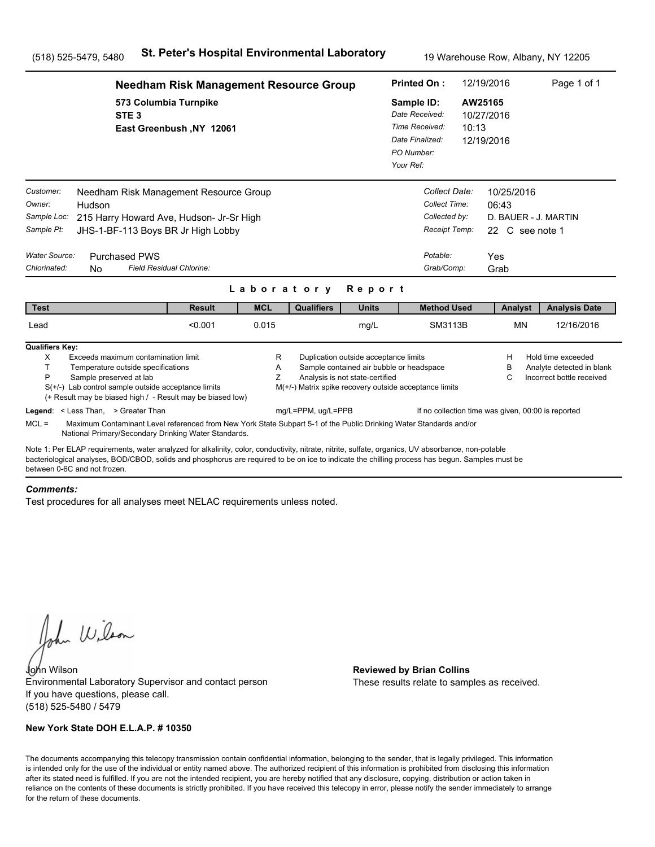|                                                                                          |                                                                                                                                                                                                                                                                                                                                      | <b>Needham Risk Management Resource Group</b> |             |                                                                              |                                                                                                                      | <b>Printed On:</b>                                                                           |                                                                                            | 12/19/2016       |                                                                | Page 1 of 1                                                                  |  |
|------------------------------------------------------------------------------------------|--------------------------------------------------------------------------------------------------------------------------------------------------------------------------------------------------------------------------------------------------------------------------------------------------------------------------------------|-----------------------------------------------|-------------|------------------------------------------------------------------------------|----------------------------------------------------------------------------------------------------------------------|----------------------------------------------------------------------------------------------|--------------------------------------------------------------------------------------------|------------------|----------------------------------------------------------------|------------------------------------------------------------------------------|--|
|                                                                                          | 573 Columbia Turnpike<br>STE <sub>3</sub>                                                                                                                                                                                                                                                                                            | East Greenbush, NY 12061                      |             |                                                                              |                                                                                                                      | Sample ID:<br>Date Received:<br>Time Received:<br>Date Finalized:<br>PO Number:<br>Your Ref: |                                                                                            | AW25165<br>10:13 | 10/27/2016<br>12/19/2016                                       |                                                                              |  |
| Customer:<br>Owner:<br>Sample Loc:<br>Sample Pt:<br><b>Water Source:</b><br>Chlorinated: | Needham Risk Management Resource Group<br>Hudson<br>215 Harry Howard Ave, Hudson- Jr-Sr High<br>JHS-1-BF-113 Boys BR Jr High Lobby<br><b>Purchased PWS</b><br>Field Residual Chlorine:<br>N <sub>0</sub>                                                                                                                             |                                               | Laboratory  |                                                                              | Report                                                                                                               |                                                                                              | Collect Date:<br>Collect Time:<br>Collected by:<br>Receipt Temp:<br>Potable:<br>Grab/Comp: | Yes<br>Grab      | 10/25/2016<br>06:43<br>D. BAUER - J. MARTIN<br>22 C see note 1 |                                                                              |  |
| <b>Test</b>                                                                              |                                                                                                                                                                                                                                                                                                                                      | <b>Result</b>                                 | <b>MCL</b>  | <b>Qualifiers</b>                                                            | <b>Units</b>                                                                                                         |                                                                                              | <b>Method Used</b>                                                                         |                  | Analyst                                                        | <b>Analysis Date</b>                                                         |  |
| Lead                                                                                     |                                                                                                                                                                                                                                                                                                                                      | < 0.001                                       | 0.015       |                                                                              | mg/L                                                                                                                 |                                                                                              | SM3113B                                                                                    |                  | <b>MN</b>                                                      | 12/16/2016                                                                   |  |
| <b>Qualifiers Key:</b><br>X<br>T.<br>P                                                   | Exceeds maximum contamination limit<br>Temperature outside specifications<br>Sample preserved at lab<br>$S(+/-)$ Lab control sample outside acceptance limits<br>(+ Result may be biased high / - Result may be biased low)<br>Legend: < Less Than, > Greater Than                                                                   |                                               | R<br>Α<br>Ζ | M(+/-) Matrix spike recovery outside acceptance limits<br>mg/L=PPM, ug/L=PPB | Duplication outside acceptance limits<br>Sample contained air bubble or headspace<br>Analysis is not state-certified |                                                                                              | If no collection time was given, 00:00 is reported                                         |                  | н<br>в<br>C                                                    | Hold time exceeded<br>Analyte detected in blank<br>Incorrect bottle received |  |
| $MCL =$                                                                                  | Maximum Contaminant Level referenced from New York State Subpart 5-1 of the Public Drinking Water Standards and/or<br>National Primary/Secondary Drinking Water Standards.                                                                                                                                                           |                                               |             |                                                                              |                                                                                                                      |                                                                                              |                                                                                            |                  |                                                                |                                                                              |  |
|                                                                                          | Note 1: Per ELAP requirements, water analyzed for alkalinity, color, conductivity, nitrate, nitrite, sulfate, organics, UV absorbance, non-potable<br>bacteriological analyses, BOD/CBOD, solids and phosphorus are required to be on ice to indicate the chilling process has begun. Samples must be<br>between 0-6C and not frozen |                                               |             |                                                                              |                                                                                                                      |                                                                                              |                                                                                            |                  |                                                                |                                                                              |  |

#### *Comments:*

Test procedures for all analyses meet NELAC requirements unless noted.

John Wilson

John Wilson **Reviewed by Brian Collins** Environmental Laboratory Supervisor and contact person If you have questions, please call. (518) 525-5480 / 5479

### **New York State DOH E.L.A.P. # 10350**

These results relate to samples as received.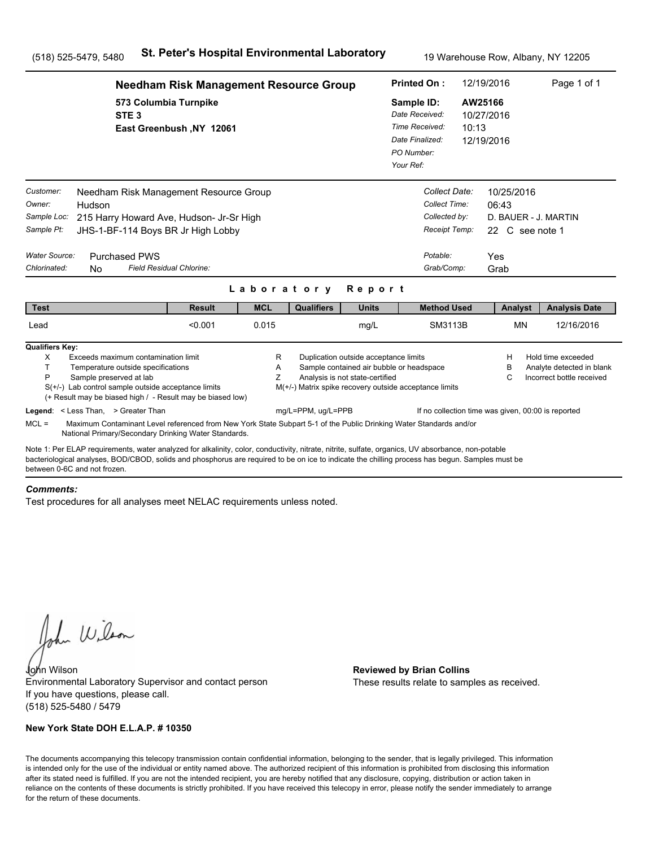|                                                                                                                                                                                                                                                                                                                                      | <b>Needham Risk Management Resource Group</b>     |             |                                                        |                                                                                                                      | <b>Printed On:</b>                                                                           |                                                                              | 12/19/2016                                                            | Page 1 of 1                                                                  |
|--------------------------------------------------------------------------------------------------------------------------------------------------------------------------------------------------------------------------------------------------------------------------------------------------------------------------------------|---------------------------------------------------|-------------|--------------------------------------------------------|----------------------------------------------------------------------------------------------------------------------|----------------------------------------------------------------------------------------------|------------------------------------------------------------------------------|-----------------------------------------------------------------------|------------------------------------------------------------------------------|
| STE <sub>3</sub>                                                                                                                                                                                                                                                                                                                     | 573 Columbia Turnpike<br>East Greenbush, NY 12061 |             |                                                        |                                                                                                                      | Sample ID:<br>Date Received:<br>Time Received:<br>Date Finalized:<br>PO Number:<br>Your Ref: | 10:13                                                                        | AW25166<br>10/27/2016<br>12/19/2016                                   |                                                                              |
| Customer:<br>Needham Risk Management Resource Group<br>Owner:<br>Hudson<br>Sample Loc:<br>215 Harry Howard Ave, Hudson- Jr-Sr High<br>Sample Pt:<br>JHS-1-BF-114 Boys BR Jr High Lobby<br>Water Source:<br><b>Purchased PWS</b>                                                                                                      |                                                   |             |                                                        |                                                                                                                      |                                                                                              | Collect Date:<br>Collect Time:<br>Collected by:<br>Receipt Temp:<br>Potable: | 10/25/2016<br>06:43<br>D. BAUER - J. MARTIN<br>22 C see note 1<br>Yes |                                                                              |
| Chlorinated:<br>N <sub>0</sub>                                                                                                                                                                                                                                                                                                       | Field Residual Chlorine:                          |             |                                                        |                                                                                                                      |                                                                                              | Grab/Comp:                                                                   | Grab                                                                  |                                                                              |
|                                                                                                                                                                                                                                                                                                                                      |                                                   | Laboratory  |                                                        | Report                                                                                                               |                                                                                              |                                                                              |                                                                       |                                                                              |
| <b>Test</b>                                                                                                                                                                                                                                                                                                                          | <b>Result</b>                                     | <b>MCL</b>  | <b>Qualifiers</b>                                      | <b>Units</b>                                                                                                         |                                                                                              | <b>Method Used</b>                                                           | Analyst                                                               | <b>Analysis Date</b>                                                         |
| Lead                                                                                                                                                                                                                                                                                                                                 | < 0.001                                           | 0.015       |                                                        | mg/L                                                                                                                 |                                                                                              | SM3113B                                                                      | <b>MN</b>                                                             | 12/16/2016                                                                   |
| <b>Qualifiers Key:</b><br>X<br>Exceeds maximum contamination limit<br>T.<br>Temperature outside specifications<br>P<br>Sample preserved at lab<br>$S(+/-)$ Lab control sample outside acceptance limits<br>(+ Result may be biased high / - Result may be biased low)                                                                |                                                   | R<br>A<br>Z | M(+/-) Matrix spike recovery outside acceptance limits | Duplication outside acceptance limits<br>Sample contained air bubble or headspace<br>Analysis is not state-certified |                                                                                              |                                                                              | н<br>в<br>С                                                           | Hold time exceeded<br>Analyte detected in blank<br>Incorrect bottle received |
| Legend: < Less Than, > Greater Than<br>$MCL =$<br>Maximum Contaminant Level referenced from New York State Subpart 5-1 of the Public Drinking Water Standards and/or<br>National Primary/Secondary Drinking Water Standards.                                                                                                         |                                                   |             | mg/L=PPM, ug/L=PPB                                     |                                                                                                                      |                                                                                              |                                                                              | If no collection time was given, 00:00 is reported                    |                                                                              |
| Note 1: Per ELAP requirements, water analyzed for alkalinity, color, conductivity, nitrate, nitrite, sulfate, organics, UV absorbance, non-potable<br>bacteriological analyses, BOD/CBOD, solids and phosphorus are required to be on ice to indicate the chilling process has begun. Samples must be<br>between 0-6C and not frozen |                                                   |             |                                                        |                                                                                                                      |                                                                                              |                                                                              |                                                                       |                                                                              |

#### *Comments:*

Test procedures for all analyses meet NELAC requirements unless noted.

John Wilson

John Wilson **Reviewed by Brian Collins** Environmental Laboratory Supervisor and contact person If you have questions, please call. (518) 525-5480 / 5479

### **New York State DOH E.L.A.P. # 10350**

These results relate to samples as received.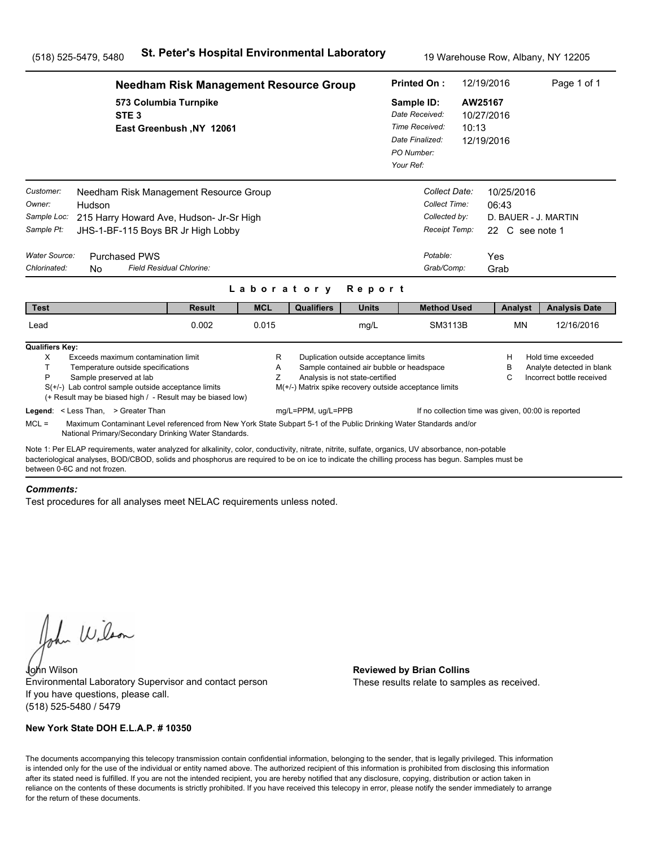|                                                                                   |                                                                                                                                                                                                                                                                                                                                                                                                                                                  | <b>Needham Risk Management Resource Group</b> |             |                                                                              |                                                                          | <b>Printed On:</b>                                                                           |                                                                                | 12/19/2016                                            | Page 1 of 1                                                                                                                        |
|-----------------------------------------------------------------------------------|--------------------------------------------------------------------------------------------------------------------------------------------------------------------------------------------------------------------------------------------------------------------------------------------------------------------------------------------------------------------------------------------------------------------------------------------------|-----------------------------------------------|-------------|------------------------------------------------------------------------------|--------------------------------------------------------------------------|----------------------------------------------------------------------------------------------|--------------------------------------------------------------------------------|-------------------------------------------------------|------------------------------------------------------------------------------------------------------------------------------------|
|                                                                                   | 573 Columbia Turnpike<br>STE <sub>3</sub>                                                                                                                                                                                                                                                                                                                                                                                                        | East Greenbush, NY 12061                      |             |                                                                              |                                                                          | Sample ID:<br>Date Received:<br>Time Received:<br>Date Finalized:<br>PO Number:<br>Your Ref: | 10:13                                                                          | AW25167<br>10/27/2016<br>12/19/2016                   |                                                                                                                                    |
| Customer:<br>Owner:<br>Sample Loc:<br>Sample Pt:<br>Water Source:<br>Chlorinated: | Needham Risk Management Resource Group<br>Hudson<br>215 Harry Howard Ave, Hudson- Jr-Sr High<br>JHS-1-BF-115 Boys BR Jr High Lobby<br><b>Purchased PWS</b><br><b>Field Residual Chlorine:</b><br><b>No</b>                                                                                                                                                                                                                                       |                                               | Laboratory  |                                                                              | Report                                                                   | Potable:                                                                                     | Collect Date:<br>Collect Time:<br>Collected by:<br>Receipt Temp:<br>Grab/Comp: | 10/25/2016<br>06:43<br>22 C see note 1<br>Yes<br>Grab | D. BAUER - J. MARTIN                                                                                                               |
| <b>Test</b>                                                                       |                                                                                                                                                                                                                                                                                                                                                                                                                                                  | <b>Result</b>                                 | <b>MCL</b>  | <b>Qualifiers</b>                                                            | <b>Units</b>                                                             |                                                                                              | <b>Method Used</b>                                                             | Analyst                                               | <b>Analysis Date</b>                                                                                                               |
| Lead                                                                              |                                                                                                                                                                                                                                                                                                                                                                                                                                                  | 0.002                                         | 0.015       |                                                                              | mg/L                                                                     |                                                                                              | SM3113B                                                                        | <b>MN</b>                                             | 12/16/2016                                                                                                                         |
| <b>Qualifiers Key:</b><br>X<br>T<br>P<br>$MCL =$                                  | Exceeds maximum contamination limit<br>Temperature outside specifications<br>Sample preserved at lab<br>$S(+/-)$ Lab control sample outside acceptance limits<br>(+ Result may be biased high / - Result may be biased low)<br>Legend: < Less Than, > Greater Than<br>Maximum Contaminant Level referenced from New York State Subpart 5-1 of the Public Drinking Water Standards and/or<br>National Primary/Secondary Drinking Water Standards. |                                               | R<br>A<br>Z | M(+/-) Matrix spike recovery outside acceptance limits<br>mg/L=PPM, ug/L=PPB | Duplication outside acceptance limits<br>Analysis is not state-certified | Sample contained air bubble or headspace                                                     |                                                                                | H<br>B<br>C                                           | Hold time exceeded<br>Analyte detected in blank<br>Incorrect bottle received<br>If no collection time was given, 00:00 is reported |
|                                                                                   | Note 1: Per ELAP requirements, water analyzed for alkalinity, color, conductivity, nitrate, nitrite, sulfate, organics, UV absorbance, non-potable<br>bacteriological analyses, BOD/CBOD, solids and phosphorus are required to be on ice to indicate the chilling process has begun. Samples must be<br>between 0-6C and not frozen.                                                                                                            |                                               |             |                                                                              |                                                                          |                                                                                              |                                                                                |                                                       |                                                                                                                                    |

#### *Comments:*

Test procedures for all analyses meet NELAC requirements unless noted.

John Wilson

John Wilson **Reviewed by Brian Collins** Environmental Laboratory Supervisor and contact person If you have questions, please call. (518) 525-5480 / 5479

### **New York State DOH E.L.A.P. # 10350**

These results relate to samples as received.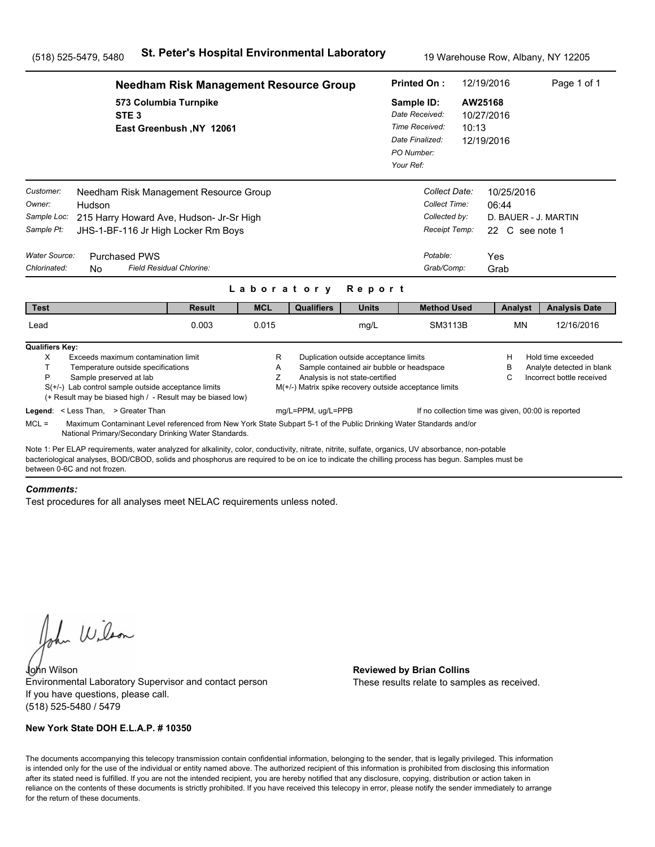|                                                                                          |                                                                                                                                                                                                                                                                                                                                       | <b>Needham Risk Management Resource Group</b> |             |                                                                              |                                                                                                                      | <b>Printed On:</b>                                                                                                                           |                                                                                            | 12/19/2016                                            | Page 1 of 1                                                                                                                        |
|------------------------------------------------------------------------------------------|---------------------------------------------------------------------------------------------------------------------------------------------------------------------------------------------------------------------------------------------------------------------------------------------------------------------------------------|-----------------------------------------------|-------------|------------------------------------------------------------------------------|----------------------------------------------------------------------------------------------------------------------|----------------------------------------------------------------------------------------------------------------------------------------------|--------------------------------------------------------------------------------------------|-------------------------------------------------------|------------------------------------------------------------------------------------------------------------------------------------|
|                                                                                          | 573 Columbia Turnpike<br>STE <sub>3</sub>                                                                                                                                                                                                                                                                                             | East Greenbush, NY 12061                      |             |                                                                              |                                                                                                                      | AW25168<br>Sample ID:<br>Date Received:<br>10/27/2016<br>Time Received:<br>10:13<br>Date Finalized:<br>12/19/2016<br>PO Number:<br>Your Ref: |                                                                                            |                                                       |                                                                                                                                    |
| Customer:<br>Owner:<br>Sample Loc:<br>Sample Pt:<br><b>Water Source:</b><br>Chlorinated: | Needham Risk Management Resource Group<br>Hudson<br>215 Harry Howard Ave, Hudson- Jr-Sr High<br>JHS-1-BF-116 Jr High Locker Rm Boys<br><b>Purchased PWS</b><br>Field Residual Chlorine:<br><b>No</b>                                                                                                                                  |                                               |             | Laboratory                                                                   | Report                                                                                                               |                                                                                                                                              | Collect Date:<br>Collect Time:<br>Collected by:<br>Receipt Temp:<br>Potable:<br>Grab/Comp: | 10/25/2016<br>06:44<br>22 C see note 1<br>Yes<br>Grab | D. BAUER - J. MARTIN                                                                                                               |
| <b>Test</b>                                                                              |                                                                                                                                                                                                                                                                                                                                       | <b>Result</b>                                 | <b>MCL</b>  | <b>Qualifiers</b>                                                            | <b>Units</b>                                                                                                         |                                                                                                                                              | <b>Method Used</b>                                                                         | Analyst                                               | <b>Analysis Date</b>                                                                                                               |
| Lead                                                                                     |                                                                                                                                                                                                                                                                                                                                       | 0.003                                         | 0.015       |                                                                              | mg/L                                                                                                                 |                                                                                                                                              | SM3113B                                                                                    | <b>MN</b>                                             | 12/16/2016                                                                                                                         |
| <b>Qualifiers Key:</b><br>X<br>T<br>P                                                    | Exceeds maximum contamination limit<br>Temperature outside specifications<br>Sample preserved at lab<br>$S(+/-)$ Lab control sample outside acceptance limits<br>(+ Result may be biased high / - Result may be biased low)<br>Legend: < Less Than, > Greater Than                                                                    |                                               | R<br>Α<br>Ζ | M(+/-) Matrix spike recovery outside acceptance limits<br>mg/L=PPM, ug/L=PPB | Duplication outside acceptance limits<br>Sample contained air bubble or headspace<br>Analysis is not state-certified |                                                                                                                                              |                                                                                            | Н<br>в<br>C                                           | Hold time exceeded<br>Analyte detected in blank<br>Incorrect bottle received<br>If no collection time was given, 00:00 is reported |
| $MCL =$                                                                                  | Maximum Contaminant Level referenced from New York State Subpart 5-1 of the Public Drinking Water Standards and/or<br>National Primary/Secondary Drinking Water Standards.                                                                                                                                                            |                                               |             |                                                                              |                                                                                                                      |                                                                                                                                              |                                                                                            |                                                       |                                                                                                                                    |
|                                                                                          | Note 1: Per ELAP requirements, water analyzed for alkalinity, color, conductivity, nitrate, nitrite, sulfate, organics, UV absorbance, non-potable<br>bacteriological analyses, BOD/CBOD, solids and phosphorus are required to be on ice to indicate the chilling process has begun. Samples must be<br>between 0-6C and not frozen. |                                               |             |                                                                              |                                                                                                                      |                                                                                                                                              |                                                                                            |                                                       |                                                                                                                                    |

#### *Comments:*

Test procedures for all analyses meet NELAC requirements unless noted.

John Wilson

John Wilson **Reviewed by Brian Collins** Environmental Laboratory Supervisor and contact person If you have questions, please call. (518) 525-5480 / 5479

### **New York State DOH E.L.A.P. # 10350**

These results relate to samples as received.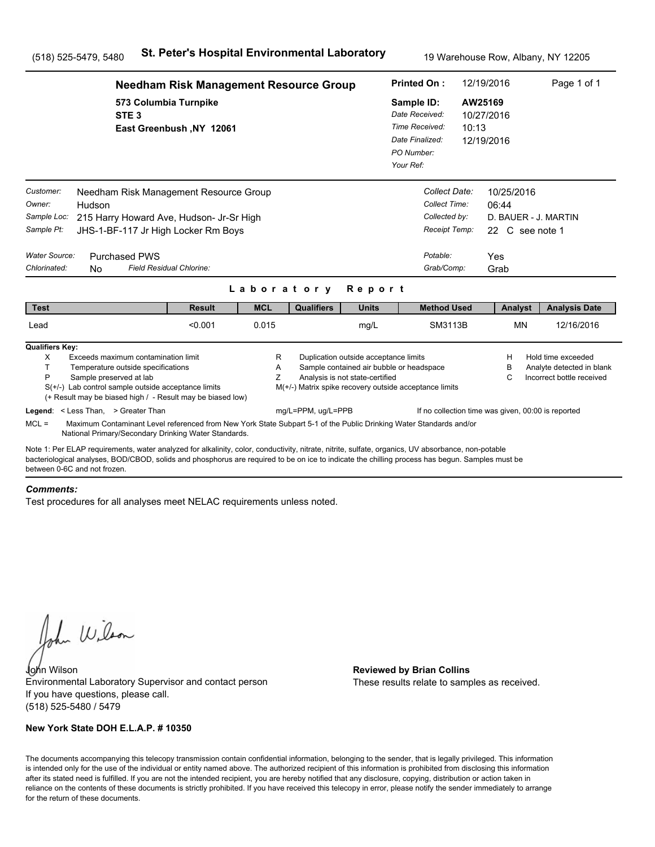|                                                                                          |                                                                                                                                                                                                                                                                                                                                       | <b>Needham Risk Management Resource Group</b> |             |                                                                              |                                                                                                                      | <b>Printed On:</b>                                                                           |                                                                                            | 12/19/2016                          |                               | Page 1 of 1                                                                  |
|------------------------------------------------------------------------------------------|---------------------------------------------------------------------------------------------------------------------------------------------------------------------------------------------------------------------------------------------------------------------------------------------------------------------------------------|-----------------------------------------------|-------------|------------------------------------------------------------------------------|----------------------------------------------------------------------------------------------------------------------|----------------------------------------------------------------------------------------------|--------------------------------------------------------------------------------------------|-------------------------------------|-------------------------------|------------------------------------------------------------------------------|
|                                                                                          | 573 Columbia Turnpike<br>STE <sub>3</sub>                                                                                                                                                                                                                                                                                             | East Greenbush, NY 12061                      |             |                                                                              |                                                                                                                      | Sample ID:<br>Date Received:<br>Time Received:<br>Date Finalized:<br>PO Number:<br>Your Ref: | 10:13                                                                                      | AW25169<br>10/27/2016<br>12/19/2016 |                               |                                                                              |
| Customer:<br>Owner:<br>Sample Loc:<br>Sample Pt:<br><b>Water Source:</b><br>Chlorinated: | Needham Risk Management Resource Group<br>Hudson<br>215 Harry Howard Ave, Hudson- Jr-Sr High<br>JHS-1-BF-117 Jr High Locker Rm Boys<br><b>Purchased PWS</b><br>Field Residual Chlorine:<br><b>No</b>                                                                                                                                  |                                               |             | Laboratory                                                                   | Report                                                                                                               |                                                                                              | Collect Date:<br>Collect Time:<br>Collected by:<br>Receipt Temp:<br>Potable:<br>Grab/Comp: | 06:44<br>Yes<br>Grab                | 10/25/2016<br>22 C see note 1 | D. BAUER - J. MARTIN                                                         |
| <b>Test</b>                                                                              |                                                                                                                                                                                                                                                                                                                                       | <b>Result</b>                                 | <b>MCL</b>  | <b>Qualifiers</b>                                                            | <b>Units</b>                                                                                                         |                                                                                              | <b>Method Used</b>                                                                         |                                     | Analyst                       | <b>Analysis Date</b>                                                         |
| Lead                                                                                     |                                                                                                                                                                                                                                                                                                                                       | < 0.001                                       | 0.015       |                                                                              | mg/L                                                                                                                 |                                                                                              | SM3113B                                                                                    |                                     | <b>MN</b>                     | 12/16/2016                                                                   |
| <b>Qualifiers Key:</b><br>X<br>T.<br>P                                                   | Exceeds maximum contamination limit<br>Temperature outside specifications<br>Sample preserved at lab<br>$S(+/-)$ Lab control sample outside acceptance limits<br>(+ Result may be biased high / - Result may be biased low)<br>Legend: < Less Than, > Greater Than                                                                    |                                               | R<br>Α<br>Ζ | M(+/-) Matrix spike recovery outside acceptance limits<br>mg/L=PPM, ug/L=PPB | Duplication outside acceptance limits<br>Sample contained air bubble or headspace<br>Analysis is not state-certified |                                                                                              | If no collection time was given, 00:00 is reported                                         | Н<br>в<br>C                         |                               | Hold time exceeded<br>Analyte detected in blank<br>Incorrect bottle received |
| $MCL =$                                                                                  | Maximum Contaminant Level referenced from New York State Subpart 5-1 of the Public Drinking Water Standards and/or<br>National Primary/Secondary Drinking Water Standards.                                                                                                                                                            |                                               |             |                                                                              |                                                                                                                      |                                                                                              |                                                                                            |                                     |                               |                                                                              |
|                                                                                          | Note 1: Per ELAP requirements, water analyzed for alkalinity, color, conductivity, nitrate, nitrite, sulfate, organics, UV absorbance, non-potable<br>bacteriological analyses, BOD/CBOD, solids and phosphorus are required to be on ice to indicate the chilling process has begun. Samples must be<br>between 0-6C and not frozen. |                                               |             |                                                                              |                                                                                                                      |                                                                                              |                                                                                            |                                     |                               |                                                                              |

#### *Comments:*

Test procedures for all analyses meet NELAC requirements unless noted.

John Wilson

John Wilson **Reviewed by Brian Collins** Environmental Laboratory Supervisor and contact person If you have questions, please call. (518) 525-5480 / 5479

### **New York State DOH E.L.A.P. # 10350**

These results relate to samples as received.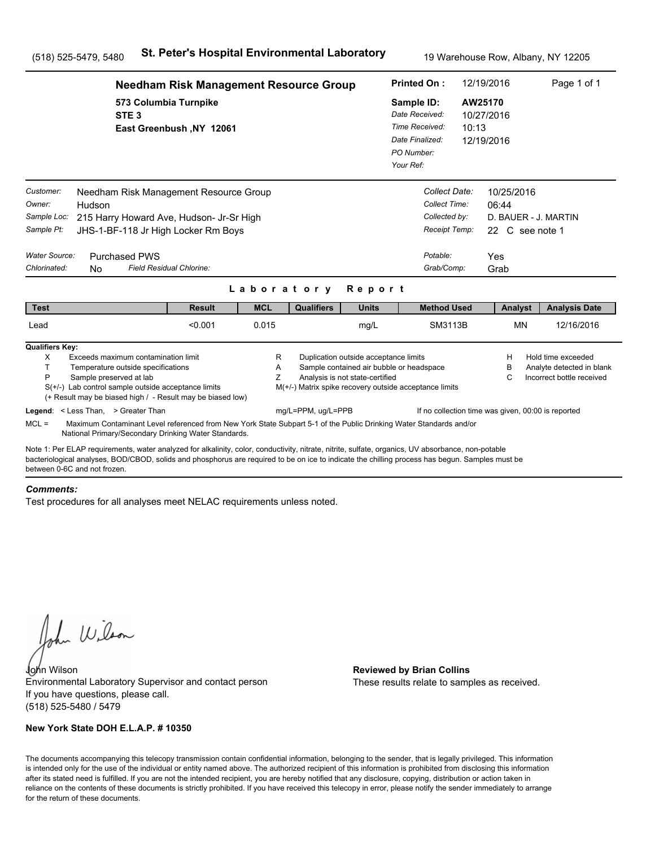|                                                                   | <b>Needham Risk Management Resource Group</b>                                                                                                                                                                                                                                                         |             |                    |                                                                          | <b>Printed On:</b>                                                                                 |                                                                  | 12/19/2016                                                     | Page 1 of 1                                                                  |
|-------------------------------------------------------------------|-------------------------------------------------------------------------------------------------------------------------------------------------------------------------------------------------------------------------------------------------------------------------------------------------------|-------------|--------------------|--------------------------------------------------------------------------|----------------------------------------------------------------------------------------------------|------------------------------------------------------------------|----------------------------------------------------------------|------------------------------------------------------------------------------|
|                                                                   | 573 Columbia Turnpike<br>STE <sub>3</sub><br>East Greenbush, NY 12061                                                                                                                                                                                                                                 |             |                    |                                                                          | Sample ID:<br>Date Received:<br>Time Received:<br>Date Finalized:<br>PO Number:<br>Your Ref:       | 10:13                                                            | AW25170<br>10/27/2016<br>12/19/2016                            |                                                                              |
| Customer:<br>Owner:<br>Hudson<br>Sample Loc:<br>Sample Pt:        | Needham Risk Management Resource Group<br>215 Harry Howard Ave, Hudson- Jr-Sr High<br>JHS-1-BF-118 Jr High Locker Rm Boys                                                                                                                                                                             |             |                    |                                                                          |                                                                                                    | Collect Date:<br>Collect Time:<br>Collected by:<br>Receipt Temp: | 10/25/2016<br>06:44<br>D. BAUER - J. MARTIN<br>22 C see note 1 |                                                                              |
| Water Source:<br>Chlorinated:<br>N <sub>0</sub>                   | <b>Purchased PWS</b><br>Field Residual Chlorine:                                                                                                                                                                                                                                                      |             |                    |                                                                          | Potable:                                                                                           | Grab/Comp:                                                       | Yes<br>Grab                                                    |                                                                              |
|                                                                   |                                                                                                                                                                                                                                                                                                       | Laboratory  |                    | Report                                                                   |                                                                                                    |                                                                  |                                                                |                                                                              |
| <b>Test</b>                                                       | <b>Result</b>                                                                                                                                                                                                                                                                                         | <b>MCL</b>  | <b>Qualifiers</b>  | <b>Units</b>                                                             |                                                                                                    | <b>Method Used</b>                                               | Analyst                                                        | <b>Analysis Date</b>                                                         |
| Lead                                                              | < 0.001                                                                                                                                                                                                                                                                                               | 0.015       |                    | mg/L                                                                     |                                                                                                    | SM3113B                                                          | <b>MN</b>                                                      | 12/16/2016                                                                   |
| <b>Qualifiers Key:</b><br>X<br>T.<br>P<br>Sample preserved at lab | Exceeds maximum contamination limit<br>Temperature outside specifications<br>$S(+/-)$ Lab control sample outside acceptance limits<br>(+ Result may be biased high / - Result may be biased low)                                                                                                      | R<br>A<br>Z |                    | Duplication outside acceptance limits<br>Analysis is not state-certified | Sample contained air bubble or headspace<br>M(+/-) Matrix spike recovery outside acceptance limits |                                                                  | н<br>в<br>С                                                    | Hold time exceeded<br>Analyte detected in blank<br>Incorrect bottle received |
| Legend: < Less Than, > Greater Than<br>$MCL =$                    | Maximum Contaminant Level referenced from New York State Subpart 5-1 of the Public Drinking Water Standards and/or<br>National Primary/Secondary Drinking Water Standards.                                                                                                                            |             | mg/L=PPM, ug/L=PPB |                                                                          |                                                                                                    |                                                                  | If no collection time was given, 00:00 is reported             |                                                                              |
| between 0-6C and not frozen                                       | Note 1: Per ELAP requirements, water analyzed for alkalinity, color, conductivity, nitrate, nitrite, sulfate, organics, UV absorbance, non-potable<br>bacteriological analyses, BOD/CBOD, solids and phosphorus are required to be on ice to indicate the chilling process has begun. Samples must be |             |                    |                                                                          |                                                                                                    |                                                                  |                                                                |                                                                              |

#### *Comments:*

Test procedures for all analyses meet NELAC requirements unless noted.

John Wilson

John Wilson **Reviewed by Brian Collins** Environmental Laboratory Supervisor and contact person If you have questions, please call. (518) 525-5480 / 5479

### **New York State DOH E.L.A.P. # 10350**

These results relate to samples as received.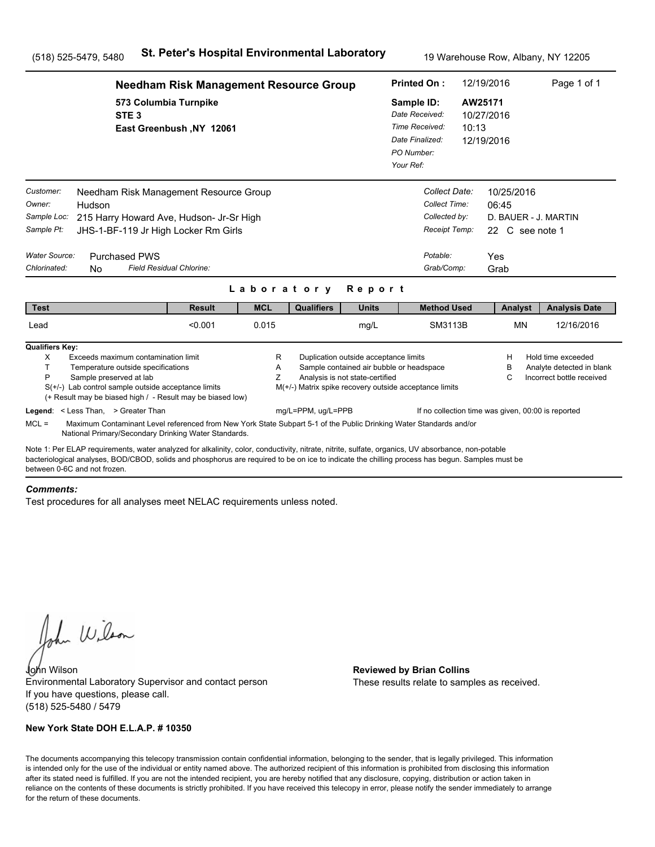|                                                                                                                                                                                                                                                                                                                                      |                                                                                                                                                                                                                             | <b>Needham Risk Management Resource Group</b> |                          |                                                        |                                                                                                                      | <b>Printed On:</b>                                                                           |                                                                                            | 12/19/2016                          |                 | Page 1 of 1                                                                  |
|--------------------------------------------------------------------------------------------------------------------------------------------------------------------------------------------------------------------------------------------------------------------------------------------------------------------------------------|-----------------------------------------------------------------------------------------------------------------------------------------------------------------------------------------------------------------------------|-----------------------------------------------|--------------------------|--------------------------------------------------------|----------------------------------------------------------------------------------------------------------------------|----------------------------------------------------------------------------------------------|--------------------------------------------------------------------------------------------|-------------------------------------|-----------------|------------------------------------------------------------------------------|
|                                                                                                                                                                                                                                                                                                                                      | 573 Columbia Turnpike<br>STE <sub>3</sub>                                                                                                                                                                                   | East Greenbush, NY 12061                      |                          |                                                        |                                                                                                                      | Sample ID:<br>Date Received:<br>Time Received:<br>Date Finalized:<br>PO Number:<br>Your Ref: | 10:13                                                                                      | AW25171<br>10/27/2016<br>12/19/2016 |                 |                                                                              |
| Customer:<br>Owner:<br>Hudson<br>Sample Loc:<br>Sample Pt:<br><b>Water Source:</b><br>Chlorinated:<br>N <sub>0</sub>                                                                                                                                                                                                                 | Needham Risk Management Resource Group<br>215 Harry Howard Ave, Hudson- Jr-Sr High<br>JHS-1-BF-119 Jr High Locker Rm Girls<br><b>Purchased PWS</b><br>Field Residual Chlorine:                                              |                                               |                          |                                                        |                                                                                                                      |                                                                                              | Collect Date:<br>Collect Time:<br>Collected by:<br>Receipt Temp:<br>Potable:<br>Grab/Comp: | 10/25/2016<br>06:45<br>Yes<br>Grab  | 22 C see note 1 | D. BAUER - J. MARTIN                                                         |
| <b>Test</b>                                                                                                                                                                                                                                                                                                                          |                                                                                                                                                                                                                             | <b>Result</b>                                 | Laboratory<br><b>MCL</b> | <b>Qualifiers</b>                                      | Report<br><b>Units</b>                                                                                               |                                                                                              | <b>Method Used</b>                                                                         |                                     | Analyst         | <b>Analysis Date</b>                                                         |
| Lead                                                                                                                                                                                                                                                                                                                                 |                                                                                                                                                                                                                             | < 0.001                                       | 0.015                    |                                                        | mg/L                                                                                                                 |                                                                                              | SM3113B                                                                                    |                                     | <b>MN</b>       | 12/16/2016                                                                   |
| <b>Qualifiers Key:</b><br>X<br>T.<br>P                                                                                                                                                                                                                                                                                               | Exceeds maximum contamination limit<br>Temperature outside specifications<br>Sample preserved at lab<br>$S(+/-)$ Lab control sample outside acceptance limits<br>(+ Result may be biased high / - Result may be biased low) |                                               | R<br>Α<br>Ζ              | M(+/-) Matrix spike recovery outside acceptance limits | Duplication outside acceptance limits<br>Sample contained air bubble or headspace<br>Analysis is not state-certified |                                                                                              |                                                                                            | н<br>в<br>C                         |                 | Hold time exceeded<br>Analyte detected in blank<br>Incorrect bottle received |
| Legend: < Less Than, > Greater Than<br>$MCL =$                                                                                                                                                                                                                                                                                       | Maximum Contaminant Level referenced from New York State Subpart 5-1 of the Public Drinking Water Standards and/or<br>National Primary/Secondary Drinking Water Standards.                                                  |                                               |                          | mg/L=PPM, ug/L=PPB                                     |                                                                                                                      |                                                                                              | If no collection time was given, 00:00 is reported                                         |                                     |                 |                                                                              |
| Note 1: Per ELAP requirements, water analyzed for alkalinity, color, conductivity, nitrate, nitrite, sulfate, organics, UV absorbance, non-potable<br>bacteriological analyses, BOD/CBOD, solids and phosphorus are required to be on ice to indicate the chilling process has begun. Samples must be<br>between 0-6C and not frozen |                                                                                                                                                                                                                             |                                               |                          |                                                        |                                                                                                                      |                                                                                              |                                                                                            |                                     |                 |                                                                              |

#### *Comments:*

Test procedures for all analyses meet NELAC requirements unless noted.

John Wilson

John Wilson **Reviewed by Brian Collins** Environmental Laboratory Supervisor and contact person If you have questions, please call. (518) 525-5480 / 5479

### **New York State DOH E.L.A.P. # 10350**

These results relate to samples as received.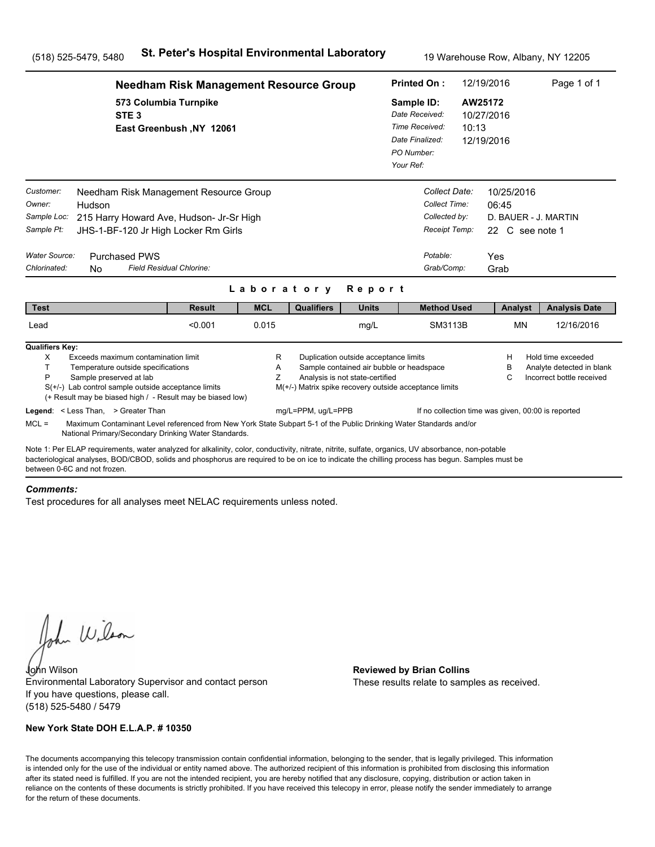|                                                                                          |                                                                                                                                                                                                                                                                                                                                      | <b>Needham Risk Management Resource Group</b> |                          |                                                                              |                                                                                                                      | <b>Printed On:</b>                                                                           |                                                                                            | 12/19/2016                                   |                               | Page 1 of 1                                                                  |  |
|------------------------------------------------------------------------------------------|--------------------------------------------------------------------------------------------------------------------------------------------------------------------------------------------------------------------------------------------------------------------------------------------------------------------------------------|-----------------------------------------------|--------------------------|------------------------------------------------------------------------------|----------------------------------------------------------------------------------------------------------------------|----------------------------------------------------------------------------------------------|--------------------------------------------------------------------------------------------|----------------------------------------------|-------------------------------|------------------------------------------------------------------------------|--|
|                                                                                          | 573 Columbia Turnpike<br>STE <sub>3</sub>                                                                                                                                                                                                                                                                                            | East Greenbush, NY 12061                      |                          |                                                                              |                                                                                                                      | Sample ID:<br>Date Received:<br>Time Received:<br>Date Finalized:<br>PO Number:<br>Your Ref: |                                                                                            | AW25172<br>10/27/2016<br>10:13<br>12/19/2016 |                               |                                                                              |  |
| Customer:<br>Owner:<br>Sample Loc:<br>Sample Pt:<br><b>Water Source:</b><br>Chlorinated: | Needham Risk Management Resource Group<br>Hudson<br>215 Harry Howard Ave, Hudson- Jr-Sr High<br>JHS-1-BF-120 Jr High Locker Rm Girls<br><b>Purchased PWS</b><br>Field Residual Chlorine:<br>N <sub>0</sub>                                                                                                                           |                                               |                          |                                                                              |                                                                                                                      |                                                                                              | Collect Date:<br>Collect Time:<br>Collected by:<br>Receipt Temp:<br>Potable:<br>Grab/Comp: | 06:45<br>Yes<br>Grab                         | 10/25/2016<br>22 C see note 1 | D. BAUER - J. MARTIN                                                         |  |
| <b>Test</b>                                                                              |                                                                                                                                                                                                                                                                                                                                      | <b>Result</b>                                 | Laboratory<br><b>MCL</b> | <b>Qualifiers</b>                                                            | Report<br><b>Units</b>                                                                                               |                                                                                              | <b>Method Used</b>                                                                         |                                              | Analyst                       | <b>Analysis Date</b>                                                         |  |
| Lead                                                                                     |                                                                                                                                                                                                                                                                                                                                      | < 0.001                                       | 0.015                    |                                                                              | mg/L                                                                                                                 |                                                                                              | SM3113B                                                                                    |                                              | <b>MN</b>                     | 12/16/2016                                                                   |  |
| <b>Qualifiers Key:</b><br>X<br>T.<br>P                                                   | Exceeds maximum contamination limit<br>Temperature outside specifications<br>Sample preserved at lab<br>$S(+/-)$ Lab control sample outside acceptance limits<br>(+ Result may be biased high / - Result may be biased low)<br>Legend: < Less Than, > Greater Than                                                                   |                                               | R<br>Α<br>Ζ              | M(+/-) Matrix spike recovery outside acceptance limits<br>mg/L=PPM, ug/L=PPB | Duplication outside acceptance limits<br>Sample contained air bubble or headspace<br>Analysis is not state-certified |                                                                                              | If no collection time was given, 00:00 is reported                                         |                                              | н<br>в<br>C                   | Hold time exceeded<br>Analyte detected in blank<br>Incorrect bottle received |  |
| $MCL =$                                                                                  | Maximum Contaminant Level referenced from New York State Subpart 5-1 of the Public Drinking Water Standards and/or<br>National Primary/Secondary Drinking Water Standards.                                                                                                                                                           |                                               |                          |                                                                              |                                                                                                                      |                                                                                              |                                                                                            |                                              |                               |                                                                              |  |
|                                                                                          | Note 1: Per ELAP requirements, water analyzed for alkalinity, color, conductivity, nitrate, nitrite, sulfate, organics, UV absorbance, non-potable<br>bacteriological analyses, BOD/CBOD, solids and phosphorus are required to be on ice to indicate the chilling process has begun. Samples must be<br>between 0-6C and not frozen |                                               |                          |                                                                              |                                                                                                                      |                                                                                              |                                                                                            |                                              |                               |                                                                              |  |

#### *Comments:*

Test procedures for all analyses meet NELAC requirements unless noted.

John Wilson

John Wilson **Reviewed by Brian Collins** Environmental Laboratory Supervisor and contact person If you have questions, please call. (518) 525-5480 / 5479

### **New York State DOH E.L.A.P. # 10350**

These results relate to samples as received.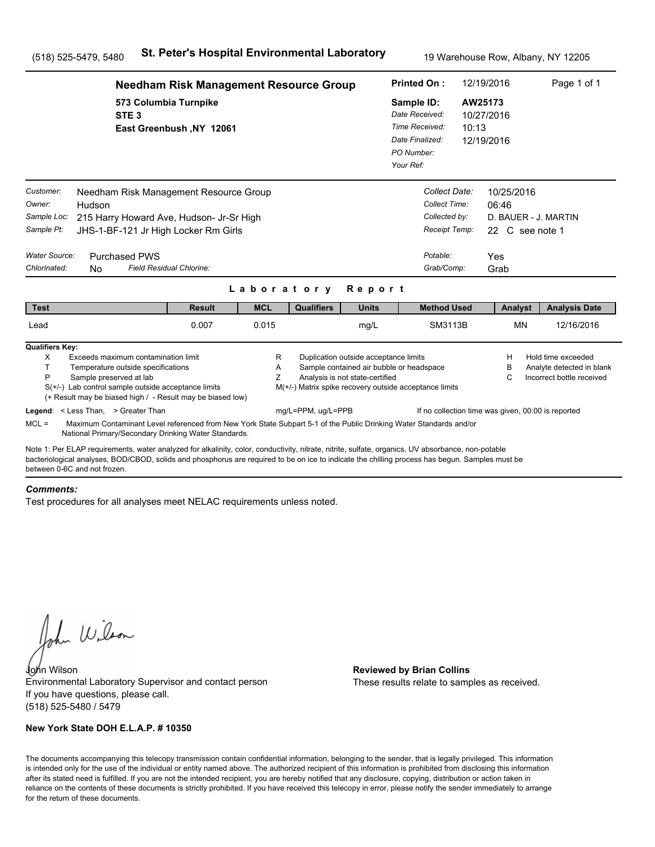|                                                                                                                                                                                                                                                                                                                                       | <b>Needham Risk Management Resource Group</b>                                                                                                          |             |                    |                                                                          | <b>Printed On:</b>                                                                                 |                                                                                | 12/19/2016                                    | Page 1 of 1                                                                  |  |
|---------------------------------------------------------------------------------------------------------------------------------------------------------------------------------------------------------------------------------------------------------------------------------------------------------------------------------------|--------------------------------------------------------------------------------------------------------------------------------------------------------|-------------|--------------------|--------------------------------------------------------------------------|----------------------------------------------------------------------------------------------------|--------------------------------------------------------------------------------|-----------------------------------------------|------------------------------------------------------------------------------|--|
| STE <sub>3</sub>                                                                                                                                                                                                                                                                                                                      | 573 Columbia Turnpike<br>East Greenbush, NY 12061                                                                                                      |             |                    |                                                                          | Sample ID:<br>Date Received:<br>Time Received:<br>Date Finalized:<br>PO Number:<br>Your Ref:       | 10:13                                                                          | AW25173<br>10/27/2016<br>12/19/2016           |                                                                              |  |
| Customer:<br>Owner:<br>Hudson<br>Sample Loc:<br>Sample Pt:<br>Water Source:<br><b>Purchased PWS</b><br>Chlorinated:                                                                                                                                                                                                                   | Needham Risk Management Resource Group<br>215 Harry Howard Ave, Hudson- Jr-Sr High<br>JHS-1-BF-121 Jr High Locker Rm Girls<br>Field Residual Chlorine: |             |                    |                                                                          | Potable:                                                                                           | Collect Date:<br>Collect Time:<br>Collected by:<br>Receipt Temp:<br>Grab/Comp: | 10/25/2016<br>06:46<br>22 C see note 1<br>Yes | D. BAUER - J. MARTIN                                                         |  |
| <b>No</b>                                                                                                                                                                                                                                                                                                                             |                                                                                                                                                        | Laboratory  |                    | Report                                                                   |                                                                                                    |                                                                                | Grab                                          |                                                                              |  |
| <b>Test</b>                                                                                                                                                                                                                                                                                                                           | <b>Result</b>                                                                                                                                          | <b>MCL</b>  | <b>Qualifiers</b>  | <b>Units</b>                                                             |                                                                                                    | <b>Method Used</b>                                                             | Analyst                                       | <b>Analysis Date</b>                                                         |  |
| Lead                                                                                                                                                                                                                                                                                                                                  | 0.007                                                                                                                                                  | 0.015       |                    | mg/L                                                                     |                                                                                                    | SM3113B                                                                        | <b>MN</b>                                     | 12/16/2016                                                                   |  |
| <b>Qualifiers Key:</b><br>Exceeds maximum contamination limit<br>X<br>T.<br>Temperature outside specifications<br>P<br>Sample preserved at lab<br>$S(+/-)$ Lab control sample outside acceptance limits<br>(+ Result may be biased high / - Result may be biased low)                                                                 |                                                                                                                                                        | R<br>Α<br>Z |                    | Duplication outside acceptance limits<br>Analysis is not state-certified | Sample contained air bubble or headspace<br>M(+/-) Matrix spike recovery outside acceptance limits |                                                                                | н<br>в<br>С                                   | Hold time exceeded<br>Analyte detected in blank<br>Incorrect bottle received |  |
| Legend: < Less Than, > Greater Than<br>$MCL =$<br>Maximum Contaminant Level referenced from New York State Subpart 5-1 of the Public Drinking Water Standards and/or<br>National Primary/Secondary Drinking Water Standards.                                                                                                          |                                                                                                                                                        |             | mg/L=PPM, ug/L=PPB |                                                                          |                                                                                                    |                                                                                |                                               | If no collection time was given, 00:00 is reported                           |  |
| Note 1: Per ELAP requirements, water analyzed for alkalinity, color, conductivity, nitrate, nitrite, sulfate, organics, UV absorbance, non-potable<br>bacteriological analyses, BOD/CBOD, solids and phosphorus are required to be on ice to indicate the chilling process has begun. Samples must be<br>between 0-6C and not frozen. |                                                                                                                                                        |             |                    |                                                                          |                                                                                                    |                                                                                |                                               |                                                                              |  |

#### *Comments:*

Test procedures for all analyses meet NELAC requirements unless noted.

John Wilson

John Wilson **Reviewed by Brian Collins** Environmental Laboratory Supervisor and contact person If you have questions, please call. (518) 525-5480 / 5479

### **New York State DOH E.L.A.P. # 10350**

These results relate to samples as received.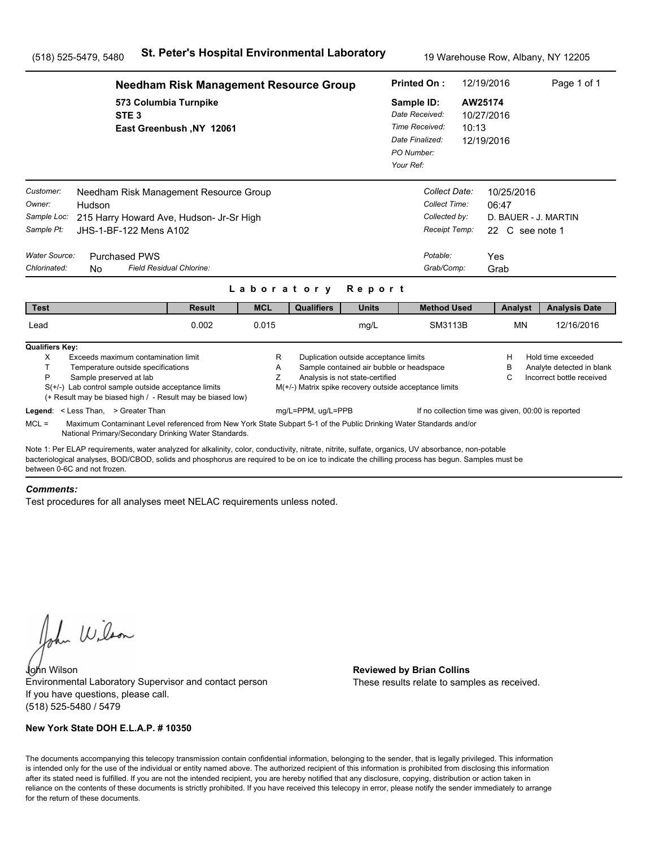|                                                                                                                                                                                                                                                                                                                                      | <b>Needham Risk Management Resource Group</b>                                                                                                                              |             |                                                        |                                                                          | <b>Printed On:</b>                                                                           |                                                                                | 12/19/2016                                            | Page 1 of 1                                                                  |  |
|--------------------------------------------------------------------------------------------------------------------------------------------------------------------------------------------------------------------------------------------------------------------------------------------------------------------------------------|----------------------------------------------------------------------------------------------------------------------------------------------------------------------------|-------------|--------------------------------------------------------|--------------------------------------------------------------------------|----------------------------------------------------------------------------------------------|--------------------------------------------------------------------------------|-------------------------------------------------------|------------------------------------------------------------------------------|--|
| STE <sub>3</sub>                                                                                                                                                                                                                                                                                                                     | 573 Columbia Turnpike<br>East Greenbush, NY 12061                                                                                                                          |             |                                                        |                                                                          | Sample ID:<br>Date Received:<br>Time Received:<br>Date Finalized:<br>PO Number:<br>Your Ref: | 10:13                                                                          | AW25174<br>10/27/2016<br>12/19/2016                   |                                                                              |  |
| Customer:<br>Owner:<br>Hudson<br>Sample Loc:<br>Sample Pt:<br>JHS-1-BF-122 Mens A102<br>Water Source:<br><b>Purchased PWS</b><br>Chlorinated:<br>N <sub>0</sub>                                                                                                                                                                      | Needham Risk Management Resource Group<br>215 Harry Howard Ave, Hudson- Jr-Sr High<br>Field Residual Chlorine:                                                             |             |                                                        |                                                                          | Potable:                                                                                     | Collect Date:<br>Collect Time:<br>Collected by:<br>Receipt Temp:<br>Grab/Comp: | 10/25/2016<br>06:47<br>22 C see note 1<br>Yes<br>Grab | D. BAUER - J. MARTIN                                                         |  |
|                                                                                                                                                                                                                                                                                                                                      |                                                                                                                                                                            | Laboratory  |                                                        | Report                                                                   |                                                                                              |                                                                                |                                                       |                                                                              |  |
| <b>Test</b>                                                                                                                                                                                                                                                                                                                          | <b>Result</b>                                                                                                                                                              | <b>MCL</b>  | <b>Qualifiers</b>                                      | <b>Units</b>                                                             |                                                                                              | <b>Method Used</b>                                                             | Analyst                                               | <b>Analysis Date</b>                                                         |  |
| Lead                                                                                                                                                                                                                                                                                                                                 | 0.002                                                                                                                                                                      | 0.015       |                                                        | mg/L                                                                     |                                                                                              | SM3113B                                                                        | <b>MN</b>                                             | 12/16/2016                                                                   |  |
| <b>Qualifiers Key:</b><br>X<br>Exceeds maximum contamination limit<br>T.<br>Temperature outside specifications<br>P<br>Sample preserved at lab<br>$S(+/-)$ Lab control sample outside acceptance limits<br>(+ Result may be biased high / - Result may be biased low)                                                                |                                                                                                                                                                            | R<br>A<br>Z | M(+/-) Matrix spike recovery outside acceptance limits | Duplication outside acceptance limits<br>Analysis is not state-certified | Sample contained air bubble or headspace                                                     |                                                                                | н<br>в<br>С                                           | Hold time exceeded<br>Analyte detected in blank<br>Incorrect bottle received |  |
| Legend: < Less Than, > Greater Than<br>$MCL =$                                                                                                                                                                                                                                                                                       | Maximum Contaminant Level referenced from New York State Subpart 5-1 of the Public Drinking Water Standards and/or<br>National Primary/Secondary Drinking Water Standards. |             | mg/L=PPM, ug/L=PPB                                     |                                                                          |                                                                                              |                                                                                | If no collection time was given, 00:00 is reported    |                                                                              |  |
| Note 1: Per ELAP requirements, water analyzed for alkalinity, color, conductivity, nitrate, nitrite, sulfate, organics, UV absorbance, non-potable<br>bacteriological analyses, BOD/CBOD, solids and phosphorus are required to be on ice to indicate the chilling process has begun. Samples must be<br>between 0-6C and not frozen |                                                                                                                                                                            |             |                                                        |                                                                          |                                                                                              |                                                                                |                                                       |                                                                              |  |

#### *Comments:*

Test procedures for all analyses meet NELAC requirements unless noted.

John Wilson

John Wilson **Reviewed by Brian Collins** Environmental Laboratory Supervisor and contact person If you have questions, please call. (518) 525-5480 / 5479

### **New York State DOH E.L.A.P. # 10350**

These results relate to samples as received.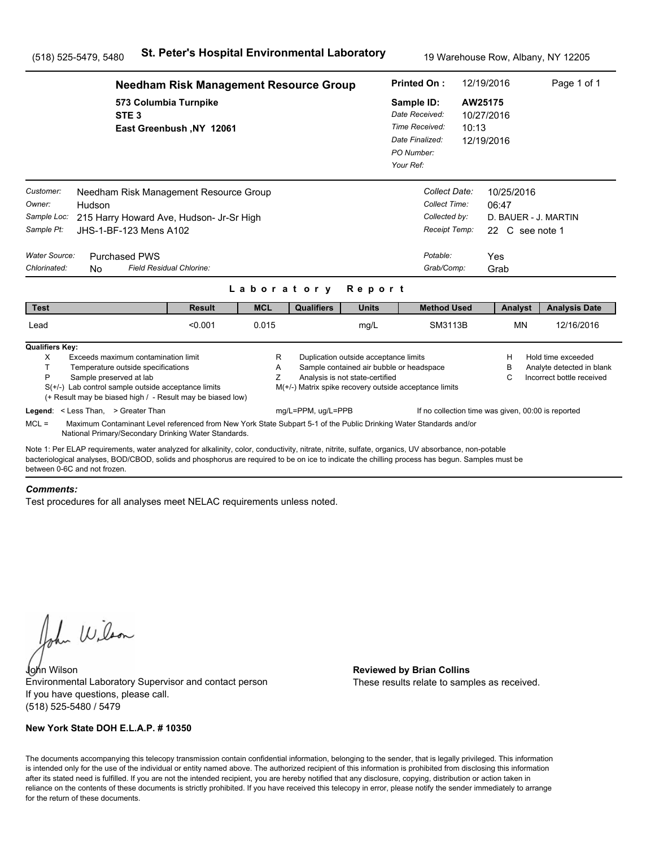|                                                                                   |                                                                                                                                                                                                                                                                                                       | <b>Needham Risk Management Resource Group</b> |             |                                                        |                                                                                                                      | <b>Printed On:</b>                                                                           |                                                                                            | 12/19/2016                          |                               | Page 1 of 1                                                                  |
|-----------------------------------------------------------------------------------|-------------------------------------------------------------------------------------------------------------------------------------------------------------------------------------------------------------------------------------------------------------------------------------------------------|-----------------------------------------------|-------------|--------------------------------------------------------|----------------------------------------------------------------------------------------------------------------------|----------------------------------------------------------------------------------------------|--------------------------------------------------------------------------------------------|-------------------------------------|-------------------------------|------------------------------------------------------------------------------|
|                                                                                   | 573 Columbia Turnpike<br>STE <sub>3</sub>                                                                                                                                                                                                                                                             | East Greenbush, NY 12061                      |             |                                                        |                                                                                                                      | Sample ID:<br>Date Received:<br>Time Received:<br>Date Finalized:<br>PO Number:<br>Your Ref: | 10:13                                                                                      | AW25175<br>10/27/2016<br>12/19/2016 |                               |                                                                              |
| Customer:<br>Owner:<br>Sample Loc:<br>Sample Pt:<br>Water Source:<br>Chlorinated: | Needham Risk Management Resource Group<br>Hudson<br>215 Harry Howard Ave, Hudson- Jr-Sr High<br>JHS-1-BF-123 Mens A102<br><b>Purchased PWS</b><br>N <sub>0</sub>                                                                                                                                      | Field Residual Chlorine:                      |             |                                                        |                                                                                                                      |                                                                                              | Collect Date:<br>Collect Time:<br>Collected by:<br>Receipt Temp:<br>Potable:<br>Grab/Comp: | 06:47<br>Yes<br>Grab                | 10/25/2016<br>22 C see note 1 | D. BAUER - J. MARTIN                                                         |
|                                                                                   |                                                                                                                                                                                                                                                                                                       |                                               | Laboratory  |                                                        | Report                                                                                                               |                                                                                              |                                                                                            |                                     |                               |                                                                              |
| <b>Test</b>                                                                       |                                                                                                                                                                                                                                                                                                       | <b>Result</b>                                 | <b>MCL</b>  | <b>Qualifiers</b>                                      | <b>Units</b>                                                                                                         |                                                                                              | <b>Method Used</b>                                                                         |                                     | Analyst                       | <b>Analysis Date</b>                                                         |
| Lead                                                                              |                                                                                                                                                                                                                                                                                                       | < 0.001                                       | 0.015       |                                                        | mg/L                                                                                                                 |                                                                                              | SM3113B                                                                                    |                                     | <b>MN</b>                     | 12/16/2016                                                                   |
| <b>Qualifiers Key:</b><br>X<br>T.<br>P                                            | Exceeds maximum contamination limit<br>Temperature outside specifications<br>Sample preserved at lab<br>$S(+/-)$ Lab control sample outside acceptance limits<br>(+ Result may be biased high / - Result may be biased low)                                                                           |                                               | R<br>A<br>Z | M(+/-) Matrix spike recovery outside acceptance limits | Duplication outside acceptance limits<br>Sample contained air bubble or headspace<br>Analysis is not state-certified |                                                                                              |                                                                                            |                                     | н<br>в<br>С                   | Hold time exceeded<br>Analyte detected in blank<br>Incorrect bottle received |
| $MCL =$                                                                           | Legend: < Less Than, > Greater Than<br>Maximum Contaminant Level referenced from New York State Subpart 5-1 of the Public Drinking Water Standards and/or<br>National Primary/Secondary Drinking Water Standards.                                                                                     |                                               |             | mg/L=PPM, ug/L=PPB                                     |                                                                                                                      |                                                                                              | If no collection time was given, 00:00 is reported                                         |                                     |                               |                                                                              |
| between 0-6C and not frozen                                                       | Note 1: Per ELAP requirements, water analyzed for alkalinity, color, conductivity, nitrate, nitrite, sulfate, organics, UV absorbance, non-potable<br>bacteriological analyses, BOD/CBOD, solids and phosphorus are required to be on ice to indicate the chilling process has begun. Samples must be |                                               |             |                                                        |                                                                                                                      |                                                                                              |                                                                                            |                                     |                               |                                                                              |

#### *Comments:*

Test procedures for all analyses meet NELAC requirements unless noted.

John Wilson

John Wilson **Reviewed by Brian Collins** Environmental Laboratory Supervisor and contact person If you have questions, please call. (518) 525-5480 / 5479

### **New York State DOH E.L.A.P. # 10350**

These results relate to samples as received.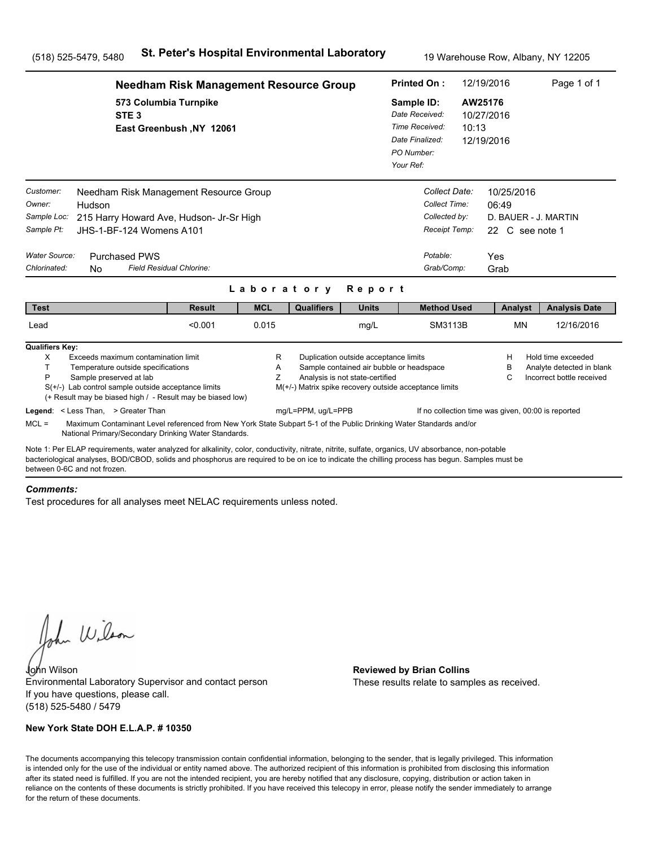|                                                                                                                                                                                                                                                                                                                                      | <b>Needham Risk Management Resource Group</b>     |             |                                                                              |                                                                                                                      | <b>Printed On:</b>                                                                           |                                                                                            | 12/19/2016                                                                    | Page 1 of 1                                                                  |  |
|--------------------------------------------------------------------------------------------------------------------------------------------------------------------------------------------------------------------------------------------------------------------------------------------------------------------------------------|---------------------------------------------------|-------------|------------------------------------------------------------------------------|----------------------------------------------------------------------------------------------------------------------|----------------------------------------------------------------------------------------------|--------------------------------------------------------------------------------------------|-------------------------------------------------------------------------------|------------------------------------------------------------------------------|--|
| STE <sub>3</sub>                                                                                                                                                                                                                                                                                                                     | 573 Columbia Turnpike<br>East Greenbush, NY 12061 |             |                                                                              |                                                                                                                      | Sample ID:<br>Date Received:<br>Time Received:<br>Date Finalized:<br>PO Number:<br>Your Ref: | 10:13                                                                                      | AW25176<br>10/27/2016<br>12/19/2016                                           |                                                                              |  |
| Customer:<br>Needham Risk Management Resource Group<br>Owner:<br>Hudson<br>Sample Loc:<br>215 Harry Howard Ave, Hudson- Jr-Sr High<br>Sample Pt:<br>JHS-1-BF-124 Womens A101<br>Water Source:<br><b>Purchased PWS</b><br>Chlorinated:<br>N <sub>0</sub>                                                                              | Field Residual Chlorine:                          | Laboratory  |                                                                              | Report                                                                                                               |                                                                                              | Collect Date:<br>Collect Time:<br>Collected by:<br>Receipt Temp:<br>Potable:<br>Grab/Comp: | 10/25/2016<br>06:49<br>D. BAUER - J. MARTIN<br>22 C see note 1<br>Yes<br>Grab |                                                                              |  |
| <b>Test</b>                                                                                                                                                                                                                                                                                                                          | <b>Result</b>                                     | <b>MCL</b>  | <b>Qualifiers</b>                                                            | <b>Units</b>                                                                                                         |                                                                                              | <b>Method Used</b>                                                                         | Analyst                                                                       | <b>Analysis Date</b>                                                         |  |
| Lead                                                                                                                                                                                                                                                                                                                                 | < 0.001                                           | 0.015       |                                                                              | mg/L                                                                                                                 |                                                                                              | SM3113B                                                                                    | <b>MN</b>                                                                     | 12/16/2016                                                                   |  |
| <b>Qualifiers Key:</b><br>X<br>Exceeds maximum contamination limit<br>T.<br>Temperature outside specifications<br>P<br>Sample preserved at lab<br>$S(+/-)$ Lab control sample outside acceptance limits<br>(+ Result may be biased high / - Result may be biased low)<br>Legend: < Less Than, > Greater Than                         |                                                   | R<br>A<br>Z | M(+/-) Matrix spike recovery outside acceptance limits<br>mg/L=PPM, ug/L=PPB | Duplication outside acceptance limits<br>Sample contained air bubble or headspace<br>Analysis is not state-certified |                                                                                              | If no collection time was given, 00:00 is reported                                         | н<br>в<br>С                                                                   | Hold time exceeded<br>Analyte detected in blank<br>Incorrect bottle received |  |
| $MCL =$<br>Maximum Contaminant Level referenced from New York State Subpart 5-1 of the Public Drinking Water Standards and/or<br>National Primary/Secondary Drinking Water Standards.                                                                                                                                                |                                                   |             |                                                                              |                                                                                                                      |                                                                                              |                                                                                            |                                                                               |                                                                              |  |
| Note 1: Per ELAP requirements, water analyzed for alkalinity, color, conductivity, nitrate, nitrite, sulfate, organics, UV absorbance, non-potable<br>bacteriological analyses, BOD/CBOD, solids and phosphorus are required to be on ice to indicate the chilling process has begun. Samples must be<br>between 0-6C and not frozen |                                                   |             |                                                                              |                                                                                                                      |                                                                                              |                                                                                            |                                                                               |                                                                              |  |

#### *Comments:*

Test procedures for all analyses meet NELAC requirements unless noted.

John Wilson

John Wilson **Reviewed by Brian Collins** Environmental Laboratory Supervisor and contact person If you have questions, please call. (518) 525-5480 / 5479

### **New York State DOH E.L.A.P. # 10350**

These results relate to samples as received.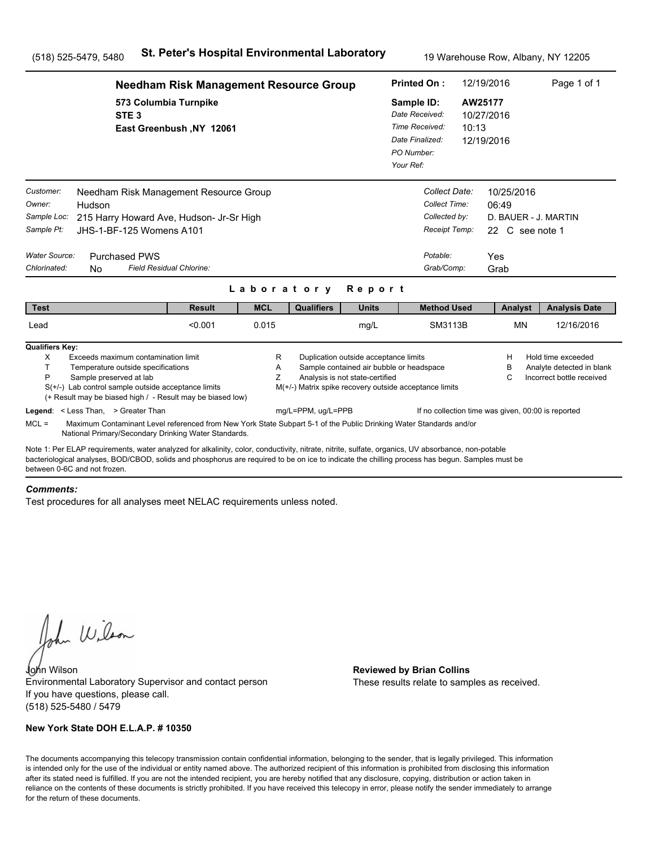|                                                                                                                                                                                                                                                                                                                                      | <b>Needham Risk Management Resource Group</b>     |             |                                                        |                                                                                                                      |                                                                                              |                                                                  | 12/19/2016                          |                               | Page 1 of 1                                                                  |
|--------------------------------------------------------------------------------------------------------------------------------------------------------------------------------------------------------------------------------------------------------------------------------------------------------------------------------------|---------------------------------------------------|-------------|--------------------------------------------------------|----------------------------------------------------------------------------------------------------------------------|----------------------------------------------------------------------------------------------|------------------------------------------------------------------|-------------------------------------|-------------------------------|------------------------------------------------------------------------------|
| STE <sub>3</sub>                                                                                                                                                                                                                                                                                                                     | 573 Columbia Turnpike<br>East Greenbush, NY 12061 |             |                                                        |                                                                                                                      | Sample ID:<br>Date Received:<br>Time Received:<br>Date Finalized:<br>PO Number:<br>Your Ref: | 10:13                                                            | AW25177<br>10/27/2016<br>12/19/2016 |                               |                                                                              |
| Customer:<br>Needham Risk Management Resource Group<br>Owner:<br>Hudson<br>Sample Loc:<br>215 Harry Howard Ave, Hudson- Jr-Sr High<br>Sample Pt:<br>JHS-1-BF-125 Womens A101                                                                                                                                                         |                                                   |             |                                                        |                                                                                                                      |                                                                                              | Collect Date:<br>Collect Time:<br>Collected by:<br>Receipt Temp: | 06:49                               | 10/25/2016<br>22 C see note 1 | D. BAUER - J. MARTIN                                                         |
| Water Source:<br><b>Purchased PWS</b><br>Chlorinated:<br>N <sub>0</sub>                                                                                                                                                                                                                                                              | Field Residual Chlorine:                          | Laboratory  |                                                        | Report                                                                                                               |                                                                                              | Potable:<br>Grab/Comp:                                           | Yes<br>Grab                         |                               |                                                                              |
| <b>Test</b>                                                                                                                                                                                                                                                                                                                          | <b>Result</b>                                     | <b>MCL</b>  | <b>Qualifiers</b>                                      | <b>Units</b>                                                                                                         |                                                                                              | <b>Method Used</b>                                               |                                     | Analyst                       | <b>Analysis Date</b>                                                         |
| Lead                                                                                                                                                                                                                                                                                                                                 | < 0.001                                           | 0.015       |                                                        | mg/L                                                                                                                 |                                                                                              | SM3113B                                                          |                                     | MN                            | 12/16/2016                                                                   |
| <b>Qualifiers Key:</b><br>X<br>Exceeds maximum contamination limit<br>T.<br>Temperature outside specifications<br>P<br>Sample preserved at lab<br>$S(+/-)$ Lab control sample outside acceptance limits<br>(+ Result may be biased high / - Result may be biased low)                                                                |                                                   | R<br>Α<br>Ζ | M(+/-) Matrix spike recovery outside acceptance limits | Duplication outside acceptance limits<br>Sample contained air bubble or headspace<br>Analysis is not state-certified |                                                                                              |                                                                  |                                     | н<br>B<br>C                   | Hold time exceeded<br>Analyte detected in blank<br>Incorrect bottle received |
| Legend: < Less Than, > Greater Than<br>$MCL =$<br>Maximum Contaminant Level referenced from New York State Subpart 5-1 of the Public Drinking Water Standards and/or<br>National Primary/Secondary Drinking Water Standards.                                                                                                         |                                                   |             | mg/L=PPM, ug/L=PPB                                     |                                                                                                                      |                                                                                              | If no collection time was given, 00:00 is reported               |                                     |                               |                                                                              |
| Note 1: Per ELAP requirements, water analyzed for alkalinity, color, conductivity, nitrate, nitrite, sulfate, organics, UV absorbance, non-potable<br>bacteriological analyses, BOD/CBOD, solids and phosphorus are required to be on ice to indicate the chilling process has begun. Samples must be<br>between 0-6C and not frozen |                                                   |             |                                                        |                                                                                                                      |                                                                                              |                                                                  |                                     |                               |                                                                              |

#### *Comments:*

Test procedures for all analyses meet NELAC requirements unless noted.

John Wilson

John Wilson **Reviewed by Brian Collins** Environmental Laboratory Supervisor and contact person If you have questions, please call. (518) 525-5480 / 5479

### **New York State DOH E.L.A.P. # 10350**

These results relate to samples as received.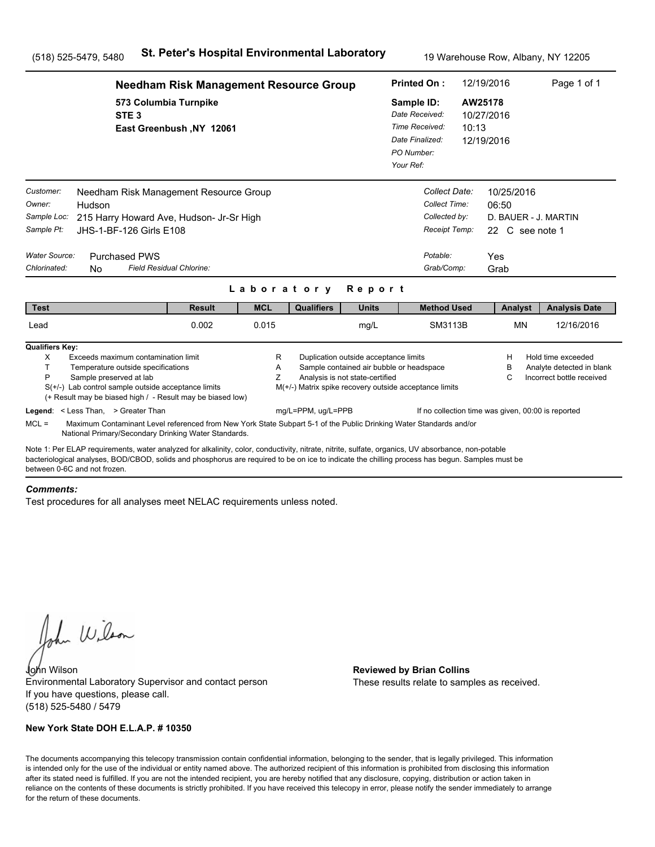|                                                                   | <b>Needham Risk Management Resource Group</b>                                                                                                                                                                                                                                                         |             |                                                        |                                                                                                                      |                                                                                              |                                                                  | 12/19/2016                             | Page 1 of 1                                                                  |
|-------------------------------------------------------------------|-------------------------------------------------------------------------------------------------------------------------------------------------------------------------------------------------------------------------------------------------------------------------------------------------------|-------------|--------------------------------------------------------|----------------------------------------------------------------------------------------------------------------------|----------------------------------------------------------------------------------------------|------------------------------------------------------------------|----------------------------------------|------------------------------------------------------------------------------|
|                                                                   | 573 Columbia Turnpike<br>STE <sub>3</sub><br>East Greenbush, NY 12061                                                                                                                                                                                                                                 |             |                                                        |                                                                                                                      | Sample ID:<br>Date Received:<br>Time Received:<br>Date Finalized:<br>PO Number:<br>Your Ref: | 10:13                                                            | AW25178<br>10/27/2016<br>12/19/2016    |                                                                              |
| Customer:<br>Owner:<br>Hudson<br>Sample Loc:<br>Sample Pt:        | Needham Risk Management Resource Group<br>215 Harry Howard Ave, Hudson- Jr-Sr High<br>JHS-1-BF-126 Girls E108                                                                                                                                                                                         |             |                                                        |                                                                                                                      |                                                                                              | Collect Date:<br>Collect Time:<br>Collected by:<br>Receipt Temp: | 10/25/2016<br>06:50<br>22 C see note 1 | D. BAUER - J. MARTIN                                                         |
| <b>Water Source:</b><br>Chlorinated:<br>N <sub>0</sub>            | <b>Purchased PWS</b><br>Field Residual Chlorine:                                                                                                                                                                                                                                                      | Laboratory  |                                                        | Report                                                                                                               |                                                                                              | Potable:<br>Grab/Comp:                                           | Yes<br>Grab                            |                                                                              |
| <b>Test</b>                                                       | <b>Result</b>                                                                                                                                                                                                                                                                                         | <b>MCL</b>  | <b>Qualifiers</b>                                      | <b>Units</b>                                                                                                         |                                                                                              | <b>Method Used</b>                                               | Analyst                                | <b>Analysis Date</b>                                                         |
| Lead                                                              | 0.002                                                                                                                                                                                                                                                                                                 | 0.015       |                                                        | mg/L                                                                                                                 |                                                                                              | SM3113B                                                          | MN                                     | 12/16/2016                                                                   |
| <b>Qualifiers Key:</b><br>X<br>T.<br>P<br>Sample preserved at lab | Exceeds maximum contamination limit<br>Temperature outside specifications<br>$S(+/-)$ Lab control sample outside acceptance limits<br>(+ Result may be biased high / - Result may be biased low)                                                                                                      | R<br>Α<br>Ζ | M(+/-) Matrix spike recovery outside acceptance limits | Duplication outside acceptance limits<br>Sample contained air bubble or headspace<br>Analysis is not state-certified |                                                                                              |                                                                  | н<br>B<br>C                            | Hold time exceeded<br>Analyte detected in blank<br>Incorrect bottle received |
| Legend: < Less Than, > Greater Than<br>$MCL =$                    | Maximum Contaminant Level referenced from New York State Subpart 5-1 of the Public Drinking Water Standards and/or<br>National Primary/Secondary Drinking Water Standards.                                                                                                                            |             | mg/L=PPM, ug/L=PPB                                     |                                                                                                                      |                                                                                              | If no collection time was given, 00:00 is reported               |                                        |                                                                              |
| between 0-6C and not frozen                                       | Note 1: Per ELAP requirements, water analyzed for alkalinity, color, conductivity, nitrate, nitrite, sulfate, organics, UV absorbance, non-potable<br>bacteriological analyses, BOD/CBOD, solids and phosphorus are required to be on ice to indicate the chilling process has begun. Samples must be |             |                                                        |                                                                                                                      |                                                                                              |                                                                  |                                        |                                                                              |

#### *Comments:*

Test procedures for all analyses meet NELAC requirements unless noted.

John Wilson

John Wilson **Reviewed by Brian Collins** Environmental Laboratory Supervisor and contact person If you have questions, please call. (518) 525-5480 / 5479

### **New York State DOH E.L.A.P. # 10350**

These results relate to samples as received.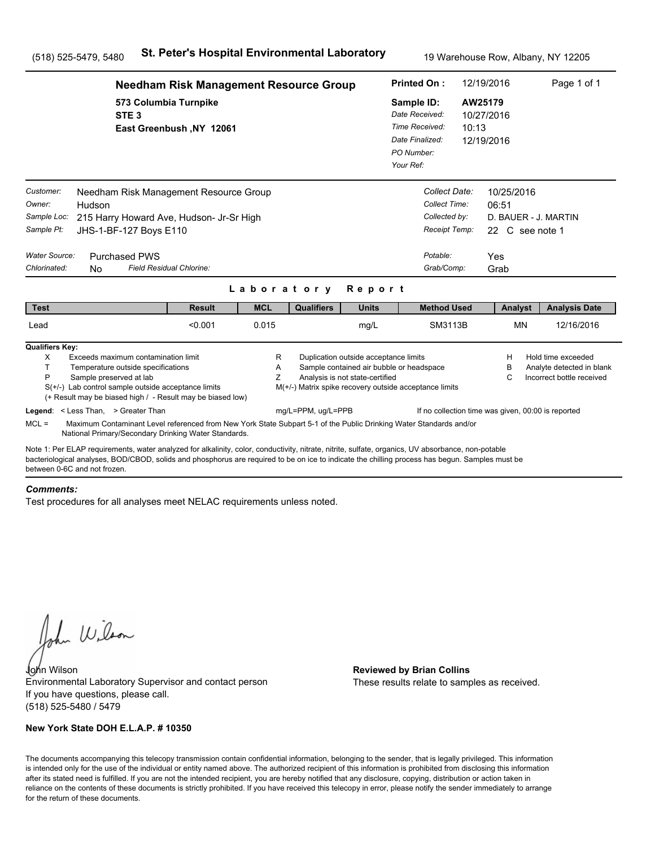|                                                                                                                                                                                                                                                                                                                                      | <b>Needham Risk Management Resource Group</b>     |             |                                                        |                                                                          |                                          |                                                                            | 12/19/2016                                                            | Page 1 of 1                                                                  |  |
|--------------------------------------------------------------------------------------------------------------------------------------------------------------------------------------------------------------------------------------------------------------------------------------------------------------------------------------|---------------------------------------------------|-------------|--------------------------------------------------------|--------------------------------------------------------------------------|------------------------------------------|----------------------------------------------------------------------------|-----------------------------------------------------------------------|------------------------------------------------------------------------------|--|
| STE <sub>3</sub>                                                                                                                                                                                                                                                                                                                     | 573 Columbia Turnpike<br>East Greenbush, NY 12061 |             |                                                        |                                                                          |                                          | Sample ID:<br>Date Received:<br>Time Received:<br>10:13<br>Date Finalized: | AW25179<br>10/27/2016<br>12/19/2016                                   |                                                                              |  |
| Customer:<br>Needham Risk Management Resource Group<br>Owner:<br>Hudson<br>Sample Loc:<br>215 Harry Howard Ave, Hudson- Jr-Sr High<br>Sample Pt:<br>JHS-1-BF-127 Boys E110<br>Water Source:<br><b>Purchased PWS</b>                                                                                                                  |                                                   |             |                                                        |                                                                          | Potable:                                 | Collect Date:<br>Collect Time:<br>Collected by:<br>Receipt Temp:           | 10/25/2016<br>06:51<br>D. BAUER - J. MARTIN<br>22 C see note 1<br>Yes |                                                                              |  |
| Chlorinated:<br>N <sub>0</sub>                                                                                                                                                                                                                                                                                                       | Field Residual Chlorine:                          |             |                                                        |                                                                          |                                          | Grab/Comp:                                                                 | Grab                                                                  |                                                                              |  |
|                                                                                                                                                                                                                                                                                                                                      |                                                   | Laboratory  |                                                        | Report                                                                   |                                          |                                                                            |                                                                       |                                                                              |  |
| <b>Test</b>                                                                                                                                                                                                                                                                                                                          | <b>Result</b>                                     | <b>MCL</b>  | <b>Qualifiers</b>                                      | <b>Units</b>                                                             |                                          | <b>Method Used</b>                                                         | Analyst                                                               | <b>Analysis Date</b>                                                         |  |
| Lead                                                                                                                                                                                                                                                                                                                                 | < 0.001                                           | 0.015       |                                                        | mg/L                                                                     |                                          | SM3113B                                                                    | <b>MN</b>                                                             | 12/16/2016                                                                   |  |
| <b>Qualifiers Key:</b><br>X<br>Exceeds maximum contamination limit<br>T.<br>Temperature outside specifications<br>P<br>Sample preserved at lab<br>$S(+/-)$ Lab control sample outside acceptance limits<br>(+ Result may be biased high / - Result may be biased low)                                                                |                                                   | R<br>A<br>Z | M(+/-) Matrix spike recovery outside acceptance limits | Duplication outside acceptance limits<br>Analysis is not state-certified | Sample contained air bubble or headspace |                                                                            | н<br>в<br>С                                                           | Hold time exceeded<br>Analyte detected in blank<br>Incorrect bottle received |  |
| Legend: < Less Than, > Greater Than<br>$MCL =$<br>Maximum Contaminant Level referenced from New York State Subpart 5-1 of the Public Drinking Water Standards and/or<br>National Primary/Secondary Drinking Water Standards.                                                                                                         |                                                   |             | mg/L=PPM, ug/L=PPB                                     |                                                                          |                                          |                                                                            | If no collection time was given, 00:00 is reported                    |                                                                              |  |
| Note 1: Per ELAP requirements, water analyzed for alkalinity, color, conductivity, nitrate, nitrite, sulfate, organics, UV absorbance, non-potable<br>bacteriological analyses, BOD/CBOD, solids and phosphorus are required to be on ice to indicate the chilling process has begun. Samples must be<br>between 0-6C and not frozen |                                                   |             |                                                        |                                                                          |                                          |                                                                            |                                                                       |                                                                              |  |

#### *Comments:*

Test procedures for all analyses meet NELAC requirements unless noted.

John Wilson

John Wilson **Reviewed by Brian Collins** Environmental Laboratory Supervisor and contact person If you have questions, please call. (518) 525-5480 / 5479

### **New York State DOH E.L.A.P. # 10350**

These results relate to samples as received.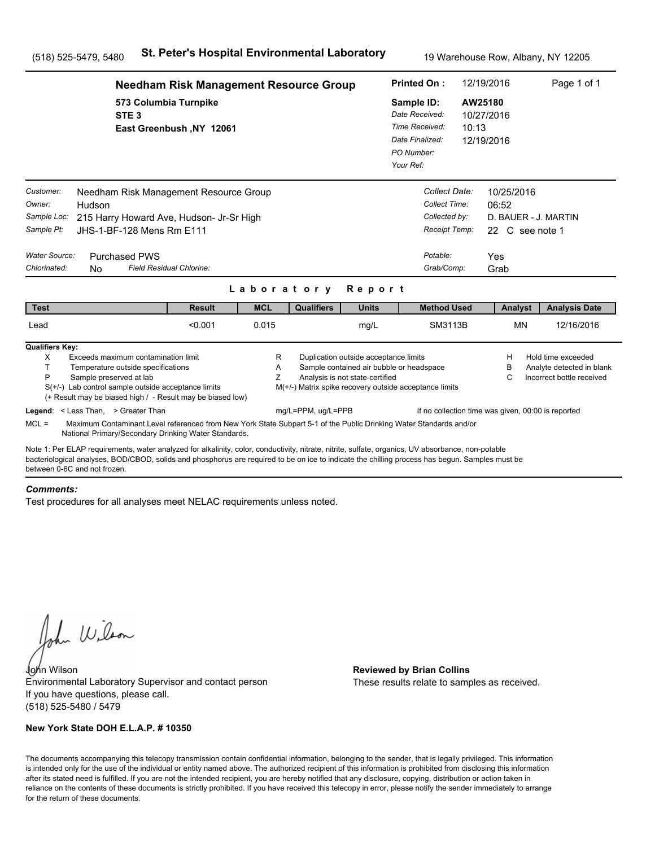|                                                                                                                                                                                                                                                                                                                                      | <b>Needham Risk Management Resource Group</b>                                                                                                                              |             |                    |                                                                                              |                                                                                                    |                                     | 12/19/2016                                                                    | Page 1 of 1                                                                  |
|--------------------------------------------------------------------------------------------------------------------------------------------------------------------------------------------------------------------------------------------------------------------------------------------------------------------------------------|----------------------------------------------------------------------------------------------------------------------------------------------------------------------------|-------------|--------------------|----------------------------------------------------------------------------------------------|----------------------------------------------------------------------------------------------------|-------------------------------------|-------------------------------------------------------------------------------|------------------------------------------------------------------------------|
| STE <sub>3</sub>                                                                                                                                                                                                                                                                                                                     | 573 Columbia Turnpike<br>East Greenbush, NY 12061                                                                                                                          |             |                    | Sample ID:<br>Date Received:<br>Time Received:<br>Date Finalized:<br>PO Number:<br>Your Ref: | 10:13                                                                                              | AW25180<br>10/27/2016<br>12/19/2016 |                                                                               |                                                                              |
| Customer:<br>Owner:<br>Hudson<br>Sample Loc:<br>Sample Pt:<br>Water Source:<br><b>Purchased PWS</b><br>Chlorinated:<br>N <sub>0</sub>                                                                                                                                                                                                | Needham Risk Management Resource Group<br>215 Harry Howard Ave, Hudson- Jr-Sr High<br>JHS-1-BF-128 Mens Rm E111<br>Field Residual Chlorine:                                |             |                    |                                                                                              | Collect Date:<br>Collect Time:<br>Collected by:<br>Receipt Temp:<br>Potable:<br>Grab/Comp:         |                                     | 10/25/2016<br>06:52<br>D. BAUER - J. MARTIN<br>22 C see note 1<br>Yes<br>Grab |                                                                              |
|                                                                                                                                                                                                                                                                                                                                      |                                                                                                                                                                            | Laboratory  |                    | Report                                                                                       |                                                                                                    |                                     |                                                                               |                                                                              |
| <b>Test</b>                                                                                                                                                                                                                                                                                                                          | <b>Result</b>                                                                                                                                                              | <b>MCL</b>  | <b>Qualifiers</b>  | <b>Units</b>                                                                                 | <b>Method Used</b>                                                                                 |                                     | Analyst                                                                       | <b>Analysis Date</b>                                                         |
| Lead                                                                                                                                                                                                                                                                                                                                 | < 0.001                                                                                                                                                                    | 0.015       |                    | mg/L                                                                                         | SM3113B                                                                                            |                                     | <b>MN</b>                                                                     | 12/16/2016                                                                   |
| <b>Qualifiers Key:</b><br>X<br>Exceeds maximum contamination limit<br>T.<br>Temperature outside specifications<br>P<br>Sample preserved at lab<br>$S(+/-)$ Lab control sample outside acceptance limits                                                                                                                              | (+ Result may be biased high / - Result may be biased low)                                                                                                                 | R<br>A<br>Z |                    | Duplication outside acceptance limits<br>Analysis is not state-certified                     | Sample contained air bubble or headspace<br>M(+/-) Matrix spike recovery outside acceptance limits |                                     | н<br>в<br>С                                                                   | Hold time exceeded<br>Analyte detected in blank<br>Incorrect bottle received |
| Legend: < Less Than, > Greater Than<br>$MCL =$                                                                                                                                                                                                                                                                                       | Maximum Contaminant Level referenced from New York State Subpart 5-1 of the Public Drinking Water Standards and/or<br>National Primary/Secondary Drinking Water Standards. |             | mg/L=PPM, ug/L=PPB |                                                                                              |                                                                                                    |                                     | If no collection time was given, 00:00 is reported                            |                                                                              |
| Note 1: Per ELAP requirements, water analyzed for alkalinity, color, conductivity, nitrate, nitrite, sulfate, organics, UV absorbance, non-potable<br>bacteriological analyses, BOD/CBOD, solids and phosphorus are required to be on ice to indicate the chilling process has begun. Samples must be<br>between 0-6C and not frozen |                                                                                                                                                                            |             |                    |                                                                                              |                                                                                                    |                                     |                                                                               |                                                                              |

#### *Comments:*

Test procedures for all analyses meet NELAC requirements unless noted.

John Wilson

John Wilson **Reviewed by Brian Collins** Environmental Laboratory Supervisor and contact person If you have questions, please call. (518) 525-5480 / 5479

### **New York State DOH E.L.A.P. # 10350**

These results relate to samples as received.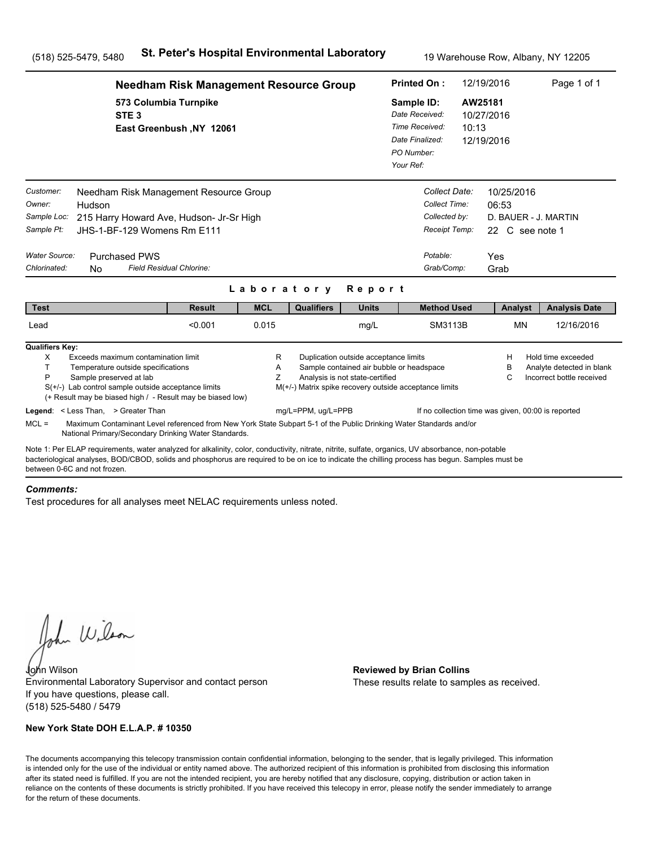|                                                                   | <b>Needham Risk Management Resource Group</b>                                                                                                                                                                                                                                                                                         |                                                                                             |             |                                                        |                                                                                                                      |                                                                                              | 12/19/2016<br><b>Printed On:</b>                                             |                  |                               | Page 1 of 1                                                                  |  |
|-------------------------------------------------------------------|---------------------------------------------------------------------------------------------------------------------------------------------------------------------------------------------------------------------------------------------------------------------------------------------------------------------------------------|---------------------------------------------------------------------------------------------|-------------|--------------------------------------------------------|----------------------------------------------------------------------------------------------------------------------|----------------------------------------------------------------------------------------------|------------------------------------------------------------------------------|------------------|-------------------------------|------------------------------------------------------------------------------|--|
|                                                                   | STE <sub>3</sub>                                                                                                                                                                                                                                                                                                                      | 573 Columbia Turnpike<br>East Greenbush, NY 12061<br>Needham Risk Management Resource Group |             |                                                        |                                                                                                                      | Sample ID:<br>Date Received:<br>Time Received:<br>Date Finalized:<br>PO Number:<br>Your Ref: |                                                                              | AW25181<br>10:13 | 10/27/2016<br>12/19/2016      |                                                                              |  |
| Customer:<br>Owner:<br>Sample Loc:<br>Sample Pt:<br>Water Source: | Hudson<br>215 Harry Howard Ave, Hudson- Jr-Sr High<br>JHS-1-BF-129 Womens Rm E111<br><b>Purchased PWS</b>                                                                                                                                                                                                                             |                                                                                             |             |                                                        |                                                                                                                      |                                                                                              | Collect Date:<br>Collect Time:<br>Collected by:<br>Receipt Temp:<br>Potable: | 06:53<br>Yes     | 10/25/2016<br>22 C see note 1 | D. BAUER - J. MARTIN                                                         |  |
| Chlorinated:                                                      | Field Residual Chlorine:<br>No.                                                                                                                                                                                                                                                                                                       |                                                                                             |             |                                                        |                                                                                                                      |                                                                                              | Grab/Comp:                                                                   | Grab             |                               |                                                                              |  |
|                                                                   |                                                                                                                                                                                                                                                                                                                                       |                                                                                             | Laboratory  |                                                        | Report                                                                                                               |                                                                                              |                                                                              |                  |                               |                                                                              |  |
| <b>Test</b>                                                       |                                                                                                                                                                                                                                                                                                                                       | <b>Result</b>                                                                               | <b>MCL</b>  | <b>Qualifiers</b>                                      | <b>Units</b>                                                                                                         |                                                                                              | <b>Method Used</b>                                                           |                  | Analyst                       | <b>Analysis Date</b>                                                         |  |
| Lead                                                              |                                                                                                                                                                                                                                                                                                                                       | < 0.001                                                                                     | 0.015       |                                                        | mg/L                                                                                                                 |                                                                                              | SM3113B                                                                      |                  | <b>MN</b>                     | 12/16/2016                                                                   |  |
| <b>Qualifiers Key:</b><br>X<br>T.<br>P                            | Exceeds maximum contamination limit<br>Temperature outside specifications<br>Sample preserved at lab<br>$S(+/-)$ Lab control sample outside acceptance limits<br>(+ Result may be biased high / - Result may be biased low)                                                                                                           |                                                                                             | R<br>Α<br>Z | M(+/-) Matrix spike recovery outside acceptance limits | Duplication outside acceptance limits<br>Sample contained air bubble or headspace<br>Analysis is not state-certified |                                                                                              |                                                                              |                  | H<br>B<br>C                   | Hold time exceeded<br>Analyte detected in blank<br>Incorrect bottle received |  |
| $MCL =$                                                           | Legend: < Less Than, > Greater Than<br>Maximum Contaminant Level referenced from New York State Subpart 5-1 of the Public Drinking Water Standards and/or<br>National Primary/Secondary Drinking Water Standards.                                                                                                                     |                                                                                             |             | mg/L=PPM, ug/L=PPB                                     |                                                                                                                      |                                                                                              | If no collection time was given, 00:00 is reported                           |                  |                               |                                                                              |  |
|                                                                   | Note 1: Per ELAP requirements, water analyzed for alkalinity, color, conductivity, nitrate, nitrite, sulfate, organics, UV absorbance, non-potable<br>bacteriological analyses, BOD/CBOD, solids and phosphorus are reguired to be on ice to indicate the chilling process has begun. Samples must be<br>between 0-6C and not frozen. |                                                                                             |             |                                                        |                                                                                                                      |                                                                                              |                                                                              |                  |                               |                                                                              |  |

#### *Comments:*

Test procedures for all analyses meet NELAC requirements unless noted.

John Wilson

John Wilson **Reviewed by Brian Collins** Environmental Laboratory Supervisor and contact person If you have questions, please call. (518) 525-5480 / 5479

### **New York State DOH E.L.A.P. # 10350**

These results relate to samples as received.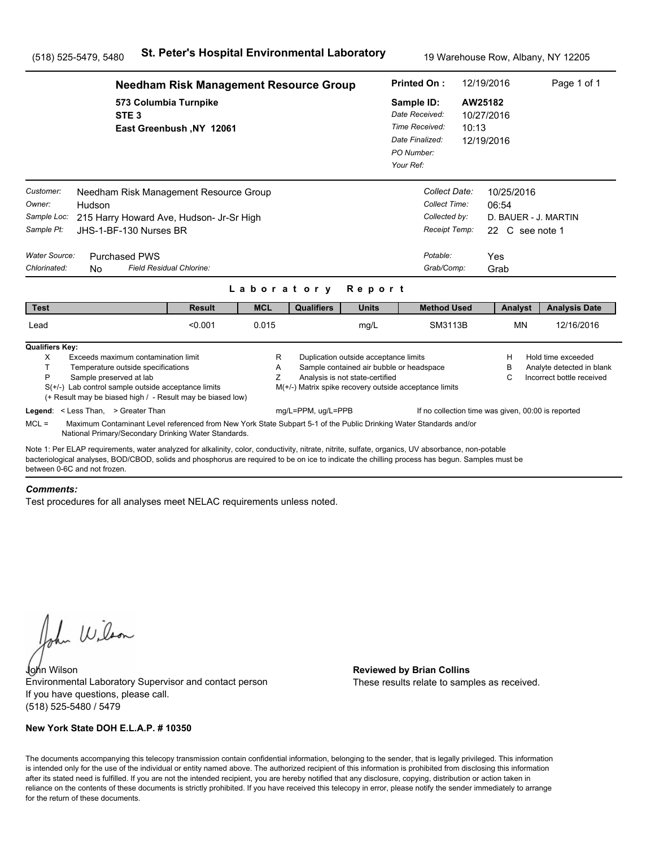|                                                                                                                                                                                                                                                                                                                                      | <b>Needham Risk Management Resource Group</b>     |             |                    |                                                                          |                                                                                                    |                                                                  | 12/19/2016                                         | Page 1 of 1                                                                  |
|--------------------------------------------------------------------------------------------------------------------------------------------------------------------------------------------------------------------------------------------------------------------------------------------------------------------------------------|---------------------------------------------------|-------------|--------------------|--------------------------------------------------------------------------|----------------------------------------------------------------------------------------------------|------------------------------------------------------------------|----------------------------------------------------|------------------------------------------------------------------------------|
| STE <sub>3</sub>                                                                                                                                                                                                                                                                                                                     | 573 Columbia Turnpike<br>East Greenbush, NY 12061 |             |                    |                                                                          |                                                                                                    | 10:13                                                            | AW25182<br>10/27/2016<br>12/19/2016                |                                                                              |
| Customer:<br>Needham Risk Management Resource Group<br>Owner:<br>Hudson<br>Sample Loc:<br>215 Harry Howard Ave, Hudson- Jr-Sr High<br>Sample Pt:<br>JHS-1-BF-130 Nurses BR<br>Water Source:<br><b>Purchased PWS</b>                                                                                                                  |                                                   |             |                    |                                                                          | Potable:                                                                                           | Collect Date:<br>Collect Time:<br>Collected by:<br>Receipt Temp: | 10/25/2016<br>06:54<br>22 C see note 1<br>Yes      | D. BAUER - J. MARTIN                                                         |
| Chlorinated:<br>N <sub>0</sub>                                                                                                                                                                                                                                                                                                       | Field Residual Chlorine:                          |             |                    |                                                                          | Grab/Comp:                                                                                         |                                                                  | Grab                                               |                                                                              |
|                                                                                                                                                                                                                                                                                                                                      |                                                   | Laboratory  |                    | Report                                                                   |                                                                                                    |                                                                  |                                                    |                                                                              |
| <b>Test</b>                                                                                                                                                                                                                                                                                                                          | <b>Result</b>                                     | <b>MCL</b>  | <b>Qualifiers</b>  | <b>Units</b>                                                             | <b>Method Used</b>                                                                                 |                                                                  | Analyst                                            | <b>Analysis Date</b>                                                         |
| Lead                                                                                                                                                                                                                                                                                                                                 | < 0.001                                           | 0.015       |                    | mg/L                                                                     |                                                                                                    | SM3113B                                                          | <b>MN</b>                                          | 12/16/2016                                                                   |
| <b>Qualifiers Key:</b><br>X<br>Exceeds maximum contamination limit<br>T.<br>Temperature outside specifications<br>P<br>Sample preserved at lab<br>$S(+/-)$ Lab control sample outside acceptance limits<br>(+ Result may be biased high / - Result may be biased low)                                                                |                                                   | R<br>A<br>Z |                    | Duplication outside acceptance limits<br>Analysis is not state-certified | Sample contained air bubble or headspace<br>M(+/-) Matrix spike recovery outside acceptance limits |                                                                  | н<br>в<br>С                                        | Hold time exceeded<br>Analyte detected in blank<br>Incorrect bottle received |
| Legend: < Less Than, > Greater Than<br>$MCL =$<br>Maximum Contaminant Level referenced from New York State Subpart 5-1 of the Public Drinking Water Standards and/or                                                                                                                                                                 |                                                   |             | mg/L=PPM, ug/L=PPB |                                                                          |                                                                                                    |                                                                  | If no collection time was given, 00:00 is reported |                                                                              |
| National Primary/Secondary Drinking Water Standards.                                                                                                                                                                                                                                                                                 |                                                   |             |                    |                                                                          |                                                                                                    |                                                                  |                                                    |                                                                              |
| Note 1: Per ELAP requirements, water analyzed for alkalinity, color, conductivity, nitrate, nitrite, sulfate, organics, UV absorbance, non-potable<br>bacteriological analyses, BOD/CBOD, solids and phosphorus are required to be on ice to indicate the chilling process has begun. Samples must be<br>between 0-6C and not frozen |                                                   |             |                    |                                                                          |                                                                                                    |                                                                  |                                                    |                                                                              |

#### *Comments:*

Test procedures for all analyses meet NELAC requirements unless noted.

John Wilson

John Wilson **Reviewed by Brian Collins** Environmental Laboratory Supervisor and contact person If you have questions, please call. (518) 525-5480 / 5479

### **New York State DOH E.L.A.P. # 10350**

These results relate to samples as received.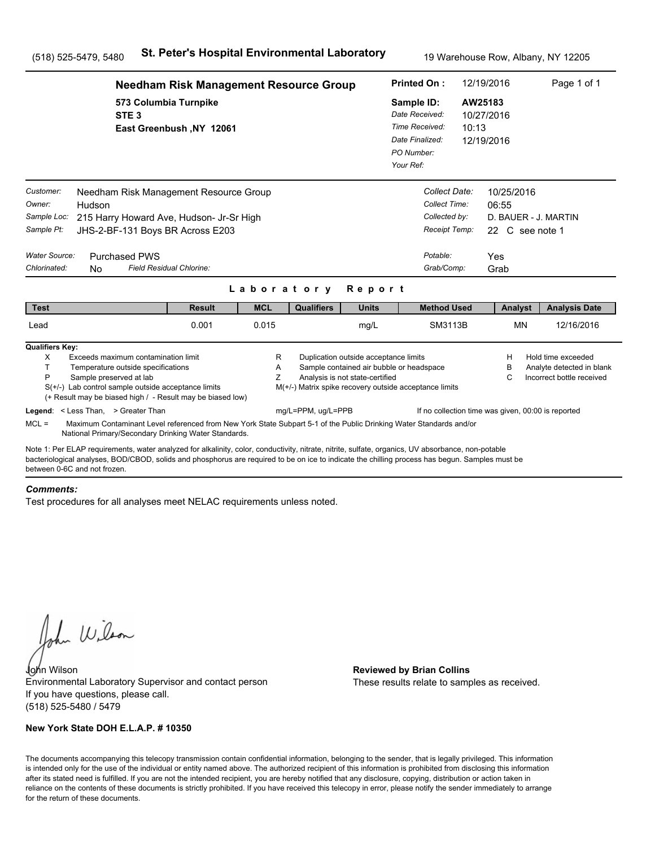|                                                                                          | <b>Needham Risk Management Resource Group</b>                                                                                                                                                                                                                                                                                                                                                |                          |             |                                                                              |                                                                                                                      |                                                                                              | 12/19/2016<br><b>Printed On:</b>                                                           |                  |                                                                | Page 1 of 1                                                                  |  |
|------------------------------------------------------------------------------------------|----------------------------------------------------------------------------------------------------------------------------------------------------------------------------------------------------------------------------------------------------------------------------------------------------------------------------------------------------------------------------------------------|--------------------------|-------------|------------------------------------------------------------------------------|----------------------------------------------------------------------------------------------------------------------|----------------------------------------------------------------------------------------------|--------------------------------------------------------------------------------------------|------------------|----------------------------------------------------------------|------------------------------------------------------------------------------|--|
|                                                                                          | 573 Columbia Turnpike<br>STE <sub>3</sub>                                                                                                                                                                                                                                                                                                                                                    | East Greenbush, NY 12061 |             |                                                                              |                                                                                                                      | Sample ID:<br>Date Received:<br>Time Received:<br>Date Finalized:<br>PO Number:<br>Your Ref: |                                                                                            | AW25183<br>10:13 | 10/27/2016<br>12/19/2016                                       |                                                                              |  |
| Customer:<br>Owner:<br>Sample Loc:<br>Sample Pt:<br><b>Water Source:</b><br>Chlorinated: | Needham Risk Management Resource Group<br>Hudson<br>215 Harry Howard Ave, Hudson- Jr-Sr High<br>JHS-2-BF-131 Boys BR Across E203<br><b>Purchased PWS</b><br>Field Residual Chlorine:<br>N <sub>0</sub>                                                                                                                                                                                       |                          | Laboratory  |                                                                              | Report                                                                                                               |                                                                                              | Collect Date:<br>Collect Time:<br>Collected by:<br>Receipt Temp:<br>Potable:<br>Grab/Comp: | Yes<br>Grab      | 10/25/2016<br>06:55<br>D. BAUER - J. MARTIN<br>22 C see note 1 |                                                                              |  |
| <b>Test</b>                                                                              |                                                                                                                                                                                                                                                                                                                                                                                              | <b>Result</b>            | <b>MCL</b>  | <b>Qualifiers</b>                                                            | <b>Units</b>                                                                                                         |                                                                                              | <b>Method Used</b>                                                                         |                  | Analyst                                                        | <b>Analysis Date</b>                                                         |  |
| Lead                                                                                     |                                                                                                                                                                                                                                                                                                                                                                                              | 0.001                    | 0.015       |                                                                              | mg/L                                                                                                                 |                                                                                              | SM3113B                                                                                    |                  | <b>MN</b>                                                      | 12/16/2016                                                                   |  |
| <b>Qualifiers Key:</b><br>X<br>T.<br>P<br>$MCL =$                                        | Exceeds maximum contamination limit<br>Temperature outside specifications<br>Sample preserved at lab<br>$S(+/-)$ Lab control sample outside acceptance limits<br>(+ Result may be biased high / - Result may be biased low)<br>Legend: < Less Than, > Greater Than<br>Maximum Contaminant Level referenced from New York State Subpart 5-1 of the Public Drinking Water Standards and/or     |                          | R<br>Α<br>Ζ | M(+/-) Matrix spike recovery outside acceptance limits<br>mg/L=PPM, ug/L=PPB | Duplication outside acceptance limits<br>Sample contained air bubble or headspace<br>Analysis is not state-certified |                                                                                              | If no collection time was given, 00:00 is reported                                         |                  | н<br>в<br>C                                                    | Hold time exceeded<br>Analyte detected in blank<br>Incorrect bottle received |  |
|                                                                                          | National Primary/Secondary Drinking Water Standards.<br>Note 1: Per ELAP requirements, water analyzed for alkalinity, color, conductivity, nitrate, nitrite, sulfate, organics, UV absorbance, non-potable<br>bacteriological analyses, BOD/CBOD, solids and phosphorus are required to be on ice to indicate the chilling process has begun. Samples must be<br>between 0-6C and not frozen |                          |             |                                                                              |                                                                                                                      |                                                                                              |                                                                                            |                  |                                                                |                                                                              |  |

#### *Comments:*

Test procedures for all analyses meet NELAC requirements unless noted.

John Wilson

John Wilson **Reviewed by Brian Collins** Environmental Laboratory Supervisor and contact person If you have questions, please call. (518) 525-5480 / 5479

### **New York State DOH E.L.A.P. # 10350**

These results relate to samples as received.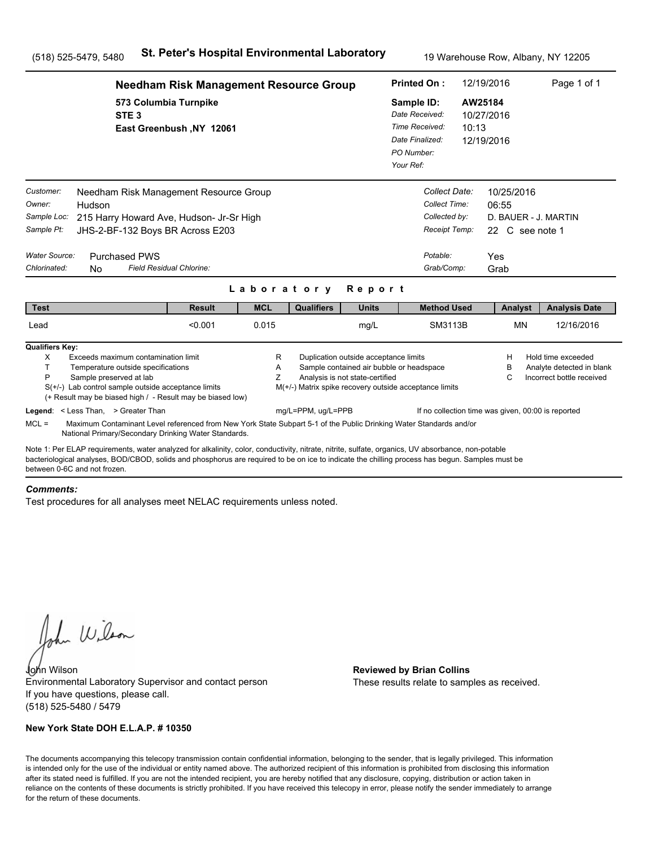|                                                                                          | <b>Needham Risk Management Resource Group</b>                                                                                                                                                                                                                                                                                                                                                |                          |             |                                                                              |                                                                                                                      |                                                                                              | 12/19/2016<br><b>Printed On:</b>                                                           |                                              |                                                                        | Page 1 of 1                                                                  |
|------------------------------------------------------------------------------------------|----------------------------------------------------------------------------------------------------------------------------------------------------------------------------------------------------------------------------------------------------------------------------------------------------------------------------------------------------------------------------------------------|--------------------------|-------------|------------------------------------------------------------------------------|----------------------------------------------------------------------------------------------------------------------|----------------------------------------------------------------------------------------------|--------------------------------------------------------------------------------------------|----------------------------------------------|------------------------------------------------------------------------|------------------------------------------------------------------------------|
|                                                                                          | 573 Columbia Turnpike<br>STE <sub>3</sub>                                                                                                                                                                                                                                                                                                                                                    | East Greenbush, NY 12061 |             |                                                                              |                                                                                                                      | Sample ID:<br>Date Received:<br>Time Received:<br>Date Finalized:<br>PO Number:<br>Your Ref: |                                                                                            | AW25184<br>10/27/2016<br>10:13<br>12/19/2016 |                                                                        |                                                                              |
| Customer:<br>Owner:<br>Sample Loc:<br>Sample Pt:<br><b>Water Source:</b><br>Chlorinated: | Needham Risk Management Resource Group<br>Hudson<br>215 Harry Howard Ave, Hudson- Jr-Sr High<br>JHS-2-BF-132 Boys BR Across E203<br><b>Purchased PWS</b><br>Field Residual Chlorine:<br>N <sub>0</sub>                                                                                                                                                                                       |                          | Laboratory  |                                                                              | Report                                                                                                               |                                                                                              | Collect Date:<br>Collect Time:<br>Collected by:<br>Receipt Temp:<br>Potable:<br>Grab/Comp: | Yes                                          | 10/25/2016<br>06:55<br>D. BAUER - J. MARTIN<br>22 C see note 1<br>Grab |                                                                              |
| <b>Test</b>                                                                              |                                                                                                                                                                                                                                                                                                                                                                                              | <b>Result</b>            | <b>MCL</b>  | <b>Qualifiers</b>                                                            | <b>Units</b>                                                                                                         |                                                                                              | <b>Method Used</b>                                                                         |                                              | Analyst                                                                | <b>Analysis Date</b>                                                         |
| Lead                                                                                     |                                                                                                                                                                                                                                                                                                                                                                                              | < 0.001                  | 0.015       |                                                                              | mg/L                                                                                                                 |                                                                                              | SM3113B                                                                                    |                                              | <b>MN</b>                                                              | 12/16/2016                                                                   |
| <b>Qualifiers Key:</b><br>X<br>T.<br>P<br>$MCL =$                                        | Exceeds maximum contamination limit<br>Temperature outside specifications<br>Sample preserved at lab<br>$S(+/-)$ Lab control sample outside acceptance limits<br>(+ Result may be biased high / - Result may be biased low)<br>Legend: < Less Than, > Greater Than<br>Maximum Contaminant Level referenced from New York State Subpart 5-1 of the Public Drinking Water Standards and/or     |                          | R<br>Α<br>Ζ | M(+/-) Matrix spike recovery outside acceptance limits<br>mg/L=PPM, ug/L=PPB | Duplication outside acceptance limits<br>Sample contained air bubble or headspace<br>Analysis is not state-certified |                                                                                              | If no collection time was given, 00:00 is reported                                         |                                              | н<br>в<br>C                                                            | Hold time exceeded<br>Analyte detected in blank<br>Incorrect bottle received |
|                                                                                          | National Primary/Secondary Drinking Water Standards.<br>Note 1: Per ELAP requirements, water analyzed for alkalinity, color, conductivity, nitrate, nitrite, sulfate, organics, UV absorbance, non-potable<br>bacteriological analyses, BOD/CBOD, solids and phosphorus are required to be on ice to indicate the chilling process has begun. Samples must be<br>between 0-6C and not frozen |                          |             |                                                                              |                                                                                                                      |                                                                                              |                                                                                            |                                              |                                                                        |                                                                              |

#### *Comments:*

Test procedures for all analyses meet NELAC requirements unless noted.

John Wilson

John Wilson **Reviewed by Brian Collins** Environmental Laboratory Supervisor and contact person If you have questions, please call. (518) 525-5480 / 5479

### **New York State DOH E.L.A.P. # 10350**

These results relate to samples as received.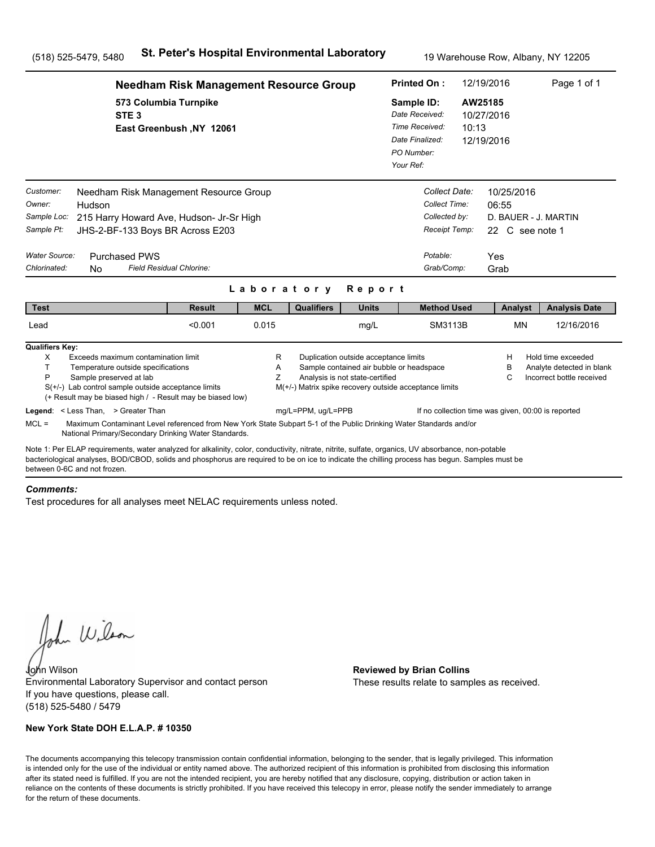|                                                                                                                                                                                                                                                                                                                                                                                                                                                                                                                                                                                                                                                                                                                                                                                                                           | <b>Needham Risk Management Resource Group</b>     |            |                   |              |                                                                                              |                                                                                            | 12/19/2016                                            | Page 1 of 1          |  |
|---------------------------------------------------------------------------------------------------------------------------------------------------------------------------------------------------------------------------------------------------------------------------------------------------------------------------------------------------------------------------------------------------------------------------------------------------------------------------------------------------------------------------------------------------------------------------------------------------------------------------------------------------------------------------------------------------------------------------------------------------------------------------------------------------------------------------|---------------------------------------------------|------------|-------------------|--------------|----------------------------------------------------------------------------------------------|--------------------------------------------------------------------------------------------|-------------------------------------------------------|----------------------|--|
| STE <sub>3</sub>                                                                                                                                                                                                                                                                                                                                                                                                                                                                                                                                                                                                                                                                                                                                                                                                          | 573 Columbia Turnpike<br>East Greenbush, NY 12061 |            |                   |              | Sample ID:<br>Date Received:<br>Time Received:<br>Date Finalized:<br>PO Number:<br>Your Ref: | 10:13                                                                                      | AW25185<br>10/27/2016<br>12/19/2016                   |                      |  |
| Customer:<br>Needham Risk Management Resource Group<br>Owner:<br>Hudson<br>Sample Loc:<br>215 Harry Howard Ave, Hudson- Jr-Sr High<br>Sample Pt:<br>JHS-2-BF-133 Boys BR Across E203<br><b>Water Source:</b><br><b>Purchased PWS</b><br>Chlorinated:<br>N <sub>0</sub>                                                                                                                                                                                                                                                                                                                                                                                                                                                                                                                                                    | Field Residual Chlorine:                          | Laboratory |                   | Report       |                                                                                              | Collect Date:<br>Collect Time:<br>Collected by:<br>Receipt Temp:<br>Potable:<br>Grab/Comp: | 10/25/2016<br>06:55<br>22 C see note 1<br>Yes<br>Grab | D. BAUER - J. MARTIN |  |
| <b>Test</b>                                                                                                                                                                                                                                                                                                                                                                                                                                                                                                                                                                                                                                                                                                                                                                                                               | <b>Result</b>                                     | <b>MCL</b> | <b>Qualifiers</b> | <b>Units</b> |                                                                                              | <b>Method Used</b>                                                                         | Analyst                                               | <b>Analysis Date</b> |  |
| Lead                                                                                                                                                                                                                                                                                                                                                                                                                                                                                                                                                                                                                                                                                                                                                                                                                      | < 0.001                                           | 0.015      |                   | mg/L         |                                                                                              | SM3113B                                                                                    | <b>MN</b>                                             | 12/16/2016           |  |
| <b>Qualifiers Key:</b><br>Exceeds maximum contamination limit<br>Duplication outside acceptance limits<br>Hold time exceeded<br>X<br>R<br>н<br>T.<br>Sample contained air bubble or headspace<br>Temperature outside specifications<br>Α<br>в<br>Analyte detected in blank<br>P<br>Ζ<br>Analysis is not state-certified<br>Sample preserved at lab<br>Incorrect bottle received<br>C<br>$S(+/-)$ Lab control sample outside acceptance limits<br>M(+/-) Matrix spike recovery outside acceptance limits<br>(+ Result may be biased high / - Result may be biased low)<br>mg/L=PPM, ug/L=PPB<br>Legend: < Less Than, > Greater Than<br>If no collection time was given, 00:00 is reported<br>$MCL =$<br>Maximum Contaminant Level referenced from New York State Subpart 5-1 of the Public Drinking Water Standards and/or |                                                   |            |                   |              |                                                                                              |                                                                                            |                                                       |                      |  |
| National Primary/Secondary Drinking Water Standards.                                                                                                                                                                                                                                                                                                                                                                                                                                                                                                                                                                                                                                                                                                                                                                      |                                                   |            |                   |              |                                                                                              |                                                                                            |                                                       |                      |  |
| Note 1: Per ELAP requirements, water analyzed for alkalinity, color, conductivity, nitrate, nitrite, sulfate, organics, UV absorbance, non-potable<br>bacteriological analyses, BOD/CBOD, solids and phosphorus are required to be on ice to indicate the chilling process has begun. Samples must be<br>between 0-6C and not frozen                                                                                                                                                                                                                                                                                                                                                                                                                                                                                      |                                                   |            |                   |              |                                                                                              |                                                                                            |                                                       |                      |  |

#### *Comments:*

Test procedures for all analyses meet NELAC requirements unless noted.

John Wilson

John Wilson **Reviewed by Brian Collins** Environmental Laboratory Supervisor and contact person If you have questions, please call. (518) 525-5480 / 5479

### **New York State DOH E.L.A.P. # 10350**

These results relate to samples as received.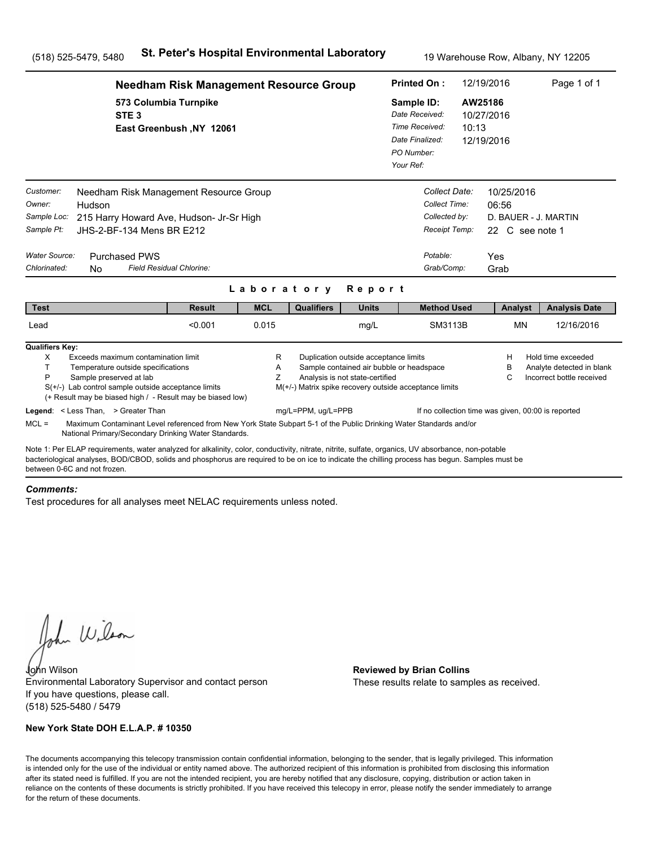|                                                                                                                                                                                                                                                                                                                                      | <b>Needham Risk Management Resource Group</b>                                                                                                                              |             |                                                        |                                                                          |                                          |                                                                                | 12/19/2016                                                                    | Page 1 of 1                                                                  |  |
|--------------------------------------------------------------------------------------------------------------------------------------------------------------------------------------------------------------------------------------------------------------------------------------------------------------------------------------|----------------------------------------------------------------------------------------------------------------------------------------------------------------------------|-------------|--------------------------------------------------------|--------------------------------------------------------------------------|------------------------------------------|--------------------------------------------------------------------------------|-------------------------------------------------------------------------------|------------------------------------------------------------------------------|--|
| STE <sub>3</sub>                                                                                                                                                                                                                                                                                                                     | 573 Columbia Turnpike<br>East Greenbush, NY 12061                                                                                                                          |             |                                                        |                                                                          |                                          | Sample ID:<br>Date Received:<br>Time Received:<br>10:13<br>Date Finalized:     | AW25186<br>10/27/2016<br>12/19/2016                                           |                                                                              |  |
| Customer:<br>Owner:<br>Hudson<br>Sample Loc:<br>Sample Pt:<br>JHS-2-BF-134 Mens BR E212<br>Water Source:<br><b>Purchased PWS</b><br>Chlorinated:<br>N <sub>0</sub>                                                                                                                                                                   | Needham Risk Management Resource Group<br>215 Harry Howard Ave, Hudson- Jr-Sr High<br>Field Residual Chlorine:                                                             |             |                                                        |                                                                          | Potable:                                 | Collect Date:<br>Collect Time:<br>Collected by:<br>Receipt Temp:<br>Grab/Comp: | 10/25/2016<br>06:56<br>D. BAUER - J. MARTIN<br>22 C see note 1<br>Yes<br>Grab |                                                                              |  |
|                                                                                                                                                                                                                                                                                                                                      |                                                                                                                                                                            | Laboratory  |                                                        | Report                                                                   |                                          |                                                                                |                                                                               |                                                                              |  |
| <b>Test</b>                                                                                                                                                                                                                                                                                                                          | <b>Result</b>                                                                                                                                                              | <b>MCL</b>  | <b>Qualifiers</b>                                      | <b>Units</b>                                                             |                                          | <b>Method Used</b>                                                             | Analyst                                                                       | <b>Analysis Date</b>                                                         |  |
| Lead                                                                                                                                                                                                                                                                                                                                 | < 0.001                                                                                                                                                                    | 0.015       |                                                        | mg/L                                                                     |                                          | SM3113B                                                                        | <b>MN</b>                                                                     | 12/16/2016                                                                   |  |
| <b>Qualifiers Key:</b><br>X<br>Exceeds maximum contamination limit<br>T.<br>Temperature outside specifications<br>P<br>Sample preserved at lab<br>$S(+/-)$ Lab control sample outside acceptance limits<br>(+ Result may be biased high / - Result may be biased low)                                                                |                                                                                                                                                                            | R<br>A<br>Z | M(+/-) Matrix spike recovery outside acceptance limits | Duplication outside acceptance limits<br>Analysis is not state-certified | Sample contained air bubble or headspace |                                                                                | н<br>в<br>С                                                                   | Hold time exceeded<br>Analyte detected in blank<br>Incorrect bottle received |  |
| Legend: < Less Than, > Greater Than<br>$MCL =$                                                                                                                                                                                                                                                                                       | Maximum Contaminant Level referenced from New York State Subpart 5-1 of the Public Drinking Water Standards and/or<br>National Primary/Secondary Drinking Water Standards. |             | mg/L=PPM, ug/L=PPB                                     |                                                                          |                                          |                                                                                | If no collection time was given, 00:00 is reported                            |                                                                              |  |
| Note 1: Per ELAP requirements, water analyzed for alkalinity, color, conductivity, nitrate, nitrite, sulfate, organics, UV absorbance, non-potable<br>bacteriological analyses, BOD/CBOD, solids and phosphorus are required to be on ice to indicate the chilling process has begun. Samples must be<br>between 0-6C and not frozen |                                                                                                                                                                            |             |                                                        |                                                                          |                                          |                                                                                |                                                                               |                                                                              |  |

#### *Comments:*

Test procedures for all analyses meet NELAC requirements unless noted.

John Wilson

John Wilson **Reviewed by Brian Collins** Environmental Laboratory Supervisor and contact person If you have questions, please call. (518) 525-5480 / 5479

### **New York State DOH E.L.A.P. # 10350**

These results relate to samples as received.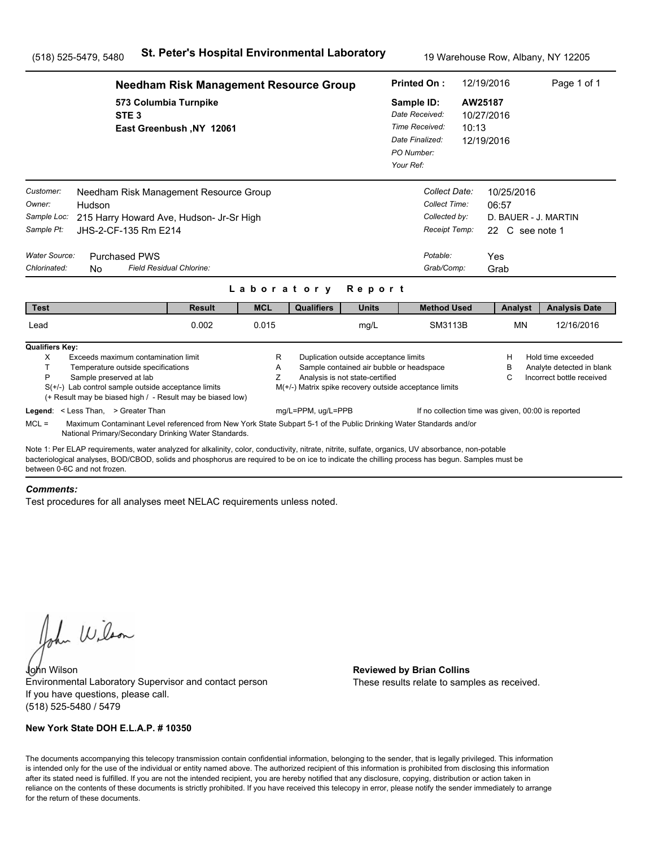|                                                                                                                                                                                                                                                                                                                                                                                                                                                                                                             | <b>Needham Risk Management Resource Group</b>     |            |                    |              |  |                                                                                            | 12/19/2016                                                            | Page 1 of 1                                            |  |
|-------------------------------------------------------------------------------------------------------------------------------------------------------------------------------------------------------------------------------------------------------------------------------------------------------------------------------------------------------------------------------------------------------------------------------------------------------------------------------------------------------------|---------------------------------------------------|------------|--------------------|--------------|--|--------------------------------------------------------------------------------------------|-----------------------------------------------------------------------|--------------------------------------------------------|--|
| STE <sub>3</sub>                                                                                                                                                                                                                                                                                                                                                                                                                                                                                            | 573 Columbia Turnpike<br>East Greenbush, NY 12061 |            |                    |              |  | Sample ID:<br>Date Received:<br>Time Received:<br>10:13<br>Date Finalized:<br>PO Number:   | AW25187<br>10/27/2016<br>12/19/2016                                   |                                                        |  |
| Customer:<br>Needham Risk Management Resource Group<br>Owner:<br>Hudson<br>Sample Loc:<br>215 Harry Howard Ave, Hudson- Jr-Sr High<br>Sample Pt:<br>JHS-2-CF-135 Rm E214<br>Water Source:<br><b>Purchased PWS</b>                                                                                                                                                                                                                                                                                           |                                                   |            |                    |              |  | Collect Date:<br>Collect Time:<br>Collected by:<br>Receipt Temp:<br>Potable:<br>Grab/Comp: | 10/25/2016<br>06:57<br>D. BAUER - J. MARTIN<br>22 C see note 1<br>Yes |                                                        |  |
| Chlorinated:<br>N <sub>0</sub>                                                                                                                                                                                                                                                                                                                                                                                                                                                                              | Field Residual Chlorine:                          | Laboratory |                    | Report       |  |                                                                                            | Grab                                                                  |                                                        |  |
| <b>Test</b>                                                                                                                                                                                                                                                                                                                                                                                                                                                                                                 | <b>Result</b>                                     | <b>MCL</b> | <b>Qualifiers</b>  | <b>Units</b> |  | <b>Method Used</b>                                                                         | Analyst                                                               | <b>Analysis Date</b>                                   |  |
| Lead                                                                                                                                                                                                                                                                                                                                                                                                                                                                                                        | 0.002                                             | 0.015      |                    | mg/L         |  | SM3113B                                                                                    | <b>MN</b>                                                             | 12/16/2016                                             |  |
| <b>Qualifiers Key:</b><br>X<br>Exceeds maximum contamination limit<br>R<br>Duplication outside acceptance limits<br>Hold time exceeded<br>н<br>T.<br>Sample contained air bubble or headspace<br>Temperature outside specifications<br>A<br>в<br>Z<br>Analysis is not state-certified<br>P<br>Sample preserved at lab<br>С<br>$S(+/-)$ Lab control sample outside acceptance limits<br>M(+/-) Matrix spike recovery outside acceptance limits<br>(+ Result may be biased high / - Result may be biased low) |                                                   |            |                    |              |  |                                                                                            |                                                                       | Analyte detected in blank<br>Incorrect bottle received |  |
| Legend: < Less Than, > Greater Than<br>$MCL =$<br>Maximum Contaminant Level referenced from New York State Subpart 5-1 of the Public Drinking Water Standards and/or<br>National Primary/Secondary Drinking Water Standards.                                                                                                                                                                                                                                                                                |                                                   |            | mg/L=PPM, ug/L=PPB |              |  |                                                                                            | If no collection time was given, 00:00 is reported                    |                                                        |  |
| Note 1: Per ELAP requirements, water analyzed for alkalinity, color, conductivity, nitrate, nitrite, sulfate, organics, UV absorbance, non-potable<br>bacteriological analyses, BOD/CBOD, solids and phosphorus are required to be on ice to indicate the chilling process has begun. Samples must be<br>between 0-6C and not frozen                                                                                                                                                                        |                                                   |            |                    |              |  |                                                                                            |                                                                       |                                                        |  |

#### *Comments:*

Test procedures for all analyses meet NELAC requirements unless noted.

John Wilson

John Wilson **Reviewed by Brian Collins** Environmental Laboratory Supervisor and contact person If you have questions, please call. (518) 525-5480 / 5479

### **New York State DOH E.L.A.P. # 10350**

These results relate to samples as received.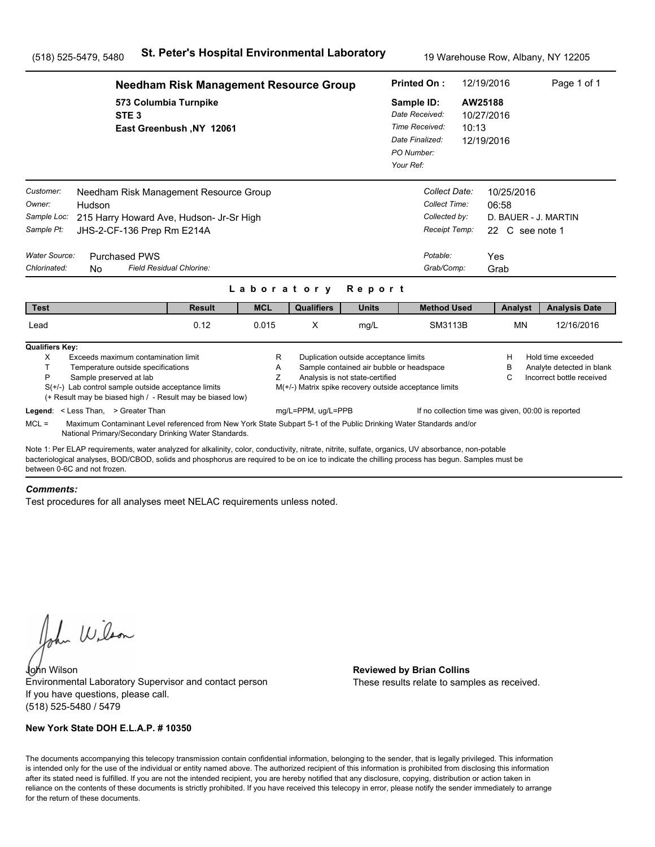|                                                                                          | <b>Needham Risk Management Resource Group</b>                                                                                                                                                                                                                                                                                         |                                                                                             | <b>Printed On:</b> |                    | 12/19/2016                                                               | Page 1 of 1                                                                                           |  |                                                                               |                                                                              |
|------------------------------------------------------------------------------------------|---------------------------------------------------------------------------------------------------------------------------------------------------------------------------------------------------------------------------------------------------------------------------------------------------------------------------------------|---------------------------------------------------------------------------------------------|--------------------|--------------------|--------------------------------------------------------------------------|-------------------------------------------------------------------------------------------------------|--|-------------------------------------------------------------------------------|------------------------------------------------------------------------------|
|                                                                                          | STE <sub>3</sub>                                                                                                                                                                                                                                                                                                                      | 573 Columbia Turnpike<br>East Greenbush, NY 12061<br>Needham Risk Management Resource Group |                    |                    |                                                                          | Sample ID:<br>Date Received:<br>Time Received:<br>10:13<br>Date Finalized:<br>PO Number:<br>Your Ref: |  | AW25188<br>10/27/2016<br>12/19/2016                                           |                                                                              |
| Customer:<br>Owner:<br>Sample Loc:<br>Sample Pt:<br><b>Water Source:</b><br>Chlorinated: | Hudson<br>215 Harry Howard Ave, Hudson- Jr-Sr High<br>JHS-2-CF-136 Prep Rm E214A<br><b>Purchased PWS</b><br>Field Residual Chlorine:<br>No.                                                                                                                                                                                           |                                                                                             |                    | Laboratory         | <b>Report</b>                                                            | Collect Date:<br>Collect Time:<br>Collected by:<br>Receipt Temp:<br>Potable:<br>Grab/Comp:            |  | 10/25/2016<br>06:58<br>D. BAUER - J. MARTIN<br>22 C see note 1<br>Yes<br>Grab |                                                                              |
| <b>Test</b>                                                                              |                                                                                                                                                                                                                                                                                                                                       | <b>Result</b>                                                                               | <b>MCL</b>         | <b>Qualifiers</b>  | <b>Units</b>                                                             | <b>Method Used</b>                                                                                    |  | Analyst                                                                       | <b>Analysis Date</b>                                                         |
| Lead                                                                                     |                                                                                                                                                                                                                                                                                                                                       | 0.12                                                                                        | 0.015              | X                  | mg/L                                                                     | SM3113B                                                                                               |  | <b>MN</b>                                                                     | 12/16/2016                                                                   |
| <b>Qualifiers Key:</b><br>X<br>T.<br>P                                                   | Exceeds maximum contamination limit<br>Temperature outside specifications<br>Sample preserved at lab<br>$S(+/-)$ Lab control sample outside acceptance limits<br>(+ Result may be biased high / - Result may be biased low)<br>Legend: < Less Than, > Greater Than                                                                    |                                                                                             | R<br>Α<br>Z        | mg/L=PPM, ug/L=PPB | Duplication outside acceptance limits<br>Analysis is not state-certified | Sample contained air bubble or headspace<br>M(+/-) Matrix spike recovery outside acceptance limits    |  | н<br>в<br>C<br>If no collection time was given, 00:00 is reported             | Hold time exceeded<br>Analyte detected in blank<br>Incorrect bottle received |
| $MCL =$                                                                                  | Maximum Contaminant Level referenced from New York State Subpart 5-1 of the Public Drinking Water Standards and/or<br>National Primary/Secondary Drinking Water Standards.                                                                                                                                                            |                                                                                             |                    |                    |                                                                          |                                                                                                       |  |                                                                               |                                                                              |
|                                                                                          | Note 1: Per ELAP requirements, water analyzed for alkalinity, color, conductivity, nitrate, nitrite, sulfate, organics, UV absorbance, non-potable<br>bacteriological analyses, BOD/CBOD, solids and phosphorus are required to be on ice to indicate the chilling process has begun. Samples must be<br>between 0-6C and not frozen. |                                                                                             |                    |                    |                                                                          |                                                                                                       |  |                                                                               |                                                                              |

#### *Comments:*

Test procedures for all analyses meet NELAC requirements unless noted.

John Wilson

John Wilson **Reviewed by Brian Collins** Environmental Laboratory Supervisor and contact person If you have questions, please call. (518) 525-5480 / 5479

### **New York State DOH E.L.A.P. # 10350**

These results relate to samples as received.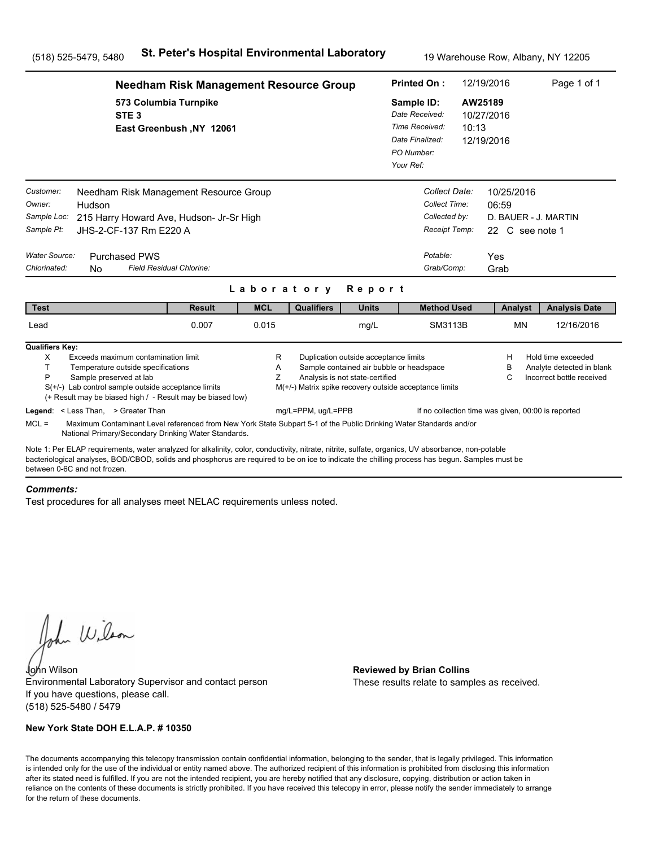|                                                                                                                                                                                                                                                                                                                                      |                                                                                                                                                                                                                             | <b>Needham Risk Management Resource Group</b> |             |                                                        |                                                                                                                      | <b>Printed On:</b>                                                                           |                                                                                            | 12/19/2016                          |                               | Page 1 of 1                                                                  |
|--------------------------------------------------------------------------------------------------------------------------------------------------------------------------------------------------------------------------------------------------------------------------------------------------------------------------------------|-----------------------------------------------------------------------------------------------------------------------------------------------------------------------------------------------------------------------------|-----------------------------------------------|-------------|--------------------------------------------------------|----------------------------------------------------------------------------------------------------------------------|----------------------------------------------------------------------------------------------|--------------------------------------------------------------------------------------------|-------------------------------------|-------------------------------|------------------------------------------------------------------------------|
|                                                                                                                                                                                                                                                                                                                                      | 573 Columbia Turnpike<br>STE <sub>3</sub>                                                                                                                                                                                   | East Greenbush, NY 12061                      |             |                                                        |                                                                                                                      | Sample ID:<br>Date Received:<br>Time Received:<br>Date Finalized:<br>PO Number:<br>Your Ref: | 10:13                                                                                      | AW25189<br>10/27/2016<br>12/19/2016 |                               |                                                                              |
| Customer:<br>Owner:<br>Hudson<br>Sample Loc:<br>Sample Pt:<br>Water Source:<br>Chlorinated:<br>N <sub>0</sub>                                                                                                                                                                                                                        | Needham Risk Management Resource Group<br>215 Harry Howard Ave, Hudson- Jr-Sr High<br>JHS-2-CF-137 Rm E220 A<br><b>Purchased PWS</b>                                                                                        | Field Residual Chlorine:                      |             |                                                        |                                                                                                                      |                                                                                              | Collect Date:<br>Collect Time:<br>Collected by:<br>Receipt Temp:<br>Potable:<br>Grab/Comp: | 06:59<br>Yes<br>Grab                | 10/25/2016<br>22 C see note 1 | D. BAUER - J. MARTIN                                                         |
|                                                                                                                                                                                                                                                                                                                                      |                                                                                                                                                                                                                             |                                               | Laboratory  |                                                        | Report                                                                                                               |                                                                                              |                                                                                            |                                     |                               |                                                                              |
| <b>Test</b>                                                                                                                                                                                                                                                                                                                          |                                                                                                                                                                                                                             | <b>Result</b>                                 | <b>MCL</b>  | <b>Qualifiers</b>                                      | <b>Units</b>                                                                                                         |                                                                                              | <b>Method Used</b>                                                                         |                                     | Analyst                       | <b>Analysis Date</b>                                                         |
| Lead                                                                                                                                                                                                                                                                                                                                 |                                                                                                                                                                                                                             | 0.007                                         | 0.015       |                                                        | mg/L                                                                                                                 |                                                                                              | SM3113B                                                                                    |                                     | <b>MN</b>                     | 12/16/2016                                                                   |
| <b>Qualifiers Key:</b><br>X<br>T.<br>P                                                                                                                                                                                                                                                                                               | Exceeds maximum contamination limit<br>Temperature outside specifications<br>Sample preserved at lab<br>$S(+/-)$ Lab control sample outside acceptance limits<br>(+ Result may be biased high / - Result may be biased low) |                                               | R<br>A<br>Z | M(+/-) Matrix spike recovery outside acceptance limits | Duplication outside acceptance limits<br>Sample contained air bubble or headspace<br>Analysis is not state-certified |                                                                                              |                                                                                            |                                     | н<br>в<br>С                   | Hold time exceeded<br>Analyte detected in blank<br>Incorrect bottle received |
| Legend: < Less Than, > Greater Than<br>$MCL =$                                                                                                                                                                                                                                                                                       | Maximum Contaminant Level referenced from New York State Subpart 5-1 of the Public Drinking Water Standards and/or<br>National Primary/Secondary Drinking Water Standards.                                                  |                                               |             | mg/L=PPM, ug/L=PPB                                     |                                                                                                                      |                                                                                              | If no collection time was given, 00:00 is reported                                         |                                     |                               |                                                                              |
| Note 1: Per ELAP requirements, water analyzed for alkalinity, color, conductivity, nitrate, nitrite, sulfate, organics, UV absorbance, non-potable<br>bacteriological analyses, BOD/CBOD, solids and phosphorus are required to be on ice to indicate the chilling process has begun. Samples must be<br>between 0-6C and not frozen |                                                                                                                                                                                                                             |                                               |             |                                                        |                                                                                                                      |                                                                                              |                                                                                            |                                     |                               |                                                                              |

#### *Comments:*

Test procedures for all analyses meet NELAC requirements unless noted.

John Wilson

John Wilson **Reviewed by Brian Collins** Environmental Laboratory Supervisor and contact person If you have questions, please call. (518) 525-5480 / 5479

### **New York State DOH E.L.A.P. # 10350**

These results relate to samples as received.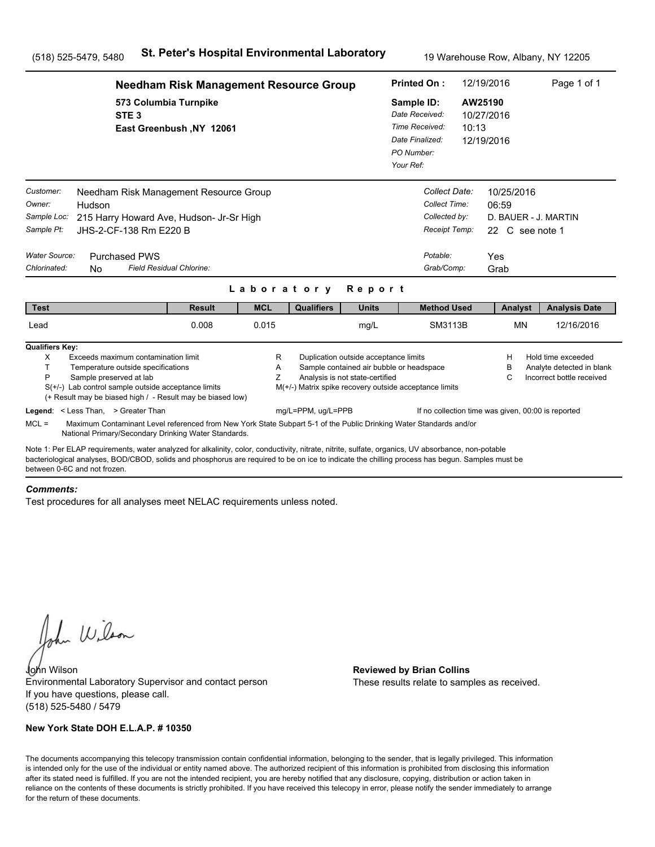|                                                                                                                                                                                                                                                                                                                                      | <b>Needham Risk Management Resource Group</b>     |             |                                                        |                                                                                                                      | <b>Printed On:</b>                                                                           |                                                                                            | 12/19/2016                                                                    | Page 1 of 1                                                                  |
|--------------------------------------------------------------------------------------------------------------------------------------------------------------------------------------------------------------------------------------------------------------------------------------------------------------------------------------|---------------------------------------------------|-------------|--------------------------------------------------------|----------------------------------------------------------------------------------------------------------------------|----------------------------------------------------------------------------------------------|--------------------------------------------------------------------------------------------|-------------------------------------------------------------------------------|------------------------------------------------------------------------------|
| STE <sub>3</sub>                                                                                                                                                                                                                                                                                                                     | 573 Columbia Turnpike<br>East Greenbush, NY 12061 |             |                                                        |                                                                                                                      | Sample ID:<br>Date Received:<br>Time Received:<br>Date Finalized:<br>PO Number:<br>Your Ref: | 10:13                                                                                      | AW25190<br>10/27/2016<br>12/19/2016                                           |                                                                              |
| Customer:<br>Needham Risk Management Resource Group<br>Owner:<br>Hudson<br>Sample Loc:<br>215 Harry Howard Ave, Hudson- Jr-Sr High<br>Sample Pt:<br>JHS-2-CF-138 Rm E220 B<br>Water Source:<br><b>Purchased PWS</b><br>Chlorinated:<br>N <sub>0</sub>                                                                                | Field Residual Chlorine:                          |             |                                                        |                                                                                                                      |                                                                                              | Collect Date:<br>Collect Time:<br>Collected by:<br>Receipt Temp:<br>Potable:<br>Grab/Comp: | 10/25/2016<br>06:59<br>D. BAUER - J. MARTIN<br>22 C see note 1<br>Yes<br>Grab |                                                                              |
|                                                                                                                                                                                                                                                                                                                                      |                                                   | Laboratory  |                                                        | Report                                                                                                               |                                                                                              |                                                                                            |                                                                               |                                                                              |
| <b>Test</b>                                                                                                                                                                                                                                                                                                                          | <b>Result</b>                                     | <b>MCL</b>  | <b>Qualifiers</b>                                      | <b>Units</b>                                                                                                         |                                                                                              | <b>Method Used</b>                                                                         | Analyst                                                                       | <b>Analysis Date</b>                                                         |
| Lead                                                                                                                                                                                                                                                                                                                                 | 0.008                                             | 0.015       |                                                        | mg/L                                                                                                                 |                                                                                              | SM3113B                                                                                    | <b>MN</b>                                                                     | 12/16/2016                                                                   |
| <b>Qualifiers Key:</b><br>X<br>Exceeds maximum contamination limit<br>T.<br>Temperature outside specifications<br>P<br>Sample preserved at lab<br>$S(+/-)$ Lab control sample outside acceptance limits<br>(+ Result may be biased high / - Result may be biased low)                                                                |                                                   | R<br>A<br>Z | M(+/-) Matrix spike recovery outside acceptance limits | Duplication outside acceptance limits<br>Sample contained air bubble or headspace<br>Analysis is not state-certified |                                                                                              |                                                                                            | н<br>в<br>С                                                                   | Hold time exceeded<br>Analyte detected in blank<br>Incorrect bottle received |
| Legend: < Less Than, > Greater Than<br>$MCL =$<br>Maximum Contaminant Level referenced from New York State Subpart 5-1 of the Public Drinking Water Standards and/or<br>National Primary/Secondary Drinking Water Standards.                                                                                                         |                                                   |             | mg/L=PPM, ug/L=PPB                                     |                                                                                                                      |                                                                                              |                                                                                            | If no collection time was given, 00:00 is reported                            |                                                                              |
| Note 1: Per ELAP requirements, water analyzed for alkalinity, color, conductivity, nitrate, nitrite, sulfate, organics, UV absorbance, non-potable<br>bacteriological analyses, BOD/CBOD, solids and phosphorus are required to be on ice to indicate the chilling process has begun. Samples must be<br>between 0-6C and not frozen |                                                   |             |                                                        |                                                                                                                      |                                                                                              |                                                                                            |                                                                               |                                                                              |

#### *Comments:*

Test procedures for all analyses meet NELAC requirements unless noted.

John Wilson

John Wilson **Reviewed by Brian Collins** Environmental Laboratory Supervisor and contact person If you have questions, please call. (518) 525-5480 / 5479

### **New York State DOH E.L.A.P. # 10350**

These results relate to samples as received.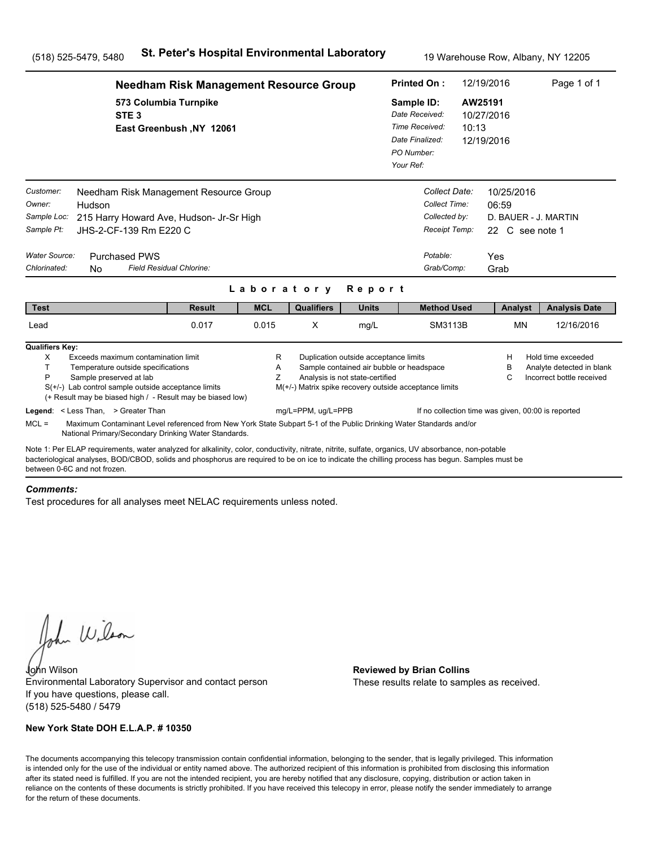|                                                                                                                                                                                                                                                                                                                                       | <b>Needham Risk Management Resource Group</b>     |             |                    | <b>Printed On:</b>                                                       |                                                                                                    | 12/19/2016       | Page 1 of 1                                                           |                                                                              |
|---------------------------------------------------------------------------------------------------------------------------------------------------------------------------------------------------------------------------------------------------------------------------------------------------------------------------------------|---------------------------------------------------|-------------|--------------------|--------------------------------------------------------------------------|----------------------------------------------------------------------------------------------------|------------------|-----------------------------------------------------------------------|------------------------------------------------------------------------------|
| STE <sub>3</sub>                                                                                                                                                                                                                                                                                                                      | 573 Columbia Turnpike<br>East Greenbush, NY 12061 |             |                    |                                                                          | Sample ID:<br>Date Received:<br>Time Received:<br>Date Finalized:<br>PO Number:<br>Your Ref:       | AW25191<br>10:13 | 10/27/2016<br>12/19/2016                                              |                                                                              |
| Customer:<br>Needham Risk Management Resource Group<br>Owner:<br>Hudson<br>Sample Loc:<br>215 Harry Howard Ave, Hudson- Jr-Sr High<br>Sample Pt:<br>JHS-2-CF-139 Rm E220 C<br>Water Source:<br><b>Purchased PWS</b>                                                                                                                   |                                                   |             |                    |                                                                          | Collect Date:<br>Collect Time:<br>Collected by:<br>Receipt Temp:<br>Potable:                       |                  | 10/25/2016<br>06:59<br>D. BAUER - J. MARTIN<br>22 C see note 1<br>Yes |                                                                              |
| Chlorinated:<br><b>No</b>                                                                                                                                                                                                                                                                                                             | Field Residual Chlorine:                          |             |                    |                                                                          | Grab/Comp:                                                                                         |                  | Grab                                                                  |                                                                              |
|                                                                                                                                                                                                                                                                                                                                       |                                                   |             | Laboratory         | Report                                                                   |                                                                                                    |                  |                                                                       |                                                                              |
| <b>Test</b>                                                                                                                                                                                                                                                                                                                           | <b>Result</b>                                     | <b>MCL</b>  | <b>Qualifiers</b>  | <b>Units</b>                                                             | <b>Method Used</b>                                                                                 |                  | Analyst                                                               | <b>Analysis Date</b>                                                         |
| Lead                                                                                                                                                                                                                                                                                                                                  | 0.017                                             | 0.015       | X                  | mg/L                                                                     | SM3113B                                                                                            |                  | <b>MN</b>                                                             | 12/16/2016                                                                   |
| <b>Qualifiers Key:</b><br>X<br>Exceeds maximum contamination limit<br>т<br>Temperature outside specifications<br>P<br>Sample preserved at lab<br>$S(+/-)$ Lab control sample outside acceptance limits<br>(+ Result may be biased high / - Result may be biased low)                                                                  |                                                   | R<br>A<br>Z |                    | Duplication outside acceptance limits<br>Analysis is not state-certified | Sample contained air bubble or headspace<br>M(+/-) Matrix spike recovery outside acceptance limits |                  | H<br>В<br>C                                                           | Hold time exceeded<br>Analyte detected in blank<br>Incorrect bottle received |
| Legend: < Less Than, > Greater Than<br>$MCL =$<br>Maximum Contaminant Level referenced from New York State Subpart 5-1 of the Public Drinking Water Standards and/or<br>National Primary/Secondary Drinking Water Standards.                                                                                                          |                                                   |             | mg/L=PPM, ug/L=PPB |                                                                          |                                                                                                    |                  | If no collection time was given, 00:00 is reported                    |                                                                              |
| Note 1: Per ELAP requirements, water analyzed for alkalinity, color, conductivity, nitrate, nitrite, sulfate, organics, UV absorbance, non-potable<br>bacteriological analyses, BOD/CBOD, solids and phosphorus are required to be on ice to indicate the chilling process has begun. Samples must be<br>between 0-6C and not frozen. |                                                   |             |                    |                                                                          |                                                                                                    |                  |                                                                       |                                                                              |

### *Comments:*

Test procedures for all analyses meet NELAC requirements unless noted.

John Wilson

John Wilson **Reviewed by Brian Collins** Environmental Laboratory Supervisor and contact person If you have questions, please call. (518) 525-5480 / 5479

### **New York State DOH E.L.A.P. # 10350**

These results relate to samples as received.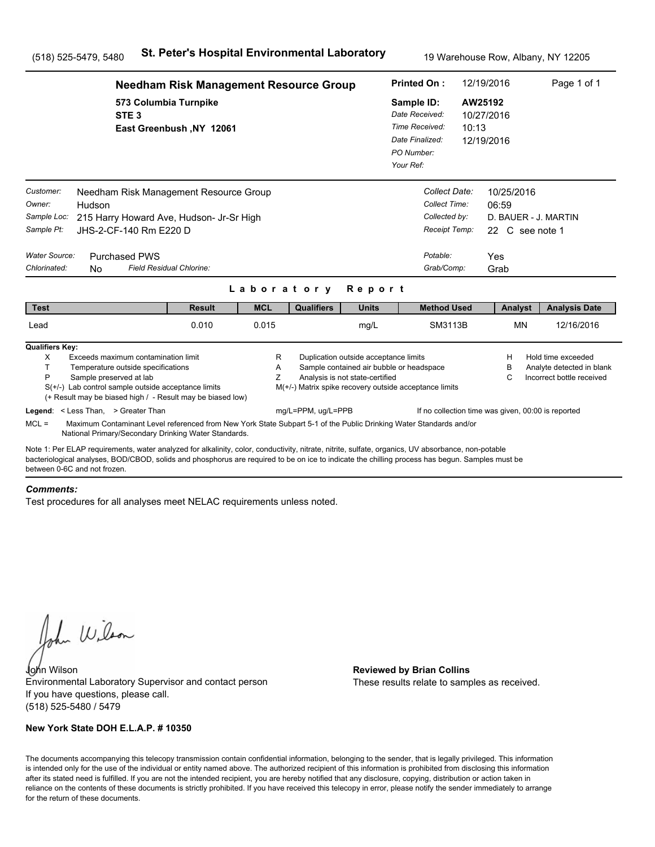|                                                                                                                                                                                                                                                                                                                                      | <b>Needham Risk Management Resource Group</b>                                                                                                                              |             |                    |                                                                          | <b>Printed On:</b>                                                                                 |       | 12/19/2016                                                                    | Page 1 of 1                                                                  |
|--------------------------------------------------------------------------------------------------------------------------------------------------------------------------------------------------------------------------------------------------------------------------------------------------------------------------------------|----------------------------------------------------------------------------------------------------------------------------------------------------------------------------|-------------|--------------------|--------------------------------------------------------------------------|----------------------------------------------------------------------------------------------------|-------|-------------------------------------------------------------------------------|------------------------------------------------------------------------------|
| STE <sub>3</sub>                                                                                                                                                                                                                                                                                                                     | 573 Columbia Turnpike<br>East Greenbush, NY 12061                                                                                                                          |             |                    |                                                                          | Sample ID:<br>Date Received:<br>Time Received:<br>Date Finalized:<br>PO Number:<br>Your Ref:       | 10:13 | AW25192<br>10/27/2016<br>12/19/2016                                           |                                                                              |
| Customer:<br>Owner:<br>Hudson<br>Sample Loc:<br>Sample Pt:<br>JHS-2-CF-140 Rm E220 D<br>Water Source:<br><b>Purchased PWS</b><br>Chlorinated:<br>N <sub>0</sub>                                                                                                                                                                      | Needham Risk Management Resource Group<br>215 Harry Howard Ave, Hudson- Jr-Sr High<br>Field Residual Chlorine:                                                             |             |                    |                                                                          | Collect Date:<br>Collect Time:<br>Collected by:<br>Receipt Temp:<br>Potable:<br>Grab/Comp:         |       | 10/25/2016<br>06:59<br>D. BAUER - J. MARTIN<br>22 C see note 1<br>Yes<br>Grab |                                                                              |
|                                                                                                                                                                                                                                                                                                                                      |                                                                                                                                                                            | Laboratory  |                    | Report                                                                   |                                                                                                    |       |                                                                               |                                                                              |
| <b>Test</b>                                                                                                                                                                                                                                                                                                                          | <b>Result</b>                                                                                                                                                              | <b>MCL</b>  | <b>Qualifiers</b>  | <b>Units</b>                                                             | <b>Method Used</b>                                                                                 |       | Analyst                                                                       | <b>Analysis Date</b>                                                         |
| Lead                                                                                                                                                                                                                                                                                                                                 | 0.010                                                                                                                                                                      | 0.015       |                    | mg/L                                                                     | SM3113B                                                                                            |       | <b>MN</b>                                                                     | 12/16/2016                                                                   |
| <b>Qualifiers Key:</b><br>X<br>Exceeds maximum contamination limit<br>T.<br>Temperature outside specifications<br>P<br>Sample preserved at lab<br>$S(+/-)$ Lab control sample outside acceptance limits                                                                                                                              | (+ Result may be biased high / - Result may be biased low)                                                                                                                 | R<br>A<br>Z |                    | Duplication outside acceptance limits<br>Analysis is not state-certified | Sample contained air bubble or headspace<br>M(+/-) Matrix spike recovery outside acceptance limits |       | н<br>в<br>С                                                                   | Hold time exceeded<br>Analyte detected in blank<br>Incorrect bottle received |
| Legend: < Less Than, > Greater Than<br>$MCL =$                                                                                                                                                                                                                                                                                       | Maximum Contaminant Level referenced from New York State Subpart 5-1 of the Public Drinking Water Standards and/or<br>National Primary/Secondary Drinking Water Standards. |             | mg/L=PPM, ug/L=PPB |                                                                          |                                                                                                    |       | If no collection time was given, 00:00 is reported                            |                                                                              |
| Note 1: Per ELAP requirements, water analyzed for alkalinity, color, conductivity, nitrate, nitrite, sulfate, organics, UV absorbance, non-potable<br>bacteriological analyses, BOD/CBOD, solids and phosphorus are required to be on ice to indicate the chilling process has begun. Samples must be<br>between 0-6C and not frozen |                                                                                                                                                                            |             |                    |                                                                          |                                                                                                    |       |                                                                               |                                                                              |

#### *Comments:*

Test procedures for all analyses meet NELAC requirements unless noted.

John Wilson

John Wilson **Reviewed by Brian Collins** Environmental Laboratory Supervisor and contact person If you have questions, please call. (518) 525-5480 / 5479

### **New York State DOH E.L.A.P. # 10350**

These results relate to samples as received.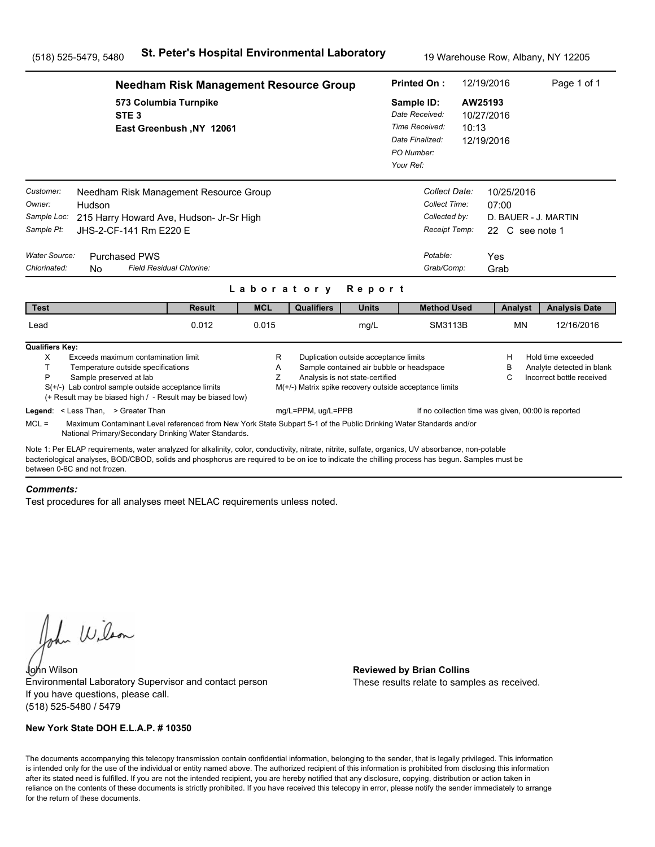|                                                                                                               |                                                                                                                                                                                                                                                                                                       | <b>Needham Risk Management Resource Group</b> |                          |                                                                              |                                                                                                                      | <b>Printed On:</b>                                                                           |                                                                                            | 12/19/2016                                                                    | Page 1 of 1                                                                  |
|---------------------------------------------------------------------------------------------------------------|-------------------------------------------------------------------------------------------------------------------------------------------------------------------------------------------------------------------------------------------------------------------------------------------------------|-----------------------------------------------|--------------------------|------------------------------------------------------------------------------|----------------------------------------------------------------------------------------------------------------------|----------------------------------------------------------------------------------------------|--------------------------------------------------------------------------------------------|-------------------------------------------------------------------------------|------------------------------------------------------------------------------|
|                                                                                                               | 573 Columbia Turnpike<br>STE <sub>3</sub>                                                                                                                                                                                                                                                             | East Greenbush, NY 12061                      |                          |                                                                              |                                                                                                                      | Sample ID:<br>Date Received:<br>Time Received:<br>Date Finalized:<br>PO Number:<br>Your Ref: | 10:13                                                                                      | AW25193<br>10/27/2016<br>12/19/2016                                           |                                                                              |
| Customer:<br>Owner:<br>Hudson<br>Sample Loc:<br>Sample Pt:<br>Water Source:<br>Chlorinated:<br>N <sub>0</sub> | Needham Risk Management Resource Group<br>215 Harry Howard Ave, Hudson- Jr-Sr High<br>JHS-2-CF-141 Rm E220 E<br><b>Purchased PWS</b>                                                                                                                                                                  | Field Residual Chlorine:                      |                          |                                                                              |                                                                                                                      |                                                                                              | Collect Date:<br>Collect Time:<br>Collected by:<br>Receipt Temp:<br>Potable:<br>Grab/Comp: | 10/25/2016<br>07:00<br>D. BAUER - J. MARTIN<br>22 C see note 1<br>Yes<br>Grab |                                                                              |
| <b>Test</b>                                                                                                   |                                                                                                                                                                                                                                                                                                       | <b>Result</b>                                 | Laboratory<br><b>MCL</b> | <b>Qualifiers</b>                                                            | Report<br><b>Units</b>                                                                                               |                                                                                              | <b>Method Used</b>                                                                         | Analyst                                                                       | <b>Analysis Date</b>                                                         |
| Lead                                                                                                          |                                                                                                                                                                                                                                                                                                       | 0.012                                         | 0.015                    |                                                                              | mg/L                                                                                                                 |                                                                                              | SM3113B                                                                                    | <b>MN</b>                                                                     | 12/16/2016                                                                   |
| <b>Qualifiers Key:</b><br>X<br>T.<br>P<br>Legend: < Less Than, > Greater Than                                 | Exceeds maximum contamination limit<br>Temperature outside specifications<br>Sample preserved at lab<br>$S(+/-)$ Lab control sample outside acceptance limits<br>(+ Result may be biased high / - Result may be biased low)                                                                           |                                               | R<br>A<br>Z              | M(+/-) Matrix spike recovery outside acceptance limits<br>mg/L=PPM, ug/L=PPB | Duplication outside acceptance limits<br>Sample contained air bubble or headspace<br>Analysis is not state-certified |                                                                                              | If no collection time was given, 00:00 is reported                                         | н<br>в<br>С                                                                   | Hold time exceeded<br>Analyte detected in blank<br>Incorrect bottle received |
| $MCL =$                                                                                                       | Maximum Contaminant Level referenced from New York State Subpart 5-1 of the Public Drinking Water Standards and/or<br>National Primary/Secondary Drinking Water Standards.                                                                                                                            |                                               |                          |                                                                              |                                                                                                                      |                                                                                              |                                                                                            |                                                                               |                                                                              |
| between 0-6C and not frozen                                                                                   | Note 1: Per ELAP requirements, water analyzed for alkalinity, color, conductivity, nitrate, nitrite, sulfate, organics, UV absorbance, non-potable<br>bacteriological analyses, BOD/CBOD, solids and phosphorus are required to be on ice to indicate the chilling process has begun. Samples must be |                                               |                          |                                                                              |                                                                                                                      |                                                                                              |                                                                                            |                                                                               |                                                                              |

#### *Comments:*

Test procedures for all analyses meet NELAC requirements unless noted.

John Wilson

John Wilson **Reviewed by Brian Collins** Environmental Laboratory Supervisor and contact person If you have questions, please call. (518) 525-5480 / 5479

### **New York State DOH E.L.A.P. # 10350**

These results relate to samples as received.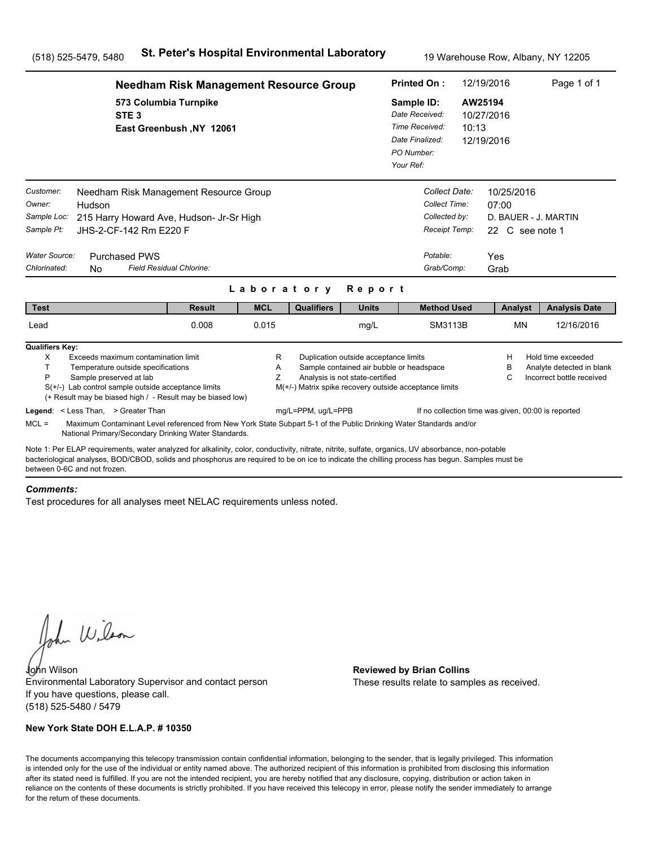|                                                                                                                                       | <b>Needham Risk Management Resource Group</b>                                                                                                                                                                                                                                                         |                          |                    |                                                                          | <b>Printed On:</b>                                                                                 |                                | 12/19/2016                                                                    | Page 1 of 1                                                                  |
|---------------------------------------------------------------------------------------------------------------------------------------|-------------------------------------------------------------------------------------------------------------------------------------------------------------------------------------------------------------------------------------------------------------------------------------------------------|--------------------------|--------------------|--------------------------------------------------------------------------|----------------------------------------------------------------------------------------------------|--------------------------------|-------------------------------------------------------------------------------|------------------------------------------------------------------------------|
|                                                                                                                                       | 573 Columbia Turnpike<br>STE <sub>3</sub><br>East Greenbush, NY 12061                                                                                                                                                                                                                                 |                          |                    |                                                                          | Sample ID:<br>Date Received:<br>Time Received:<br>Date Finalized:<br>PO Number:<br>Your Ref:       | 10:13                          | AW25194<br>10/27/2016<br>12/19/2016                                           |                                                                              |
| Customer:<br>Owner:<br>Hudson<br>Sample Loc:<br>Sample Pt:<br>Water Source:<br><b>Purchased PWS</b><br>Chlorinated:<br>N <sub>0</sub> | Needham Risk Management Resource Group<br>215 Harry Howard Ave, Hudson- Jr-Sr High<br>JHS-2-CF-142 Rm E220 F<br>Field Residual Chlorine:                                                                                                                                                              |                          |                    |                                                                          | Collect Time:<br>Collected by:<br>Potable:<br>Grab/Comp:                                           | Collect Date:<br>Receipt Temp: | 10/25/2016<br>07:00<br>D. BAUER - J. MARTIN<br>22 C see note 1<br>Yes<br>Grab |                                                                              |
|                                                                                                                                       | <b>Result</b>                                                                                                                                                                                                                                                                                         | Laboratory<br><b>MCL</b> | <b>Qualifiers</b>  | Report<br><b>Units</b>                                                   | <b>Method Used</b>                                                                                 |                                |                                                                               |                                                                              |
| <b>Test</b><br>Lead                                                                                                                   | 0.008                                                                                                                                                                                                                                                                                                 | 0.015                    |                    | mg/L                                                                     |                                                                                                    | SM3113B                        | Analyst<br><b>MN</b>                                                          | <b>Analysis Date</b><br>12/16/2016                                           |
| <b>Qualifiers Key:</b><br>X<br>T.<br>P<br>Sample preserved at lab<br>Legend: < Less Than, > Greater Than                              | Exceeds maximum contamination limit<br>Temperature outside specifications<br>$S(+/-)$ Lab control sample outside acceptance limits<br>(+ Result may be biased high / - Result may be biased low)                                                                                                      | R<br>A<br>Z              | mg/L=PPM, ug/L=PPB | Duplication outside acceptance limits<br>Analysis is not state-certified | Sample contained air bubble or headspace<br>M(+/-) Matrix spike recovery outside acceptance limits |                                | н<br>в<br>С<br>If no collection time was given, 00:00 is reported             | Hold time exceeded<br>Analyte detected in blank<br>Incorrect bottle received |
| $MCL =$                                                                                                                               | Maximum Contaminant Level referenced from New York State Subpart 5-1 of the Public Drinking Water Standards and/or<br>National Primary/Secondary Drinking Water Standards.                                                                                                                            |                          |                    |                                                                          |                                                                                                    |                                |                                                                               |                                                                              |
| between 0-6C and not frozen                                                                                                           | Note 1: Per ELAP requirements, water analyzed for alkalinity, color, conductivity, nitrate, nitrite, sulfate, organics, UV absorbance, non-potable<br>bacteriological analyses, BOD/CBOD, solids and phosphorus are required to be on ice to indicate the chilling process has begun. Samples must be |                          |                    |                                                                          |                                                                                                    |                                |                                                                               |                                                                              |

#### *Comments:*

Test procedures for all analyses meet NELAC requirements unless noted.

John Wilson

John Wilson **Reviewed by Brian Collins** Environmental Laboratory Supervisor and contact person If you have questions, please call. (518) 525-5480 / 5479

### **New York State DOH E.L.A.P. # 10350**

These results relate to samples as received.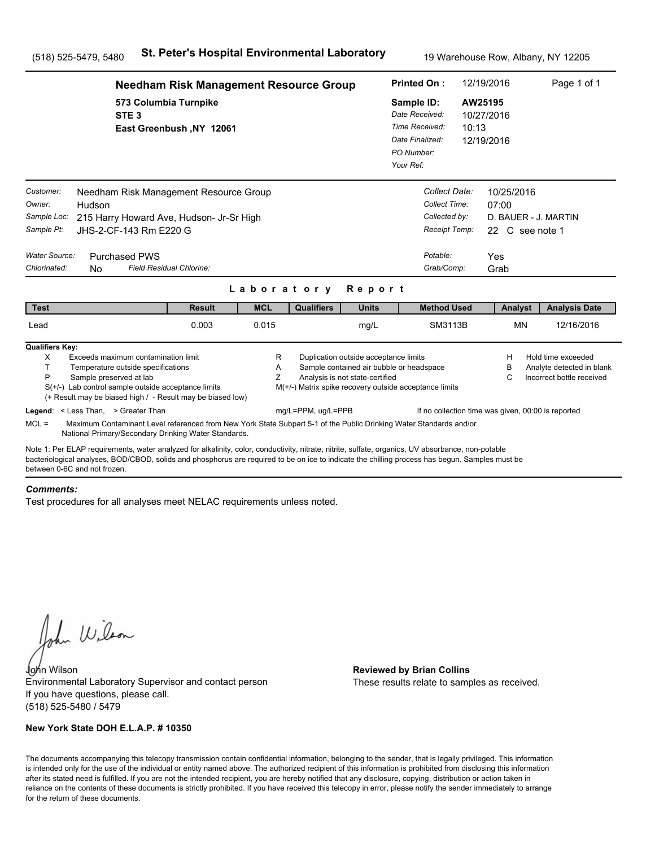|                                                                                   |                                                                                                                                                                                                                                                                                                                                                                                              | <b>Needham Risk Management Resource Group</b> |                          |                                                        |                                                                                                                      | <b>Printed On:</b>                                                                           |                                                                                            | 12/19/2016                                                                    | Page 1 of 1                                                                  |
|-----------------------------------------------------------------------------------|----------------------------------------------------------------------------------------------------------------------------------------------------------------------------------------------------------------------------------------------------------------------------------------------------------------------------------------------------------------------------------------------|-----------------------------------------------|--------------------------|--------------------------------------------------------|----------------------------------------------------------------------------------------------------------------------|----------------------------------------------------------------------------------------------|--------------------------------------------------------------------------------------------|-------------------------------------------------------------------------------|------------------------------------------------------------------------------|
|                                                                                   | 573 Columbia Turnpike<br>STE <sub>3</sub>                                                                                                                                                                                                                                                                                                                                                    | East Greenbush, NY 12061                      |                          |                                                        |                                                                                                                      | Sample ID:<br>Date Received:<br>Time Received:<br>Date Finalized:<br>PO Number:<br>Your Ref: | 10:13                                                                                      | AW25195<br>10/27/2016<br>12/19/2016                                           |                                                                              |
| Customer:<br>Owner:<br>Sample Loc:<br>Sample Pt:<br>Water Source:<br>Chlorinated: | Needham Risk Management Resource Group<br>Hudson<br>215 Harry Howard Ave, Hudson- Jr-Sr High<br>JHS-2-CF-143 Rm E220 G<br><b>Purchased PWS</b><br>Field Residual Chlorine:<br>N <sub>0</sub>                                                                                                                                                                                                 |                                               |                          |                                                        |                                                                                                                      |                                                                                              | Collect Date:<br>Collect Time:<br>Collected by:<br>Receipt Temp:<br>Potable:<br>Grab/Comp: | 10/25/2016<br>07:00<br>D. BAUER - J. MARTIN<br>22 C see note 1<br>Yes<br>Grab |                                                                              |
| <b>Test</b>                                                                       |                                                                                                                                                                                                                                                                                                                                                                                              | <b>Result</b>                                 | Laboratory<br><b>MCL</b> | <b>Qualifiers</b>                                      | Report<br><b>Units</b>                                                                                               |                                                                                              | <b>Method Used</b>                                                                         | Analyst                                                                       | <b>Analysis Date</b>                                                         |
| Lead                                                                              |                                                                                                                                                                                                                                                                                                                                                                                              | 0.003                                         | 0.015                    |                                                        | mg/L                                                                                                                 |                                                                                              | SM3113B                                                                                    | <b>MN</b>                                                                     | 12/16/2016                                                                   |
| <b>Qualifiers Key:</b><br>X<br>T.<br>P                                            | Exceeds maximum contamination limit<br>Temperature outside specifications<br>Sample preserved at lab<br>$S(+/-)$ Lab control sample outside acceptance limits<br>(+ Result may be biased high / - Result may be biased low)                                                                                                                                                                  |                                               | R<br>A<br>Z              | M(+/-) Matrix spike recovery outside acceptance limits | Duplication outside acceptance limits<br>Sample contained air bubble or headspace<br>Analysis is not state-certified |                                                                                              |                                                                                            | н<br>в<br>С                                                                   | Hold time exceeded<br>Analyte detected in blank<br>Incorrect bottle received |
| $MCL =$                                                                           | Legend: < Less Than, > Greater Than<br>Maximum Contaminant Level referenced from New York State Subpart 5-1 of the Public Drinking Water Standards and/or                                                                                                                                                                                                                                    |                                               |                          | mg/L=PPM, ug/L=PPB                                     |                                                                                                                      |                                                                                              | If no collection time was given, 00:00 is reported                                         |                                                                               |                                                                              |
|                                                                                   | National Primary/Secondary Drinking Water Standards.<br>Note 1: Per ELAP requirements, water analyzed for alkalinity, color, conductivity, nitrate, nitrite, sulfate, organics, UV absorbance, non-potable<br>bacteriological analyses, BOD/CBOD, solids and phosphorus are required to be on ice to indicate the chilling process has begun. Samples must be<br>between 0-6C and not frozen |                                               |                          |                                                        |                                                                                                                      |                                                                                              |                                                                                            |                                                                               |                                                                              |

#### *Comments:*

Test procedures for all analyses meet NELAC requirements unless noted.

John Wilson

John Wilson **Reviewed by Brian Collins** Environmental Laboratory Supervisor and contact person If you have questions, please call. (518) 525-5480 / 5479

### **New York State DOH E.L.A.P. # 10350**

These results relate to samples as received.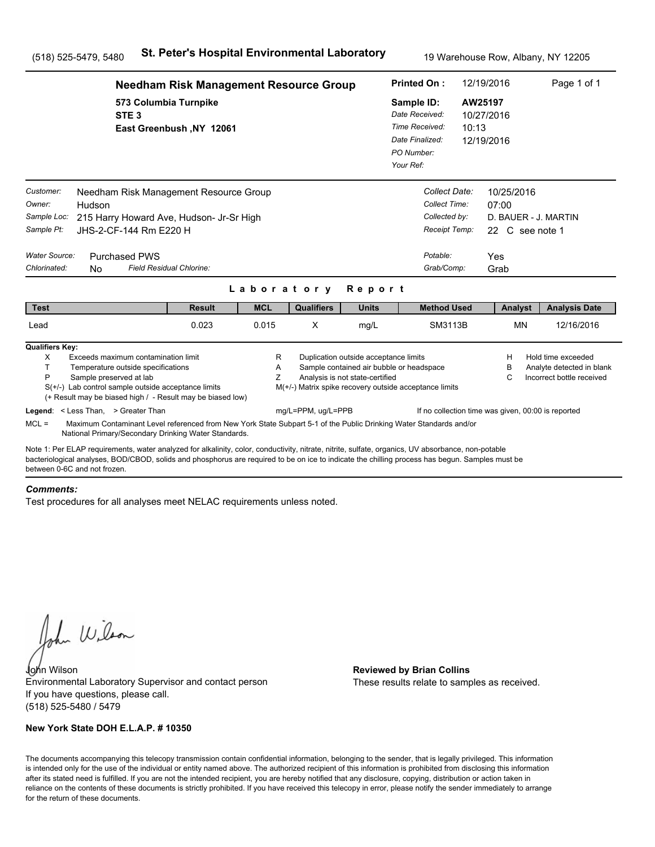|                                                                                   |                                                                                                                                                                                                                                                                                                                                                                                               | <b>Needham Risk Management Resource Group</b> |             |                    |                                                                          | <b>Printed On:</b>                                                                                 |       | 12/19/2016                                                                    | Page 1 of 1                                                                  |  |
|-----------------------------------------------------------------------------------|-----------------------------------------------------------------------------------------------------------------------------------------------------------------------------------------------------------------------------------------------------------------------------------------------------------------------------------------------------------------------------------------------|-----------------------------------------------|-------------|--------------------|--------------------------------------------------------------------------|----------------------------------------------------------------------------------------------------|-------|-------------------------------------------------------------------------------|------------------------------------------------------------------------------|--|
|                                                                                   | 573 Columbia Turnpike<br>STE <sub>3</sub>                                                                                                                                                                                                                                                                                                                                                     | East Greenbush, NY 12061                      |             |                    |                                                                          | Sample ID:<br>Date Received:<br>Time Received:<br>Date Finalized:<br>PO Number:<br>Your Ref:       | 10:13 | AW25197<br>10/27/2016<br>12/19/2016                                           |                                                                              |  |
| Customer:<br>Owner:<br>Sample Loc:<br>Sample Pt:<br>Water Source:<br>Chlorinated: | Needham Risk Management Resource Group<br>Hudson<br>215 Harry Howard Ave, Hudson- Jr-Sr High<br>JHS-2-CF-144 Rm E220 H<br><b>Purchased PWS</b><br>Field Residual Chlorine:<br>No.                                                                                                                                                                                                             |                                               | Laboratory  |                    | Report                                                                   | Collect Date:<br>Collect Time:<br>Collected by:<br>Receipt Temp:<br>Potable:<br>Grab/Comp:         |       | 10/25/2016<br>07:00<br>D. BAUER - J. MARTIN<br>22 C see note 1<br>Yes<br>Grab |                                                                              |  |
| <b>Test</b>                                                                       |                                                                                                                                                                                                                                                                                                                                                                                               | <b>Result</b>                                 | <b>MCL</b>  | <b>Qualifiers</b>  | <b>Units</b>                                                             | <b>Method Used</b>                                                                                 |       | Analyst                                                                       | <b>Analysis Date</b>                                                         |  |
| Lead                                                                              |                                                                                                                                                                                                                                                                                                                                                                                               | 0.023                                         | 0.015       | X                  | mg/L                                                                     | SM3113B                                                                                            |       | <b>MN</b>                                                                     | 12/16/2016                                                                   |  |
| <b>Qualifiers Key:</b><br>X<br>т<br>P<br>$MCL =$                                  | Exceeds maximum contamination limit<br>Temperature outside specifications<br>Sample preserved at lab<br>$S(+/-)$ Lab control sample outside acceptance limits<br>(+ Result may be biased high / - Result may be biased low)<br>Legend: < Less Than, > Greater Than<br>Maximum Contaminant Level referenced from New York State Subpart 5-1 of the Public Drinking Water Standards and/or      |                                               | R<br>Α<br>Z | mg/L=PPM, ug/L=PPB | Duplication outside acceptance limits<br>Analysis is not state-certified | Sample contained air bubble or headspace<br>M(+/-) Matrix spike recovery outside acceptance limits |       | H<br>в<br>C<br>If no collection time was given, 00:00 is reported             | Hold time exceeded<br>Analyte detected in blank<br>Incorrect bottle received |  |
|                                                                                   | National Primary/Secondary Drinking Water Standards.<br>Note 1: Per ELAP requirements, water analyzed for alkalinity, color, conductivity, nitrate, nitrite, sulfate, organics, UV absorbance, non-potable<br>bacteriological analyses, BOD/CBOD, solids and phosphorus are required to be on ice to indicate the chilling process has begun. Samples must be<br>between 0-6C and not frozen. |                                               |             |                    |                                                                          |                                                                                                    |       |                                                                               |                                                                              |  |

### *Comments:*

Test procedures for all analyses meet NELAC requirements unless noted.

John Wilson

John Wilson **Reviewed by Brian Collins** Environmental Laboratory Supervisor and contact person If you have questions, please call. (518) 525-5480 / 5479

### **New York State DOH E.L.A.P. # 10350**

These results relate to samples as received.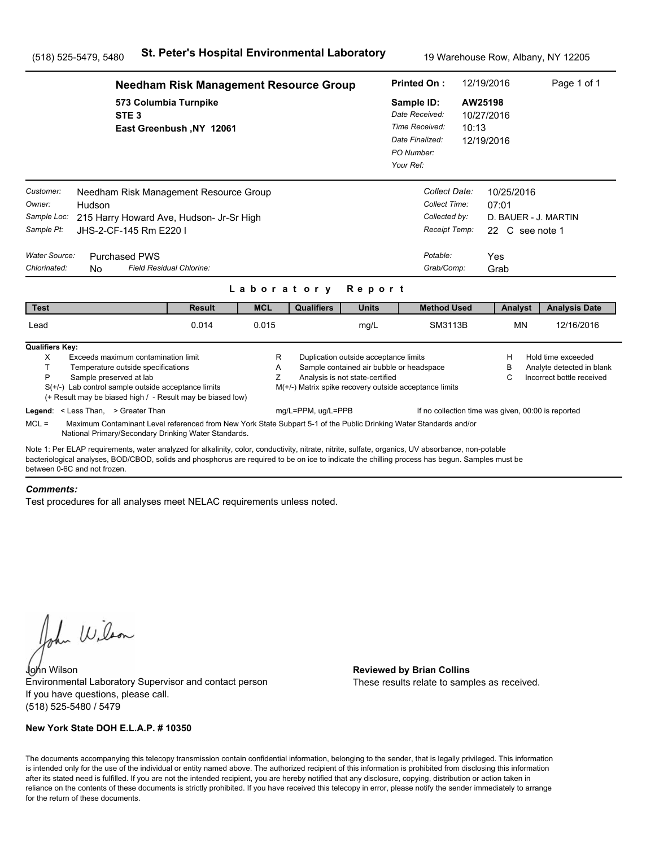|                                                                                                                                                                                                                                                                                                                                      |                                                                                                                                                                                                                             | <b>Needham Risk Management Resource Group</b> |             |                                                                              |                                                                                                                      | <b>Printed On:</b>                                                                           |                                                                                            | 12/19/2016           |                               | Page 1 of 1                                                                  |  |
|--------------------------------------------------------------------------------------------------------------------------------------------------------------------------------------------------------------------------------------------------------------------------------------------------------------------------------------|-----------------------------------------------------------------------------------------------------------------------------------------------------------------------------------------------------------------------------|-----------------------------------------------|-------------|------------------------------------------------------------------------------|----------------------------------------------------------------------------------------------------------------------|----------------------------------------------------------------------------------------------|--------------------------------------------------------------------------------------------|----------------------|-------------------------------|------------------------------------------------------------------------------|--|
|                                                                                                                                                                                                                                                                                                                                      | 573 Columbia Turnpike<br>STE <sub>3</sub>                                                                                                                                                                                   | East Greenbush, NY 12061                      |             |                                                                              |                                                                                                                      | Sample ID:<br>Date Received:<br>Time Received:<br>Date Finalized:<br>PO Number:<br>Your Ref: |                                                                                            | AW25198<br>10:13     | 10/27/2016<br>12/19/2016      |                                                                              |  |
| Customer:<br>Owner:<br>Hudson<br>Sample Loc:<br>Sample Pt:<br><b>Water Source:</b><br>Chlorinated:<br>N <sub>0</sub>                                                                                                                                                                                                                 | Needham Risk Management Resource Group<br>215 Harry Howard Ave, Hudson- Jr-Sr High<br>JHS-2-CF-145 Rm E220 I<br><b>Purchased PWS</b><br>Field Residual Chlorine:                                                            |                                               | Laboratory  |                                                                              | Report                                                                                                               |                                                                                              | Collect Date:<br>Collect Time:<br>Collected by:<br>Receipt Temp:<br>Potable:<br>Grab/Comp: | 07:01<br>Yes<br>Grab | 10/25/2016<br>22 C see note 1 | D. BAUER - J. MARTIN                                                         |  |
| <b>Test</b>                                                                                                                                                                                                                                                                                                                          |                                                                                                                                                                                                                             | <b>Result</b>                                 | <b>MCL</b>  | <b>Qualifiers</b>                                                            | <b>Units</b>                                                                                                         |                                                                                              | <b>Method Used</b>                                                                         |                      | Analyst                       | <b>Analysis Date</b>                                                         |  |
| Lead                                                                                                                                                                                                                                                                                                                                 |                                                                                                                                                                                                                             | 0.014                                         | 0.015       |                                                                              | mg/L                                                                                                                 |                                                                                              | SM3113B                                                                                    |                      | <b>MN</b>                     | 12/16/2016                                                                   |  |
| <b>Qualifiers Key:</b><br>X<br>T.<br>P<br>Legend: < Less Than, > Greater Than                                                                                                                                                                                                                                                        | Exceeds maximum contamination limit<br>Temperature outside specifications<br>Sample preserved at lab<br>$S(+/-)$ Lab control sample outside acceptance limits<br>(+ Result may be biased high / - Result may be biased low) |                                               | R<br>Α<br>Ζ | M(+/-) Matrix spike recovery outside acceptance limits<br>mg/L=PPM, ug/L=PPB | Duplication outside acceptance limits<br>Sample contained air bubble or headspace<br>Analysis is not state-certified |                                                                                              | If no collection time was given, 00:00 is reported                                         |                      | н<br>в<br>C                   | Hold time exceeded<br>Analyte detected in blank<br>Incorrect bottle received |  |
| $MCL =$                                                                                                                                                                                                                                                                                                                              | Maximum Contaminant Level referenced from New York State Subpart 5-1 of the Public Drinking Water Standards and/or<br>National Primary/Secondary Drinking Water Standards.                                                  |                                               |             |                                                                              |                                                                                                                      |                                                                                              |                                                                                            |                      |                               |                                                                              |  |
| Note 1: Per ELAP requirements, water analyzed for alkalinity, color, conductivity, nitrate, nitrite, sulfate, organics, UV absorbance, non-potable<br>bacteriological analyses, BOD/CBOD, solids and phosphorus are required to be on ice to indicate the chilling process has begun. Samples must be<br>between 0-6C and not frozen |                                                                                                                                                                                                                             |                                               |             |                                                                              |                                                                                                                      |                                                                                              |                                                                                            |                      |                               |                                                                              |  |

#### *Comments:*

Test procedures for all analyses meet NELAC requirements unless noted.

John Wilson

John Wilson **Reviewed by Brian Collins** Environmental Laboratory Supervisor and contact person If you have questions, please call. (518) 525-5480 / 5479

### **New York State DOH E.L.A.P. # 10350**

These results relate to samples as received.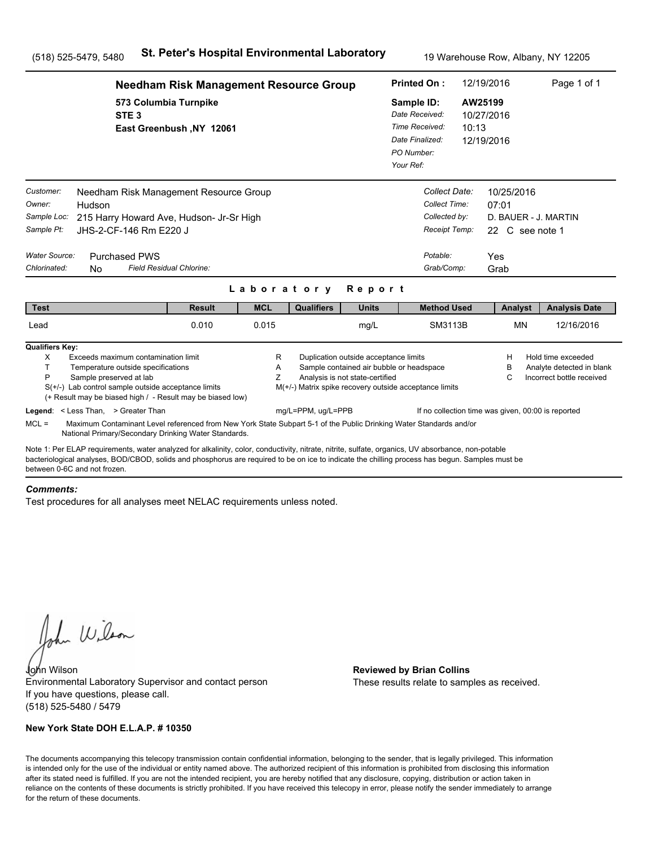|                                                                                   |                                                                                                                                                                                                                                                                                                       | <b>Needham Risk Management Resource Group</b> |             |                                                                              |                                                                          |                                                                                              |                                                                                | 12/19/2016                                                        | Page 1 of 1                                                                  |
|-----------------------------------------------------------------------------------|-------------------------------------------------------------------------------------------------------------------------------------------------------------------------------------------------------------------------------------------------------------------------------------------------------|-----------------------------------------------|-------------|------------------------------------------------------------------------------|--------------------------------------------------------------------------|----------------------------------------------------------------------------------------------|--------------------------------------------------------------------------------|-------------------------------------------------------------------|------------------------------------------------------------------------------|
|                                                                                   | 573 Columbia Turnpike<br>STE <sub>3</sub>                                                                                                                                                                                                                                                             | East Greenbush, NY 12061                      |             |                                                                              |                                                                          | Sample ID:<br>Date Received:<br>Time Received:<br>Date Finalized:<br>PO Number:<br>Your Ref: | 10:13                                                                          | AW25199<br>10/27/2016<br>12/19/2016                               |                                                                              |
| Customer:<br>Owner:<br>Sample Loc:<br>Sample Pt:<br>Water Source:<br>Chlorinated: | Needham Risk Management Resource Group<br>Hudson<br>215 Harry Howard Ave, Hudson- Jr-Sr High<br>JHS-2-CF-146 Rm E220 J<br><b>Purchased PWS</b><br>Field Residual Chlorine:<br><b>No</b>                                                                                                               |                                               |             | Laboratory                                                                   | Report                                                                   | Potable:                                                                                     | Collect Date:<br>Collect Time:<br>Collected by:<br>Receipt Temp:<br>Grab/Comp: | 10/25/2016<br>07:01<br>22 C see note 1<br>Yes<br>Grab             | D. BAUER - J. MARTIN                                                         |
| <b>Test</b>                                                                       |                                                                                                                                                                                                                                                                                                       | <b>Result</b>                                 | <b>MCL</b>  | <b>Qualifiers</b>                                                            | <b>Units</b>                                                             |                                                                                              | <b>Method Used</b>                                                             | Analyst                                                           | <b>Analysis Date</b>                                                         |
| Lead                                                                              |                                                                                                                                                                                                                                                                                                       | 0.010                                         | 0.015       |                                                                              | mg/L                                                                     |                                                                                              | <b>SM3113B</b>                                                                 | <b>MN</b>                                                         | 12/16/2016                                                                   |
| <b>Qualifiers Key:</b><br>X<br>T.<br>P                                            | Exceeds maximum contamination limit<br>Temperature outside specifications<br>Sample preserved at lab<br>$S(+/-)$ Lab control sample outside acceptance limits<br>(+ Result may be biased high / - Result may be biased low)<br>Legend: < Less Than, > Greater Than                                    |                                               | R<br>A<br>Ζ | M(+/-) Matrix spike recovery outside acceptance limits<br>mg/L=PPM, ug/L=PPB | Duplication outside acceptance limits<br>Analysis is not state-certified | Sample contained air bubble or headspace                                                     |                                                                                | Н<br>в<br>C<br>If no collection time was given, 00:00 is reported | Hold time exceeded<br>Analyte detected in blank<br>Incorrect bottle received |
| $MCL =$                                                                           | Maximum Contaminant Level referenced from New York State Subpart 5-1 of the Public Drinking Water Standards and/or<br>National Primary/Secondary Drinking Water Standards.                                                                                                                            |                                               |             |                                                                              |                                                                          |                                                                                              |                                                                                |                                                                   |                                                                              |
| between 0-6C and not frozen.                                                      | Note 1: Per ELAP requirements, water analyzed for alkalinity, color, conductivity, nitrate, nitrite, sulfate, organics, UV absorbance, non-potable<br>bacteriological analyses, BOD/CBOD, solids and phosphorus are required to be on ice to indicate the chilling process has begun. Samples must be |                                               |             |                                                                              |                                                                          |                                                                                              |                                                                                |                                                                   |                                                                              |

#### *Comments:*

Test procedures for all analyses meet NELAC requirements unless noted.

John Wilson

John Wilson **Reviewed by Brian Collins** Environmental Laboratory Supervisor and contact person If you have questions, please call. (518) 525-5480 / 5479

### **New York State DOH E.L.A.P. # 10350**

These results relate to samples as received.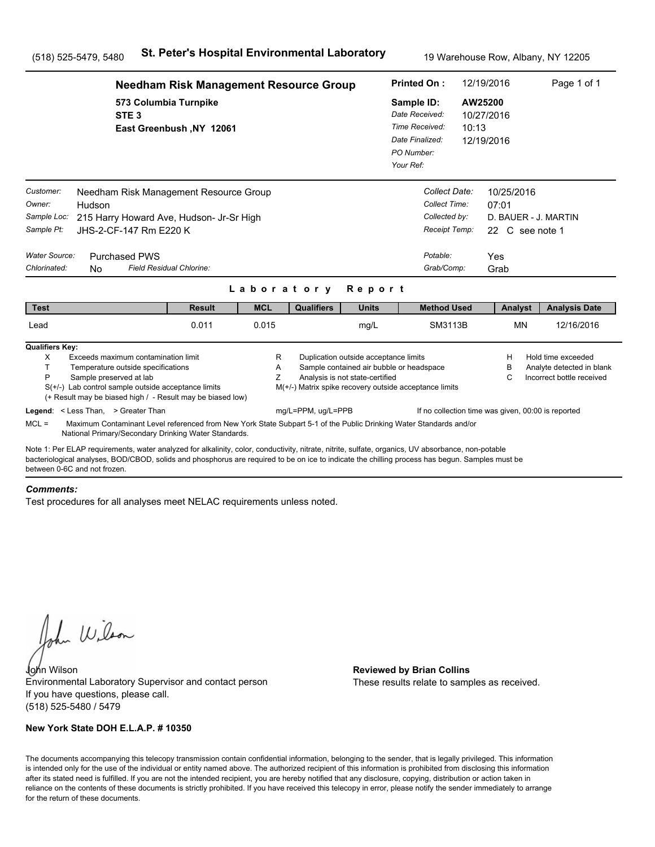|                                                                                          |                                                                                                                                                                                                                                                                                                                                                                                              | <b>Needham Risk Management Resource Group</b> |             |                                                                              |                                                                                                                      |                                                          | <b>Printed On:</b>                                                                         | 12/19/2016                                   |                                                                        | Page 1 of 1                                                                  |
|------------------------------------------------------------------------------------------|----------------------------------------------------------------------------------------------------------------------------------------------------------------------------------------------------------------------------------------------------------------------------------------------------------------------------------------------------------------------------------------------|-----------------------------------------------|-------------|------------------------------------------------------------------------------|----------------------------------------------------------------------------------------------------------------------|----------------------------------------------------------|--------------------------------------------------------------------------------------------|----------------------------------------------|------------------------------------------------------------------------|------------------------------------------------------------------------------|
|                                                                                          | 573 Columbia Turnpike<br>STE <sub>3</sub>                                                                                                                                                                                                                                                                                                                                                    | East Greenbush, NY 12061                      |             |                                                                              |                                                                                                                      | Sample ID:<br>Date Finalized:<br>PO Number:<br>Your Ref: | Date Received:<br>Time Received:                                                           | AW25200<br>10/27/2016<br>10:13<br>12/19/2016 |                                                                        |                                                                              |
| Customer:<br>Owner:<br>Sample Loc:<br>Sample Pt:<br><b>Water Source:</b><br>Chlorinated: | Needham Risk Management Resource Group<br>Hudson<br>215 Harry Howard Ave, Hudson- Jr-Sr High<br>JHS-2-CF-147 Rm E220 K<br><b>Purchased PWS</b><br>Field Residual Chlorine:<br>N <sub>0</sub>                                                                                                                                                                                                 |                                               | Laboratory  |                                                                              | Report                                                                                                               |                                                          | Collect Date:<br>Collect Time:<br>Collected by:<br>Receipt Temp:<br>Potable:<br>Grab/Comp: | Yes                                          | 10/25/2016<br>07:01<br>D. BAUER - J. MARTIN<br>22 C see note 1<br>Grab |                                                                              |
| <b>Test</b>                                                                              |                                                                                                                                                                                                                                                                                                                                                                                              | <b>Result</b>                                 | <b>MCL</b>  | <b>Qualifiers</b>                                                            | <b>Units</b>                                                                                                         |                                                          | <b>Method Used</b>                                                                         |                                              | Analyst                                                                | <b>Analysis Date</b>                                                         |
| Lead                                                                                     |                                                                                                                                                                                                                                                                                                                                                                                              | 0.011                                         | 0.015       |                                                                              | mg/L                                                                                                                 |                                                          | SM3113B                                                                                    |                                              | <b>MN</b>                                                              | 12/16/2016                                                                   |
| <b>Qualifiers Key:</b><br>X<br>T.<br>P<br>$MCL =$                                        | Exceeds maximum contamination limit<br>Temperature outside specifications<br>Sample preserved at lab<br>$S(+/-)$ Lab control sample outside acceptance limits<br>(+ Result may be biased high / - Result may be biased low)<br>Legend: < Less Than, > Greater Than<br>Maximum Contaminant Level referenced from New York State Subpart 5-1 of the Public Drinking Water Standards and/or     |                                               | R<br>Α<br>Ζ | M(+/-) Matrix spike recovery outside acceptance limits<br>mg/L=PPM, ug/L=PPB | Duplication outside acceptance limits<br>Sample contained air bubble or headspace<br>Analysis is not state-certified |                                                          | If no collection time was given, 00:00 is reported                                         |                                              | н<br>в<br>C                                                            | Hold time exceeded<br>Analyte detected in blank<br>Incorrect bottle received |
|                                                                                          | National Primary/Secondary Drinking Water Standards.<br>Note 1: Per ELAP requirements, water analyzed for alkalinity, color, conductivity, nitrate, nitrite, sulfate, organics, UV absorbance, non-potable<br>bacteriological analyses, BOD/CBOD, solids and phosphorus are required to be on ice to indicate the chilling process has begun. Samples must be<br>between 0-6C and not frozen |                                               |             |                                                                              |                                                                                                                      |                                                          |                                                                                            |                                              |                                                                        |                                                                              |

#### *Comments:*

Test procedures for all analyses meet NELAC requirements unless noted.

John Wilson

John Wilson **Reviewed by Brian Collins** Environmental Laboratory Supervisor and contact person If you have questions, please call. (518) 525-5480 / 5479

### **New York State DOH E.L.A.P. # 10350**

These results relate to samples as received.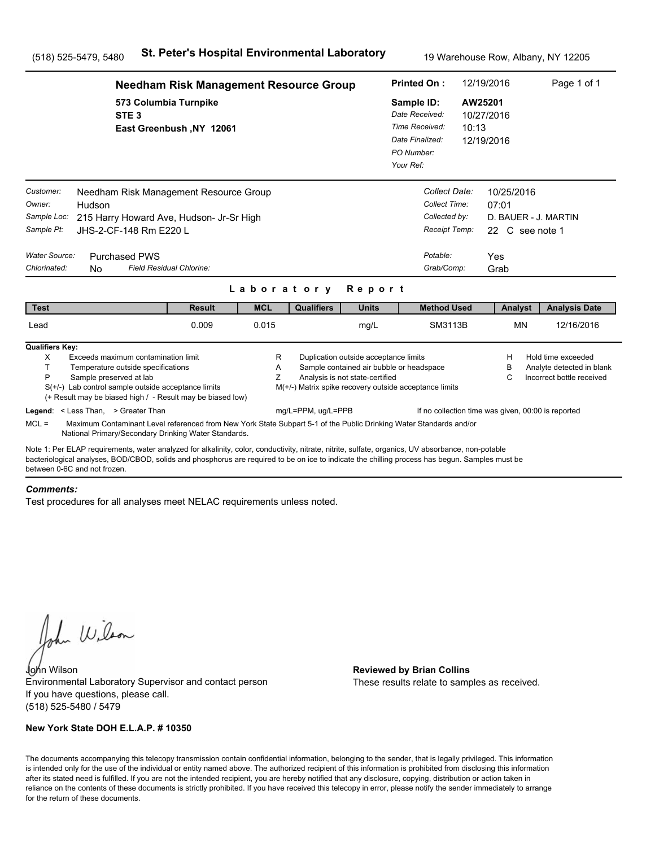|                                                                                          |                                                                                                                                                                                                                                                                                                                                                                                          | <b>Needham Risk Management Resource Group</b> |             |                                                                              |                                                                                                                      |                                                          | <b>Printed On:</b>                                                                         | 12/19/2016       |                                                                        | Page 1 of 1                                                                  |  |
|------------------------------------------------------------------------------------------|------------------------------------------------------------------------------------------------------------------------------------------------------------------------------------------------------------------------------------------------------------------------------------------------------------------------------------------------------------------------------------------|-----------------------------------------------|-------------|------------------------------------------------------------------------------|----------------------------------------------------------------------------------------------------------------------|----------------------------------------------------------|--------------------------------------------------------------------------------------------|------------------|------------------------------------------------------------------------|------------------------------------------------------------------------------|--|
|                                                                                          | 573 Columbia Turnpike<br>STE <sub>3</sub>                                                                                                                                                                                                                                                                                                                                                | East Greenbush, NY 12061                      |             |                                                                              |                                                                                                                      | Sample ID:<br>Date Finalized:<br>PO Number:<br>Your Ref: | Date Received:<br>Time Received:                                                           | AW25201<br>10:13 | 10/27/2016<br>12/19/2016                                               |                                                                              |  |
| Customer:<br>Owner:<br>Sample Loc:<br>Sample Pt:<br><b>Water Source:</b><br>Chlorinated: | Needham Risk Management Resource Group<br>Hudson<br>215 Harry Howard Ave, Hudson- Jr-Sr High<br>JHS-2-CF-148 Rm E220 L<br><b>Purchased PWS</b><br>N <sub>0</sub>                                                                                                                                                                                                                         | Field Residual Chlorine:                      | Laboratory  |                                                                              | Report                                                                                                               |                                                          | Collect Date:<br>Collect Time:<br>Collected by:<br>Receipt Temp:<br>Potable:<br>Grab/Comp: | Yes              | 10/25/2016<br>07:01<br>D. BAUER - J. MARTIN<br>22 C see note 1<br>Grab |                                                                              |  |
| <b>Test</b>                                                                              |                                                                                                                                                                                                                                                                                                                                                                                          | <b>Result</b>                                 | <b>MCL</b>  | <b>Qualifiers</b>                                                            | <b>Units</b>                                                                                                         |                                                          | <b>Method Used</b>                                                                         |                  | Analyst                                                                | <b>Analysis Date</b>                                                         |  |
| Lead                                                                                     |                                                                                                                                                                                                                                                                                                                                                                                          | 0.009                                         | 0.015       |                                                                              | mg/L                                                                                                                 |                                                          | SM3113B                                                                                    |                  | <b>MN</b>                                                              | 12/16/2016                                                                   |  |
| <b>Qualifiers Key:</b><br>X<br>T.<br>P<br>$MCL =$                                        | Exceeds maximum contamination limit<br>Temperature outside specifications<br>Sample preserved at lab<br>$S(+/-)$ Lab control sample outside acceptance limits<br>(+ Result may be biased high / - Result may be biased low)<br>Legend: < Less Than, > Greater Than<br>Maximum Contaminant Level referenced from New York State Subpart 5-1 of the Public Drinking Water Standards and/or |                                               | R<br>Α<br>Ζ | M(+/-) Matrix spike recovery outside acceptance limits<br>mg/L=PPM, ug/L=PPB | Duplication outside acceptance limits<br>Sample contained air bubble or headspace<br>Analysis is not state-certified |                                                          | If no collection time was given, 00:00 is reported                                         |                  | н<br>в<br>C                                                            | Hold time exceeded<br>Analyte detected in blank<br>Incorrect bottle received |  |
| between 0-6C and not frozen                                                              | National Primary/Secondary Drinking Water Standards.<br>Note 1: Per ELAP requirements, water analyzed for alkalinity, color, conductivity, nitrate, nitrite, sulfate, organics, UV absorbance, non-potable<br>bacteriological analyses, BOD/CBOD, solids and phosphorus are required to be on ice to indicate the chilling process has begun. Samples must be                            |                                               |             |                                                                              |                                                                                                                      |                                                          |                                                                                            |                  |                                                                        |                                                                              |  |

#### *Comments:*

Test procedures for all analyses meet NELAC requirements unless noted.

John Wilson

John Wilson **Reviewed by Brian Collins** Environmental Laboratory Supervisor and contact person If you have questions, please call. (518) 525-5480 / 5479

### **New York State DOH E.L.A.P. # 10350**

These results relate to samples as received.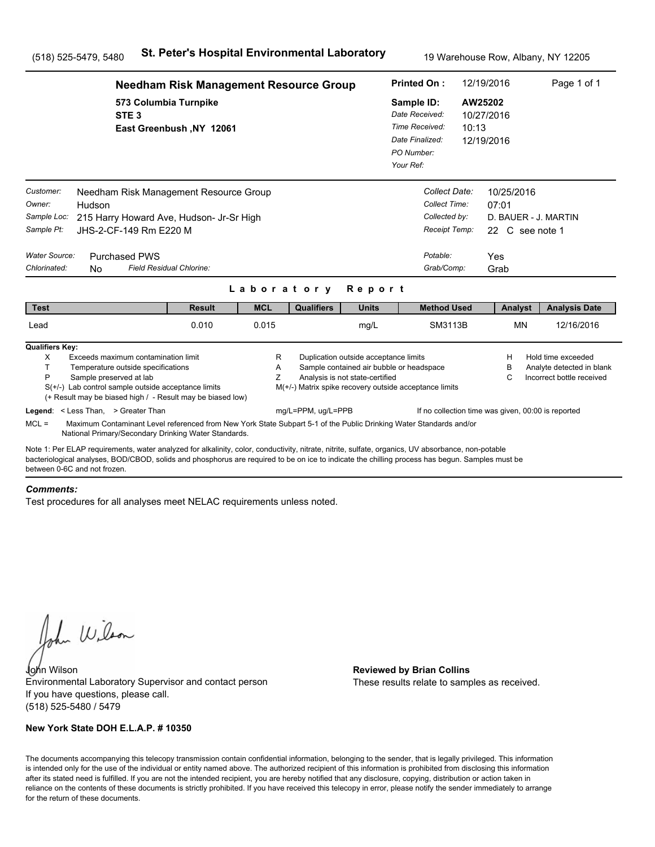|                                                                                                                                                                                                                                                                                                                                      | <b>Needham Risk Management Resource Group</b>                                                                                                                                                                               |                          |             |                                                                              |                                                                                                                      | 12/19/2016<br><b>Printed On:</b>                                                             |                                                                                            |                      |                               | Page 1 of 1                                                                  |  |
|--------------------------------------------------------------------------------------------------------------------------------------------------------------------------------------------------------------------------------------------------------------------------------------------------------------------------------------|-----------------------------------------------------------------------------------------------------------------------------------------------------------------------------------------------------------------------------|--------------------------|-------------|------------------------------------------------------------------------------|----------------------------------------------------------------------------------------------------------------------|----------------------------------------------------------------------------------------------|--------------------------------------------------------------------------------------------|----------------------|-------------------------------|------------------------------------------------------------------------------|--|
|                                                                                                                                                                                                                                                                                                                                      | 573 Columbia Turnpike<br>STE <sub>3</sub>                                                                                                                                                                                   | East Greenbush, NY 12061 |             |                                                                              |                                                                                                                      | Sample ID:<br>Date Received:<br>Time Received:<br>Date Finalized:<br>PO Number:<br>Your Ref: |                                                                                            | AW25202<br>10:13     | 10/27/2016<br>12/19/2016      |                                                                              |  |
| Customer:<br>Owner:<br>Hudson<br>Sample Loc:<br>Sample Pt:<br><b>Water Source:</b><br>Chlorinated:<br>N <sub>0</sub>                                                                                                                                                                                                                 | Needham Risk Management Resource Group<br>215 Harry Howard Ave, Hudson- Jr-Sr High<br>JHS-2-CF-149 Rm E220 M<br><b>Purchased PWS</b><br>Field Residual Chlorine:                                                            |                          | Laboratory  |                                                                              | Report                                                                                                               |                                                                                              | Collect Date:<br>Collect Time:<br>Collected by:<br>Receipt Temp:<br>Potable:<br>Grab/Comp: | 07:01<br>Yes<br>Grab | 10/25/2016<br>22 C see note 1 | D. BAUER - J. MARTIN                                                         |  |
| <b>Test</b>                                                                                                                                                                                                                                                                                                                          |                                                                                                                                                                                                                             | <b>Result</b>            | <b>MCL</b>  | <b>Qualifiers</b>                                                            | <b>Units</b>                                                                                                         |                                                                                              | <b>Method Used</b>                                                                         |                      | Analyst                       | <b>Analysis Date</b>                                                         |  |
| Lead                                                                                                                                                                                                                                                                                                                                 |                                                                                                                                                                                                                             | 0.010                    | 0.015       |                                                                              | mg/L                                                                                                                 |                                                                                              | SM3113B                                                                                    |                      | <b>MN</b>                     | 12/16/2016                                                                   |  |
| <b>Qualifiers Key:</b><br>X<br>T.<br>P<br>Legend: < Less Than, > Greater Than                                                                                                                                                                                                                                                        | Exceeds maximum contamination limit<br>Temperature outside specifications<br>Sample preserved at lab<br>$S(+/-)$ Lab control sample outside acceptance limits<br>(+ Result may be biased high / - Result may be biased low) |                          | R<br>Α<br>Ζ | M(+/-) Matrix spike recovery outside acceptance limits<br>mg/L=PPM, ug/L=PPB | Duplication outside acceptance limits<br>Sample contained air bubble or headspace<br>Analysis is not state-certified |                                                                                              | If no collection time was given, 00:00 is reported                                         |                      | н<br>в<br>C                   | Hold time exceeded<br>Analyte detected in blank<br>Incorrect bottle received |  |
| $MCL =$                                                                                                                                                                                                                                                                                                                              | Maximum Contaminant Level referenced from New York State Subpart 5-1 of the Public Drinking Water Standards and/or<br>National Primary/Secondary Drinking Water Standards.                                                  |                          |             |                                                                              |                                                                                                                      |                                                                                              |                                                                                            |                      |                               |                                                                              |  |
| Note 1: Per ELAP requirements, water analyzed for alkalinity, color, conductivity, nitrate, nitrite, sulfate, organics, UV absorbance, non-potable<br>bacteriological analyses, BOD/CBOD, solids and phosphorus are required to be on ice to indicate the chilling process has begun. Samples must be<br>between 0-6C and not frozen |                                                                                                                                                                                                                             |                          |             |                                                                              |                                                                                                                      |                                                                                              |                                                                                            |                      |                               |                                                                              |  |

#### *Comments:*

Test procedures for all analyses meet NELAC requirements unless noted.

John Wilson

John Wilson **Reviewed by Brian Collins** Environmental Laboratory Supervisor and contact person If you have questions, please call. (518) 525-5480 / 5479

### **New York State DOH E.L.A.P. # 10350**

These results relate to samples as received.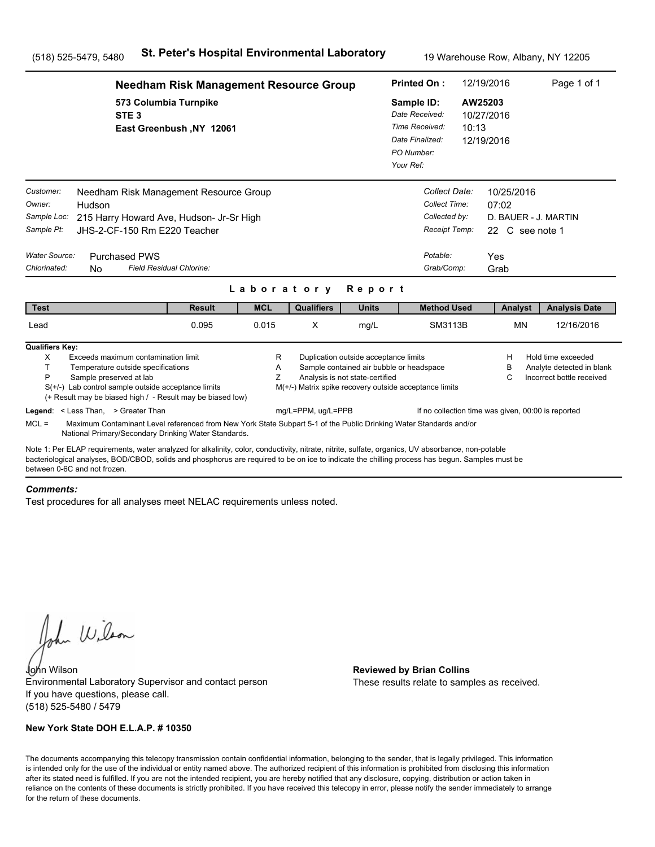|                                                                                   | <b>Needham Risk Management Resource Group</b>                                                                                                                                                                                                                                                                                         |                          |             |                    |                                                                          | <b>Printed On:</b>                                                                                 |       | 12/19/2016                                                                    | Page 1 of 1                                                                  |
|-----------------------------------------------------------------------------------|---------------------------------------------------------------------------------------------------------------------------------------------------------------------------------------------------------------------------------------------------------------------------------------------------------------------------------------|--------------------------|-------------|--------------------|--------------------------------------------------------------------------|----------------------------------------------------------------------------------------------------|-------|-------------------------------------------------------------------------------|------------------------------------------------------------------------------|
|                                                                                   | 573 Columbia Turnpike<br>STE <sub>3</sub>                                                                                                                                                                                                                                                                                             | East Greenbush, NY 12061 |             |                    |                                                                          | Sample ID:<br>Date Received:<br>Time Received:<br>Date Finalized:<br>PO Number:<br>Your Ref:       | 10:13 | AW25203<br>10/27/2016<br>12/19/2016                                           |                                                                              |
| Customer:<br>Owner:<br>Sample Loc:<br>Sample Pt:<br>Water Source:<br>Chlorinated: | Needham Risk Management Resource Group<br>Hudson<br>215 Harry Howard Ave, Hudson- Jr-Sr High<br>JHS-2-CF-150 Rm E220 Teacher<br><b>Purchased PWS</b><br>Field Residual Chlorine:<br>No.                                                                                                                                               |                          |             | Laboratory         | Report                                                                   | Collect Date:<br>Collect Time:<br>Collected by:<br>Receipt Temp:<br>Potable:<br>Grab/Comp:         |       | 10/25/2016<br>07:02<br>D. BAUER - J. MARTIN<br>22 C see note 1<br>Yes<br>Grab |                                                                              |
| <b>Test</b>                                                                       |                                                                                                                                                                                                                                                                                                                                       | <b>Result</b>            | <b>MCL</b>  | <b>Qualifiers</b>  | <b>Units</b>                                                             | <b>Method Used</b>                                                                                 |       | Analyst                                                                       | <b>Analysis Date</b>                                                         |
| Lead                                                                              |                                                                                                                                                                                                                                                                                                                                       | 0.095                    | 0.015       | X                  | mg/L                                                                     | SM3113B                                                                                            |       | <b>MN</b>                                                                     | 12/16/2016                                                                   |
| <b>Qualifiers Key:</b><br>X<br>T<br>P                                             | Exceeds maximum contamination limit<br>Temperature outside specifications<br>Sample preserved at lab<br>$S(+/-)$ Lab control sample outside acceptance limits<br>(+ Result may be biased high / - Result may be biased low)<br>Legend: < Less Than, > Greater Than                                                                    |                          | R<br>Α<br>Z | mg/L=PPM, ug/L=PPB | Duplication outside acceptance limits<br>Analysis is not state-certified | Sample contained air bubble or headspace<br>M(+/-) Matrix spike recovery outside acceptance limits |       | H<br>в<br>C<br>If no collection time was given, 00:00 is reported             | Hold time exceeded<br>Analyte detected in blank<br>Incorrect bottle received |
| $MCL =$                                                                           | Maximum Contaminant Level referenced from New York State Subpart 5-1 of the Public Drinking Water Standards and/or<br>National Primary/Secondary Drinking Water Standards.                                                                                                                                                            |                          |             |                    |                                                                          |                                                                                                    |       |                                                                               |                                                                              |
|                                                                                   | Note 1: Per ELAP requirements, water analyzed for alkalinity, color, conductivity, nitrate, nitrite, sulfate, organics, UV absorbance, non-potable<br>bacteriological analyses, BOD/CBOD, solids and phosphorus are required to be on ice to indicate the chilling process has begun. Samples must be<br>between 0-6C and not frozen. |                          |             |                    |                                                                          |                                                                                                    |       |                                                                               |                                                                              |

#### *Comments:*

Test procedures for all analyses meet NELAC requirements unless noted.

John Wilson

John Wilson **Reviewed by Brian Collins** Environmental Laboratory Supervisor and contact person If you have questions, please call. (518) 525-5480 / 5479

### **New York State DOH E.L.A.P. # 10350**

These results relate to samples as received.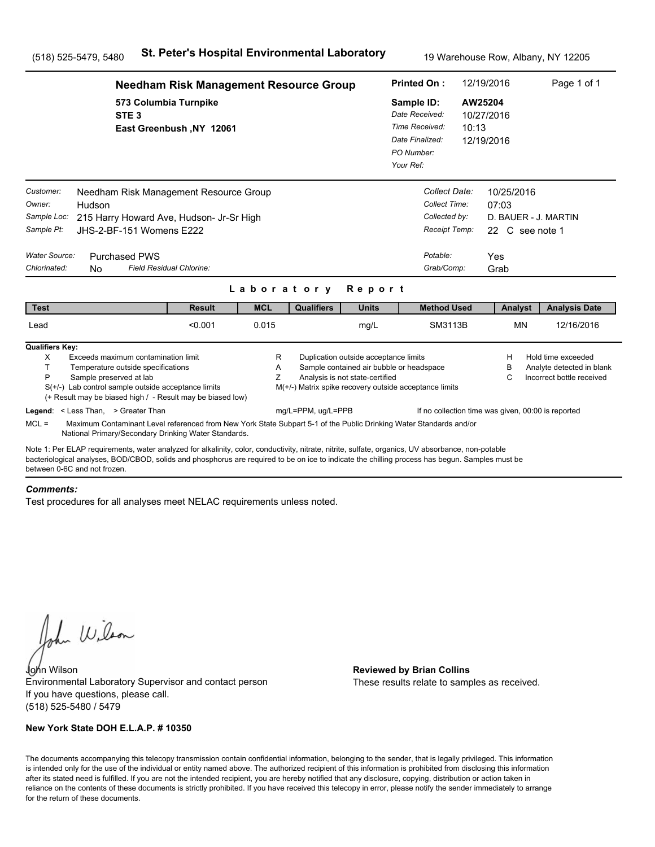|                                                                                          | <b>Needham Risk Management Resource Group</b>                                                                                                                                                                                                                                                                                                                                            |                          |             |                                                                              |                                                                                                                      | 12/19/2016<br><b>Printed On:</b>                                           |                                                                                            |                  |                                                                        | Page 1 of 1                                                                  |  |
|------------------------------------------------------------------------------------------|------------------------------------------------------------------------------------------------------------------------------------------------------------------------------------------------------------------------------------------------------------------------------------------------------------------------------------------------------------------------------------------|--------------------------|-------------|------------------------------------------------------------------------------|----------------------------------------------------------------------------------------------------------------------|----------------------------------------------------------------------------|--------------------------------------------------------------------------------------------|------------------|------------------------------------------------------------------------|------------------------------------------------------------------------------|--|
|                                                                                          | 573 Columbia Turnpike<br>STE <sub>3</sub>                                                                                                                                                                                                                                                                                                                                                | East Greenbush, NY 12061 |             |                                                                              |                                                                                                                      | Sample ID:<br>Date Received:<br>Date Finalized:<br>PO Number:<br>Your Ref: | Time Received:                                                                             | AW25204<br>10:13 | 10/27/2016<br>12/19/2016                                               |                                                                              |  |
| Customer:<br>Owner:<br>Sample Loc:<br>Sample Pt:<br><b>Water Source:</b><br>Chlorinated: | Needham Risk Management Resource Group<br>Hudson<br>215 Harry Howard Ave, Hudson- Jr-Sr High<br>JHS-2-BF-151 Womens E222<br><b>Purchased PWS</b><br>Field Residual Chlorine:<br>N <sub>0</sub>                                                                                                                                                                                           |                          | Laboratory  |                                                                              | Report                                                                                                               |                                                                            | Collect Date:<br>Collect Time:<br>Collected by:<br>Receipt Temp:<br>Potable:<br>Grab/Comp: | Yes              | 10/25/2016<br>07:03<br>D. BAUER - J. MARTIN<br>22 C see note 1<br>Grab |                                                                              |  |
| <b>Test</b>                                                                              |                                                                                                                                                                                                                                                                                                                                                                                          | <b>Result</b>            | <b>MCL</b>  | <b>Qualifiers</b>                                                            | <b>Units</b>                                                                                                         |                                                                            | <b>Method Used</b>                                                                         |                  | Analyst                                                                | <b>Analysis Date</b>                                                         |  |
| Lead                                                                                     |                                                                                                                                                                                                                                                                                                                                                                                          | < 0.001                  | 0.015       |                                                                              | mg/L                                                                                                                 |                                                                            | SM3113B                                                                                    |                  | <b>MN</b>                                                              | 12/16/2016                                                                   |  |
| <b>Qualifiers Key:</b><br>X<br>T.<br>P<br>$MCL =$                                        | Exceeds maximum contamination limit<br>Temperature outside specifications<br>Sample preserved at lab<br>$S(+/-)$ Lab control sample outside acceptance limits<br>(+ Result may be biased high / - Result may be biased low)<br>Legend: < Less Than, > Greater Than<br>Maximum Contaminant Level referenced from New York State Subpart 5-1 of the Public Drinking Water Standards and/or |                          | R<br>Α<br>Ζ | M(+/-) Matrix spike recovery outside acceptance limits<br>mg/L=PPM, ug/L=PPB | Duplication outside acceptance limits<br>Sample contained air bubble or headspace<br>Analysis is not state-certified |                                                                            | If no collection time was given, 00:00 is reported                                         |                  | н<br>в<br>C                                                            | Hold time exceeded<br>Analyte detected in blank<br>Incorrect bottle received |  |
| between 0-6C and not frozen                                                              | National Primary/Secondary Drinking Water Standards.<br>Note 1: Per ELAP requirements, water analyzed for alkalinity, color, conductivity, nitrate, nitrite, sulfate, organics, UV absorbance, non-potable<br>bacteriological analyses, BOD/CBOD, solids and phosphorus are required to be on ice to indicate the chilling process has begun. Samples must be                            |                          |             |                                                                              |                                                                                                                      |                                                                            |                                                                                            |                  |                                                                        |                                                                              |  |

#### *Comments:*

Test procedures for all analyses meet NELAC requirements unless noted.

John Wilson

John Wilson **Reviewed by Brian Collins** Environmental Laboratory Supervisor and contact person If you have questions, please call. (518) 525-5480 / 5479

### **New York State DOH E.L.A.P. # 10350**

These results relate to samples as received.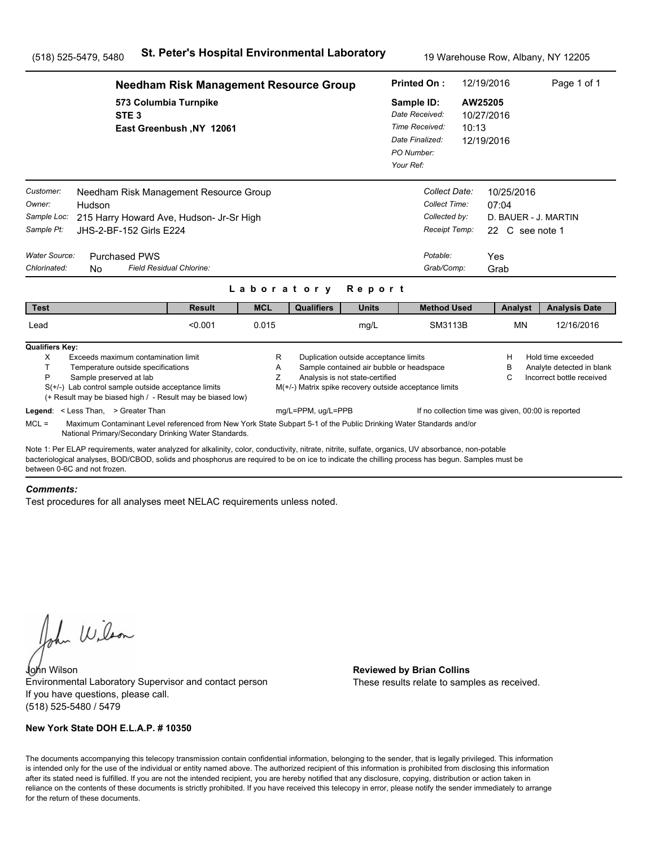|                                                                                                                                                                                                                                                                                                                                      | <b>Needham Risk Management Resource Group</b>     |             |                                                        |                                                                                                                      |                                                                                              |                                                                                            | 12/19/2016                                                                    | Page 1 of 1                                                                  |  |
|--------------------------------------------------------------------------------------------------------------------------------------------------------------------------------------------------------------------------------------------------------------------------------------------------------------------------------------|---------------------------------------------------|-------------|--------------------------------------------------------|----------------------------------------------------------------------------------------------------------------------|----------------------------------------------------------------------------------------------|--------------------------------------------------------------------------------------------|-------------------------------------------------------------------------------|------------------------------------------------------------------------------|--|
| STE <sub>3</sub>                                                                                                                                                                                                                                                                                                                     | 573 Columbia Turnpike<br>East Greenbush, NY 12061 |             |                                                        |                                                                                                                      | Sample ID:<br>Date Received:<br>Time Received:<br>Date Finalized:<br>PO Number:<br>Your Ref: | 10:13                                                                                      | AW25205<br>10/27/2016<br>12/19/2016                                           |                                                                              |  |
| Customer:<br>Needham Risk Management Resource Group<br>Owner:<br>Hudson<br>Sample Loc:<br>215 Harry Howard Ave, Hudson- Jr-Sr High<br>Sample Pt:<br>JHS-2-BF-152 Girls E224<br>Water Source:<br><b>Purchased PWS</b><br>Chlorinated:<br>N <sub>0</sub>                                                                               | Field Residual Chlorine:                          |             |                                                        |                                                                                                                      |                                                                                              | Collect Date:<br>Collect Time:<br>Collected by:<br>Receipt Temp:<br>Potable:<br>Grab/Comp: | 10/25/2016<br>07:04<br>D. BAUER - J. MARTIN<br>22 C see note 1<br>Yes<br>Grab |                                                                              |  |
|                                                                                                                                                                                                                                                                                                                                      |                                                   | Laboratory  |                                                        | Report                                                                                                               |                                                                                              |                                                                                            |                                                                               |                                                                              |  |
| <b>Test</b>                                                                                                                                                                                                                                                                                                                          | <b>Result</b>                                     | <b>MCL</b>  | <b>Qualifiers</b>                                      | <b>Units</b>                                                                                                         |                                                                                              | <b>Method Used</b>                                                                         | Analyst                                                                       | <b>Analysis Date</b>                                                         |  |
| Lead                                                                                                                                                                                                                                                                                                                                 | < 0.001                                           | 0.015       |                                                        | mg/L                                                                                                                 |                                                                                              | SM3113B                                                                                    | <b>MN</b>                                                                     | 12/16/2016                                                                   |  |
| <b>Qualifiers Key:</b><br>X<br>Exceeds maximum contamination limit<br>T.<br>Temperature outside specifications<br>P<br>Sample preserved at lab<br>$S(+/-)$ Lab control sample outside acceptance limits<br>(+ Result may be biased high / - Result may be biased low)                                                                |                                                   | R<br>A<br>Z | M(+/-) Matrix spike recovery outside acceptance limits | Duplication outside acceptance limits<br>Sample contained air bubble or headspace<br>Analysis is not state-certified |                                                                                              |                                                                                            | н<br>в<br>С                                                                   | Hold time exceeded<br>Analyte detected in blank<br>Incorrect bottle received |  |
| Legend: < Less Than, > Greater Than<br>$MCL =$<br>Maximum Contaminant Level referenced from New York State Subpart 5-1 of the Public Drinking Water Standards and/or<br>National Primary/Secondary Drinking Water Standards.                                                                                                         |                                                   |             | mg/L=PPM, ug/L=PPB                                     |                                                                                                                      |                                                                                              |                                                                                            | If no collection time was given, 00:00 is reported                            |                                                                              |  |
| Note 1: Per ELAP requirements, water analyzed for alkalinity, color, conductivity, nitrate, nitrite, sulfate, organics, UV absorbance, non-potable<br>bacteriological analyses, BOD/CBOD, solids and phosphorus are required to be on ice to indicate the chilling process has begun. Samples must be<br>between 0-6C and not frozen |                                                   |             |                                                        |                                                                                                                      |                                                                                              |                                                                                            |                                                                               |                                                                              |  |

#### *Comments:*

Test procedures for all analyses meet NELAC requirements unless noted.

John Wilson

John Wilson **Reviewed by Brian Collins** Environmental Laboratory Supervisor and contact person If you have questions, please call. (518) 525-5480 / 5479

### **New York State DOH E.L.A.P. # 10350**

These results relate to samples as received.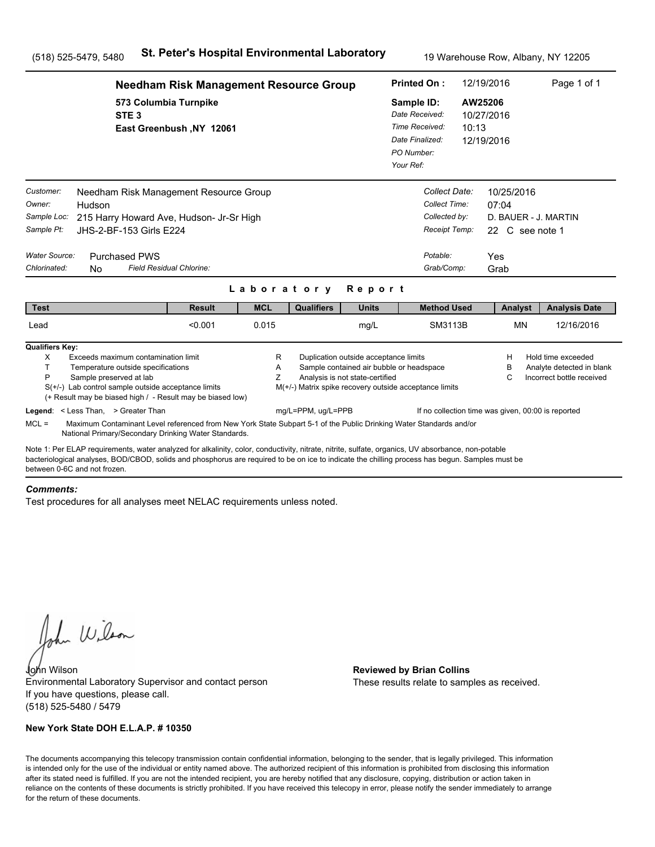|                                                                                                                                                                                                                                                                                                                                      | <b>Needham Risk Management Resource Group</b>     |             |                                                        |                                                                                                                      |                                                                                              |                                                                                            | 12/19/2016                                                                    | Page 1 of 1                                                                  |  |
|--------------------------------------------------------------------------------------------------------------------------------------------------------------------------------------------------------------------------------------------------------------------------------------------------------------------------------------|---------------------------------------------------|-------------|--------------------------------------------------------|----------------------------------------------------------------------------------------------------------------------|----------------------------------------------------------------------------------------------|--------------------------------------------------------------------------------------------|-------------------------------------------------------------------------------|------------------------------------------------------------------------------|--|
| STE <sub>3</sub>                                                                                                                                                                                                                                                                                                                     | 573 Columbia Turnpike<br>East Greenbush, NY 12061 |             |                                                        |                                                                                                                      | Sample ID:<br>Date Received:<br>Time Received:<br>Date Finalized:<br>PO Number:<br>Your Ref: | AW25206<br>10:13                                                                           | 10/27/2016<br>12/19/2016                                                      |                                                                              |  |
| Customer:<br>Needham Risk Management Resource Group<br>Owner:<br>Hudson<br>Sample Loc:<br>215 Harry Howard Ave, Hudson- Jr-Sr High<br>Sample Pt:<br>JHS-2-BF-153 Girls E224<br>Water Source:<br><b>Purchased PWS</b><br>Chlorinated:<br>N <sub>0</sub>                                                                               | Field Residual Chlorine:                          |             |                                                        |                                                                                                                      |                                                                                              | Collect Date:<br>Collect Time:<br>Collected by:<br>Receipt Temp:<br>Potable:<br>Grab/Comp: | 10/25/2016<br>07:04<br>D. BAUER - J. MARTIN<br>22 C see note 1<br>Yes<br>Grab |                                                                              |  |
|                                                                                                                                                                                                                                                                                                                                      |                                                   | Laboratory  |                                                        | Report                                                                                                               |                                                                                              |                                                                                            |                                                                               |                                                                              |  |
| <b>Test</b>                                                                                                                                                                                                                                                                                                                          | <b>Result</b>                                     | <b>MCL</b>  | <b>Qualifiers</b>                                      | <b>Units</b>                                                                                                         |                                                                                              | <b>Method Used</b>                                                                         | Analyst                                                                       | <b>Analysis Date</b>                                                         |  |
| Lead                                                                                                                                                                                                                                                                                                                                 | < 0.001                                           | 0.015       |                                                        | mg/L                                                                                                                 |                                                                                              | SM3113B                                                                                    | <b>MN</b>                                                                     | 12/16/2016                                                                   |  |
| <b>Qualifiers Key:</b><br>X<br>Exceeds maximum contamination limit<br>T.<br>Temperature outside specifications<br>P<br>Sample preserved at lab<br>$S(+/-)$ Lab control sample outside acceptance limits<br>(+ Result may be biased high / - Result may be biased low)                                                                |                                                   | R<br>A<br>Z | M(+/-) Matrix spike recovery outside acceptance limits | Duplication outside acceptance limits<br>Sample contained air bubble or headspace<br>Analysis is not state-certified |                                                                                              |                                                                                            | н<br>в<br>С                                                                   | Hold time exceeded<br>Analyte detected in blank<br>Incorrect bottle received |  |
| Legend: < Less Than, > Greater Than<br>$MCL =$<br>Maximum Contaminant Level referenced from New York State Subpart 5-1 of the Public Drinking Water Standards and/or<br>National Primary/Secondary Drinking Water Standards.                                                                                                         |                                                   |             | mg/L=PPM, ug/L=PPB                                     |                                                                                                                      |                                                                                              |                                                                                            | If no collection time was given, 00:00 is reported                            |                                                                              |  |
| Note 1: Per ELAP requirements, water analyzed for alkalinity, color, conductivity, nitrate, nitrite, sulfate, organics, UV absorbance, non-potable<br>bacteriological analyses, BOD/CBOD, solids and phosphorus are required to be on ice to indicate the chilling process has begun. Samples must be<br>between 0-6C and not frozen |                                                   |             |                                                        |                                                                                                                      |                                                                                              |                                                                                            |                                                                               |                                                                              |  |

#### *Comments:*

Test procedures for all analyses meet NELAC requirements unless noted.

John Wilson

John Wilson **Reviewed by Brian Collins** Environmental Laboratory Supervisor and contact person If you have questions, please call. (518) 525-5480 / 5479

### **New York State DOH E.L.A.P. # 10350**

These results relate to samples as received.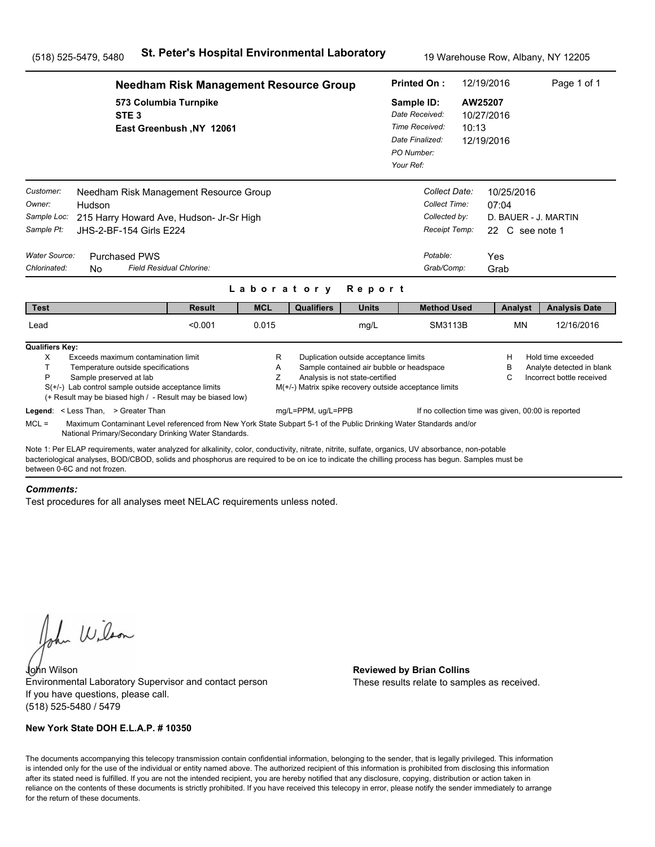|                                                                                                                                       | <b>Needham Risk Management Resource Group</b>                                                                                                                                                                                                                                                         |             |                    |                                                                          |                                                                                                    |                  | 12/19/2016                                                                    | Page 1 of 1                                                                  |  |
|---------------------------------------------------------------------------------------------------------------------------------------|-------------------------------------------------------------------------------------------------------------------------------------------------------------------------------------------------------------------------------------------------------------------------------------------------------|-------------|--------------------|--------------------------------------------------------------------------|----------------------------------------------------------------------------------------------------|------------------|-------------------------------------------------------------------------------|------------------------------------------------------------------------------|--|
| STE <sub>3</sub>                                                                                                                      | 573 Columbia Turnpike<br>East Greenbush, NY 12061                                                                                                                                                                                                                                                     |             |                    |                                                                          | Sample ID:<br>Date Received:<br>Time Received:<br>Date Finalized:<br>PO Number:<br>Your Ref:       | AW25207<br>10:13 | 10/27/2016<br>12/19/2016                                                      |                                                                              |  |
| Customer:<br>Owner:<br>Hudson<br>Sample Loc:<br>Sample Pt:<br>Water Source:<br><b>Purchased PWS</b><br>Chlorinated:<br>N <sub>0</sub> | Needham Risk Management Resource Group<br>215 Harry Howard Ave, Hudson- Jr-Sr High<br>JHS-2-BF-154 Girls E224<br>Field Residual Chlorine:                                                                                                                                                             |             |                    |                                                                          | Collect Date:<br>Collect Time:<br>Collected by:<br>Receipt Temp:<br>Potable:<br>Grab/Comp:         |                  | 10/25/2016<br>07:04<br>D. BAUER - J. MARTIN<br>22 C see note 1<br>Yes<br>Grab |                                                                              |  |
|                                                                                                                                       |                                                                                                                                                                                                                                                                                                       | Laboratory  |                    | Report                                                                   |                                                                                                    |                  |                                                                               |                                                                              |  |
| <b>Test</b>                                                                                                                           | <b>Result</b>                                                                                                                                                                                                                                                                                         | <b>MCL</b>  | <b>Qualifiers</b>  | <b>Units</b>                                                             | <b>Method Used</b>                                                                                 |                  | Analyst                                                                       | <b>Analysis Date</b>                                                         |  |
| Lead                                                                                                                                  | < 0.001                                                                                                                                                                                                                                                                                               | 0.015       |                    | mg/L                                                                     | SM3113B                                                                                            |                  | <b>MN</b>                                                                     | 12/16/2016                                                                   |  |
| <b>Qualifiers Key:</b><br>X<br>T.<br>Temperature outside specifications<br>P<br>Sample preserved at lab                               | Exceeds maximum contamination limit<br>$S(+/-)$ Lab control sample outside acceptance limits<br>(+ Result may be biased high / - Result may be biased low)                                                                                                                                            | R<br>A<br>Z |                    | Duplication outside acceptance limits<br>Analysis is not state-certified | Sample contained air bubble or headspace<br>M(+/-) Matrix spike recovery outside acceptance limits |                  | н<br>в<br>С                                                                   | Hold time exceeded<br>Analyte detected in blank<br>Incorrect bottle received |  |
| Legend: < Less Than, > Greater Than<br>$MCL =$                                                                                        | Maximum Contaminant Level referenced from New York State Subpart 5-1 of the Public Drinking Water Standards and/or<br>National Primary/Secondary Drinking Water Standards.                                                                                                                            |             | mg/L=PPM, ug/L=PPB |                                                                          |                                                                                                    |                  | If no collection time was given, 00:00 is reported                            |                                                                              |  |
| between 0-6C and not frozen                                                                                                           | Note 1: Per ELAP requirements, water analyzed for alkalinity, color, conductivity, nitrate, nitrite, sulfate, organics, UV absorbance, non-potable<br>bacteriological analyses, BOD/CBOD, solids and phosphorus are required to be on ice to indicate the chilling process has begun. Samples must be |             |                    |                                                                          |                                                                                                    |                  |                                                                               |                                                                              |  |

#### *Comments:*

Test procedures for all analyses meet NELAC requirements unless noted.

John Wilson

John Wilson **Reviewed by Brian Collins** Environmental Laboratory Supervisor and contact person If you have questions, please call. (518) 525-5480 / 5479

### **New York State DOH E.L.A.P. # 10350**

These results relate to samples as received.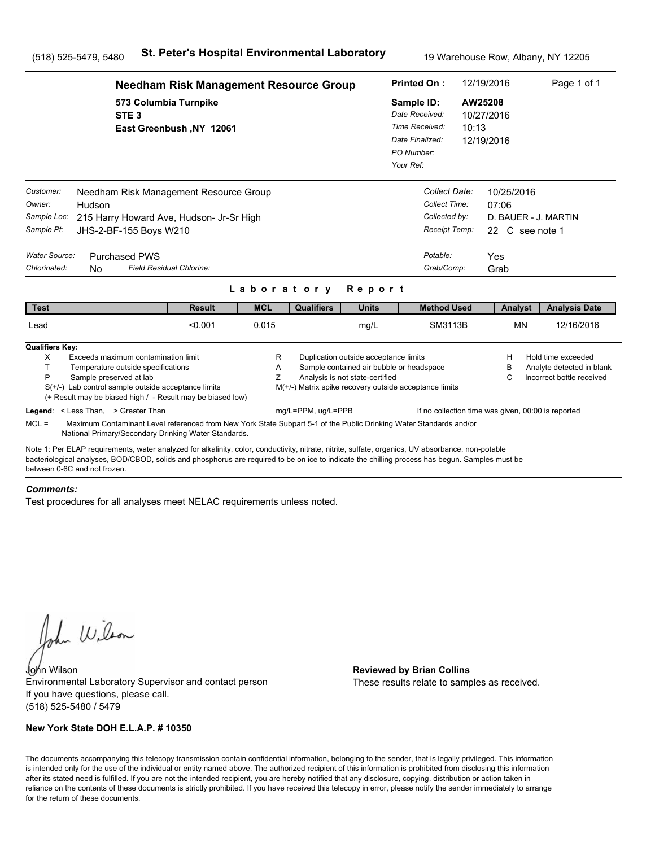|                                                                                                               | <b>Needham Risk Management Resource Group</b>                                                                                                                                                                                                                                                         |                          | <b>Printed On:</b> | 12/19/2016                                                               |                                                                                                    | Page 1 of 1      |                                                                               |                                                                              |  |
|---------------------------------------------------------------------------------------------------------------|-------------------------------------------------------------------------------------------------------------------------------------------------------------------------------------------------------------------------------------------------------------------------------------------------------|--------------------------|--------------------|--------------------------------------------------------------------------|----------------------------------------------------------------------------------------------------|------------------|-------------------------------------------------------------------------------|------------------------------------------------------------------------------|--|
|                                                                                                               | 573 Columbia Turnpike<br>STE <sub>3</sub><br>East Greenbush, NY 12061                                                                                                                                                                                                                                 |                          |                    |                                                                          | Sample ID:<br>Date Received:<br>Time Received:<br>Date Finalized:<br>PO Number:<br>Your Ref:       | AW25208<br>10:13 | 10/27/2016<br>12/19/2016                                                      |                                                                              |  |
| Customer:<br>Owner:<br>Hudson<br>Sample Loc:<br>Sample Pt:<br>Water Source:<br>Chlorinated:<br>N <sub>0</sub> | Needham Risk Management Resource Group<br>215 Harry Howard Ave, Hudson- Jr-Sr High<br>JHS-2-BF-155 Boys W210<br><b>Purchased PWS</b><br>Field Residual Chlorine:                                                                                                                                      |                          |                    |                                                                          | Collect Date:<br>Collect Time:<br>Collected by:<br>Receipt Temp:<br>Potable:<br>Grab/Comp:         |                  | 10/25/2016<br>07:06<br>D. BAUER - J. MARTIN<br>22 C see note 1<br>Yes<br>Grab |                                                                              |  |
| <b>Test</b>                                                                                                   | <b>Result</b>                                                                                                                                                                                                                                                                                         | Laboratory<br><b>MCL</b> | <b>Qualifiers</b>  | Report<br><b>Units</b>                                                   | <b>Method Used</b>                                                                                 |                  | Analyst                                                                       | <b>Analysis Date</b>                                                         |  |
| Lead                                                                                                          | < 0.001                                                                                                                                                                                                                                                                                               | 0.015                    |                    | mg/L                                                                     | SM3113B                                                                                            |                  | <b>MN</b>                                                                     | 12/16/2016                                                                   |  |
| <b>Qualifiers Key:</b><br>X<br>T.<br>P<br>Legend: < Less Than, > Greater Than                                 | Exceeds maximum contamination limit<br>Temperature outside specifications<br>Sample preserved at lab<br>$S(+/-)$ Lab control sample outside acceptance limits<br>(+ Result may be biased high / - Result may be biased low)                                                                           | R<br>A<br>Z              | mg/L=PPM, ug/L=PPB | Duplication outside acceptance limits<br>Analysis is not state-certified | Sample contained air bubble or headspace<br>M(+/-) Matrix spike recovery outside acceptance limits |                  | н<br>в<br>С<br>If no collection time was given, 00:00 is reported             | Hold time exceeded<br>Analyte detected in blank<br>Incorrect bottle received |  |
| $MCL =$                                                                                                       | Maximum Contaminant Level referenced from New York State Subpart 5-1 of the Public Drinking Water Standards and/or<br>National Primary/Secondary Drinking Water Standards.                                                                                                                            |                          |                    |                                                                          |                                                                                                    |                  |                                                                               |                                                                              |  |
| between 0-6C and not frozen                                                                                   | Note 1: Per ELAP requirements, water analyzed for alkalinity, color, conductivity, nitrate, nitrite, sulfate, organics, UV absorbance, non-potable<br>bacteriological analyses, BOD/CBOD, solids and phosphorus are required to be on ice to indicate the chilling process has begun. Samples must be |                          |                    |                                                                          |                                                                                                    |                  |                                                                               |                                                                              |  |

#### *Comments:*

Test procedures for all analyses meet NELAC requirements unless noted.

John Wilson

John Wilson **Reviewed by Brian Collins** Environmental Laboratory Supervisor and contact person If you have questions, please call. (518) 525-5480 / 5479

### **New York State DOH E.L.A.P. # 10350**

These results relate to samples as received.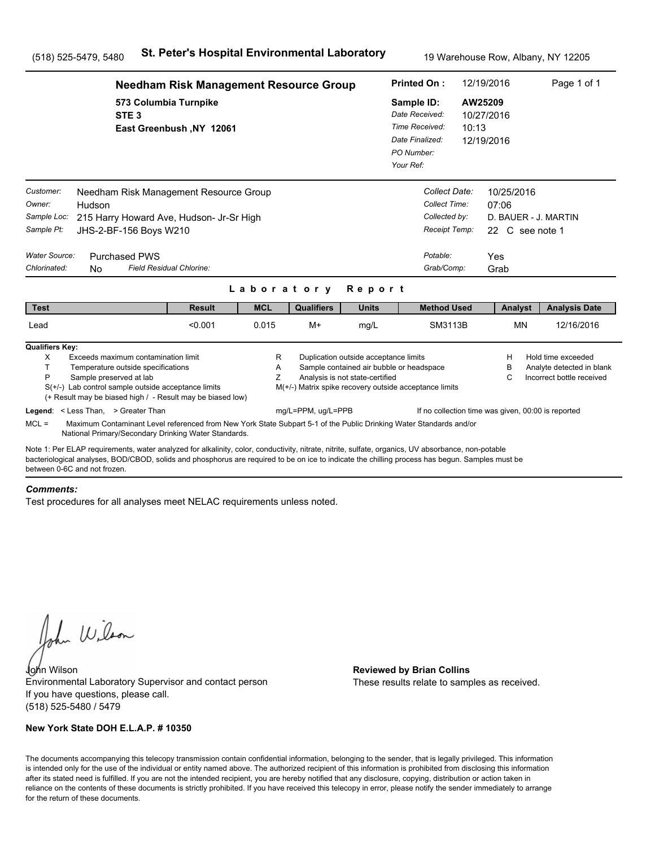|                                                                                   | <b>Needham Risk Management Resource Group</b>                                                                                                                                                                                                                                                                                         |                          |             |                    |                                                                          | <b>Printed On:</b>                                                                                    |  | 12/19/2016                                                                    | Page 1 of 1                                                                  |
|-----------------------------------------------------------------------------------|---------------------------------------------------------------------------------------------------------------------------------------------------------------------------------------------------------------------------------------------------------------------------------------------------------------------------------------|--------------------------|-------------|--------------------|--------------------------------------------------------------------------|-------------------------------------------------------------------------------------------------------|--|-------------------------------------------------------------------------------|------------------------------------------------------------------------------|
|                                                                                   | 573 Columbia Turnpike<br>STE <sub>3</sub>                                                                                                                                                                                                                                                                                             | East Greenbush, NY 12061 |             |                    |                                                                          | Sample ID:<br>Date Received:<br>Time Received:<br>10:13<br>Date Finalized:<br>PO Number:<br>Your Ref: |  | AW25209<br>10/27/2016<br>12/19/2016                                           |                                                                              |
| Customer:<br>Owner:<br>Sample Loc:<br>Sample Pt:<br>Water Source:<br>Chlorinated: | Needham Risk Management Resource Group<br>Hudson<br>215 Harry Howard Ave, Hudson- Jr-Sr High<br>JHS-2-BF-156 Boys W210<br><b>Purchased PWS</b><br>Field Residual Chlorine:<br>No.                                                                                                                                                     |                          | Laboratory  |                    | Report                                                                   | Collect Date:<br>Collect Time:<br>Collected by:<br>Receipt Temp:<br>Potable:<br>Grab/Comp:            |  | 10/25/2016<br>07:06<br>D. BAUER - J. MARTIN<br>22 C see note 1<br>Yes<br>Grab |                                                                              |
| <b>Test</b>                                                                       |                                                                                                                                                                                                                                                                                                                                       | <b>Result</b>            | <b>MCL</b>  | <b>Qualifiers</b>  | <b>Units</b>                                                             | <b>Method Used</b>                                                                                    |  | Analyst                                                                       | <b>Analysis Date</b>                                                         |
| Lead                                                                              |                                                                                                                                                                                                                                                                                                                                       | < 0.001                  | 0.015       | $M+$               | mg/L                                                                     | SM3113B                                                                                               |  | <b>MN</b>                                                                     | 12/16/2016                                                                   |
| <b>Qualifiers Key:</b><br>X<br>T<br>P                                             | Exceeds maximum contamination limit<br>Temperature outside specifications<br>Sample preserved at lab<br>$S(+/-)$ Lab control sample outside acceptance limits<br>(+ Result may be biased high / - Result may be biased low)<br>Legend: < Less Than, > Greater Than                                                                    |                          | R<br>Α<br>Z | mg/L=PPM, ug/L=PPB | Duplication outside acceptance limits<br>Analysis is not state-certified | Sample contained air bubble or headspace<br>M(+/-) Matrix spike recovery outside acceptance limits    |  | Н<br>в<br>С<br>If no collection time was given, 00:00 is reported             | Hold time exceeded<br>Analyte detected in blank<br>Incorrect bottle received |
| $MCL =$                                                                           | Maximum Contaminant Level referenced from New York State Subpart 5-1 of the Public Drinking Water Standards and/or<br>National Primary/Secondary Drinking Water Standards.                                                                                                                                                            |                          |             |                    |                                                                          |                                                                                                       |  |                                                                               |                                                                              |
|                                                                                   | Note 1: Per ELAP requirements, water analyzed for alkalinity, color, conductivity, nitrate, nitrite, sulfate, organics, UV absorbance, non-potable<br>bacteriological analyses, BOD/CBOD, solids and phosphorus are required to be on ice to indicate the chilling process has begun. Samples must be<br>between 0-6C and not frozen. |                          |             |                    |                                                                          |                                                                                                       |  |                                                                               |                                                                              |

#### *Comments:*

Test procedures for all analyses meet NELAC requirements unless noted.

John Wilson

John Wilson **Reviewed by Brian Collins** Environmental Laboratory Supervisor and contact person If you have questions, please call. (518) 525-5480 / 5479

### **New York State DOH E.L.A.P. # 10350**

These results relate to samples as received.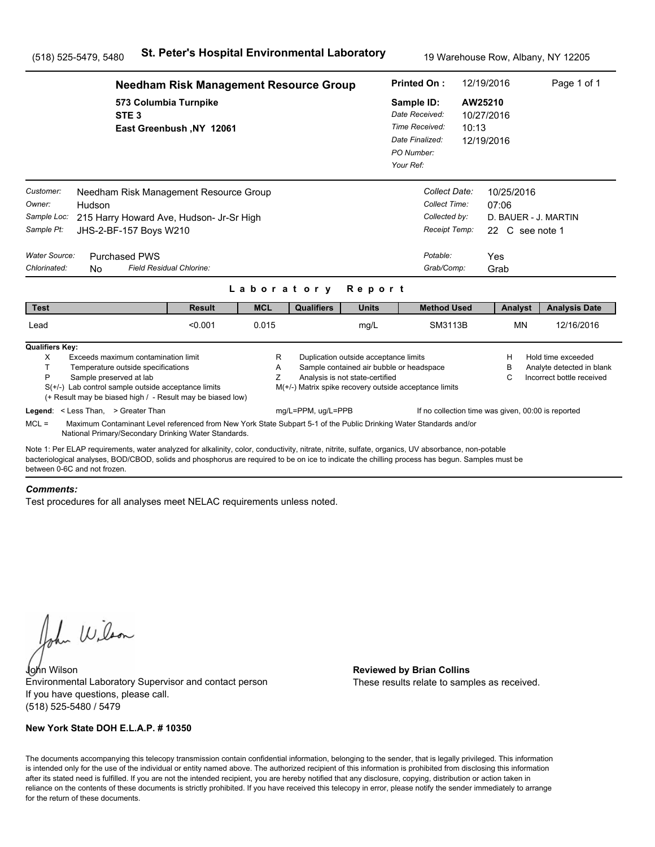|                                                                                                                                                                                                                                                                                                                                      | <b>Needham Risk Management Resource Group</b>                                                                      |             |                                                                              |                                                                                                                      |                                                                                              | <b>Printed On:</b>                                                                         | 12/19/2016                                            | Page 1 of 1                                                                  |  |
|--------------------------------------------------------------------------------------------------------------------------------------------------------------------------------------------------------------------------------------------------------------------------------------------------------------------------------------|--------------------------------------------------------------------------------------------------------------------|-------------|------------------------------------------------------------------------------|----------------------------------------------------------------------------------------------------------------------|----------------------------------------------------------------------------------------------|--------------------------------------------------------------------------------------------|-------------------------------------------------------|------------------------------------------------------------------------------|--|
| STE <sub>3</sub>                                                                                                                                                                                                                                                                                                                     | 573 Columbia Turnpike<br>East Greenbush, NY 12061                                                                  |             |                                                                              |                                                                                                                      | Sample ID:<br>Date Received:<br>Time Received:<br>Date Finalized:<br>PO Number:<br>Your Ref: | 10:13                                                                                      | AW25210<br>10/27/2016<br>12/19/2016                   |                                                                              |  |
| Customer:<br>Owner:<br>Hudson<br>Sample Loc:<br>Sample Pt:<br>JHS-2-BF-157 Boys W210<br><b>Water Source:</b><br><b>Purchased PWS</b><br>Chlorinated:<br>N <sub>0</sub>                                                                                                                                                               | Needham Risk Management Resource Group<br>215 Harry Howard Ave, Hudson- Jr-Sr High<br>Field Residual Chlorine:     | Laboratory  |                                                                              | Report                                                                                                               |                                                                                              | Collect Date:<br>Collect Time:<br>Collected by:<br>Receipt Temp:<br>Potable:<br>Grab/Comp: | 10/25/2016<br>07:06<br>22 C see note 1<br>Yes<br>Grab | D. BAUER - J. MARTIN                                                         |  |
| <b>Test</b>                                                                                                                                                                                                                                                                                                                          | <b>Result</b>                                                                                                      | <b>MCL</b>  | <b>Qualifiers</b>                                                            | <b>Units</b>                                                                                                         |                                                                                              | <b>Method Used</b>                                                                         | Analyst                                               | <b>Analysis Date</b>                                                         |  |
| Lead                                                                                                                                                                                                                                                                                                                                 | < 0.001                                                                                                            | 0.015       |                                                                              | mg/L                                                                                                                 |                                                                                              | SM3113B                                                                                    | <b>MN</b>                                             | 12/16/2016                                                                   |  |
| <b>Qualifiers Key:</b><br>Exceeds maximum contamination limit<br>X<br>T.<br>Temperature outside specifications<br>P<br>Sample preserved at lab<br>$S(+/-)$ Lab control sample outside acceptance limits<br>(+ Result may be biased high / - Result may be biased low)<br>Legend: < Less Than, > Greater Than<br>$MCL =$              | Maximum Contaminant Level referenced from New York State Subpart 5-1 of the Public Drinking Water Standards and/or | R<br>Α<br>Ζ | M(+/-) Matrix spike recovery outside acceptance limits<br>mg/L=PPM, ug/L=PPB | Duplication outside acceptance limits<br>Sample contained air bubble or headspace<br>Analysis is not state-certified |                                                                                              | If no collection time was given, 00:00 is reported                                         | н<br>в<br>C                                           | Hold time exceeded<br>Analyte detected in blank<br>Incorrect bottle received |  |
|                                                                                                                                                                                                                                                                                                                                      | National Primary/Secondary Drinking Water Standards.                                                               |             |                                                                              |                                                                                                                      |                                                                                              |                                                                                            |                                                       |                                                                              |  |
| Note 1: Per ELAP requirements, water analyzed for alkalinity, color, conductivity, nitrate, nitrite, sulfate, organics, UV absorbance, non-potable<br>bacteriological analyses, BOD/CBOD, solids and phosphorus are required to be on ice to indicate the chilling process has begun. Samples must be<br>between 0-6C and not frozen |                                                                                                                    |             |                                                                              |                                                                                                                      |                                                                                              |                                                                                            |                                                       |                                                                              |  |

#### *Comments:*

Test procedures for all analyses meet NELAC requirements unless noted.

John Wilson

John Wilson **Reviewed by Brian Collins** Environmental Laboratory Supervisor and contact person If you have questions, please call. (518) 525-5480 / 5479

### **New York State DOH E.L.A.P. # 10350**

These results relate to samples as received.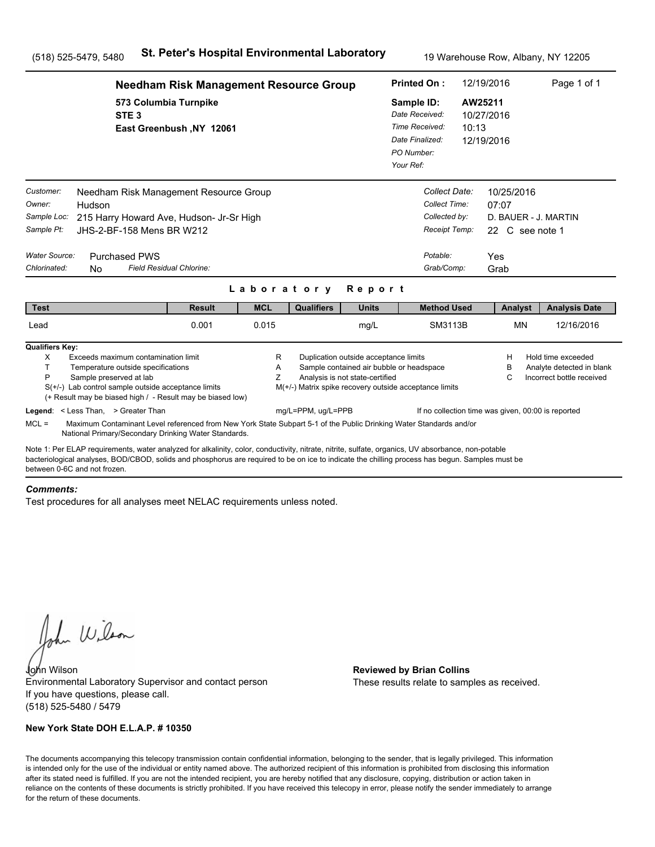|                                                                                                               | <b>Needham Risk Management Resource Group</b>                                                                                                                                                                                                                                                         |             |                                                        |                                                                          |                                                                                              | <b>Printed On:</b>                                                             | 12/19/2016                                            | Page 1 of 1                                                                  |  |
|---------------------------------------------------------------------------------------------------------------|-------------------------------------------------------------------------------------------------------------------------------------------------------------------------------------------------------------------------------------------------------------------------------------------------------|-------------|--------------------------------------------------------|--------------------------------------------------------------------------|----------------------------------------------------------------------------------------------|--------------------------------------------------------------------------------|-------------------------------------------------------|------------------------------------------------------------------------------|--|
|                                                                                                               | 573 Columbia Turnpike<br>STE <sub>3</sub><br>East Greenbush, NY 12061                                                                                                                                                                                                                                 |             |                                                        |                                                                          | Sample ID:<br>Date Received:<br>Time Received:<br>Date Finalized:<br>PO Number:<br>Your Ref: | 10:13                                                                          | AW25211<br>10/27/2016<br>12/19/2016                   |                                                                              |  |
| Customer:<br>Owner:<br>Hudson<br>Sample Loc:<br>Sample Pt:<br>Water Source:<br>Chlorinated:<br>N <sub>0</sub> | Needham Risk Management Resource Group<br>215 Harry Howard Ave, Hudson- Jr-Sr High<br>JHS-2-BF-158 Mens BR W212<br><b>Purchased PWS</b><br>Field Residual Chlorine:                                                                                                                                   |             |                                                        |                                                                          | Potable:                                                                                     | Collect Date:<br>Collect Time:<br>Collected by:<br>Receipt Temp:<br>Grab/Comp: | 10/25/2016<br>07:07<br>22 C see note 1<br>Yes<br>Grab | D. BAUER - J. MARTIN                                                         |  |
|                                                                                                               |                                                                                                                                                                                                                                                                                                       | Laboratory  |                                                        | Report                                                                   |                                                                                              |                                                                                |                                                       |                                                                              |  |
| <b>Test</b>                                                                                                   | <b>Result</b>                                                                                                                                                                                                                                                                                         | <b>MCL</b>  | <b>Qualifiers</b>                                      | <b>Units</b>                                                             |                                                                                              | <b>Method Used</b>                                                             | Analyst                                               | <b>Analysis Date</b>                                                         |  |
| Lead                                                                                                          | 0.001                                                                                                                                                                                                                                                                                                 | 0.015       |                                                        | mg/L                                                                     |                                                                                              | SM3113B                                                                        | <b>MN</b>                                             | 12/16/2016                                                                   |  |
| <b>Qualifiers Key:</b><br>X<br>T.<br>P<br>Sample preserved at lab                                             | Exceeds maximum contamination limit<br>Temperature outside specifications<br>$S(+/-)$ Lab control sample outside acceptance limits<br>(+ Result may be biased high / - Result may be biased low)                                                                                                      | R<br>A<br>Z | M(+/-) Matrix spike recovery outside acceptance limits | Duplication outside acceptance limits<br>Analysis is not state-certified | Sample contained air bubble or headspace                                                     |                                                                                | н<br>в<br>С                                           | Hold time exceeded<br>Analyte detected in blank<br>Incorrect bottle received |  |
| Legend: < Less Than, > Greater Than<br>$MCL =$                                                                | Maximum Contaminant Level referenced from New York State Subpart 5-1 of the Public Drinking Water Standards and/or<br>National Primary/Secondary Drinking Water Standards.                                                                                                                            |             | mg/L=PPM, ug/L=PPB                                     |                                                                          |                                                                                              |                                                                                | If no collection time was given, 00:00 is reported    |                                                                              |  |
| between 0-6C and not frozen                                                                                   | Note 1: Per ELAP requirements, water analyzed for alkalinity, color, conductivity, nitrate, nitrite, sulfate, organics, UV absorbance, non-potable<br>bacteriological analyses, BOD/CBOD, solids and phosphorus are required to be on ice to indicate the chilling process has begun. Samples must be |             |                                                        |                                                                          |                                                                                              |                                                                                |                                                       |                                                                              |  |

#### *Comments:*

Test procedures for all analyses meet NELAC requirements unless noted.

John Wilson

John Wilson **Reviewed by Brian Collins** Environmental Laboratory Supervisor and contact person If you have questions, please call. (518) 525-5480 / 5479

### **New York State DOH E.L.A.P. # 10350**

These results relate to samples as received.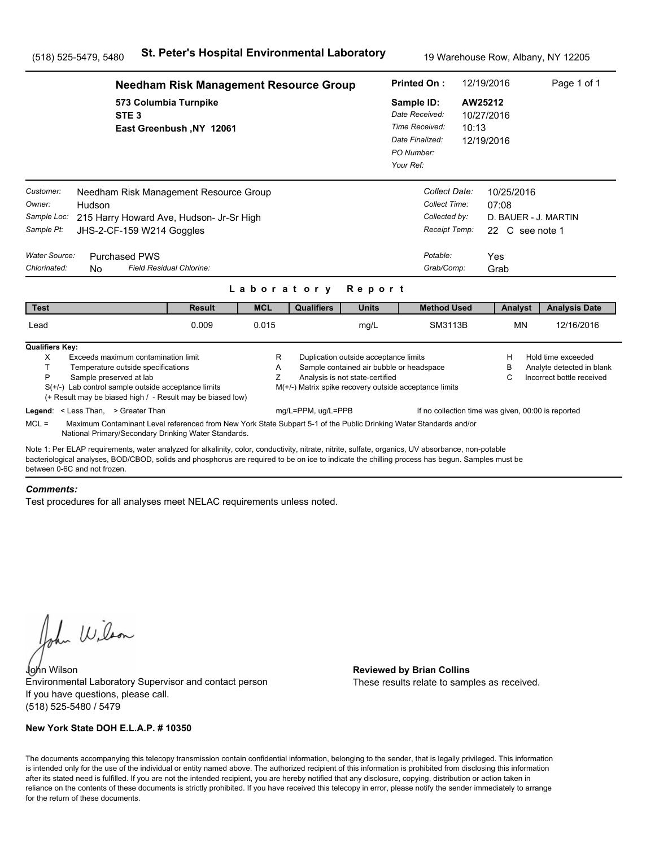|                                                                                                               | <b>Needham Risk Management Resource Group</b>                                                                                                                                                                                                                                                         |                          | <b>Printed On:</b> | 12/19/2016                                                               |                                                                                                    | Page 1 of 1      |                                                                               |                                                                              |  |
|---------------------------------------------------------------------------------------------------------------|-------------------------------------------------------------------------------------------------------------------------------------------------------------------------------------------------------------------------------------------------------------------------------------------------------|--------------------------|--------------------|--------------------------------------------------------------------------|----------------------------------------------------------------------------------------------------|------------------|-------------------------------------------------------------------------------|------------------------------------------------------------------------------|--|
|                                                                                                               | 573 Columbia Turnpike<br>STE <sub>3</sub><br>East Greenbush, NY 12061                                                                                                                                                                                                                                 |                          |                    |                                                                          | Sample ID:<br>Date Received:<br>Time Received:<br>Date Finalized:<br>PO Number:<br>Your Ref:       | AW25212<br>10:13 | 10/27/2016<br>12/19/2016                                                      |                                                                              |  |
| Customer:<br>Owner:<br>Hudson<br>Sample Loc:<br>Sample Pt:<br>Water Source:<br>Chlorinated:<br>N <sub>0</sub> | Needham Risk Management Resource Group<br>215 Harry Howard Ave, Hudson- Jr-Sr High<br>JHS-2-CF-159 W214 Goggles<br><b>Purchased PWS</b><br>Field Residual Chlorine:                                                                                                                                   |                          |                    |                                                                          | Collect Date:<br>Collect Time:<br>Collected by:<br>Receipt Temp:<br>Potable:<br>Grab/Comp:         |                  | 10/25/2016<br>07:08<br>D. BAUER - J. MARTIN<br>22 C see note 1<br>Yes<br>Grab |                                                                              |  |
| <b>Test</b>                                                                                                   | <b>Result</b>                                                                                                                                                                                                                                                                                         | Laboratory<br><b>MCL</b> | <b>Qualifiers</b>  | Report<br><b>Units</b>                                                   | <b>Method Used</b>                                                                                 |                  |                                                                               |                                                                              |  |
| Lead                                                                                                          | 0.009                                                                                                                                                                                                                                                                                                 | 0.015                    |                    | mg/L                                                                     | SM3113B                                                                                            |                  | Analyst<br><b>MN</b>                                                          | <b>Analysis Date</b><br>12/16/2016                                           |  |
| <b>Qualifiers Key:</b><br>X<br>T.<br>P<br>Sample preserved at lab<br>Legend: < Less Than, > Greater Than      | Exceeds maximum contamination limit<br>Temperature outside specifications<br>$S(+/-)$ Lab control sample outside acceptance limits<br>(+ Result may be biased high / - Result may be biased low)                                                                                                      | R<br>A<br>Z              | mg/L=PPM, ug/L=PPB | Duplication outside acceptance limits<br>Analysis is not state-certified | Sample contained air bubble or headspace<br>M(+/-) Matrix spike recovery outside acceptance limits |                  | н<br>в<br>С<br>If no collection time was given, 00:00 is reported             | Hold time exceeded<br>Analyte detected in blank<br>Incorrect bottle received |  |
| $MCL =$                                                                                                       | Maximum Contaminant Level referenced from New York State Subpart 5-1 of the Public Drinking Water Standards and/or<br>National Primary/Secondary Drinking Water Standards.                                                                                                                            |                          |                    |                                                                          |                                                                                                    |                  |                                                                               |                                                                              |  |
| between 0-6C and not frozen                                                                                   | Note 1: Per ELAP requirements, water analyzed for alkalinity, color, conductivity, nitrate, nitrite, sulfate, organics, UV absorbance, non-potable<br>bacteriological analyses, BOD/CBOD, solids and phosphorus are required to be on ice to indicate the chilling process has begun. Samples must be |                          |                    |                                                                          |                                                                                                    |                  |                                                                               |                                                                              |  |

#### *Comments:*

Test procedures for all analyses meet NELAC requirements unless noted.

John Wilson

John Wilson **Reviewed by Brian Collins** Environmental Laboratory Supervisor and contact person If you have questions, please call. (518) 525-5480 / 5479

### **New York State DOH E.L.A.P. # 10350**

These results relate to samples as received.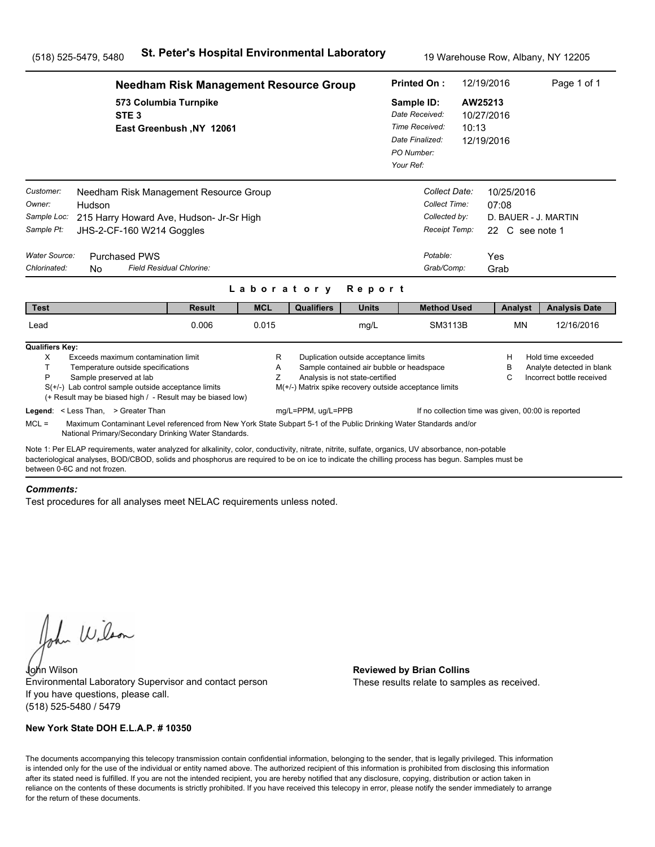|                                                                                   | <b>Needham Risk Management Resource Group</b>                                                                                                                                                                                                                                                                                                                 |                          |                          |                                                                              |                                                                                                                      |                                                                                              | 12/19/2016<br><b>Printed On:</b>                                                           |                      |                               | Page 1 of 1                                                                  |  |
|-----------------------------------------------------------------------------------|---------------------------------------------------------------------------------------------------------------------------------------------------------------------------------------------------------------------------------------------------------------------------------------------------------------------------------------------------------------|--------------------------|--------------------------|------------------------------------------------------------------------------|----------------------------------------------------------------------------------------------------------------------|----------------------------------------------------------------------------------------------|--------------------------------------------------------------------------------------------|----------------------|-------------------------------|------------------------------------------------------------------------------|--|
|                                                                                   | 573 Columbia Turnpike<br>STE <sub>3</sub>                                                                                                                                                                                                                                                                                                                     | East Greenbush, NY 12061 |                          |                                                                              |                                                                                                                      | Sample ID:<br>Date Received:<br>Time Received:<br>Date Finalized:<br>PO Number:<br>Your Ref: | 10:13                                                                                      | AW25213              | 10/27/2016<br>12/19/2016      |                                                                              |  |
| Customer:<br>Owner:<br>Sample Loc:<br>Sample Pt:<br>Water Source:<br>Chlorinated: | Needham Risk Management Resource Group<br>Hudson<br>215 Harry Howard Ave, Hudson- Jr-Sr High<br>JHS-2-CF-160 W214 Goggles<br><b>Purchased PWS</b><br>Field Residual Chlorine:<br>N <sub>0</sub>                                                                                                                                                               |                          |                          |                                                                              |                                                                                                                      |                                                                                              | Collect Date:<br>Collect Time:<br>Collected by:<br>Receipt Temp:<br>Potable:<br>Grab/Comp: | 07:08<br>Yes<br>Grab | 10/25/2016<br>22 C see note 1 | D. BAUER - J. MARTIN                                                         |  |
| <b>Test</b>                                                                       |                                                                                                                                                                                                                                                                                                                                                               | <b>Result</b>            | Laboratory<br><b>MCL</b> | <b>Qualifiers</b>                                                            | Report<br><b>Units</b>                                                                                               |                                                                                              | <b>Method Used</b>                                                                         |                      | Analyst                       | <b>Analysis Date</b>                                                         |  |
| Lead                                                                              |                                                                                                                                                                                                                                                                                                                                                               | 0.006                    | 0.015                    |                                                                              | mg/L                                                                                                                 |                                                                                              | SM3113B                                                                                    |                      | <b>MN</b>                     | 12/16/2016                                                                   |  |
| <b>Qualifiers Key:</b><br>X<br>T.<br>P                                            | Exceeds maximum contamination limit<br>Temperature outside specifications<br>Sample preserved at lab<br>$S(+/-)$ Lab control sample outside acceptance limits<br>(+ Result may be biased high / - Result may be biased low)<br>Legend: < Less Than, > Greater Than                                                                                            |                          | R<br>A<br>Z              | M(+/-) Matrix spike recovery outside acceptance limits<br>mg/L=PPM, ug/L=PPB | Duplication outside acceptance limits<br>Sample contained air bubble or headspace<br>Analysis is not state-certified |                                                                                              | If no collection time was given, 00:00 is reported                                         |                      | н<br>в<br>С                   | Hold time exceeded<br>Analyte detected in blank<br>Incorrect bottle received |  |
| $MCL =$                                                                           | Maximum Contaminant Level referenced from New York State Subpart 5-1 of the Public Drinking Water Standards and/or                                                                                                                                                                                                                                            |                          |                          |                                                                              |                                                                                                                      |                                                                                              |                                                                                            |                      |                               |                                                                              |  |
| between 0-6C and not frozen                                                       | National Primary/Secondary Drinking Water Standards.<br>Note 1: Per ELAP requirements, water analyzed for alkalinity, color, conductivity, nitrate, nitrite, sulfate, organics, UV absorbance, non-potable<br>bacteriological analyses, BOD/CBOD, solids and phosphorus are required to be on ice to indicate the chilling process has begun. Samples must be |                          |                          |                                                                              |                                                                                                                      |                                                                                              |                                                                                            |                      |                               |                                                                              |  |

#### *Comments:*

Test procedures for all analyses meet NELAC requirements unless noted.

John Wilson

John Wilson **Reviewed by Brian Collins** Environmental Laboratory Supervisor and contact person If you have questions, please call. (518) 525-5480 / 5479

### **New York State DOH E.L.A.P. # 10350**

These results relate to samples as received.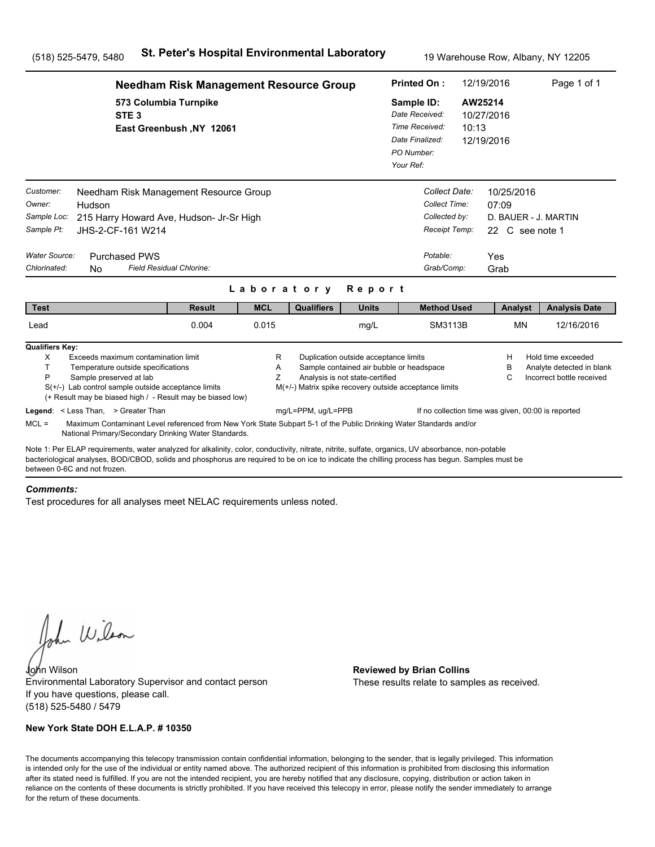|                                                                                                          | <b>Needham Risk Management Resource Group</b>                                                                                                                                                                                                                                                         |                     | <b>Printed On:</b> |                                                                          | 12/19/2016                                                                                         | Page 1 of 1 |                                                                               |                                                                              |  |
|----------------------------------------------------------------------------------------------------------|-------------------------------------------------------------------------------------------------------------------------------------------------------------------------------------------------------------------------------------------------------------------------------------------------------|---------------------|--------------------|--------------------------------------------------------------------------|----------------------------------------------------------------------------------------------------|-------------|-------------------------------------------------------------------------------|------------------------------------------------------------------------------|--|
|                                                                                                          | 573 Columbia Turnpike<br>STE <sub>3</sub><br>East Greenbush, NY 12061                                                                                                                                                                                                                                 |                     |                    |                                                                          | Sample ID:<br>Date Received:<br>Time Received:<br>Date Finalized:<br>PO Number:<br>Your Ref:       | 10:13       | AW25214<br>10/27/2016<br>12/19/2016                                           |                                                                              |  |
| Customer:<br>Owner:<br>Hudson<br>Sample Loc:<br>Sample Pt:<br>Water Source:<br>Chlorinated:<br><b>No</b> | Needham Risk Management Resource Group<br>215 Harry Howard Ave, Hudson- Jr-Sr High<br>JHS-2-CF-161 W214<br><b>Purchased PWS</b><br>Field Residual Chlorine:                                                                                                                                           |                     |                    |                                                                          | Collect Date:<br>Collect Time:<br>Collected by:<br>Receipt Temp:<br>Potable:<br>Grab/Comp:         |             | 10/25/2016<br>07:09<br>D. BAUER - J. MARTIN<br>22 C see note 1<br>Yes<br>Grab |                                                                              |  |
|                                                                                                          |                                                                                                                                                                                                                                                                                                       | Laboratory          |                    | Report                                                                   |                                                                                                    |             |                                                                               |                                                                              |  |
| <b>Test</b><br>Lead                                                                                      | <b>Result</b><br>0.004                                                                                                                                                                                                                                                                                | <b>MCL</b><br>0.015 | <b>Qualifiers</b>  | <b>Units</b><br>mg/L                                                     | <b>Method Used</b><br><b>SM3113B</b>                                                               |             | Analyst<br><b>MN</b>                                                          | <b>Analysis Date</b><br>12/16/2016                                           |  |
| <b>Qualifiers Key:</b><br>X<br>T.<br>P                                                                   | Exceeds maximum contamination limit<br>Temperature outside specifications<br>Sample preserved at lab<br>$S(+/-)$ Lab control sample outside acceptance limits<br>(+ Result may be biased high / - Result may be biased low)                                                                           | R<br>Α<br>Z         |                    | Duplication outside acceptance limits<br>Analysis is not state-certified | Sample contained air bubble or headspace<br>M(+/-) Matrix spike recovery outside acceptance limits |             | н<br>в<br>С                                                                   | Hold time exceeded<br>Analyte detected in blank<br>Incorrect bottle received |  |
| Legend: < Less Than, > Greater Than<br>$MCL =$                                                           | Maximum Contaminant Level referenced from New York State Subpart 5-1 of the Public Drinking Water Standards and/or<br>National Primary/Secondary Drinking Water Standards.                                                                                                                            |                     | mg/L=PPM, ug/L=PPB |                                                                          |                                                                                                    |             | If no collection time was given, 00:00 is reported                            |                                                                              |  |
| between 0-6C and not frozen.                                                                             | Note 1: Per ELAP requirements, water analyzed for alkalinity, color, conductivity, nitrate, nitrite, sulfate, organics, UV absorbance, non-potable<br>bacteriological analyses, BOD/CBOD, solids and phosphorus are required to be on ice to indicate the chilling process has begun. Samples must be |                     |                    |                                                                          |                                                                                                    |             |                                                                               |                                                                              |  |

#### *Comments:*

Test procedures for all analyses meet NELAC requirements unless noted.

John Wilson

John Wilson **Reviewed by Brian Collins** Environmental Laboratory Supervisor and contact person If you have questions, please call. (518) 525-5480 / 5479

### **New York State DOH E.L.A.P. # 10350**

These results relate to samples as received.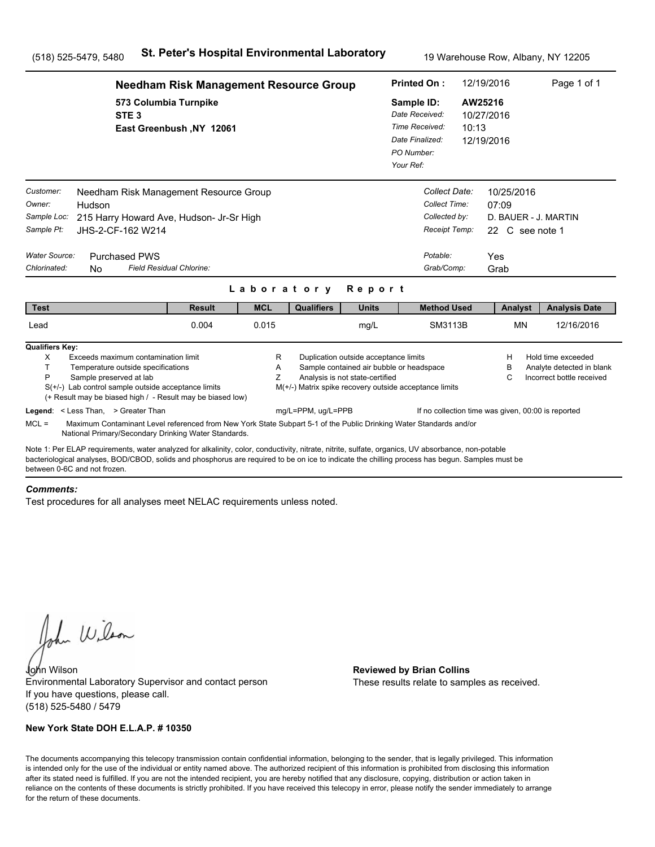|                                                                                                                                                                                                                                                                                                                                       | <b>Needham Risk Management Resource Group</b>                                                                                                                              |             | <b>Printed On:</b>                                     |                                                                          | 12/19/2016                                                                                   | Page 1 of 1                                                                    |                                                       |                                                                              |  |
|---------------------------------------------------------------------------------------------------------------------------------------------------------------------------------------------------------------------------------------------------------------------------------------------------------------------------------------|----------------------------------------------------------------------------------------------------------------------------------------------------------------------------|-------------|--------------------------------------------------------|--------------------------------------------------------------------------|----------------------------------------------------------------------------------------------|--------------------------------------------------------------------------------|-------------------------------------------------------|------------------------------------------------------------------------------|--|
| STE <sub>3</sub>                                                                                                                                                                                                                                                                                                                      | 573 Columbia Turnpike<br>East Greenbush, NY 12061                                                                                                                          |             |                                                        |                                                                          | Sample ID:<br>Date Received:<br>Time Received:<br>Date Finalized:<br>PO Number:<br>Your Ref: | 10:13                                                                          | AW25216<br>10/27/2016<br>12/19/2016                   |                                                                              |  |
| Customer:<br>Owner:<br>Hudson<br>Sample Loc:<br>Sample Pt:<br>JHS-2-CF-162 W214<br>Water Source:<br><b>Purchased PWS</b><br>Chlorinated:<br><b>No</b>                                                                                                                                                                                 | Needham Risk Management Resource Group<br>215 Harry Howard Ave, Hudson- Jr-Sr High<br>Field Residual Chlorine:                                                             |             |                                                        |                                                                          | Potable:                                                                                     | Collect Date:<br>Collect Time:<br>Collected by:<br>Receipt Temp:<br>Grab/Comp: | 10/25/2016<br>07:09<br>22 C see note 1<br>Yes<br>Grab | D. BAUER - J. MARTIN                                                         |  |
|                                                                                                                                                                                                                                                                                                                                       |                                                                                                                                                                            |             | Laboratory                                             | Report                                                                   |                                                                                              |                                                                                |                                                       |                                                                              |  |
| <b>Test</b>                                                                                                                                                                                                                                                                                                                           | <b>Result</b>                                                                                                                                                              | <b>MCL</b>  | <b>Qualifiers</b>                                      | <b>Units</b>                                                             |                                                                                              | <b>Method Used</b>                                                             | Analyst                                               | <b>Analysis Date</b>                                                         |  |
| Lead                                                                                                                                                                                                                                                                                                                                  | 0.004                                                                                                                                                                      | 0.015       |                                                        | mg/L                                                                     |                                                                                              | <b>SM3113B</b>                                                                 | <b>MN</b>                                             | 12/16/2016                                                                   |  |
| <b>Qualifiers Key:</b><br>X<br>T.<br>Temperature outside specifications<br>P<br>Sample preserved at lab<br>$S(+/-)$ Lab control sample outside acceptance limits                                                                                                                                                                      | Exceeds maximum contamination limit<br>(+ Result may be biased high / - Result may be biased low)                                                                          | R<br>Α<br>Z | M(+/-) Matrix spike recovery outside acceptance limits | Duplication outside acceptance limits<br>Analysis is not state-certified | Sample contained air bubble or headspace                                                     |                                                                                | н<br>в<br>С                                           | Hold time exceeded<br>Analyte detected in blank<br>Incorrect bottle received |  |
| Legend: < Less Than, > Greater Than<br>$MCL =$                                                                                                                                                                                                                                                                                        | Maximum Contaminant Level referenced from New York State Subpart 5-1 of the Public Drinking Water Standards and/or<br>National Primary/Secondary Drinking Water Standards. |             | mg/L=PPM, ug/L=PPB                                     |                                                                          |                                                                                              |                                                                                |                                                       | If no collection time was given, 00:00 is reported                           |  |
| Note 1: Per ELAP requirements, water analyzed for alkalinity, color, conductivity, nitrate, nitrite, sulfate, organics, UV absorbance, non-potable<br>bacteriological analyses, BOD/CBOD, solids and phosphorus are required to be on ice to indicate the chilling process has begun. Samples must be<br>between 0-6C and not frozen. |                                                                                                                                                                            |             |                                                        |                                                                          |                                                                                              |                                                                                |                                                       |                                                                              |  |

#### *Comments:*

Test procedures for all analyses meet NELAC requirements unless noted.

John Wilson

John Wilson **Reviewed by Brian Collins** Environmental Laboratory Supervisor and contact person If you have questions, please call. (518) 525-5480 / 5479

### **New York State DOH E.L.A.P. # 10350**

These results relate to samples as received.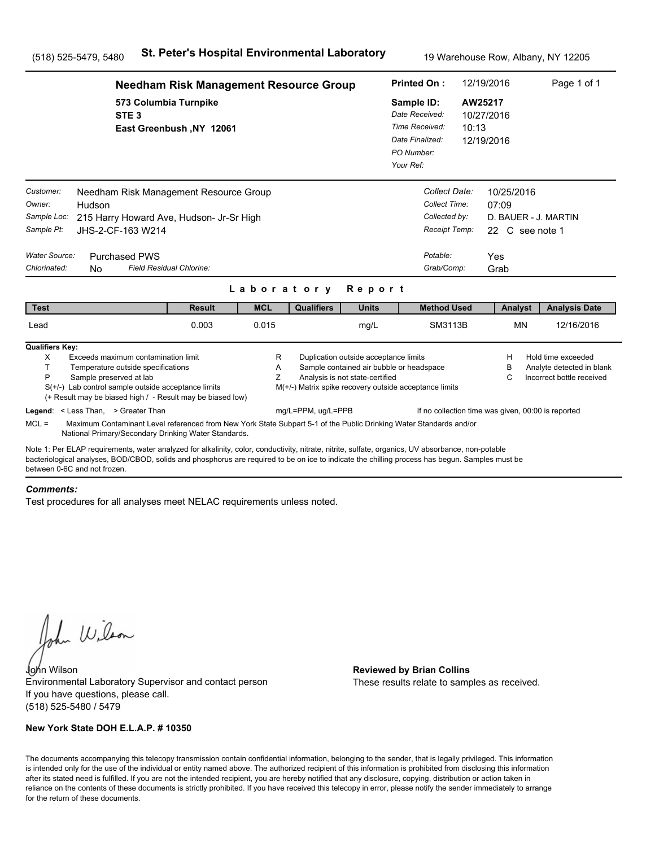|                                                                                                                                                                                                                                                                                                                                       | <b>Needham Risk Management Resource Group</b>     |             |                                                        |                                                                          |                                                                                                       |                                                                  |                                               | Page 1 of 1                                                                  |
|---------------------------------------------------------------------------------------------------------------------------------------------------------------------------------------------------------------------------------------------------------------------------------------------------------------------------------------|---------------------------------------------------|-------------|--------------------------------------------------------|--------------------------------------------------------------------------|-------------------------------------------------------------------------------------------------------|------------------------------------------------------------------|-----------------------------------------------|------------------------------------------------------------------------------|
| STE <sub>3</sub>                                                                                                                                                                                                                                                                                                                      | 573 Columbia Turnpike<br>East Greenbush, NY 12061 |             |                                                        |                                                                          | Sample ID:<br>Date Received:<br>Time Received:<br>10:13<br>Date Finalized:<br>PO Number:<br>Your Ref: |                                                                  | AW25217<br>10/27/2016<br>12/19/2016           |                                                                              |
| Customer:<br>Needham Risk Management Resource Group<br>Owner:<br>Hudson<br>Sample Loc:<br>215 Harry Howard Ave, Hudson- Jr-Sr High<br>Sample Pt:<br>JHS-2-CF-163 W214<br><b>Water Source:</b><br><b>Purchased PWS</b>                                                                                                                 |                                                   |             |                                                        |                                                                          | Potable:                                                                                              | Collect Date:<br>Collect Time:<br>Collected by:<br>Receipt Temp: | 10/25/2016<br>07:09<br>22 C see note 1<br>Yes | D. BAUER - J. MARTIN                                                         |
| Chlorinated:<br>N <sub>0</sub>                                                                                                                                                                                                                                                                                                        | Field Residual Chlorine:                          | Laboratory  |                                                        | Report                                                                   |                                                                                                       | Grab/Comp:                                                       | Grab                                          |                                                                              |
| <b>Test</b>                                                                                                                                                                                                                                                                                                                           | <b>Result</b>                                     | <b>MCL</b>  | <b>Qualifiers</b>                                      | <b>Units</b>                                                             |                                                                                                       | <b>Method Used</b>                                               | Analyst                                       | <b>Analysis Date</b>                                                         |
| Lead                                                                                                                                                                                                                                                                                                                                  | 0.003                                             | 0.015       |                                                        | mg/L                                                                     |                                                                                                       | SM3113B                                                          | <b>MN</b>                                     | 12/16/2016                                                                   |
| <b>Qualifiers Key:</b><br>Exceeds maximum contamination limit<br>X<br>T.<br>Temperature outside specifications<br>P<br>Sample preserved at lab<br>S(+/-) Lab control sample outside acceptance limits<br>(+ Result may be biased high / - Result may be biased low)                                                                   |                                                   | R<br>Α<br>Z | M(+/-) Matrix spike recovery outside acceptance limits | Duplication outside acceptance limits<br>Analysis is not state-certified | Sample contained air bubble or headspace                                                              |                                                                  | н<br>в<br>С                                   | Hold time exceeded<br>Analyte detected in blank<br>Incorrect bottle received |
| Legend: < Less Than, > Greater Than<br>$MCL =$<br>Maximum Contaminant Level referenced from New York State Subpart 5-1 of the Public Drinking Water Standards and/or<br>National Primary/Secondary Drinking Water Standards.                                                                                                          |                                                   |             | mg/L=PPM, ug/L=PPB                                     |                                                                          |                                                                                                       |                                                                  |                                               | If no collection time was given, 00:00 is reported                           |
| Note 1: Per ELAP requirements, water analyzed for alkalinity, color, conductivity, nitrate, nitrite, sulfate, organics, UV absorbance, non-potable<br>bacteriological analyses, BOD/CBOD, solids and phosphorus are required to be on ice to indicate the chilling process has begun. Samples must be<br>between 0-6C and not frozen. |                                                   |             |                                                        |                                                                          |                                                                                                       |                                                                  |                                               |                                                                              |

#### *Comments:*

Test procedures for all analyses meet NELAC requirements unless noted.

John Wilson

John Wilson **Reviewed by Brian Collins** Environmental Laboratory Supervisor and contact person If you have questions, please call. (518) 525-5480 / 5479

### **New York State DOH E.L.A.P. # 10350**

These results relate to samples as received.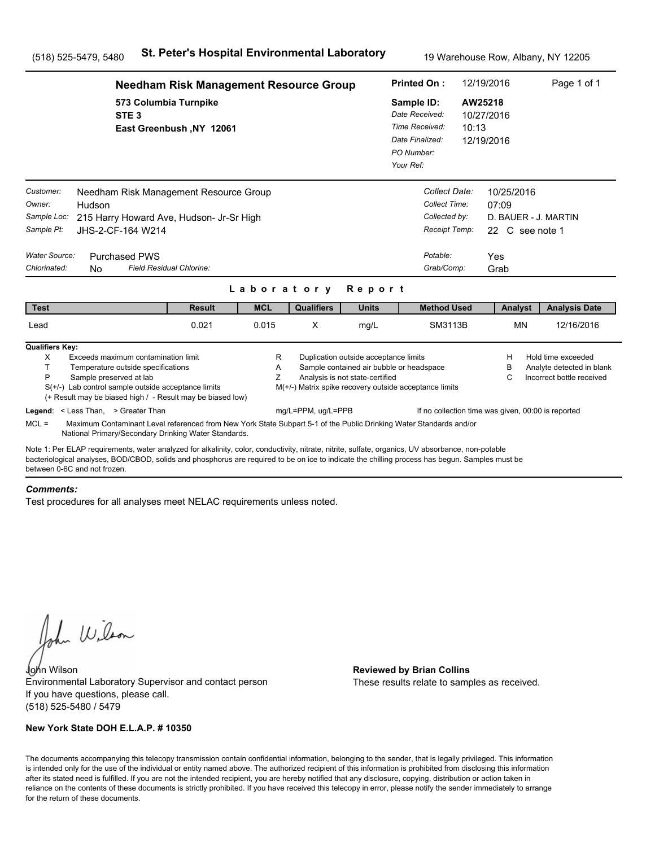|                                                                                   | <b>Needham Risk Management Resource Group</b>                                                                                                                                                                                                                                                         |               | <b>Printed On:</b> |                    | 12/19/2016                                                               | Page 1 of 1                                                                                        |       |                                                                               |                                                                              |  |
|-----------------------------------------------------------------------------------|-------------------------------------------------------------------------------------------------------------------------------------------------------------------------------------------------------------------------------------------------------------------------------------------------------|---------------|--------------------|--------------------|--------------------------------------------------------------------------|----------------------------------------------------------------------------------------------------|-------|-------------------------------------------------------------------------------|------------------------------------------------------------------------------|--|
|                                                                                   | 573 Columbia Turnpike<br>STE <sub>3</sub><br>East Greenbush, NY 12061                                                                                                                                                                                                                                 |               |                    |                    |                                                                          | Sample ID:<br>Date Received:<br>Time Received:<br>Date Finalized:<br>PO Number:<br>Your Ref:       | 10:13 | AW25218<br>10/27/2016<br>12/19/2016                                           |                                                                              |  |
| Customer:<br>Owner:<br>Sample Loc:<br>Sample Pt:<br>Water Source:<br>Chlorinated: | Needham Risk Management Resource Group<br>Hudson<br>215 Harry Howard Ave, Hudson- Jr-Sr High<br>JHS-2-CF-164 W214<br><b>Purchased PWS</b><br>Field Residual Chlorine:<br>No.                                                                                                                          |               | Laboratory         |                    | Report                                                                   | Collect Date:<br>Collect Time:<br>Collected by:<br>Receipt Temp:<br>Potable:<br>Grab/Comp:         |       | 10/25/2016<br>07:09<br>D. BAUER - J. MARTIN<br>22 C see note 1<br>Yes<br>Grab |                                                                              |  |
| <b>Test</b>                                                                       |                                                                                                                                                                                                                                                                                                       | <b>Result</b> | <b>MCL</b>         | <b>Qualifiers</b>  | <b>Units</b>                                                             | <b>Method Used</b>                                                                                 |       | Analyst                                                                       | <b>Analysis Date</b>                                                         |  |
| Lead                                                                              |                                                                                                                                                                                                                                                                                                       | 0.021         | 0.015              | X                  | mg/L                                                                     | SM3113B                                                                                            |       | <b>MN</b>                                                                     | 12/16/2016                                                                   |  |
| <b>Qualifiers Key:</b><br>X<br>т<br>P                                             | Exceeds maximum contamination limit<br>Temperature outside specifications<br>Sample preserved at lab<br>$S(+/-)$ Lab control sample outside acceptance limits<br>(+ Result may be biased high / - Result may be biased low)<br>Legend: < Less Than, > Greater Than                                    |               | R<br>Α<br>Z        | mg/L=PPM, ug/L=PPB | Duplication outside acceptance limits<br>Analysis is not state-certified | Sample contained air bubble or headspace<br>M(+/-) Matrix spike recovery outside acceptance limits |       | н<br>в<br>C<br>If no collection time was given, 00:00 is reported             | Hold time exceeded<br>Analyte detected in blank<br>Incorrect bottle received |  |
| $MCL =$                                                                           | Maximum Contaminant Level referenced from New York State Subpart 5-1 of the Public Drinking Water Standards and/or<br>National Primary/Secondary Drinking Water Standards.                                                                                                                            |               |                    |                    |                                                                          |                                                                                                    |       |                                                                               |                                                                              |  |
| between 0-6C and not frozen.                                                      | Note 1: Per ELAP requirements, water analyzed for alkalinity, color, conductivity, nitrate, nitrite, sulfate, organics, UV absorbance, non-potable<br>bacteriological analyses, BOD/CBOD, solids and phosphorus are required to be on ice to indicate the chilling process has begun. Samples must be |               |                    |                    |                                                                          |                                                                                                    |       |                                                                               |                                                                              |  |

### *Comments:*

Test procedures for all analyses meet NELAC requirements unless noted.

John Wilson

John Wilson **Reviewed by Brian Collins** Environmental Laboratory Supervisor and contact person If you have questions, please call. (518) 525-5480 / 5479

### **New York State DOH E.L.A.P. # 10350**

These results relate to samples as received.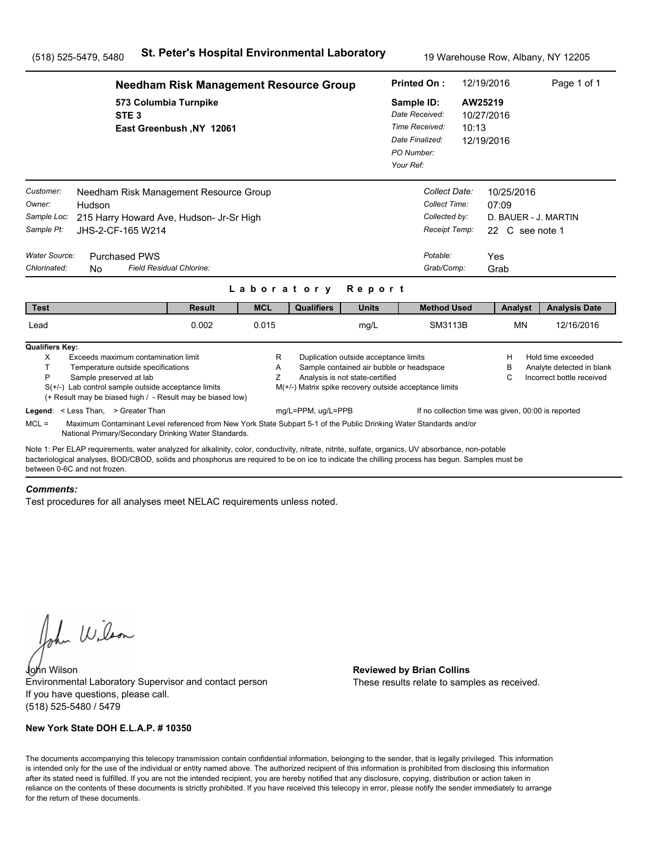|                                                                                                                                                                                                                                                                                                                                       | <b>Needham Risk Management Resource Group</b>     |             |                    |                                                                          |                                                                                                    |       |                                                       | Page 1 of 1                                                                  |  |
|---------------------------------------------------------------------------------------------------------------------------------------------------------------------------------------------------------------------------------------------------------------------------------------------------------------------------------------|---------------------------------------------------|-------------|--------------------|--------------------------------------------------------------------------|----------------------------------------------------------------------------------------------------|-------|-------------------------------------------------------|------------------------------------------------------------------------------|--|
| STE <sub>3</sub>                                                                                                                                                                                                                                                                                                                      | 573 Columbia Turnpike<br>East Greenbush, NY 12061 |             |                    |                                                                          | Sample ID:<br>Date Received:<br>Time Received:<br>Date Finalized:<br>PO Number:<br>Your Ref:       | 10:13 | AW25219<br>10/27/2016<br>12/19/2016                   |                                                                              |  |
| Customer:<br>Needham Risk Management Resource Group<br>Owner:<br>Hudson<br>Sample Loc:<br>215 Harry Howard Ave, Hudson- Jr-Sr High<br>Sample Pt:<br>JHS-2-CF-165 W214<br>Water Source:<br><b>Purchased PWS</b><br>Chlorinated:<br><b>No</b>                                                                                           | Field Residual Chlorine:                          |             |                    |                                                                          | Collect Date:<br>Collect Time:<br>Collected by:<br>Receipt Temp:<br>Potable:<br>Grab/Comp:         |       | 10/25/2016<br>07:09<br>22 C see note 1<br>Yes<br>Grab | D. BAUER - J. MARTIN                                                         |  |
|                                                                                                                                                                                                                                                                                                                                       |                                                   | Laboratory  |                    | Report                                                                   |                                                                                                    |       |                                                       |                                                                              |  |
| <b>Test</b>                                                                                                                                                                                                                                                                                                                           | <b>Result</b>                                     | <b>MCL</b>  | <b>Qualifiers</b>  | <b>Units</b>                                                             | <b>Method Used</b>                                                                                 |       | Analyst                                               | <b>Analysis Date</b>                                                         |  |
| Lead                                                                                                                                                                                                                                                                                                                                  | 0.002                                             | 0.015       |                    | mg/L                                                                     | <b>SM3113B</b>                                                                                     |       | <b>MN</b>                                             | 12/16/2016                                                                   |  |
| <b>Qualifiers Key:</b><br>Exceeds maximum contamination limit<br>X<br>T.<br>Temperature outside specifications<br>P<br>Sample preserved at lab<br>$S(+/-)$ Lab control sample outside acceptance limits<br>(+ Result may be biased high / - Result may be biased low)                                                                 |                                                   | R<br>Α<br>Z |                    | Duplication outside acceptance limits<br>Analysis is not state-certified | Sample contained air bubble or headspace<br>M(+/-) Matrix spike recovery outside acceptance limits |       | н<br>в<br>С                                           | Hold time exceeded<br>Analyte detected in blank<br>Incorrect bottle received |  |
| Legend: < Less Than, > Greater Than<br>$MCL =$<br>Maximum Contaminant Level referenced from New York State Subpart 5-1 of the Public Drinking Water Standards and/or<br>National Primary/Secondary Drinking Water Standards.                                                                                                          |                                                   |             | mg/L=PPM, ug/L=PPB |                                                                          |                                                                                                    |       | If no collection time was given, 00:00 is reported    |                                                                              |  |
| Note 1: Per ELAP requirements, water analyzed for alkalinity, color, conductivity, nitrate, nitrite, sulfate, organics, UV absorbance, non-potable<br>bacteriological analyses, BOD/CBOD, solids and phosphorus are required to be on ice to indicate the chilling process has begun. Samples must be<br>between 0-6C and not frozen. |                                                   |             |                    |                                                                          |                                                                                                    |       |                                                       |                                                                              |  |

#### *Comments:*

Test procedures for all analyses meet NELAC requirements unless noted.

John Wilson

John Wilson **Reviewed by Brian Collins** Environmental Laboratory Supervisor and contact person If you have questions, please call. (518) 525-5480 / 5479

### **New York State DOH E.L.A.P. # 10350**

These results relate to samples as received.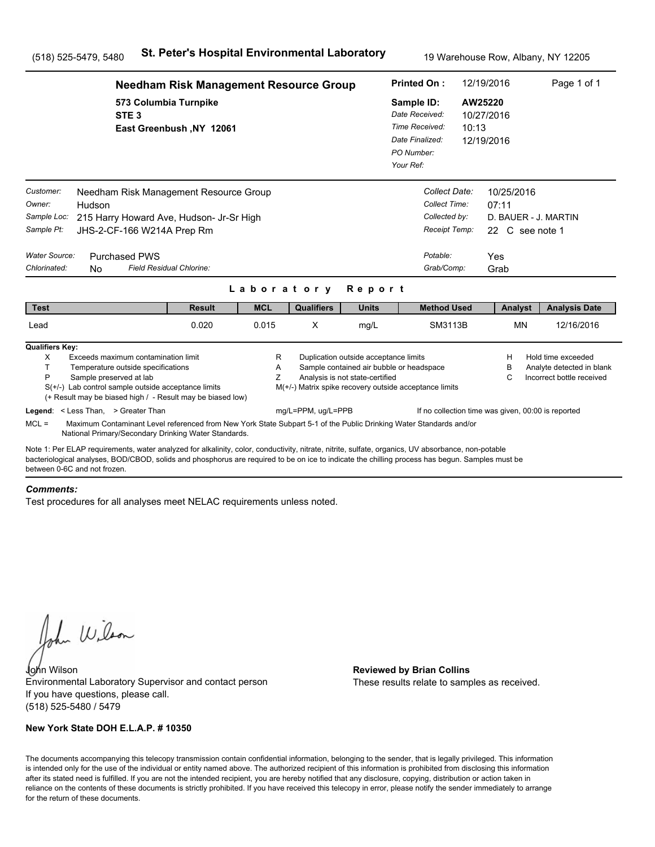|                                                                                   |                                                                                                                                                                                                                                                                                                                                       | <b>Needham Risk Management Resource Group</b> |             |                    | <b>Printed On:</b>                                                       |                                                                                                    | 12/19/2016 | Page 1 of 1                                                                   |                                                                              |  |
|-----------------------------------------------------------------------------------|---------------------------------------------------------------------------------------------------------------------------------------------------------------------------------------------------------------------------------------------------------------------------------------------------------------------------------------|-----------------------------------------------|-------------|--------------------|--------------------------------------------------------------------------|----------------------------------------------------------------------------------------------------|------------|-------------------------------------------------------------------------------|------------------------------------------------------------------------------|--|
|                                                                                   | 573 Columbia Turnpike<br>STE <sub>3</sub>                                                                                                                                                                                                                                                                                             | East Greenbush, NY 12061                      |             |                    |                                                                          | Sample ID:<br>Date Received:<br>Time Received:<br>Date Finalized:<br>PO Number:<br>Your Ref:       | 10:13      | AW25220<br>10/27/2016<br>12/19/2016                                           |                                                                              |  |
| Customer:<br>Owner:<br>Sample Loc:<br>Sample Pt:<br>Water Source:<br>Chlorinated: | Needham Risk Management Resource Group<br>Hudson<br>215 Harry Howard Ave, Hudson- Jr-Sr High<br>JHS-2-CF-166 W214A Prep Rm<br><b>Purchased PWS</b><br><b>Field Residual Chlorine:</b><br>No.                                                                                                                                          |                                               | Laboratory  |                    | Report                                                                   | Collect Date:<br>Collect Time:<br>Collected by:<br>Receipt Temp:<br>Potable:<br>Grab/Comp:         |            | 10/25/2016<br>07:11<br>D. BAUER - J. MARTIN<br>22 C see note 1<br>Yes<br>Grab |                                                                              |  |
| <b>Test</b>                                                                       |                                                                                                                                                                                                                                                                                                                                       | <b>Result</b>                                 | <b>MCL</b>  | <b>Qualifiers</b>  | <b>Units</b>                                                             | <b>Method Used</b>                                                                                 |            | Analyst                                                                       | <b>Analysis Date</b>                                                         |  |
| Lead                                                                              |                                                                                                                                                                                                                                                                                                                                       | 0.020                                         | 0.015       | X                  | mg/L                                                                     | SM3113B                                                                                            |            | <b>MN</b>                                                                     | 12/16/2016                                                                   |  |
| <b>Qualifiers Key:</b><br>X<br>т<br>P                                             | Exceeds maximum contamination limit<br>Temperature outside specifications<br>Sample preserved at lab<br>$S(+/-)$ Lab control sample outside acceptance limits<br>(+ Result may be biased high / - Result may be biased low)<br>Legend: < Less Than, > Greater Than                                                                    |                                               | R<br>Α<br>Z | mg/L=PPM, ug/L=PPB | Duplication outside acceptance limits<br>Analysis is not state-certified | Sample contained air bubble or headspace<br>M(+/-) Matrix spike recovery outside acceptance limits |            | H<br>в<br>C<br>If no collection time was given, 00:00 is reported             | Hold time exceeded<br>Analyte detected in blank<br>Incorrect bottle received |  |
| $MCL =$                                                                           | Maximum Contaminant Level referenced from New York State Subpart 5-1 of the Public Drinking Water Standards and/or<br>National Primary/Secondary Drinking Water Standards.                                                                                                                                                            |                                               |             |                    |                                                                          |                                                                                                    |            |                                                                               |                                                                              |  |
|                                                                                   | Note 1: Per ELAP requirements, water analyzed for alkalinity, color, conductivity, nitrate, nitrite, sulfate, organics, UV absorbance, non-potable<br>bacteriological analyses, BOD/CBOD, solids and phosphorus are required to be on ice to indicate the chilling process has begun. Samples must be<br>between 0-6C and not frozen. |                                               |             |                    |                                                                          |                                                                                                    |            |                                                                               |                                                                              |  |

#### *Comments:*

Test procedures for all analyses meet NELAC requirements unless noted.

John Wilson

John Wilson **Reviewed by Brian Collins** Environmental Laboratory Supervisor and contact person If you have questions, please call. (518) 525-5480 / 5479

### **New York State DOH E.L.A.P. # 10350**

These results relate to samples as received.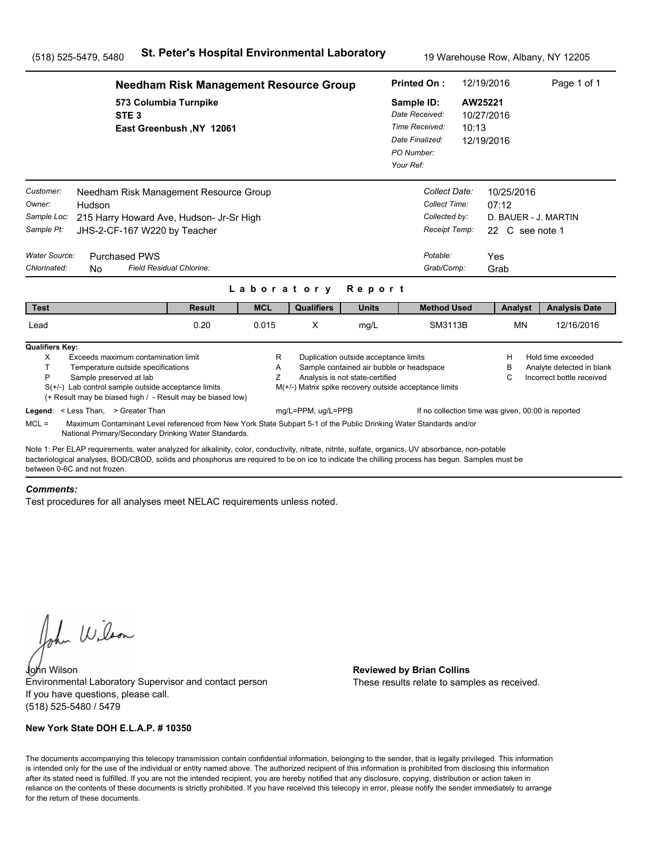|                                                                                                          | <b>Needham Risk Management Resource Group</b>                                                                                                                                                                                                                                                         |             | <b>Printed On:</b>                                                                                    |                                                                          | 12/19/2016                                                                                         | Page 1 of 1 |                                                                               |                                                                              |
|----------------------------------------------------------------------------------------------------------|-------------------------------------------------------------------------------------------------------------------------------------------------------------------------------------------------------------------------------------------------------------------------------------------------------|-------------|-------------------------------------------------------------------------------------------------------|--------------------------------------------------------------------------|----------------------------------------------------------------------------------------------------|-------------|-------------------------------------------------------------------------------|------------------------------------------------------------------------------|
|                                                                                                          | 573 Columbia Turnpike<br>STE <sub>3</sub><br>East Greenbush, NY 12061                                                                                                                                                                                                                                 |             | Sample ID:<br>Date Received:<br>Time Received:<br>10:13<br>Date Finalized:<br>PO Number:<br>Your Ref: |                                                                          | AW25221<br>10/27/2016<br>12/19/2016                                                                |             |                                                                               |                                                                              |
| Customer:<br>Owner:<br>Hudson<br>Sample Loc:<br>Sample Pt:<br>Water Source:<br>Chlorinated:<br><b>No</b> | Needham Risk Management Resource Group<br>215 Harry Howard Ave, Hudson- Jr-Sr High<br>JHS-2-CF-167 W220 by Teacher<br><b>Purchased PWS</b><br>Field Residual Chlorine:                                                                                                                                |             |                                                                                                       |                                                                          | Collect Date:<br>Collect Time:<br>Collected by:<br>Receipt Temp:<br>Potable:<br>Grab/Comp:         |             | 10/25/2016<br>07:12<br>D. BAUER - J. MARTIN<br>22 C see note 1<br>Yes<br>Grab |                                                                              |
|                                                                                                          |                                                                                                                                                                                                                                                                                                       | Laboratory  |                                                                                                       | Report                                                                   |                                                                                                    |             |                                                                               |                                                                              |
| <b>Test</b>                                                                                              | <b>Result</b>                                                                                                                                                                                                                                                                                         | <b>MCL</b>  | <b>Qualifiers</b>                                                                                     | <b>Units</b>                                                             | <b>Method Used</b>                                                                                 |             | Analyst                                                                       | <b>Analysis Date</b>                                                         |
| Lead                                                                                                     | 0.20                                                                                                                                                                                                                                                                                                  | 0.015       | X                                                                                                     | mg/L                                                                     | SM3113B                                                                                            |             | <b>MN</b>                                                                     | 12/16/2016                                                                   |
| <b>Qualifiers Key:</b><br>X<br>T.<br>P<br>Sample preserved at lab                                        | Exceeds maximum contamination limit<br>Temperature outside specifications<br>$S(+/-)$ Lab control sample outside acceptance limits<br>(+ Result may be biased high / - Result may be biased low)                                                                                                      | R<br>Α<br>Z |                                                                                                       | Duplication outside acceptance limits<br>Analysis is not state-certified | Sample contained air bubble or headspace<br>M(+/-) Matrix spike recovery outside acceptance limits |             | н<br>в<br>C                                                                   | Hold time exceeded<br>Analyte detected in blank<br>Incorrect bottle received |
| Legend: < Less Than, > Greater Than<br>$MCL =$                                                           | Maximum Contaminant Level referenced from New York State Subpart 5-1 of the Public Drinking Water Standards and/or<br>National Primary/Secondary Drinking Water Standards.                                                                                                                            |             | mg/L=PPM, ug/L=PPB                                                                                    |                                                                          |                                                                                                    |             | If no collection time was given, 00:00 is reported                            |                                                                              |
| between 0-6C and not frozen.                                                                             | Note 1: Per ELAP requirements, water analyzed for alkalinity, color, conductivity, nitrate, nitrite, sulfate, organics, UV absorbance, non-potable<br>bacteriological analyses, BOD/CBOD, solids and phosphorus are required to be on ice to indicate the chilling process has begun. Samples must be |             |                                                                                                       |                                                                          |                                                                                                    |             |                                                                               |                                                                              |

#### *Comments:*

Test procedures for all analyses meet NELAC requirements unless noted.

John Wilson

John Wilson **Reviewed by Brian Collins** Environmental Laboratory Supervisor and contact person If you have questions, please call. (518) 525-5480 / 5479

### **New York State DOH E.L.A.P. # 10350**

These results relate to samples as received.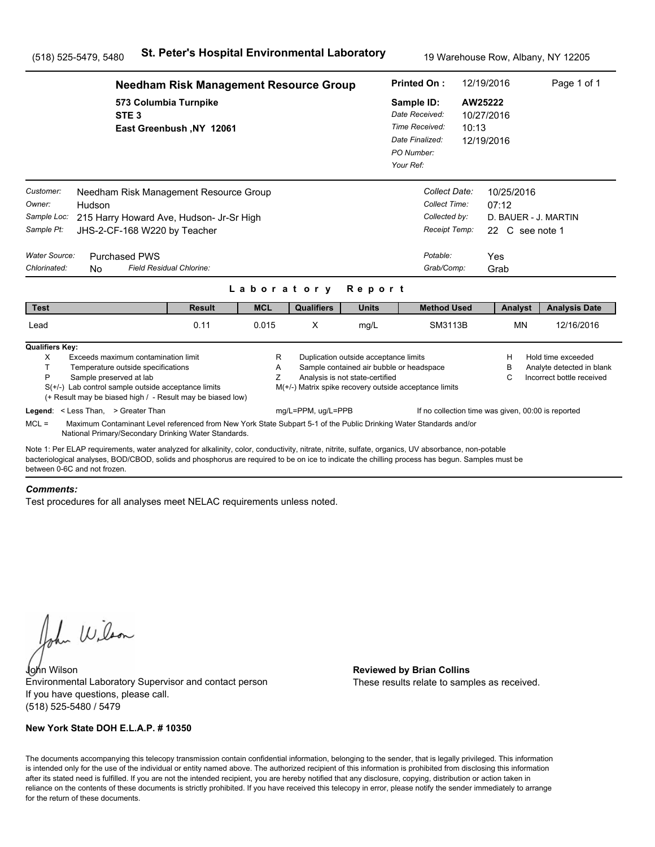|                                                                                   | <b>Needham Risk Management Resource Group</b>                                                                                                                                                                                                                                                         |               |             |                                                        |                                                                                                                      |  |                                                                                            | 12/19/2016                                            | Page 1 of 1                                                                  |  |
|-----------------------------------------------------------------------------------|-------------------------------------------------------------------------------------------------------------------------------------------------------------------------------------------------------------------------------------------------------------------------------------------------------|---------------|-------------|--------------------------------------------------------|----------------------------------------------------------------------------------------------------------------------|--|--------------------------------------------------------------------------------------------|-------------------------------------------------------|------------------------------------------------------------------------------|--|
|                                                                                   | 573 Columbia Turnpike<br>STE <sub>3</sub><br>East Greenbush, NY 12061<br>Needham Risk Management Resource Group                                                                                                                                                                                       |               |             |                                                        |                                                                                                                      |  |                                                                                            | AW25222<br>10/27/2016<br>10:13<br>12/19/2016          |                                                                              |  |
| Customer:<br>Owner:<br>Sample Loc:<br>Sample Pt:<br>Water Source:<br>Chlorinated: | Hudson<br>215 Harry Howard Ave, Hudson- Jr-Sr High<br>JHS-2-CF-168 W220 by Teacher<br><b>Purchased PWS</b><br>Field Residual Chlorine:<br><b>No</b>                                                                                                                                                   |               |             |                                                        |                                                                                                                      |  | Collect Date:<br>Collect Time:<br>Collected by:<br>Receipt Temp:<br>Potable:<br>Grab/Comp: | 10/25/2016<br>07:12<br>22 C see note 1<br>Yes<br>Grab | D. BAUER - J. MARTIN                                                         |  |
|                                                                                   |                                                                                                                                                                                                                                                                                                       |               | Laboratory  |                                                        | Report                                                                                                               |  |                                                                                            |                                                       |                                                                              |  |
| <b>Test</b>                                                                       |                                                                                                                                                                                                                                                                                                       | <b>Result</b> | <b>MCL</b>  | <b>Qualifiers</b>                                      | <b>Units</b>                                                                                                         |  | <b>Method Used</b>                                                                         | Analyst                                               | <b>Analysis Date</b>                                                         |  |
| Lead                                                                              |                                                                                                                                                                                                                                                                                                       | 0.11          | 0.015       | X                                                      | mg/L                                                                                                                 |  | SM3113B                                                                                    | <b>MN</b>                                             | 12/16/2016                                                                   |  |
| <b>Qualifiers Key:</b><br>X<br>T.<br>P                                            | Exceeds maximum contamination limit<br>Temperature outside specifications<br>Sample preserved at lab<br>$S(+/-)$ Lab control sample outside acceptance limits<br>(+ Result may be biased high / - Result may be biased low)                                                                           |               | R<br>Α<br>Z | M(+/-) Matrix spike recovery outside acceptance limits | Duplication outside acceptance limits<br>Sample contained air bubble or headspace<br>Analysis is not state-certified |  |                                                                                            | н<br>в<br>C                                           | Hold time exceeded<br>Analyte detected in blank<br>Incorrect bottle received |  |
| $MCL =$                                                                           | Legend: < Less Than, > Greater Than<br>Maximum Contaminant Level referenced from New York State Subpart 5-1 of the Public Drinking Water Standards and/or<br>National Primary/Secondary Drinking Water Standards.                                                                                     |               |             | mg/L=PPM, ug/L=PPB                                     |                                                                                                                      |  |                                                                                            |                                                       | If no collection time was given, 00:00 is reported                           |  |
| between 0-6C and not frozen.                                                      | Note 1: Per ELAP requirements, water analyzed for alkalinity, color, conductivity, nitrate, nitrite, sulfate, organics, UV absorbance, non-potable<br>bacteriological analyses, BOD/CBOD, solids and phosphorus are required to be on ice to indicate the chilling process has begun. Samples must be |               |             |                                                        |                                                                                                                      |  |                                                                                            |                                                       |                                                                              |  |

#### *Comments:*

Test procedures for all analyses meet NELAC requirements unless noted.

John Wilson

John Wilson **Reviewed by Brian Collins** Environmental Laboratory Supervisor and contact person If you have questions, please call. (518) 525-5480 / 5479

### **New York State DOH E.L.A.P. # 10350**

These results relate to samples as received.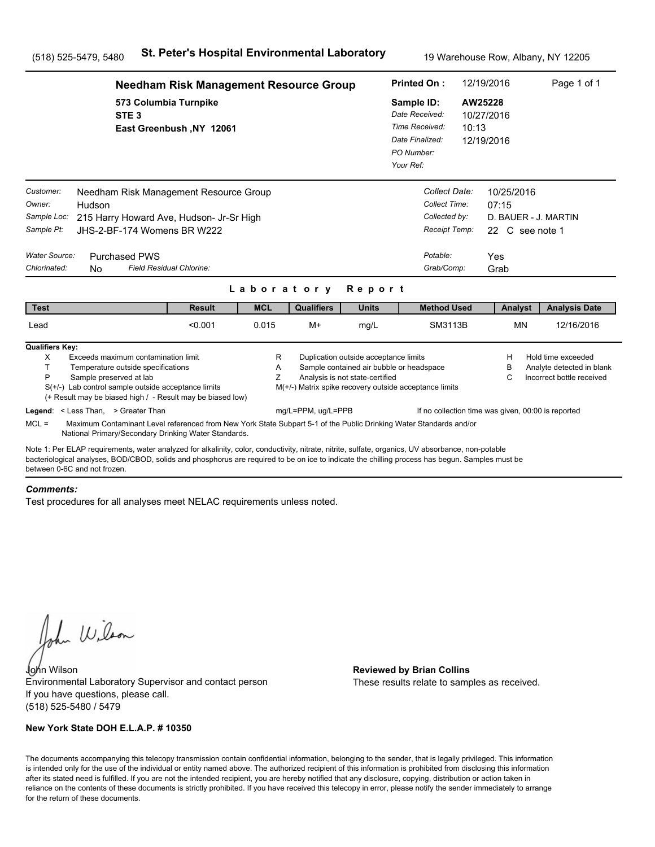|                                                                                          | <b>Needham Risk Management Resource Group</b>                                                                                                                                                                                                                                                                                         |                          |             | <b>Printed On:</b> | 12/19/2016                                                               |                                                                                                    | Page 1 of 1 |                                                                               |                                                                              |  |
|------------------------------------------------------------------------------------------|---------------------------------------------------------------------------------------------------------------------------------------------------------------------------------------------------------------------------------------------------------------------------------------------------------------------------------------|--------------------------|-------------|--------------------|--------------------------------------------------------------------------|----------------------------------------------------------------------------------------------------|-------------|-------------------------------------------------------------------------------|------------------------------------------------------------------------------|--|
|                                                                                          | 573 Columbia Turnpike<br>STE <sub>3</sub>                                                                                                                                                                                                                                                                                             | East Greenbush, NY 12061 |             |                    |                                                                          | Sample ID:<br>Date Received:<br>Time Received:<br>Date Finalized:<br>PO Number:<br>Your Ref:       | 10:13       | AW25228<br>10/27/2016<br>12/19/2016                                           |                                                                              |  |
| Customer:<br>Owner:<br>Sample Loc:<br>Sample Pt:<br><b>Water Source:</b><br>Chlorinated: | Needham Risk Management Resource Group<br>Hudson<br>215 Harry Howard Ave, Hudson- Jr-Sr High<br>JHS-2-BF-174 Womens BR W222<br><b>Purchased PWS</b><br>Field Residual Chlorine:<br>N <sub>0</sub>                                                                                                                                     |                          |             | Laboratory         | Report                                                                   | Collect Date:<br>Collect Time:<br>Collected by:<br>Receipt Temp:<br>Potable:<br>Grab/Comp:         |             | 10/25/2016<br>07:15<br>D. BAUER - J. MARTIN<br>22 C see note 1<br>Yes<br>Grab |                                                                              |  |
| <b>Test</b>                                                                              |                                                                                                                                                                                                                                                                                                                                       | <b>Result</b>            | <b>MCL</b>  | <b>Qualifiers</b>  | <b>Units</b>                                                             | <b>Method Used</b>                                                                                 |             | Analyst                                                                       | <b>Analysis Date</b>                                                         |  |
| Lead                                                                                     |                                                                                                                                                                                                                                                                                                                                       | < 0.001                  | 0.015       | $M+$               | mg/L                                                                     | SM3113B                                                                                            |             | <b>MN</b>                                                                     | 12/16/2016                                                                   |  |
| <b>Qualifiers Key:</b><br>X<br>T.<br>P                                                   | Exceeds maximum contamination limit<br>Temperature outside specifications<br>Sample preserved at lab<br>$S(+/-)$ Lab control sample outside acceptance limits<br>(+ Result may be biased high / - Result may be biased low)<br>Legend: < Less Than, > Greater Than                                                                    |                          | R<br>Α<br>Z | mg/L=PPM, ug/L=PPB | Duplication outside acceptance limits<br>Analysis is not state-certified | Sample contained air bubble or headspace<br>M(+/-) Matrix spike recovery outside acceptance limits |             | Н<br>В<br>C<br>If no collection time was given, 00:00 is reported             | Hold time exceeded<br>Analyte detected in blank<br>Incorrect bottle received |  |
| $MCL =$                                                                                  | Maximum Contaminant Level referenced from New York State Subpart 5-1 of the Public Drinking Water Standards and/or<br>National Primary/Secondary Drinking Water Standards.                                                                                                                                                            |                          |             |                    |                                                                          |                                                                                                    |             |                                                                               |                                                                              |  |
|                                                                                          | Note 1: Per ELAP requirements, water analyzed for alkalinity, color, conductivity, nitrate, nitrite, sulfate, organics, UV absorbance, non-potable<br>bacteriological analyses, BOD/CBOD, solids and phosphorus are required to be on ice to indicate the chilling process has begun. Samples must be<br>between 0-6C and not frozen. |                          |             |                    |                                                                          |                                                                                                    |             |                                                                               |                                                                              |  |

#### *Comments:*

Test procedures for all analyses meet NELAC requirements unless noted.

John Wilson

John Wilson **Reviewed by Brian Collins** Environmental Laboratory Supervisor and contact person If you have questions, please call. (518) 525-5480 / 5479

### **New York State DOH E.L.A.P. # 10350**

These results relate to samples as received.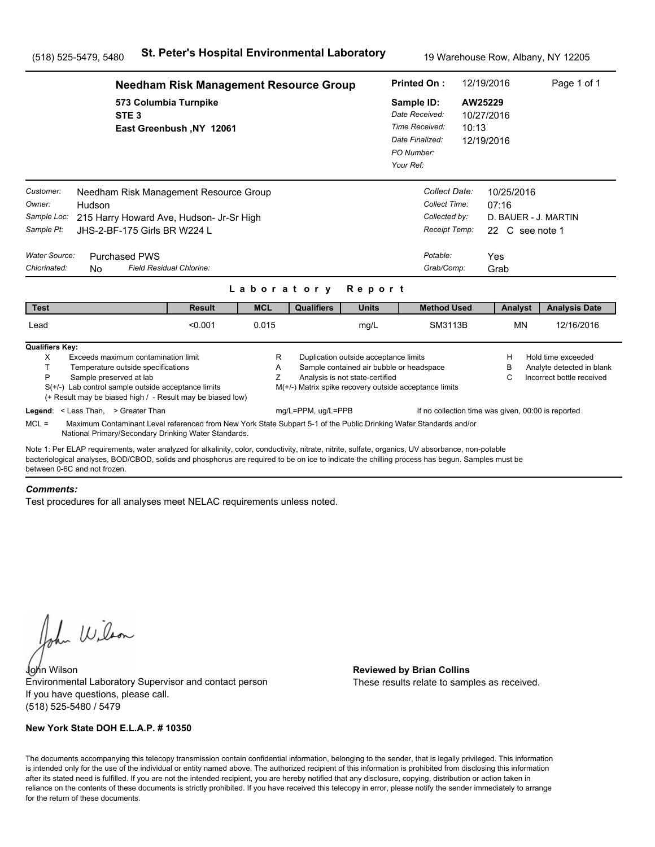|                                                                                                          | <b>Needham Risk Management Resource Group</b>                                                                                                                                                                                                                                                         |                          | <b>Printed On:</b>                                                                           |                                                                          | 12/19/2016                                                                                         | Page 1 of 1 |                                                                               |                                                                              |
|----------------------------------------------------------------------------------------------------------|-------------------------------------------------------------------------------------------------------------------------------------------------------------------------------------------------------------------------------------------------------------------------------------------------------|--------------------------|----------------------------------------------------------------------------------------------|--------------------------------------------------------------------------|----------------------------------------------------------------------------------------------------|-------------|-------------------------------------------------------------------------------|------------------------------------------------------------------------------|
|                                                                                                          | 573 Columbia Turnpike<br>STE <sub>3</sub><br>East Greenbush, NY 12061                                                                                                                                                                                                                                 |                          | Sample ID:<br>Date Received:<br>Time Received:<br>Date Finalized:<br>PO Number:<br>Your Ref: | 10:13                                                                    | AW25229<br>10/27/2016<br>12/19/2016                                                                |             |                                                                               |                                                                              |
| Customer:<br>Owner:<br>Hudson<br>Sample Loc:<br>Sample Pt:<br>Water Source:<br>Chlorinated:<br><b>No</b> | Needham Risk Management Resource Group<br>215 Harry Howard Ave, Hudson- Jr-Sr High<br>JHS-2-BF-175 Girls BR W224 L<br><b>Purchased PWS</b><br>Field Residual Chlorine:                                                                                                                                |                          |                                                                                              |                                                                          | Collect Date:<br>Collect Time:<br>Collected by:<br>Receipt Temp:<br>Potable:<br>Grab/Comp:         |             | 10/25/2016<br>07:16<br>D. BAUER - J. MARTIN<br>22 C see note 1<br>Yes<br>Grab |                                                                              |
| <b>Test</b>                                                                                              | <b>Result</b>                                                                                                                                                                                                                                                                                         | Laboratory<br><b>MCL</b> | <b>Qualifiers</b>                                                                            | Report<br><b>Units</b>                                                   | <b>Method Used</b>                                                                                 |             | Analyst                                                                       | <b>Analysis Date</b>                                                         |
| Lead                                                                                                     | < 0.001                                                                                                                                                                                                                                                                                               | 0.015                    |                                                                                              | mg/L                                                                     | <b>SM3113B</b>                                                                                     |             | <b>MN</b>                                                                     | 12/16/2016                                                                   |
| <b>Qualifiers Key:</b><br>X<br>T.<br>P<br>Sample preserved at lab                                        | Exceeds maximum contamination limit<br>Temperature outside specifications<br>$S(+/-)$ Lab control sample outside acceptance limits<br>(+ Result may be biased high / - Result may be biased low)                                                                                                      | R<br>Α<br>Z              |                                                                                              | Duplication outside acceptance limits<br>Analysis is not state-certified | Sample contained air bubble or headspace<br>M(+/-) Matrix spike recovery outside acceptance limits |             | н<br>в<br>С                                                                   | Hold time exceeded<br>Analyte detected in blank<br>Incorrect bottle received |
| Legend: < Less Than, > Greater Than<br>$MCL =$                                                           | Maximum Contaminant Level referenced from New York State Subpart 5-1 of the Public Drinking Water Standards and/or<br>National Primary/Secondary Drinking Water Standards.                                                                                                                            |                          | mg/L=PPM, ug/L=PPB                                                                           |                                                                          |                                                                                                    |             | If no collection time was given, 00:00 is reported                            |                                                                              |
| between 0-6C and not frozen.                                                                             | Note 1: Per ELAP requirements, water analyzed for alkalinity, color, conductivity, nitrate, nitrite, sulfate, organics, UV absorbance, non-potable<br>bacteriological analyses, BOD/CBOD, solids and phosphorus are required to be on ice to indicate the chilling process has begun. Samples must be |                          |                                                                                              |                                                                          |                                                                                                    |             |                                                                               |                                                                              |

#### *Comments:*

Test procedures for all analyses meet NELAC requirements unless noted.

John Wilson

John Wilson **Reviewed by Brian Collins** Environmental Laboratory Supervisor and contact person If you have questions, please call. (518) 525-5480 / 5479

### **New York State DOH E.L.A.P. # 10350**

These results relate to samples as received.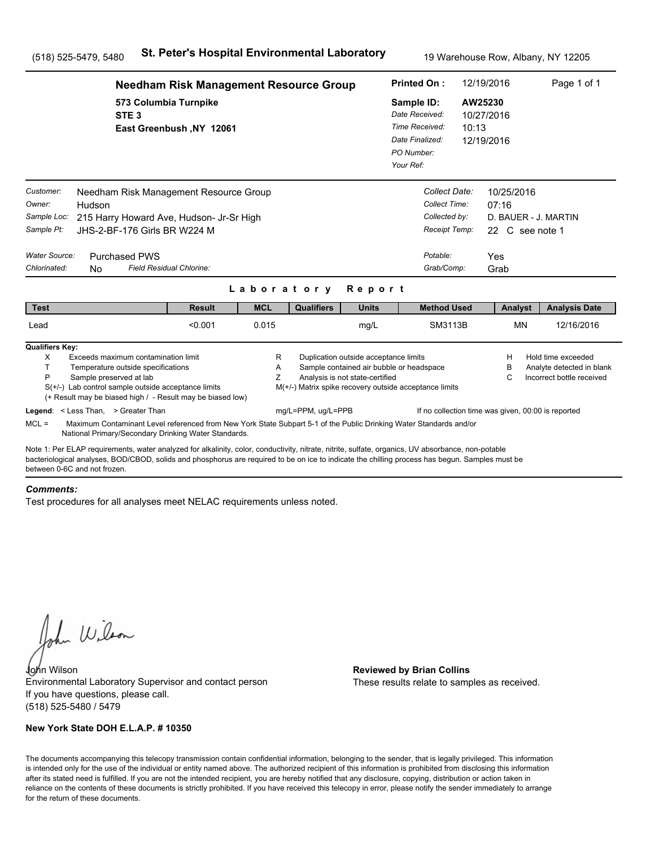|                                                                                   | <b>Needham Risk Management Resource Group</b>                                                                                                                                                                                                                                                                                                                                                 |                          | 12/19/2016<br><b>Printed On:</b> |                                                                              |                                                                                                                      |                                                                                                       | Page 1 of 1                                                                                |                      |                                     |                                                                              |  |
|-----------------------------------------------------------------------------------|-----------------------------------------------------------------------------------------------------------------------------------------------------------------------------------------------------------------------------------------------------------------------------------------------------------------------------------------------------------------------------------------------|--------------------------|----------------------------------|------------------------------------------------------------------------------|----------------------------------------------------------------------------------------------------------------------|-------------------------------------------------------------------------------------------------------|--------------------------------------------------------------------------------------------|----------------------|-------------------------------------|------------------------------------------------------------------------------|--|
|                                                                                   | 573 Columbia Turnpike<br>STE <sub>3</sub>                                                                                                                                                                                                                                                                                                                                                     | East Greenbush, NY 12061 |                                  |                                                                              |                                                                                                                      | Sample ID:<br>Date Received:<br>Time Received:<br>10:13<br>Date Finalized:<br>PO Number:<br>Your Ref: |                                                                                            |                      | AW25230<br>10/27/2016<br>12/19/2016 |                                                                              |  |
| Customer:<br>Owner:<br>Sample Loc:<br>Sample Pt:<br>Water Source:<br>Chlorinated: | Needham Risk Management Resource Group<br>Hudson<br>215 Harry Howard Ave, Hudson- Jr-Sr High<br>JHS-2-BF-176 Girls BR W224 M<br><b>Purchased PWS</b><br>Field Residual Chlorine:<br><b>No</b>                                                                                                                                                                                                 |                          |                                  | Laboratory                                                                   | Report                                                                                                               |                                                                                                       | Collect Date:<br>Collect Time:<br>Collected by:<br>Receipt Temp:<br>Potable:<br>Grab/Comp: | 07:16<br>Yes<br>Grab | 10/25/2016<br>22 C see note 1       | D. BAUER - J. MARTIN                                                         |  |
| <b>Test</b>                                                                       |                                                                                                                                                                                                                                                                                                                                                                                               | <b>Result</b>            | <b>MCL</b>                       | <b>Qualifiers</b>                                                            | <b>Units</b>                                                                                                         |                                                                                                       | <b>Method Used</b>                                                                         |                      | Analyst                             | <b>Analysis Date</b>                                                         |  |
| Lead                                                                              |                                                                                                                                                                                                                                                                                                                                                                                               | < 0.001                  | 0.015                            |                                                                              | mg/L                                                                                                                 |                                                                                                       | <b>SM3113B</b>                                                                             |                      | <b>MN</b>                           | 12/16/2016                                                                   |  |
| <b>Qualifiers Key:</b><br>X<br>T.<br>P<br>$MCL =$                                 | Exceeds maximum contamination limit<br>Temperature outside specifications<br>Sample preserved at lab<br>$S(+/-)$ Lab control sample outside acceptance limits<br>(+ Result may be biased high / - Result may be biased low)<br>Legend: < Less Than, > Greater Than<br>Maximum Contaminant Level referenced from New York State Subpart 5-1 of the Public Drinking Water Standards and/or      |                          | R<br>A<br>Ζ                      | M(+/-) Matrix spike recovery outside acceptance limits<br>mg/L=PPM, ug/L=PPB | Duplication outside acceptance limits<br>Sample contained air bubble or headspace<br>Analysis is not state-certified |                                                                                                       | If no collection time was given, 00:00 is reported                                         |                      | Н<br>в<br>C                         | Hold time exceeded<br>Analyte detected in blank<br>Incorrect bottle received |  |
|                                                                                   | National Primary/Secondary Drinking Water Standards.<br>Note 1: Per ELAP requirements, water analyzed for alkalinity, color, conductivity, nitrate, nitrite, sulfate, organics, UV absorbance, non-potable<br>bacteriological analyses, BOD/CBOD, solids and phosphorus are required to be on ice to indicate the chilling process has begun. Samples must be<br>between 0-6C and not frozen. |                          |                                  |                                                                              |                                                                                                                      |                                                                                                       |                                                                                            |                      |                                     |                                                                              |  |

#### *Comments:*

Test procedures for all analyses meet NELAC requirements unless noted.

John Wilson

John Wilson **Reviewed by Brian Collins** Environmental Laboratory Supervisor and contact person If you have questions, please call. (518) 525-5480 / 5479

### **New York State DOH E.L.A.P. # 10350**

These results relate to samples as received.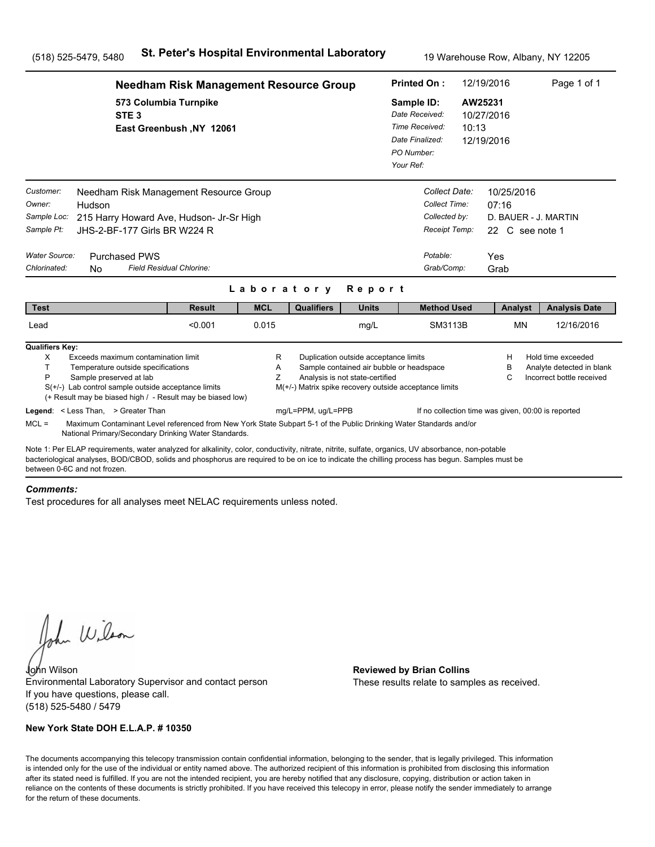|                                                                                   | <b>Needham Risk Management Resource Group</b>                                                                                                                                                                                                                                                         |               | <b>Printed On:</b>                                                                                    |                                                        | 12/19/2016                                                                                                           |  | Page 1 of 1                                                                                |                                                       |           |                                                                              |
|-----------------------------------------------------------------------------------|-------------------------------------------------------------------------------------------------------------------------------------------------------------------------------------------------------------------------------------------------------------------------------------------------------|---------------|-------------------------------------------------------------------------------------------------------|--------------------------------------------------------|----------------------------------------------------------------------------------------------------------------------|--|--------------------------------------------------------------------------------------------|-------------------------------------------------------|-----------|------------------------------------------------------------------------------|
|                                                                                   | 573 Columbia Turnpike<br>STE <sub>3</sub><br>East Greenbush, NY 12061                                                                                                                                                                                                                                 |               | Sample ID:<br>Date Received:<br>Time Received:<br>10:13<br>Date Finalized:<br>PO Number:<br>Your Ref: |                                                        | AW25231<br>10/27/2016<br>12/19/2016                                                                                  |  |                                                                                            |                                                       |           |                                                                              |
| Customer:<br>Owner:<br>Sample Loc:<br>Sample Pt:<br>Water Source:<br>Chlorinated: | Needham Risk Management Resource Group<br>Hudson<br>215 Harry Howard Ave, Hudson- Jr-Sr High<br>JHS-2-BF-177 Girls BR W224 R<br><b>Purchased PWS</b><br>Field Residual Chlorine:<br><b>No</b>                                                                                                         |               |                                                                                                       |                                                        |                                                                                                                      |  | Collect Date:<br>Collect Time:<br>Collected by:<br>Receipt Temp:<br>Potable:<br>Grab/Comp: | 10/25/2016<br>07:16<br>22 C see note 1<br>Yes<br>Grab |           | D. BAUER - J. MARTIN                                                         |
| <b>Test</b>                                                                       |                                                                                                                                                                                                                                                                                                       | <b>Result</b> | Laboratory<br><b>MCL</b>                                                                              | <b>Qualifiers</b>                                      | Report<br><b>Units</b>                                                                                               |  | <b>Method Used</b>                                                                         |                                                       | Analyst   | <b>Analysis Date</b>                                                         |
| Lead                                                                              |                                                                                                                                                                                                                                                                                                       | < 0.001       | 0.015                                                                                                 |                                                        | mg/L                                                                                                                 |  | <b>SM3113B</b>                                                                             |                                                       | <b>MN</b> | 12/16/2016                                                                   |
| <b>Qualifiers Key:</b><br>X<br>T.<br>P                                            | Exceeds maximum contamination limit<br>Temperature outside specifications<br>Sample preserved at lab<br>$S(+/-)$ Lab control sample outside acceptance limits<br>(+ Result may be biased high / - Result may be biased low)                                                                           |               | R<br>Α<br>Z                                                                                           | M(+/-) Matrix spike recovery outside acceptance limits | Duplication outside acceptance limits<br>Sample contained air bubble or headspace<br>Analysis is not state-certified |  |                                                                                            | н<br>в<br>С                                           |           | Hold time exceeded<br>Analyte detected in blank<br>Incorrect bottle received |
| $MCL =$                                                                           | Legend: < Less Than, > Greater Than<br>Maximum Contaminant Level referenced from New York State Subpart 5-1 of the Public Drinking Water Standards and/or<br>National Primary/Secondary Drinking Water Standards.                                                                                     |               |                                                                                                       | mg/L=PPM, ug/L=PPB                                     |                                                                                                                      |  | If no collection time was given, 00:00 is reported                                         |                                                       |           |                                                                              |
| between 0-6C and not frozen.                                                      | Note 1: Per ELAP requirements, water analyzed for alkalinity, color, conductivity, nitrate, nitrite, sulfate, organics, UV absorbance, non-potable<br>bacteriological analyses, BOD/CBOD, solids and phosphorus are required to be on ice to indicate the chilling process has begun. Samples must be |               |                                                                                                       |                                                        |                                                                                                                      |  |                                                                                            |                                                       |           |                                                                              |

#### *Comments:*

Test procedures for all analyses meet NELAC requirements unless noted.

John Wilson

John Wilson **Reviewed by Brian Collins** Environmental Laboratory Supervisor and contact person If you have questions, please call. (518) 525-5480 / 5479

### **New York State DOH E.L.A.P. # 10350**

These results relate to samples as received.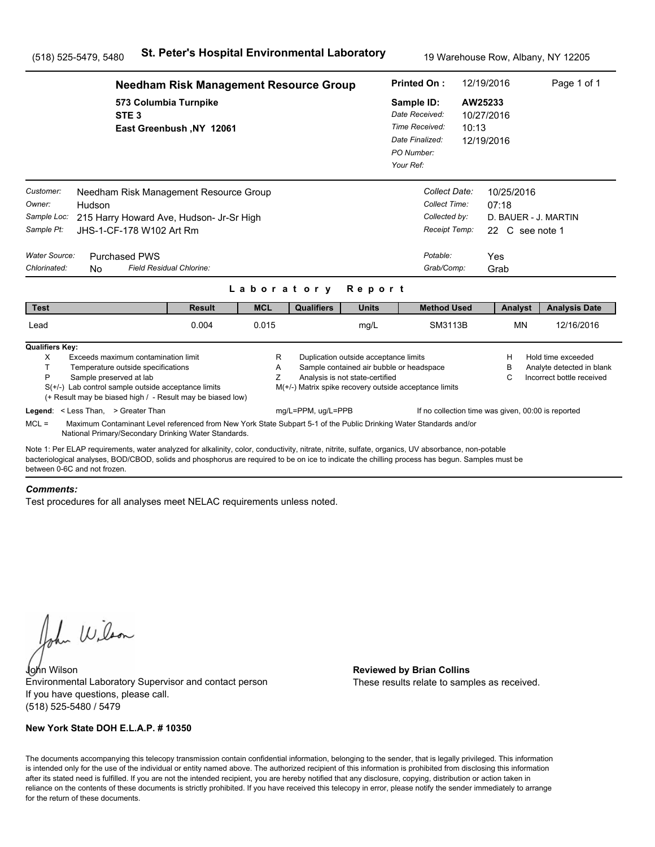|                                                                                                                                                                                                                                                                                                                                      | <b>Needham Risk Management Resource Group</b>     |                     |                    |                                                                          |                                                                                                    |                  | 12/19/2016                                                                    | Page 1 of 1                                                                  |  |
|--------------------------------------------------------------------------------------------------------------------------------------------------------------------------------------------------------------------------------------------------------------------------------------------------------------------------------------|---------------------------------------------------|---------------------|--------------------|--------------------------------------------------------------------------|----------------------------------------------------------------------------------------------------|------------------|-------------------------------------------------------------------------------|------------------------------------------------------------------------------|--|
| STE <sub>3</sub>                                                                                                                                                                                                                                                                                                                     | 573 Columbia Turnpike<br>East Greenbush, NY 12061 |                     |                    |                                                                          | Sample ID:<br>Date Received:<br>Time Received:<br>Date Finalized:<br>PO Number:<br>Your Ref:       | AW25233<br>10:13 | 10/27/2016<br>12/19/2016                                                      |                                                                              |  |
| Customer:<br>Needham Risk Management Resource Group<br>Owner:<br>Hudson<br>Sample Loc:<br>215 Harry Howard Ave, Hudson- Jr-Sr High<br>Sample Pt:<br>JHS-1-CF-178 W102 Art Rm<br>Water Source:<br><b>Purchased PWS</b><br>Chlorinated:<br>N <sub>0</sub>                                                                              | Field Residual Chlorine:                          |                     |                    |                                                                          | Collect Date:<br>Collect Time:<br>Collected by:<br>Receipt Temp:<br>Potable:<br>Grab/Comp:         |                  | 10/25/2016<br>07:18<br>D. BAUER - J. MARTIN<br>22 C see note 1<br>Yes<br>Grab |                                                                              |  |
|                                                                                                                                                                                                                                                                                                                                      |                                                   | Laboratory          |                    | Report                                                                   |                                                                                                    |                  |                                                                               |                                                                              |  |
| <b>Test</b><br>Lead                                                                                                                                                                                                                                                                                                                  | <b>Result</b><br>0.004                            | <b>MCL</b><br>0.015 | <b>Qualifiers</b>  | <b>Units</b><br>mg/L                                                     | <b>Method Used</b><br>SM3113B                                                                      |                  | Analyst<br><b>MN</b>                                                          | <b>Analysis Date</b><br>12/16/2016                                           |  |
|                                                                                                                                                                                                                                                                                                                                      |                                                   |                     |                    |                                                                          |                                                                                                    |                  |                                                                               |                                                                              |  |
| <b>Qualifiers Key:</b><br>X<br>Exceeds maximum contamination limit<br>T.<br>Temperature outside specifications<br>P<br>Sample preserved at lab<br>$S(+/-)$ Lab control sample outside acceptance limits<br>(+ Result may be biased high / - Result may be biased low)                                                                |                                                   | R<br>A<br>Z         |                    | Duplication outside acceptance limits<br>Analysis is not state-certified | Sample contained air bubble or headspace<br>M(+/-) Matrix spike recovery outside acceptance limits |                  | н<br>в<br>С                                                                   | Hold time exceeded<br>Analyte detected in blank<br>Incorrect bottle received |  |
| Legend: < Less Than, > Greater Than                                                                                                                                                                                                                                                                                                  |                                                   |                     | mg/L=PPM, ug/L=PPB |                                                                          |                                                                                                    |                  | If no collection time was given, 00:00 is reported                            |                                                                              |  |
| $MCL =$<br>Maximum Contaminant Level referenced from New York State Subpart 5-1 of the Public Drinking Water Standards and/or<br>National Primary/Secondary Drinking Water Standards.                                                                                                                                                |                                                   |                     |                    |                                                                          |                                                                                                    |                  |                                                                               |                                                                              |  |
| Note 1: Per ELAP requirements, water analyzed for alkalinity, color, conductivity, nitrate, nitrite, sulfate, organics, UV absorbance, non-potable<br>bacteriological analyses, BOD/CBOD, solids and phosphorus are required to be on ice to indicate the chilling process has begun. Samples must be<br>between 0-6C and not frozen |                                                   |                     |                    |                                                                          |                                                                                                    |                  |                                                                               |                                                                              |  |

#### *Comments:*

Test procedures for all analyses meet NELAC requirements unless noted.

John Wilson

John Wilson **Reviewed by Brian Collins** Environmental Laboratory Supervisor and contact person If you have questions, please call. (518) 525-5480 / 5479

## **New York State DOH E.L.A.P. # 10350**

These results relate to samples as received.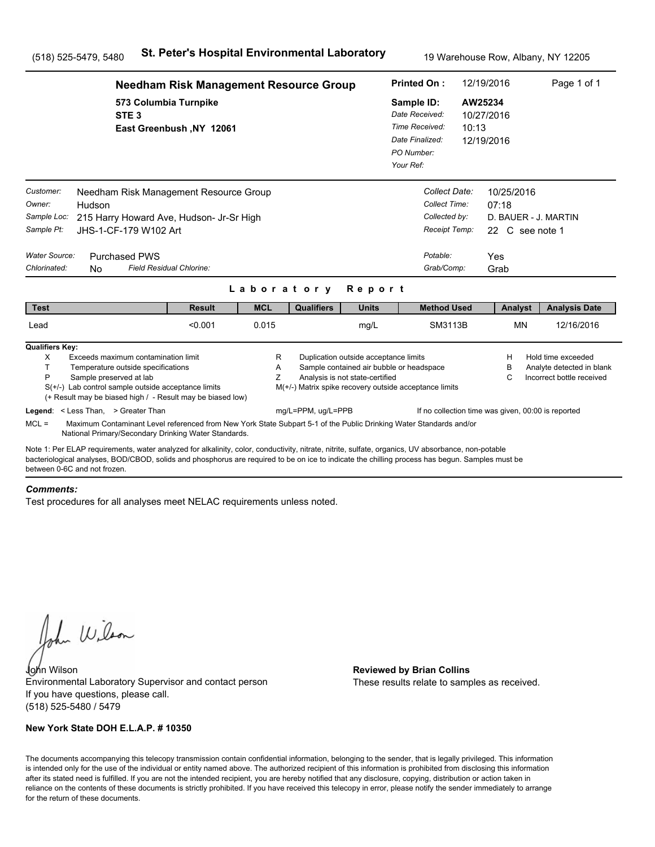|                                                                                   | <b>Needham Risk Management Resource Group</b>                                                                                                                                                                                                                                                                                                                 |                          |                          |                                                                              |                                                                                                                      |                                                                                              | 12/19/2016<br><b>Printed On:</b>                                                           |                                                       |                                                                              |  |
|-----------------------------------------------------------------------------------|---------------------------------------------------------------------------------------------------------------------------------------------------------------------------------------------------------------------------------------------------------------------------------------------------------------------------------------------------------------|--------------------------|--------------------------|------------------------------------------------------------------------------|----------------------------------------------------------------------------------------------------------------------|----------------------------------------------------------------------------------------------|--------------------------------------------------------------------------------------------|-------------------------------------------------------|------------------------------------------------------------------------------|--|
|                                                                                   | 573 Columbia Turnpike<br>STE <sub>3</sub>                                                                                                                                                                                                                                                                                                                     | East Greenbush, NY 12061 |                          |                                                                              |                                                                                                                      | Sample ID:<br>Date Received:<br>Time Received:<br>Date Finalized:<br>PO Number:<br>Your Ref: | 10:13                                                                                      | AW25234<br>10/27/2016<br>12/19/2016                   |                                                                              |  |
| Customer:<br>Owner:<br>Sample Loc:<br>Sample Pt:<br>Water Source:<br>Chlorinated: | Needham Risk Management Resource Group<br>Hudson<br>215 Harry Howard Ave, Hudson- Jr-Sr High<br>JHS-1-CF-179 W102 Art<br><b>Purchased PWS</b><br>N <sub>0</sub>                                                                                                                                                                                               | Field Residual Chlorine: |                          |                                                                              |                                                                                                                      |                                                                                              | Collect Date:<br>Collect Time:<br>Collected by:<br>Receipt Temp:<br>Potable:<br>Grab/Comp: | 10/25/2016<br>07:18<br>22 C see note 1<br>Yes<br>Grab | D. BAUER - J. MARTIN                                                         |  |
| <b>Test</b>                                                                       |                                                                                                                                                                                                                                                                                                                                                               | <b>Result</b>            | Laboratory<br><b>MCL</b> | <b>Qualifiers</b>                                                            | Report<br><b>Units</b>                                                                                               |                                                                                              | <b>Method Used</b>                                                                         | Analyst                                               | <b>Analysis Date</b>                                                         |  |
| Lead                                                                              |                                                                                                                                                                                                                                                                                                                                                               | < 0.001                  | 0.015                    |                                                                              | mg/L                                                                                                                 |                                                                                              | SM3113B                                                                                    | <b>MN</b>                                             | 12/16/2016                                                                   |  |
| <b>Qualifiers Key:</b><br>X<br>T.<br>P                                            | Exceeds maximum contamination limit<br>Temperature outside specifications<br>Sample preserved at lab<br>$S(+/-)$ Lab control sample outside acceptance limits<br>(+ Result may be biased high / - Result may be biased low)<br>Legend: < Less Than, > Greater Than                                                                                            |                          | R<br>A<br>Z              | M(+/-) Matrix spike recovery outside acceptance limits<br>mg/L=PPM, ug/L=PPB | Duplication outside acceptance limits<br>Sample contained air bubble or headspace<br>Analysis is not state-certified |                                                                                              | If no collection time was given, 00:00 is reported                                         | н<br>в<br>С                                           | Hold time exceeded<br>Analyte detected in blank<br>Incorrect bottle received |  |
| $MCL =$                                                                           | Maximum Contaminant Level referenced from New York State Subpart 5-1 of the Public Drinking Water Standards and/or                                                                                                                                                                                                                                            |                          |                          |                                                                              |                                                                                                                      |                                                                                              |                                                                                            |                                                       |                                                                              |  |
| between 0-6C and not frozen                                                       | National Primary/Secondary Drinking Water Standards.<br>Note 1: Per ELAP requirements, water analyzed for alkalinity, color, conductivity, nitrate, nitrite, sulfate, organics, UV absorbance, non-potable<br>bacteriological analyses, BOD/CBOD, solids and phosphorus are required to be on ice to indicate the chilling process has begun. Samples must be |                          |                          |                                                                              |                                                                                                                      |                                                                                              |                                                                                            |                                                       |                                                                              |  |

#### *Comments:*

Test procedures for all analyses meet NELAC requirements unless noted.

John Wilson

John Wilson **Reviewed by Brian Collins** Environmental Laboratory Supervisor and contact person If you have questions, please call. (518) 525-5480 / 5479

## **New York State DOH E.L.A.P. # 10350**

These results relate to samples as received.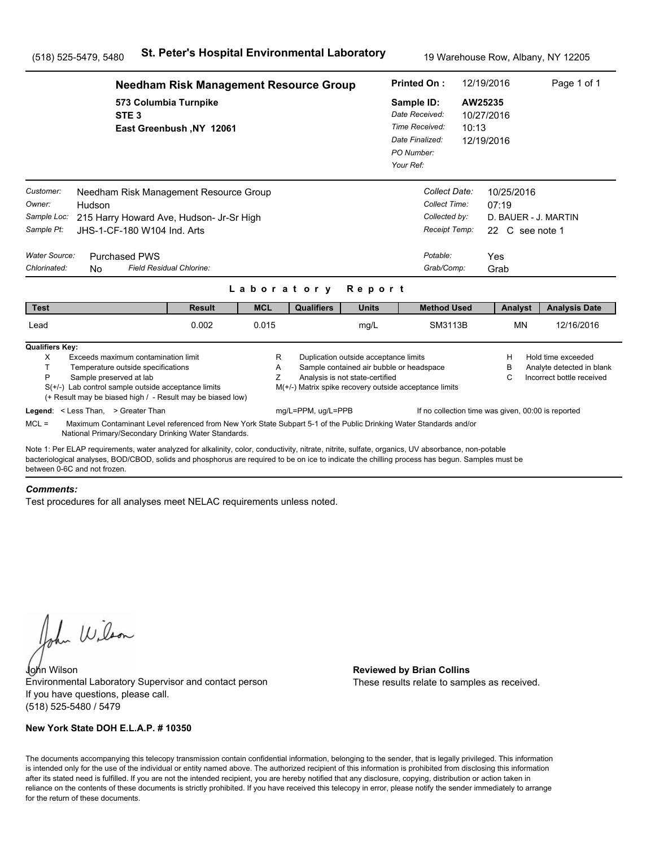|                                                                                                                                                                                                                                                                                                                                                                                                                                              | <b>Needham Risk Management Resource Group</b>     |             |                                                                              |                                                                                                                      |                                                                                              |                                                                                            | 12/19/2016                                                                    | Page 1 of 1                                                                  |  |
|----------------------------------------------------------------------------------------------------------------------------------------------------------------------------------------------------------------------------------------------------------------------------------------------------------------------------------------------------------------------------------------------------------------------------------------------|---------------------------------------------------|-------------|------------------------------------------------------------------------------|----------------------------------------------------------------------------------------------------------------------|----------------------------------------------------------------------------------------------|--------------------------------------------------------------------------------------------|-------------------------------------------------------------------------------|------------------------------------------------------------------------------|--|
| STE <sub>3</sub>                                                                                                                                                                                                                                                                                                                                                                                                                             | 573 Columbia Turnpike<br>East Greenbush, NY 12061 |             |                                                                              |                                                                                                                      | Sample ID:<br>Date Received:<br>Time Received:<br>Date Finalized:<br>PO Number:<br>Your Ref: | 10:13                                                                                      | AW25235<br>10/27/2016<br>12/19/2016                                           |                                                                              |  |
| Customer:<br>Needham Risk Management Resource Group<br>Owner:<br>Hudson<br>Sample Loc:<br>215 Harry Howard Ave, Hudson- Jr-Sr High<br>Sample Pt:<br>JHS-1-CF-180 W104 Ind. Arts<br>Water Source:<br><b>Purchased PWS</b><br>Chlorinated:<br><b>No</b>                                                                                                                                                                                        | Field Residual Chlorine:                          | Laboratory  |                                                                              | Report                                                                                                               |                                                                                              | Collect Date:<br>Collect Time:<br>Collected by:<br>Receipt Temp:<br>Potable:<br>Grab/Comp: | 10/25/2016<br>07:19<br>D. BAUER - J. MARTIN<br>22 C see note 1<br>Yes<br>Grab |                                                                              |  |
| <b>Test</b>                                                                                                                                                                                                                                                                                                                                                                                                                                  | <b>Result</b>                                     | <b>MCL</b>  | <b>Qualifiers</b>                                                            | <b>Units</b>                                                                                                         |                                                                                              | <b>Method Used</b>                                                                         | Analyst                                                                       | <b>Analysis Date</b>                                                         |  |
| Lead                                                                                                                                                                                                                                                                                                                                                                                                                                         | 0.002                                             | 0.015       |                                                                              | mg/L                                                                                                                 |                                                                                              | SM3113B                                                                                    | <b>MN</b>                                                                     | 12/16/2016                                                                   |  |
| <b>Qualifiers Key:</b><br>X<br>Exceeds maximum contamination limit<br>T<br>Temperature outside specifications<br>P<br>Sample preserved at lab<br>$S(+/-)$ Lab control sample outside acceptance limits<br>(+ Result may be biased high / - Result may be biased low)<br>Legend: < Less Than, > Greater Than<br>$MCL =$<br>Maximum Contaminant Level referenced from New York State Subpart 5-1 of the Public Drinking Water Standards and/or |                                                   | R<br>Α<br>Z | M(+/-) Matrix spike recovery outside acceptance limits<br>mg/L=PPM, ug/L=PPB | Duplication outside acceptance limits<br>Sample contained air bubble or headspace<br>Analysis is not state-certified |                                                                                              |                                                                                            | H<br>в<br>C<br>If no collection time was given, 00:00 is reported             | Hold time exceeded<br>Analyte detected in blank<br>Incorrect bottle received |  |
| National Primary/Secondary Drinking Water Standards.                                                                                                                                                                                                                                                                                                                                                                                         |                                                   |             |                                                                              |                                                                                                                      |                                                                                              |                                                                                            |                                                                               |                                                                              |  |
| Note 1: Per ELAP requirements, water analyzed for alkalinity, color, conductivity, nitrate, nitrite, sulfate, organics, UV absorbance, non-potable<br>bacteriological analyses, BOD/CBOD, solids and phosphorus are required to be on ice to indicate the chilling process has begun. Samples must be<br>between 0-6C and not frozen                                                                                                         |                                                   |             |                                                                              |                                                                                                                      |                                                                                              |                                                                                            |                                                                               |                                                                              |  |

#### *Comments:*

Test procedures for all analyses meet NELAC requirements unless noted.

John Wilson

John Wilson **Reviewed by Brian Collins** Environmental Laboratory Supervisor and contact person If you have questions, please call. (518) 525-5480 / 5479

## **New York State DOH E.L.A.P. # 10350**

These results relate to samples as received.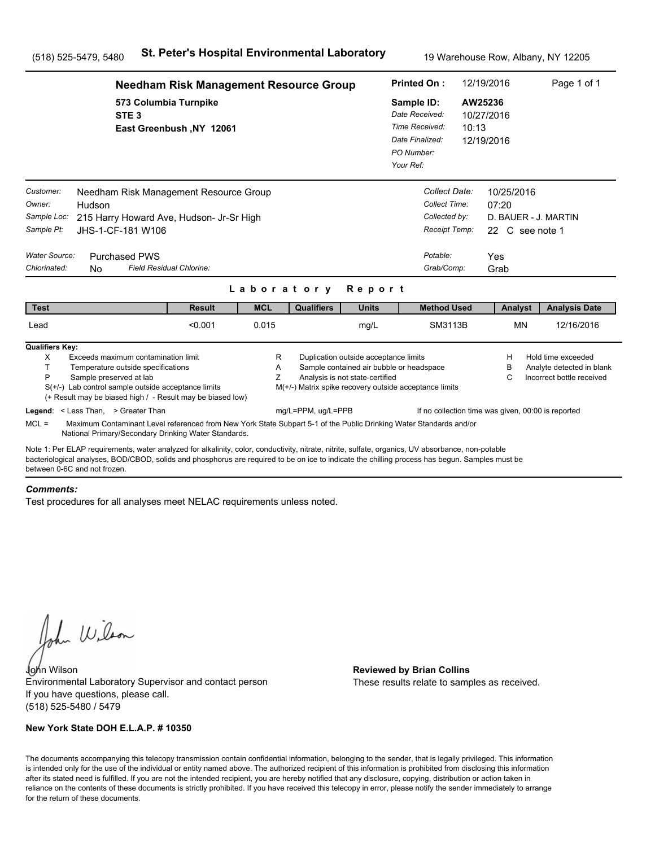|                                                                                                                                                                                                                                                                                                                                       | <b>Needham Risk Management Resource Group</b>                                                                                                                              |                          | <b>Printed On:</b> |                                                                          | 12/19/2016                                                                                         | Page 1 of 1 |                                                                               |                                                                              |  |
|---------------------------------------------------------------------------------------------------------------------------------------------------------------------------------------------------------------------------------------------------------------------------------------------------------------------------------------|----------------------------------------------------------------------------------------------------------------------------------------------------------------------------|--------------------------|--------------------|--------------------------------------------------------------------------|----------------------------------------------------------------------------------------------------|-------------|-------------------------------------------------------------------------------|------------------------------------------------------------------------------|--|
| STE <sub>3</sub>                                                                                                                                                                                                                                                                                                                      | 573 Columbia Turnpike<br>East Greenbush, NY 12061                                                                                                                          |                          |                    |                                                                          | Sample ID:<br>Date Received:<br>Time Received:<br>Date Finalized:<br>PO Number:<br>Your Ref:       | 10:13       | AW25236<br>10/27/2016<br>12/19/2016                                           |                                                                              |  |
| Customer:<br>Owner:<br>Hudson<br>Sample Loc:<br>Sample Pt:<br>JHS-1-CF-181 W106<br>Water Source:<br><b>Purchased PWS</b><br>Chlorinated:<br><b>No</b>                                                                                                                                                                                 | Needham Risk Management Resource Group<br>215 Harry Howard Ave, Hudson- Jr-Sr High<br>Field Residual Chlorine:                                                             |                          |                    |                                                                          | Collect Date:<br>Collect Time:<br>Collected by:<br>Receipt Temp:<br>Potable:<br>Grab/Comp:         |             | 10/25/2016<br>07:20<br>D. BAUER - J. MARTIN<br>22 C see note 1<br>Yes<br>Grab |                                                                              |  |
| <b>Test</b>                                                                                                                                                                                                                                                                                                                           | <b>Result</b>                                                                                                                                                              | Laboratory<br><b>MCL</b> | <b>Qualifiers</b>  | Report<br><b>Units</b>                                                   | <b>Method Used</b>                                                                                 |             | Analyst                                                                       | <b>Analysis Date</b>                                                         |  |
| Lead                                                                                                                                                                                                                                                                                                                                  | < 0.001                                                                                                                                                                    | 0.015                    |                    | mg/L                                                                     | <b>SM3113B</b>                                                                                     |             | <b>MN</b>                                                                     | 12/16/2016                                                                   |  |
| <b>Qualifiers Key:</b><br>Exceeds maximum contamination limit<br>X<br>T.<br>Temperature outside specifications<br>P<br>Sample preserved at lab<br>$S(+/-)$ Lab control sample outside acceptance limits<br>(+ Result may be biased high / - Result may be biased low)                                                                 |                                                                                                                                                                            | R<br>Α<br>Z              |                    | Duplication outside acceptance limits<br>Analysis is not state-certified | Sample contained air bubble or headspace<br>M(+/-) Matrix spike recovery outside acceptance limits |             | н<br>в<br>С                                                                   | Hold time exceeded<br>Analyte detected in blank<br>Incorrect bottle received |  |
| Legend: < Less Than, > Greater Than<br>$MCL =$                                                                                                                                                                                                                                                                                        | Maximum Contaminant Level referenced from New York State Subpart 5-1 of the Public Drinking Water Standards and/or<br>National Primary/Secondary Drinking Water Standards. |                          | mg/L=PPM, ug/L=PPB |                                                                          |                                                                                                    |             | If no collection time was given, 00:00 is reported                            |                                                                              |  |
| Note 1: Per ELAP requirements, water analyzed for alkalinity, color, conductivity, nitrate, nitrite, sulfate, organics, UV absorbance, non-potable<br>bacteriological analyses, BOD/CBOD, solids and phosphorus are required to be on ice to indicate the chilling process has begun. Samples must be<br>between 0-6C and not frozen. |                                                                                                                                                                            |                          |                    |                                                                          |                                                                                                    |             |                                                                               |                                                                              |  |

#### *Comments:*

Test procedures for all analyses meet NELAC requirements unless noted.

John Wilson

John Wilson **Reviewed by Brian Collins** Environmental Laboratory Supervisor and contact person If you have questions, please call. (518) 525-5480 / 5479

## **New York State DOH E.L.A.P. # 10350**

These results relate to samples as received.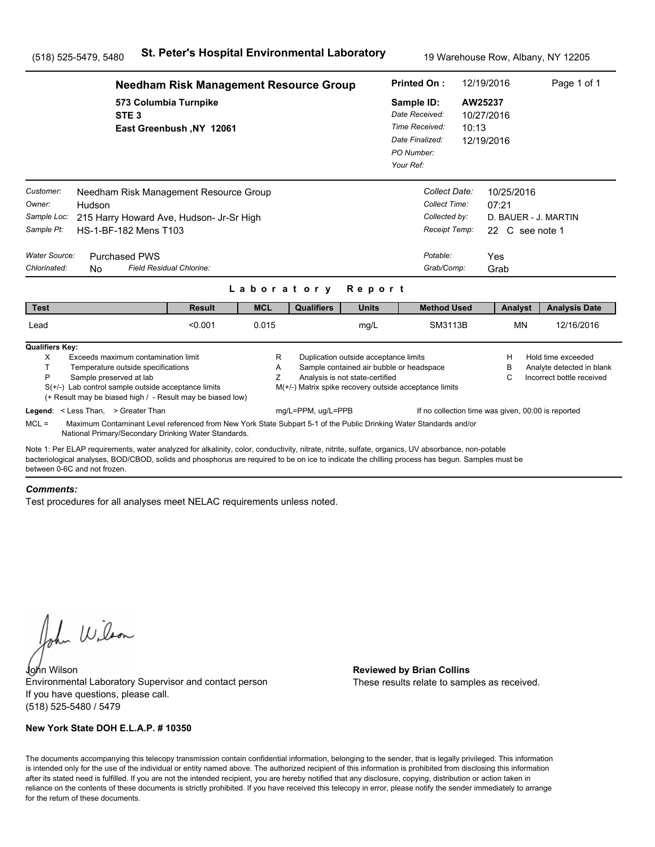|                                                                                                                                                                                                                                                                                                                                      | <b>Needham Risk Management Resource Group</b>                                                                                                                              |             |                                                        |                                                                          |                                                                                              |                                                                                | 12/19/2016                                            | Page 1 of 1                                                                  |  |
|--------------------------------------------------------------------------------------------------------------------------------------------------------------------------------------------------------------------------------------------------------------------------------------------------------------------------------------|----------------------------------------------------------------------------------------------------------------------------------------------------------------------------|-------------|--------------------------------------------------------|--------------------------------------------------------------------------|----------------------------------------------------------------------------------------------|--------------------------------------------------------------------------------|-------------------------------------------------------|------------------------------------------------------------------------------|--|
| STE <sub>3</sub>                                                                                                                                                                                                                                                                                                                     | 573 Columbia Turnpike<br>East Greenbush, NY 12061                                                                                                                          |             |                                                        |                                                                          | Sample ID:<br>Date Received:<br>Time Received:<br>Date Finalized:<br>PO Number:<br>Your Ref: | 10:13                                                                          | AW25237<br>10/27/2016<br>12/19/2016                   |                                                                              |  |
| Customer:<br>Owner:<br>Hudson<br>Sample Loc:<br>Sample Pt:<br>HS-1-BF-182 Mens T103<br>Water Source:<br><b>Purchased PWS</b><br>Chlorinated:<br>N <sub>0</sub>                                                                                                                                                                       | Needham Risk Management Resource Group<br>215 Harry Howard Ave, Hudson- Jr-Sr High<br>Field Residual Chlorine:                                                             |             |                                                        |                                                                          | Potable:                                                                                     | Collect Date:<br>Collect Time:<br>Collected by:<br>Receipt Temp:<br>Grab/Comp: | 10/25/2016<br>07:21<br>22 C see note 1<br>Yes<br>Grab | D. BAUER - J. MARTIN                                                         |  |
|                                                                                                                                                                                                                                                                                                                                      |                                                                                                                                                                            | Laboratory  |                                                        | Report                                                                   |                                                                                              |                                                                                |                                                       |                                                                              |  |
| <b>Test</b>                                                                                                                                                                                                                                                                                                                          | <b>Result</b>                                                                                                                                                              | <b>MCL</b>  | <b>Qualifiers</b>                                      | <b>Units</b>                                                             |                                                                                              | <b>Method Used</b>                                                             | Analyst                                               | <b>Analysis Date</b>                                                         |  |
| Lead                                                                                                                                                                                                                                                                                                                                 | < 0.001                                                                                                                                                                    | 0.015       |                                                        | mg/L                                                                     |                                                                                              | SM3113B                                                                        | <b>MN</b>                                             | 12/16/2016                                                                   |  |
| <b>Qualifiers Key:</b><br>X<br>Exceeds maximum contamination limit<br>T.<br>Temperature outside specifications<br>P<br>Sample preserved at lab<br>$S(+/-)$ Lab control sample outside acceptance limits                                                                                                                              | (+ Result may be biased high / - Result may be biased low)                                                                                                                 | R<br>A<br>Z | M(+/-) Matrix spike recovery outside acceptance limits | Duplication outside acceptance limits<br>Analysis is not state-certified | Sample contained air bubble or headspace                                                     |                                                                                | н<br>в<br>С                                           | Hold time exceeded<br>Analyte detected in blank<br>Incorrect bottle received |  |
| Legend: < Less Than, > Greater Than<br>$MCL =$                                                                                                                                                                                                                                                                                       | Maximum Contaminant Level referenced from New York State Subpart 5-1 of the Public Drinking Water Standards and/or<br>National Primary/Secondary Drinking Water Standards. |             | mg/L=PPM, ug/L=PPB                                     |                                                                          |                                                                                              |                                                                                | If no collection time was given, 00:00 is reported    |                                                                              |  |
| Note 1: Per ELAP requirements, water analyzed for alkalinity, color, conductivity, nitrate, nitrite, sulfate, organics, UV absorbance, non-potable<br>bacteriological analyses, BOD/CBOD, solids and phosphorus are required to be on ice to indicate the chilling process has begun. Samples must be<br>between 0-6C and not frozen |                                                                                                                                                                            |             |                                                        |                                                                          |                                                                                              |                                                                                |                                                       |                                                                              |  |

#### *Comments:*

Test procedures for all analyses meet NELAC requirements unless noted.

John Wilson

John Wilson **Reviewed by Brian Collins** Environmental Laboratory Supervisor and contact person If you have questions, please call. (518) 525-5480 / 5479

## **New York State DOH E.L.A.P. # 10350**

These results relate to samples as received.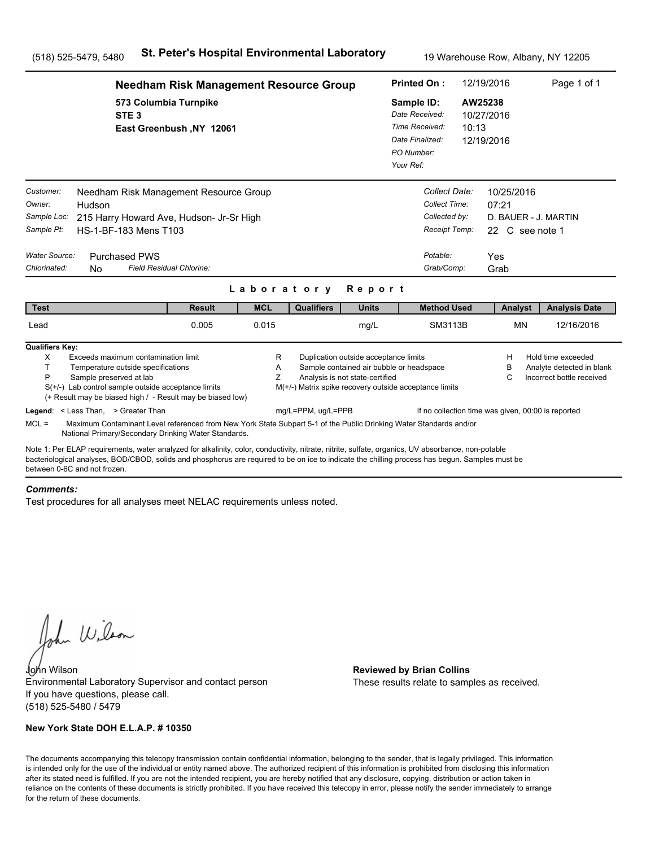|                                                                                   | <b>Needham Risk Management Resource Group</b>                                                                                                                                                                                                                                                         |                          |             |                                                        |                                                                                                                      |                                                                                              | 12/19/2016<br><b>Printed On:</b>                                                           |                                     |                               | Page 1 of 1                                                                  |
|-----------------------------------------------------------------------------------|-------------------------------------------------------------------------------------------------------------------------------------------------------------------------------------------------------------------------------------------------------------------------------------------------------|--------------------------|-------------|--------------------------------------------------------|----------------------------------------------------------------------------------------------------------------------|----------------------------------------------------------------------------------------------|--------------------------------------------------------------------------------------------|-------------------------------------|-------------------------------|------------------------------------------------------------------------------|
|                                                                                   | 573 Columbia Turnpike<br>STE <sub>3</sub>                                                                                                                                                                                                                                                             | East Greenbush, NY 12061 |             |                                                        |                                                                                                                      | Sample ID:<br>Date Received:<br>Time Received:<br>Date Finalized:<br>PO Number:<br>Your Ref: | 10:13                                                                                      | AW25238<br>10/27/2016<br>12/19/2016 |                               |                                                                              |
| Customer:<br>Owner:<br>Sample Loc:<br>Sample Pt:<br>Water Source:<br>Chlorinated: | Needham Risk Management Resource Group<br>Hudson<br>215 Harry Howard Ave, Hudson- Jr-Sr High<br>HS-1-BF-183 Mens T103<br><b>Purchased PWS</b><br>Field Residual Chlorine:<br><b>No</b>                                                                                                                |                          |             |                                                        |                                                                                                                      |                                                                                              | Collect Date:<br>Collect Time:<br>Collected by:<br>Receipt Temp:<br>Potable:<br>Grab/Comp: | 07:21<br>Yes<br>Grab                | 10/25/2016<br>22 C see note 1 | D. BAUER - J. MARTIN                                                         |
|                                                                                   |                                                                                                                                                                                                                                                                                                       |                          | Laboratory  |                                                        | Report                                                                                                               |                                                                                              |                                                                                            |                                     |                               |                                                                              |
| <b>Test</b>                                                                       |                                                                                                                                                                                                                                                                                                       | <b>Result</b>            | <b>MCL</b>  | <b>Qualifiers</b>                                      | <b>Units</b>                                                                                                         |                                                                                              | <b>Method Used</b>                                                                         |                                     | Analyst                       | <b>Analysis Date</b>                                                         |
| Lead                                                                              |                                                                                                                                                                                                                                                                                                       | 0.005                    | 0.015       |                                                        | mg/L                                                                                                                 |                                                                                              | SM3113B                                                                                    |                                     | <b>MN</b>                     | 12/16/2016                                                                   |
| <b>Qualifiers Key:</b><br>Χ<br>T<br>P                                             | Exceeds maximum contamination limit<br>Temperature outside specifications<br>Sample preserved at lab<br>$S(+/-)$ Lab control sample outside acceptance limits<br>(+ Result may be biased high / - Result may be biased low)                                                                           |                          | R<br>Α<br>Z | M(+/-) Matrix spike recovery outside acceptance limits | Duplication outside acceptance limits<br>Sample contained air bubble or headspace<br>Analysis is not state-certified |                                                                                              |                                                                                            |                                     | H<br>в<br>C                   | Hold time exceeded<br>Analyte detected in blank<br>Incorrect bottle received |
| $MCL =$                                                                           | Legend: < Less Than, > Greater Than<br>Maximum Contaminant Level referenced from New York State Subpart 5-1 of the Public Drinking Water Standards and/or<br>National Primary/Secondary Drinking Water Standards.                                                                                     |                          |             | mg/L=PPM, ug/L=PPB                                     |                                                                                                                      |                                                                                              | If no collection time was given, 00:00 is reported                                         |                                     |                               |                                                                              |
| between 0-6C and not frozen                                                       | Note 1: Per ELAP requirements, water analyzed for alkalinity, color, conductivity, nitrate, nitrite, sulfate, organics, UV absorbance, non-potable<br>bacteriological analyses, BOD/CBOD, solids and phosphorus are required to be on ice to indicate the chilling process has begun. Samples must be |                          |             |                                                        |                                                                                                                      |                                                                                              |                                                                                            |                                     |                               |                                                                              |

#### *Comments:*

Test procedures for all analyses meet NELAC requirements unless noted.

John Wilson

John Wilson **Reviewed by Brian Collins** Environmental Laboratory Supervisor and contact person If you have questions, please call. (518) 525-5480 / 5479

## **New York State DOH E.L.A.P. # 10350**

These results relate to samples as received.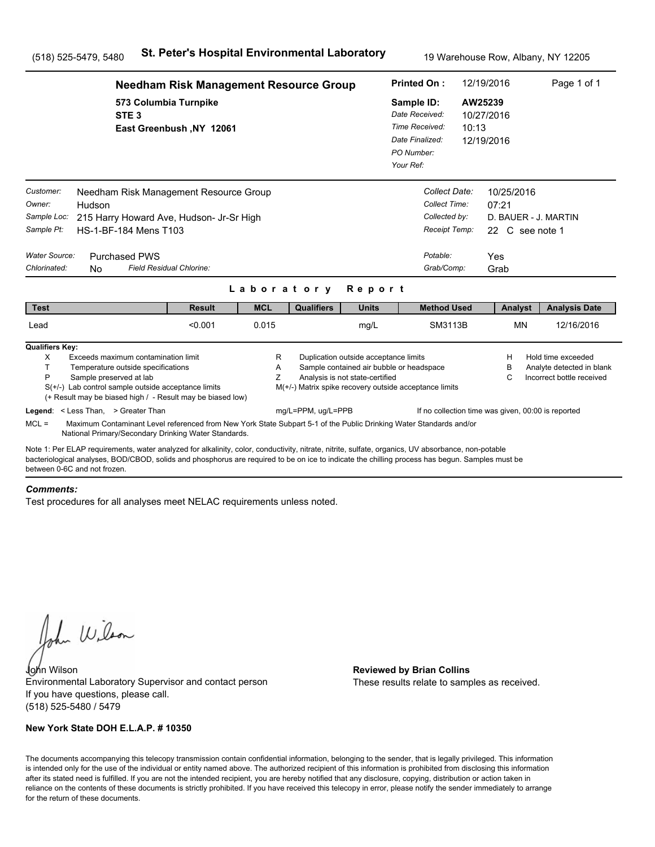|                                                                                   | <b>Needham Risk Management Resource Group</b>                                                                                                                                                                                                                                                                                        |                          |                          |                                                                              |                                                                                                                      |                                                                                              | 12/19/2016<br>Page 1 of 1<br><b>Printed On:</b>                                            |                                                       |                                                                                                                                    |  |
|-----------------------------------------------------------------------------------|--------------------------------------------------------------------------------------------------------------------------------------------------------------------------------------------------------------------------------------------------------------------------------------------------------------------------------------|--------------------------|--------------------------|------------------------------------------------------------------------------|----------------------------------------------------------------------------------------------------------------------|----------------------------------------------------------------------------------------------|--------------------------------------------------------------------------------------------|-------------------------------------------------------|------------------------------------------------------------------------------------------------------------------------------------|--|
|                                                                                   | 573 Columbia Turnpike<br>STE <sub>3</sub>                                                                                                                                                                                                                                                                                            | East Greenbush, NY 12061 |                          |                                                                              |                                                                                                                      | Sample ID:<br>Date Received:<br>Time Received:<br>Date Finalized:<br>PO Number:<br>Your Ref: | 10:13                                                                                      | AW25239<br>10/27/2016<br>12/19/2016                   |                                                                                                                                    |  |
| Customer:<br>Owner:<br>Sample Loc:<br>Sample Pt:<br>Water Source:<br>Chlorinated: | Needham Risk Management Resource Group<br>Hudson<br>215 Harry Howard Ave, Hudson- Jr-Sr High<br>HS-1-BF-184 Mens T103<br><b>Purchased PWS</b><br>Field Residual Chlorine:<br><b>No</b>                                                                                                                                               |                          |                          |                                                                              |                                                                                                                      |                                                                                              | Collect Date:<br>Collect Time:<br>Collected by:<br>Receipt Temp:<br>Potable:<br>Grab/Comp: | 10/25/2016<br>07:21<br>22 C see note 1<br>Yes<br>Grab | D. BAUER - J. MARTIN                                                                                                               |  |
| <b>Test</b>                                                                       |                                                                                                                                                                                                                                                                                                                                      | <b>Result</b>            | Laboratory<br><b>MCL</b> | <b>Qualifiers</b>                                                            | Report<br><b>Units</b>                                                                                               |                                                                                              | <b>Method Used</b>                                                                         | Analyst                                               | <b>Analysis Date</b>                                                                                                               |  |
| Lead                                                                              |                                                                                                                                                                                                                                                                                                                                      | < 0.001                  | 0.015                    |                                                                              | mg/L                                                                                                                 |                                                                                              | SM3113B                                                                                    | <b>MN</b>                                             | 12/16/2016                                                                                                                         |  |
| <b>Qualifiers Key:</b><br>Χ<br>T<br>P                                             | Exceeds maximum contamination limit<br>Temperature outside specifications<br>Sample preserved at lab<br>$S(+/-)$ Lab control sample outside acceptance limits<br>(+ Result may be biased high / - Result may be biased low)<br>Legend: < Less Than, > Greater Than                                                                   |                          | R<br>Α<br>Z              | M(+/-) Matrix spike recovery outside acceptance limits<br>mg/L=PPM, ug/L=PPB | Duplication outside acceptance limits<br>Sample contained air bubble or headspace<br>Analysis is not state-certified |                                                                                              |                                                                                            | H<br>в<br>C                                           | Hold time exceeded<br>Analyte detected in blank<br>Incorrect bottle received<br>If no collection time was given, 00:00 is reported |  |
| $MCL =$                                                                           | Maximum Contaminant Level referenced from New York State Subpart 5-1 of the Public Drinking Water Standards and/or<br>National Primary/Secondary Drinking Water Standards.                                                                                                                                                           |                          |                          |                                                                              |                                                                                                                      |                                                                                              |                                                                                            |                                                       |                                                                                                                                    |  |
|                                                                                   | Note 1: Per ELAP requirements, water analyzed for alkalinity, color, conductivity, nitrate, nitrite, sulfate, organics, UV absorbance, non-potable<br>bacteriological analyses, BOD/CBOD, solids and phosphorus are required to be on ice to indicate the chilling process has begun. Samples must be<br>between 0-6C and not frozen |                          |                          |                                                                              |                                                                                                                      |                                                                                              |                                                                                            |                                                       |                                                                                                                                    |  |

#### *Comments:*

Test procedures for all analyses meet NELAC requirements unless noted.

John Wilson

John Wilson **Reviewed by Brian Collins** Environmental Laboratory Supervisor and contact person If you have questions, please call. (518) 525-5480 / 5479

## **New York State DOH E.L.A.P. # 10350**

These results relate to samples as received.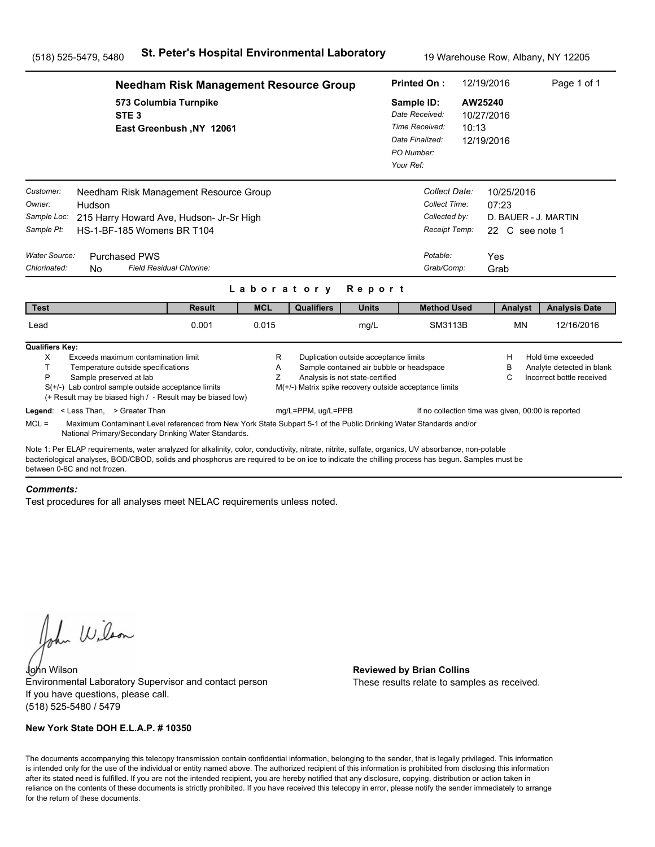|                                                                                   | <b>Needham Risk Management Resource Group</b>                                                                                                                                                                                                                                                         |                          |                          |                                                                              |                                                                                                                      |                                                                                              | <b>Printed On:</b>                                                                         | 12/19/2016                                            | Page 1 of 1                                                                  |  |
|-----------------------------------------------------------------------------------|-------------------------------------------------------------------------------------------------------------------------------------------------------------------------------------------------------------------------------------------------------------------------------------------------------|--------------------------|--------------------------|------------------------------------------------------------------------------|----------------------------------------------------------------------------------------------------------------------|----------------------------------------------------------------------------------------------|--------------------------------------------------------------------------------------------|-------------------------------------------------------|------------------------------------------------------------------------------|--|
|                                                                                   | 573 Columbia Turnpike<br>STE <sub>3</sub>                                                                                                                                                                                                                                                             | East Greenbush, NY 12061 |                          |                                                                              |                                                                                                                      | Sample ID:<br>Date Received:<br>Time Received:<br>Date Finalized:<br>PO Number:<br>Your Ref: | 10:13                                                                                      | AW25240<br>10/27/2016<br>12/19/2016                   |                                                                              |  |
| Customer:<br>Owner:<br>Sample Loc:<br>Sample Pt:<br>Water Source:<br>Chlorinated: | Needham Risk Management Resource Group<br>Hudson<br>215 Harry Howard Ave, Hudson- Jr-Sr High<br>HS-1-BF-185 Womens BR T104<br><b>Purchased PWS</b><br>Field Residual Chlorine:<br>N <sub>0</sub>                                                                                                      |                          |                          |                                                                              |                                                                                                                      |                                                                                              | Collect Date:<br>Collect Time:<br>Collected by:<br>Receipt Temp:<br>Potable:<br>Grab/Comp: | 10/25/2016<br>07:23<br>22 C see note 1<br>Yes<br>Grab | D. BAUER - J. MARTIN                                                         |  |
| <b>Test</b>                                                                       |                                                                                                                                                                                                                                                                                                       | <b>Result</b>            | Laboratory<br><b>MCL</b> | <b>Qualifiers</b>                                                            | Report<br><b>Units</b>                                                                                               |                                                                                              | <b>Method Used</b>                                                                         | Analyst                                               | <b>Analysis Date</b>                                                         |  |
| Lead                                                                              |                                                                                                                                                                                                                                                                                                       | 0.001                    | 0.015                    |                                                                              | mg/L                                                                                                                 |                                                                                              | SM3113B                                                                                    | <b>MN</b>                                             | 12/16/2016                                                                   |  |
| <b>Qualifiers Key:</b><br>X<br>T.<br>P                                            | Exceeds maximum contamination limit<br>Temperature outside specifications<br>Sample preserved at lab<br>$S(+/-)$ Lab control sample outside acceptance limits<br>(+ Result may be biased high / - Result may be biased low)<br>Legend: < Less Than, > Greater Than                                    |                          | R<br>A<br>Z              | M(+/-) Matrix spike recovery outside acceptance limits<br>mg/L=PPM, ug/L=PPB | Duplication outside acceptance limits<br>Sample contained air bubble or headspace<br>Analysis is not state-certified |                                                                                              | If no collection time was given, 00:00 is reported                                         | н<br>в<br>С                                           | Hold time exceeded<br>Analyte detected in blank<br>Incorrect bottle received |  |
| $MCL =$                                                                           | Maximum Contaminant Level referenced from New York State Subpart 5-1 of the Public Drinking Water Standards and/or<br>National Primary/Secondary Drinking Water Standards.                                                                                                                            |                          |                          |                                                                              |                                                                                                                      |                                                                                              |                                                                                            |                                                       |                                                                              |  |
| between 0-6C and not frozen                                                       | Note 1: Per ELAP requirements, water analyzed for alkalinity, color, conductivity, nitrate, nitrite, sulfate, organics, UV absorbance, non-potable<br>bacteriological analyses, BOD/CBOD, solids and phosphorus are required to be on ice to indicate the chilling process has begun. Samples must be |                          |                          |                                                                              |                                                                                                                      |                                                                                              |                                                                                            |                                                       |                                                                              |  |

#### *Comments:*

Test procedures for all analyses meet NELAC requirements unless noted.

John Wilson

John Wilson **Reviewed by Brian Collins** Environmental Laboratory Supervisor and contact person If you have questions, please call. (518) 525-5480 / 5479

## **New York State DOH E.L.A.P. # 10350**

These results relate to samples as received.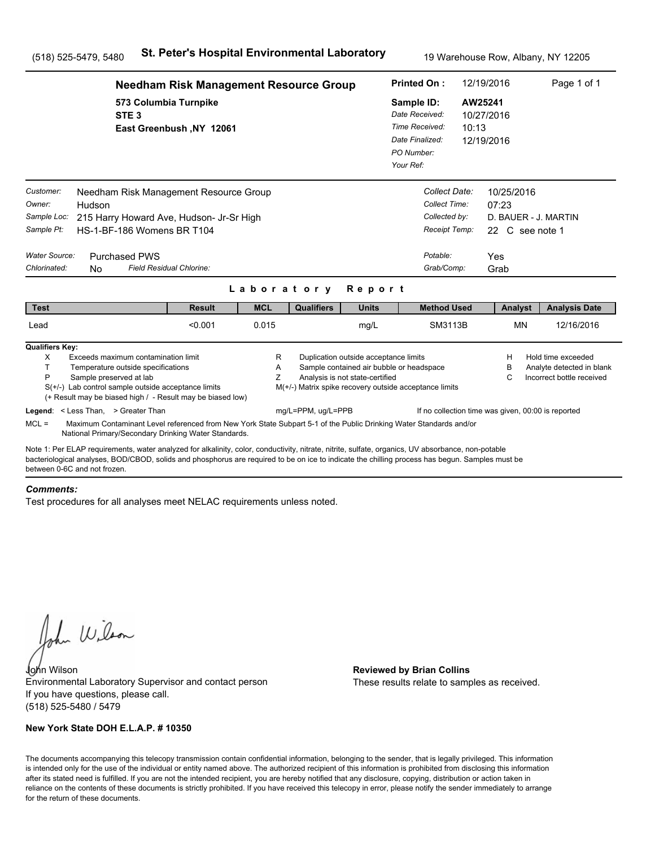|                                                                                   | <b>Needham Risk Management Resource Group</b>                                                                                                                                                                                                                                                                                                                                                |                          | 12/19/2016<br><b>Printed On:</b> |                                                                              |                                                                                                                      |                                                                                              | Page 1 of 1                                                                                |                                     |                               |                                                                              |
|-----------------------------------------------------------------------------------|----------------------------------------------------------------------------------------------------------------------------------------------------------------------------------------------------------------------------------------------------------------------------------------------------------------------------------------------------------------------------------------------|--------------------------|----------------------------------|------------------------------------------------------------------------------|----------------------------------------------------------------------------------------------------------------------|----------------------------------------------------------------------------------------------|--------------------------------------------------------------------------------------------|-------------------------------------|-------------------------------|------------------------------------------------------------------------------|
|                                                                                   | 573 Columbia Turnpike<br>STE <sub>3</sub>                                                                                                                                                                                                                                                                                                                                                    | East Greenbush, NY 12061 |                                  |                                                                              |                                                                                                                      | Sample ID:<br>Date Received:<br>Time Received:<br>Date Finalized:<br>PO Number:<br>Your Ref: | 10:13                                                                                      | AW25241<br>10/27/2016<br>12/19/2016 |                               |                                                                              |
| Customer:<br>Owner:<br>Sample Loc:<br>Sample Pt:<br>Water Source:<br>Chlorinated: | Needham Risk Management Resource Group<br>Hudson<br>215 Harry Howard Ave, Hudson- Jr-Sr High<br>HS-1-BF-186 Womens BR T104<br><b>Purchased PWS</b><br>Field Residual Chlorine:<br><b>No</b>                                                                                                                                                                                                  |                          | Laboratory                       |                                                                              | Report                                                                                                               |                                                                                              | Collect Date:<br>Collect Time:<br>Collected by:<br>Receipt Temp:<br>Potable:<br>Grab/Comp: | 07:23<br>Yes<br>Grab                | 10/25/2016<br>22 C see note 1 | D. BAUER - J. MARTIN                                                         |
| <b>Test</b>                                                                       |                                                                                                                                                                                                                                                                                                                                                                                              | <b>Result</b>            | <b>MCL</b>                       | <b>Qualifiers</b>                                                            | <b>Units</b>                                                                                                         |                                                                                              | <b>Method Used</b>                                                                         |                                     | Analyst                       | <b>Analysis Date</b>                                                         |
| Lead                                                                              |                                                                                                                                                                                                                                                                                                                                                                                              | < 0.001                  | 0.015                            |                                                                              | mg/L                                                                                                                 |                                                                                              | SM3113B                                                                                    |                                     | <b>MN</b>                     | 12/16/2016                                                                   |
| <b>Qualifiers Key:</b><br>Χ<br>T.<br>P<br>$MCL =$                                 | Exceeds maximum contamination limit<br>Temperature outside specifications<br>Sample preserved at lab<br>$S(+/-)$ Lab control sample outside acceptance limits<br>(+ Result may be biased high / - Result may be biased low)<br>Legend: < Less Than, > Greater Than<br>Maximum Contaminant Level referenced from New York State Subpart 5-1 of the Public Drinking Water Standards and/or     |                          | R<br>Α<br>Z                      | M(+/-) Matrix spike recovery outside acceptance limits<br>mg/L=PPM, ug/L=PPB | Duplication outside acceptance limits<br>Sample contained air bubble or headspace<br>Analysis is not state-certified |                                                                                              | If no collection time was given, 00:00 is reported                                         |                                     | H<br>в<br>C                   | Hold time exceeded<br>Analyte detected in blank<br>Incorrect bottle received |
|                                                                                   | National Primary/Secondary Drinking Water Standards.<br>Note 1: Per ELAP requirements, water analyzed for alkalinity, color, conductivity, nitrate, nitrite, sulfate, organics, UV absorbance, non-potable<br>bacteriological analyses, BOD/CBOD, solids and phosphorus are required to be on ice to indicate the chilling process has begun. Samples must be<br>between 0-6C and not frozen |                          |                                  |                                                                              |                                                                                                                      |                                                                                              |                                                                                            |                                     |                               |                                                                              |

#### *Comments:*

Test procedures for all analyses meet NELAC requirements unless noted.

John Wilson

John Wilson **Reviewed by Brian Collins** Environmental Laboratory Supervisor and contact person If you have questions, please call. (518) 525-5480 / 5479

## **New York State DOH E.L.A.P. # 10350**

These results relate to samples as received.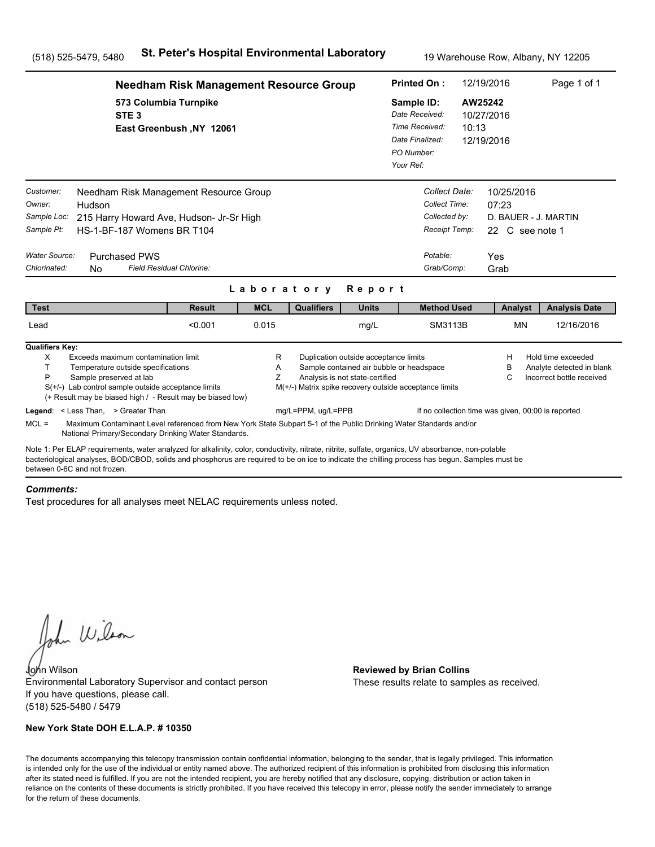|                                                                                   | <b>Needham Risk Management Resource Group</b>                                                                                                                                                                                                                                                                                                                                                |                          |             | <b>Printed On:</b>                                                           |                                                                          | 12/19/2016                                                                                   | Page 1 of 1                                                                    |                                                                   |                                                                              |  |
|-----------------------------------------------------------------------------------|----------------------------------------------------------------------------------------------------------------------------------------------------------------------------------------------------------------------------------------------------------------------------------------------------------------------------------------------------------------------------------------------|--------------------------|-------------|------------------------------------------------------------------------------|--------------------------------------------------------------------------|----------------------------------------------------------------------------------------------|--------------------------------------------------------------------------------|-------------------------------------------------------------------|------------------------------------------------------------------------------|--|
|                                                                                   | 573 Columbia Turnpike<br>STE <sub>3</sub>                                                                                                                                                                                                                                                                                                                                                    | East Greenbush, NY 12061 |             |                                                                              |                                                                          | Sample ID:<br>Date Received:<br>Time Received:<br>Date Finalized:<br>PO Number:<br>Your Ref: | 10:13                                                                          | AW25242<br>10/27/2016<br>12/19/2016                               |                                                                              |  |
| Customer:<br>Owner:<br>Sample Loc:<br>Sample Pt:<br>Water Source:<br>Chlorinated: | Needham Risk Management Resource Group<br>Hudson<br>215 Harry Howard Ave, Hudson- Jr-Sr High<br>HS-1-BF-187 Womens BR T104<br><b>Purchased PWS</b><br>Field Residual Chlorine:<br><b>No</b>                                                                                                                                                                                                  |                          | Laboratory  |                                                                              | Report                                                                   | Potable:                                                                                     | Collect Date:<br>Collect Time:<br>Collected by:<br>Receipt Temp:<br>Grab/Comp: | 10/25/2016<br>07:23<br>22 C see note 1<br>Yes<br>Grab             | D. BAUER - J. MARTIN                                                         |  |
| <b>Test</b>                                                                       |                                                                                                                                                                                                                                                                                                                                                                                              | <b>Result</b>            | <b>MCL</b>  | <b>Qualifiers</b>                                                            | <b>Units</b>                                                             |                                                                                              | <b>Method Used</b>                                                             | Analyst                                                           | <b>Analysis Date</b>                                                         |  |
| Lead                                                                              |                                                                                                                                                                                                                                                                                                                                                                                              | < 0.001                  | 0.015       |                                                                              | mg/L                                                                     |                                                                                              | SM3113B                                                                        | <b>MN</b>                                                         | 12/16/2016                                                                   |  |
| <b>Qualifiers Key:</b><br>Χ<br>T.<br>P<br>$MCL =$                                 | Exceeds maximum contamination limit<br>Temperature outside specifications<br>Sample preserved at lab<br>$S(+/-)$ Lab control sample outside acceptance limits<br>(+ Result may be biased high / - Result may be biased low)<br>Legend: < Less Than, > Greater Than<br>Maximum Contaminant Level referenced from New York State Subpart 5-1 of the Public Drinking Water Standards and/or     |                          | R<br>Α<br>Z | M(+/-) Matrix spike recovery outside acceptance limits<br>mg/L=PPM, ug/L=PPB | Duplication outside acceptance limits<br>Analysis is not state-certified | Sample contained air bubble or headspace                                                     |                                                                                | H<br>в<br>C<br>If no collection time was given, 00:00 is reported | Hold time exceeded<br>Analyte detected in blank<br>Incorrect bottle received |  |
|                                                                                   | National Primary/Secondary Drinking Water Standards.<br>Note 1: Per ELAP requirements, water analyzed for alkalinity, color, conductivity, nitrate, nitrite, sulfate, organics, UV absorbance, non-potable<br>bacteriological analyses, BOD/CBOD, solids and phosphorus are required to be on ice to indicate the chilling process has begun. Samples must be<br>between 0-6C and not frozen |                          |             |                                                                              |                                                                          |                                                                                              |                                                                                |                                                                   |                                                                              |  |

#### *Comments:*

Test procedures for all analyses meet NELAC requirements unless noted.

John Wilson

John Wilson **Reviewed by Brian Collins** Environmental Laboratory Supervisor and contact person If you have questions, please call. (518) 525-5480 / 5479

## **New York State DOH E.L.A.P. # 10350**

These results relate to samples as received.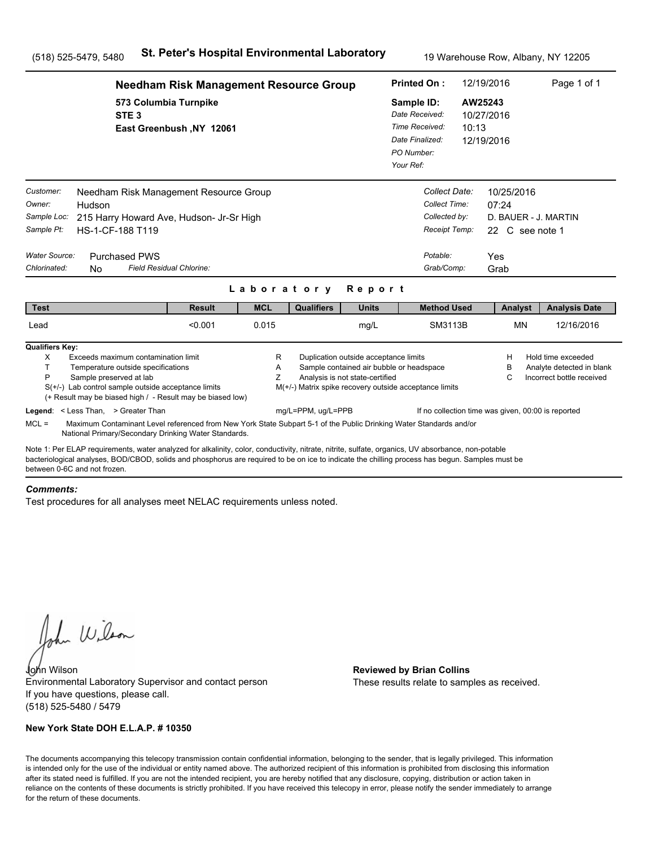|                                                                   | <b>Needham Risk Management Resource Group</b>                                                                                                                                                                                                                                                                                         |                          | <b>Printed On:</b> | 12/19/2016                                             |                                                                                                                      | Page 1 of 1                                                                                  |                                                                              |                                        |           |                                                                              |
|-------------------------------------------------------------------|---------------------------------------------------------------------------------------------------------------------------------------------------------------------------------------------------------------------------------------------------------------------------------------------------------------------------------------|--------------------------|--------------------|--------------------------------------------------------|----------------------------------------------------------------------------------------------------------------------|----------------------------------------------------------------------------------------------|------------------------------------------------------------------------------|----------------------------------------|-----------|------------------------------------------------------------------------------|
|                                                                   | 573 Columbia Turnpike<br>STE <sub>3</sub>                                                                                                                                                                                                                                                                                             | East Greenbush, NY 12061 |                    |                                                        |                                                                                                                      | Sample ID:<br>Date Received:<br>Time Received:<br>Date Finalized:<br>PO Number:<br>Your Ref: | 10:13                                                                        | AW25243<br>10/27/2016<br>12/19/2016    |           |                                                                              |
| Customer:<br>Owner:<br>Sample Loc:<br>Sample Pt:<br>Water Source: | Needham Risk Management Resource Group<br>Hudson<br>215 Harry Howard Ave, Hudson- Jr-Sr High<br>HS-1-CF-188 T119                                                                                                                                                                                                                      |                          |                    |                                                        |                                                                                                                      |                                                                                              | Collect Date:<br>Collect Time:<br>Collected by:<br>Receipt Temp:<br>Potable: | 10/25/2016<br>07:24<br>22 C see note 1 |           | D. BAUER - J. MARTIN                                                         |
| Chlorinated:                                                      | <b>Purchased PWS</b><br>Field Residual Chlorine:<br><b>No</b>                                                                                                                                                                                                                                                                         |                          |                    |                                                        |                                                                                                                      |                                                                                              | Grab/Comp:                                                                   | Yes<br>Grab                            |           |                                                                              |
|                                                                   |                                                                                                                                                                                                                                                                                                                                       |                          | Laboratory         |                                                        | Report                                                                                                               |                                                                                              |                                                                              |                                        |           |                                                                              |
| <b>Test</b>                                                       |                                                                                                                                                                                                                                                                                                                                       | <b>Result</b>            | <b>MCL</b>         | <b>Qualifiers</b>                                      | <b>Units</b>                                                                                                         |                                                                                              | <b>Method Used</b>                                                           |                                        | Analyst   | <b>Analysis Date</b>                                                         |
| Lead                                                              |                                                                                                                                                                                                                                                                                                                                       | < 0.001                  | 0.015              |                                                        | mg/L                                                                                                                 |                                                                                              | SM3113B                                                                      |                                        | <b>MN</b> | 12/16/2016                                                                   |
| <b>Qualifiers Key:</b><br>X<br>T.<br>P                            | Exceeds maximum contamination limit<br>Temperature outside specifications<br>Sample preserved at lab<br>$S(+/-)$ Lab control sample outside acceptance limits<br>(+ Result may be biased high / - Result may be biased low)                                                                                                           |                          | R<br>Α<br>Z        | M(+/-) Matrix spike recovery outside acceptance limits | Duplication outside acceptance limits<br>Sample contained air bubble or headspace<br>Analysis is not state-certified |                                                                                              |                                                                              | н<br>в<br>С                            |           | Hold time exceeded<br>Analyte detected in blank<br>Incorrect bottle received |
| $MCL =$                                                           | Legend: < Less Than, > Greater Than<br>Maximum Contaminant Level referenced from New York State Subpart 5-1 of the Public Drinking Water Standards and/or<br>National Primary/Secondary Drinking Water Standards.                                                                                                                     |                          |                    | mg/L=PPM, ug/L=PPB                                     |                                                                                                                      |                                                                                              | If no collection time was given, 00:00 is reported                           |                                        |           |                                                                              |
|                                                                   | Note 1: Per ELAP requirements, water analyzed for alkalinity, color, conductivity, nitrate, nitrite, sulfate, organics, UV absorbance, non-potable<br>bacteriological analyses, BOD/CBOD, solids and phosphorus are required to be on ice to indicate the chilling process has begun. Samples must be<br>between 0-6C and not frozen. |                          |                    |                                                        |                                                                                                                      |                                                                                              |                                                                              |                                        |           |                                                                              |

#### *Comments:*

Test procedures for all analyses meet NELAC requirements unless noted.

John Wilson

John Wilson **Reviewed by Brian Collins** Environmental Laboratory Supervisor and contact person If you have questions, please call. (518) 525-5480 / 5479

## **New York State DOH E.L.A.P. # 10350**

These results relate to samples as received.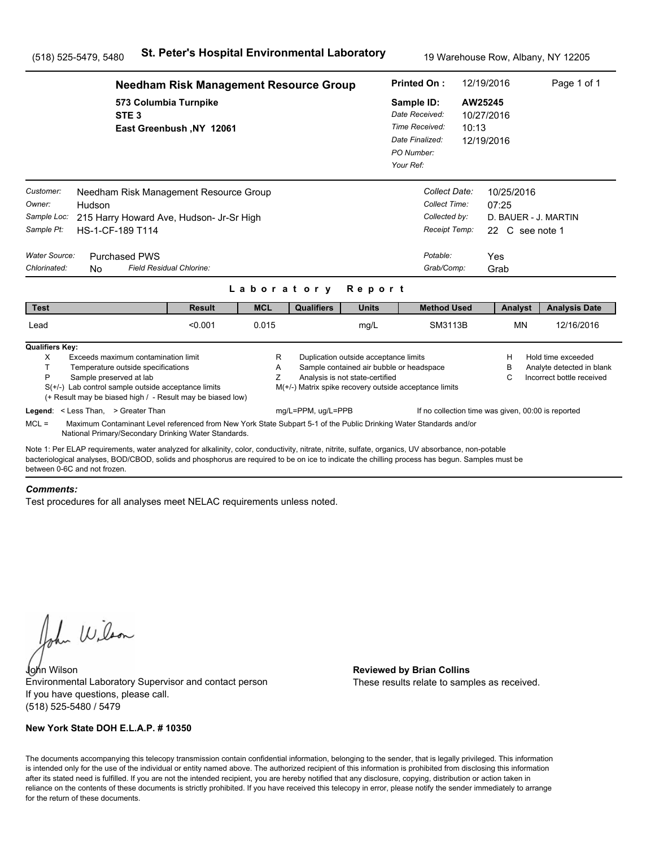|                                                                                   | <b>Needham Risk Management Resource Group</b>                                                                                                                                                                                                                                                         |                          | <b>Printed On:</b> | 12/19/2016                                             |                                                                                                                      | Page 1 of 1                                                                                  |                                                                                            |                                                       |  |                                                                              |
|-----------------------------------------------------------------------------------|-------------------------------------------------------------------------------------------------------------------------------------------------------------------------------------------------------------------------------------------------------------------------------------------------------|--------------------------|--------------------|--------------------------------------------------------|----------------------------------------------------------------------------------------------------------------------|----------------------------------------------------------------------------------------------|--------------------------------------------------------------------------------------------|-------------------------------------------------------|--|------------------------------------------------------------------------------|
|                                                                                   | 573 Columbia Turnpike<br>STE <sub>3</sub>                                                                                                                                                                                                                                                             | East Greenbush, NY 12061 |                    |                                                        |                                                                                                                      | Sample ID:<br>Date Received:<br>Time Received:<br>Date Finalized:<br>PO Number:<br>Your Ref: | 10:13                                                                                      | AW25245<br>10/27/2016<br>12/19/2016                   |  |                                                                              |
| Customer:<br>Owner:<br>Sample Loc:<br>Sample Pt:<br>Water Source:<br>Chlorinated: | Needham Risk Management Resource Group<br>Hudson<br>215 Harry Howard Ave, Hudson- Jr-Sr High<br>HS-1-CF-189 T114<br><b>Purchased PWS</b><br>Field Residual Chlorine:<br><b>No</b>                                                                                                                     |                          |                    |                                                        |                                                                                                                      |                                                                                              | Collect Date:<br>Collect Time:<br>Collected by:<br>Receipt Temp:<br>Potable:<br>Grab/Comp: | 10/25/2016<br>07:25<br>22 C see note 1<br>Yes<br>Grab |  | D. BAUER - J. MARTIN                                                         |
|                                                                                   |                                                                                                                                                                                                                                                                                                       |                          | Laboratory         |                                                        | Report                                                                                                               |                                                                                              |                                                                                            |                                                       |  |                                                                              |
| <b>Test</b>                                                                       |                                                                                                                                                                                                                                                                                                       | <b>Result</b>            | <b>MCL</b>         | <b>Qualifiers</b>                                      | <b>Units</b>                                                                                                         |                                                                                              | <b>Method Used</b>                                                                         | Analyst                                               |  | <b>Analysis Date</b>                                                         |
| Lead                                                                              |                                                                                                                                                                                                                                                                                                       | < 0.001                  | 0.015              |                                                        | mg/L                                                                                                                 |                                                                                              | SM3113B                                                                                    | <b>MN</b>                                             |  | 12/16/2016                                                                   |
| <b>Qualifiers Key:</b><br>X<br>T.<br>P                                            | Exceeds maximum contamination limit<br>Temperature outside specifications<br>Sample preserved at lab<br>$S(+/-)$ Lab control sample outside acceptance limits<br>(+ Result may be biased high / - Result may be biased low)                                                                           |                          | R<br>Α<br>Z        | M(+/-) Matrix spike recovery outside acceptance limits | Duplication outside acceptance limits<br>Sample contained air bubble or headspace<br>Analysis is not state-certified |                                                                                              |                                                                                            | н<br>в<br>С                                           |  | Hold time exceeded<br>Analyte detected in blank<br>Incorrect bottle received |
| $MCL =$                                                                           | Legend: < Less Than, > Greater Than<br>Maximum Contaminant Level referenced from New York State Subpart 5-1 of the Public Drinking Water Standards and/or<br>National Primary/Secondary Drinking Water Standards.                                                                                     |                          |                    | mg/L=PPM, ug/L=PPB                                     |                                                                                                                      |                                                                                              | If no collection time was given, 00:00 is reported                                         |                                                       |  |                                                                              |
| between 0-6C and not frozen.                                                      | Note 1: Per ELAP requirements, water analyzed for alkalinity, color, conductivity, nitrate, nitrite, sulfate, organics, UV absorbance, non-potable<br>bacteriological analyses, BOD/CBOD, solids and phosphorus are required to be on ice to indicate the chilling process has begun. Samples must be |                          |                    |                                                        |                                                                                                                      |                                                                                              |                                                                                            |                                                       |  |                                                                              |

#### *Comments:*

Test procedures for all analyses meet NELAC requirements unless noted.

John Wilson

John Wilson **Reviewed by Brian Collins** Environmental Laboratory Supervisor and contact person If you have questions, please call. (518) 525-5480 / 5479

## **New York State DOH E.L.A.P. # 10350**

These results relate to samples as received.